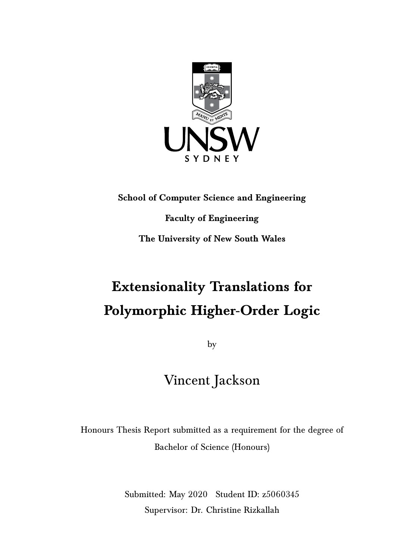

## **School of Computer Science and Engineering**

## **Faculty of Engineering The University of New South Wales**

# **Extensionality Translations for Polymorphic Higher-Order Logic**

by

## Vincent Jackson

Honours Thesis Report submitted as a requirement for the degree of Bachelor of Science (Honours)

> Submitted: May 2020 Student ID: z5060345 Supervisor: Dr. Christine Rizkallah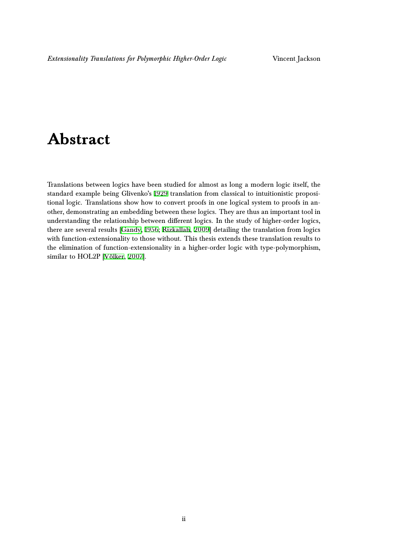## **Abstract**

Translations between logics have been studied for almost as long a modern logic itself, the standard example being Glivenko's 1929 translation from classical to intuitionistic propositional logic. Translations show how to convert proofs in one logical system to proofs in another, demonstrating an embedding between these logics. They are thus an important tool in understanding the relationship between different logics. In the study of higher-order logics, there are several results [Gandy, 19[56;](#page-49-0) Rizkallah, 2009] detailing the translation from logics with function-extensionality to those without. This thesis extends these translation results to the elimination of function-extensionality in a higher-order logic with type-polymorphism, similar to HOL2P [Völker, [2007](#page-49-1)][.](#page-49-1)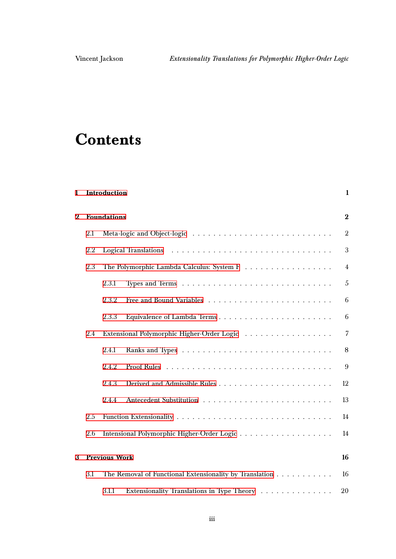## **Contents**

| 1        |     | Introduction         |                                                         | $\mathbf{1}$     |
|----------|-----|----------------------|---------------------------------------------------------|------------------|
| $\bf{2}$ |     | <b>Foundations</b>   |                                                         | $\bf{2}$         |
|          | 2.1 |                      |                                                         | $\boldsymbol{2}$ |
|          | 2.2 |                      |                                                         | 3                |
|          | 2.3 |                      | The Polymorphic Lambda Calculus: System F               | $\overline{4}$   |
|          |     | 2.3.1                |                                                         | $\sqrt{5}$       |
|          |     | 2.3.2                |                                                         | 6                |
|          |     | 2.3.3                |                                                         | 6                |
|          | 2.4 |                      | Extensional Polymorphic Higher-Order Logic              | $\overline{7}$   |
|          |     | 2.4.1                |                                                         | $\, 8$           |
|          |     | 2.4.2                |                                                         | $\boldsymbol{9}$ |
|          |     | 2.4.3                |                                                         | 12               |
|          |     | 2.4.4                |                                                         | 13               |
|          | 2.5 |                      |                                                         | 14               |
|          | 2.6 |                      |                                                         | 14               |
| 3        |     | <b>Previous Work</b> |                                                         | 16               |
|          | 3.1 |                      | The Removal of Functional Extensionality by Translation | 16               |
|          |     | 3.1.1                | Extensionality Translations in Type Theory              | 20               |
|          |     |                      |                                                         |                  |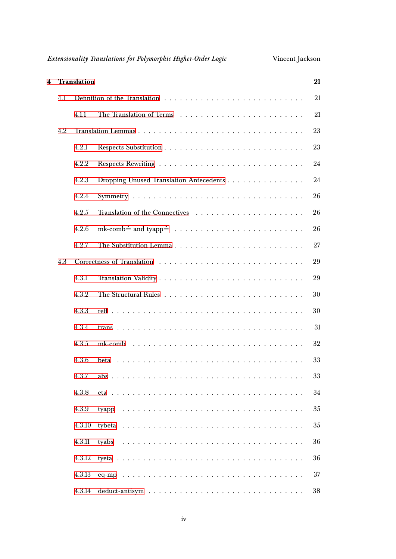| 4 |     | Translation |                                         | 21     |
|---|-----|-------------|-----------------------------------------|--------|
|   | 4.1 |             |                                         | 21     |
|   |     | 4.1.1       |                                         | 21     |
|   | 4.2 |             |                                         | 23     |
|   |     | 4.2.1       |                                         | 23     |
|   |     | 4.2.2       |                                         | 24     |
|   |     | 4.2.3       | Dropping Unused Translation Antecedents | 24     |
|   |     | 4.2.4       |                                         | 26     |
|   |     | 4.2.5       |                                         | 26     |
|   |     | 4.2.6       |                                         | 26     |
|   |     | 4.2.7       | The Substitution Lemma                  | 27     |
|   | 4.3 |             |                                         | 29     |
|   |     | 4.3.1       |                                         | 29     |
|   |     | 4.3.2       |                                         | 30     |
|   |     | 4.3.3       |                                         | 30     |
|   |     | 4.3.4       |                                         | 31     |
|   |     | 4.3.5       |                                         | 32     |
|   |     | 4.3.6       | beta.                                   | 33     |
|   |     | 4.3.7       |                                         | 33     |
|   |     | 4.3.8       |                                         | 34     |
|   |     | 4.3.9       |                                         | 35     |
|   |     | 4.3.10      |                                         | $35\,$ |
|   |     | 4.3.11      |                                         | 36     |
|   |     | 4.3.12      |                                         | 36     |
|   |     | 4.3.13      |                                         | 37     |
|   |     | 4.3.14      |                                         | 38     |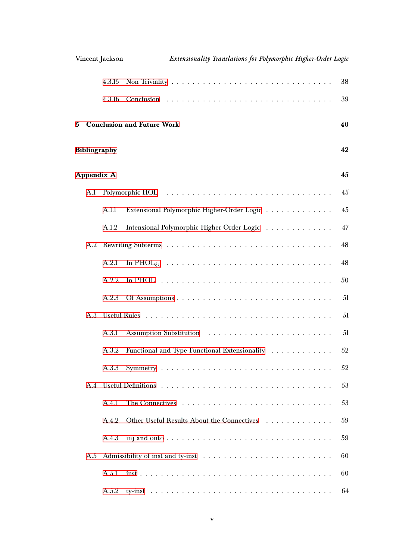|   |     | 4.3.15            |                                                                                               | 38 |
|---|-----|-------------------|-----------------------------------------------------------------------------------------------|----|
|   |     | 4.3.16            |                                                                                               | 39 |
| 5 |     |                   | <b>Conclusion and Future Work</b>                                                             | 40 |
|   |     | Bibliography      |                                                                                               | 42 |
|   |     | <b>Appendix A</b> |                                                                                               | 45 |
|   | A.1 |                   |                                                                                               | 45 |
|   |     | A.1.1             | Extensional Polymorphic Higher-Order Logic                                                    | 45 |
|   |     | A.1.2             | Intensional Polymorphic Higher-Order Logic                                                    | 47 |
|   |     |                   |                                                                                               | 48 |
|   |     | A.2.1             |                                                                                               | 48 |
|   |     | A.2.2             | In PHOL $\dots \dots \dots \dots \dots \dots \dots \dots \dots \dots \dots \dots \dots \dots$ | 50 |
|   |     | A.2.3             |                                                                                               | 51 |
|   | A.3 |                   |                                                                                               | 51 |
|   |     | A.3.1             |                                                                                               | 51 |
|   |     | A.3.2             | Functional and Type-Functional Extensionality                                                 | 52 |
|   |     | A.3.3             |                                                                                               | 52 |
|   | A.4 |                   |                                                                                               | 53 |
|   |     | A.4.1             |                                                                                               | 53 |
|   |     | A.4.2             | Other Useful Results About the Connectives                                                    | 59 |
|   |     | A.4.3             |                                                                                               | 59 |
|   | A.5 |                   |                                                                                               | 60 |
|   |     | A.5.1             |                                                                                               | 60 |
|   |     | A.5.2             |                                                                                               | 64 |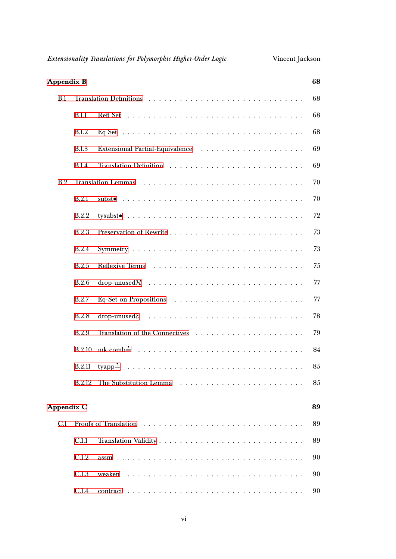| <b>Appendix B</b> |        |                                                                                                     | 68 |
|-------------------|--------|-----------------------------------------------------------------------------------------------------|----|
| B.1               |        |                                                                                                     | 68 |
|                   | B.1.1  |                                                                                                     | 68 |
|                   | B.1.2  | Eq Set $\ldots \ldots \ldots \ldots \ldots \ldots \ldots \ldots \ldots \ldots \ldots \ldots \ldots$ | 68 |
|                   | B.1.3  |                                                                                                     | 69 |
|                   | B.1.4  |                                                                                                     | 69 |
| B.2               |        |                                                                                                     | 70 |
|                   | B.2.1  |                                                                                                     | 70 |
|                   | B.2.2  |                                                                                                     | 72 |
|                   | B.2.3  |                                                                                                     | 73 |
|                   | B.2.4  |                                                                                                     | 73 |
|                   | B.2.5  |                                                                                                     | 75 |
|                   | B.2.6  |                                                                                                     | 77 |
|                   | B.2.7  |                                                                                                     | 77 |
|                   | B.2.8  |                                                                                                     | 78 |
|                   | B.2.9  |                                                                                                     | 79 |
|                   | B.2.10 |                                                                                                     | 84 |
|                   | B.2.11 |                                                                                                     | 85 |
|                   |        |                                                                                                     | 85 |
| Appendix C        |        |                                                                                                     | 89 |
| C.1               |        |                                                                                                     | 89 |
|                   | C.1.1  |                                                                                                     | 89 |
|                   | C.1.2  |                                                                                                     | 90 |
|                   | C.1.3  |                                                                                                     | 90 |
|                   | C.1.4  |                                                                                                     | 90 |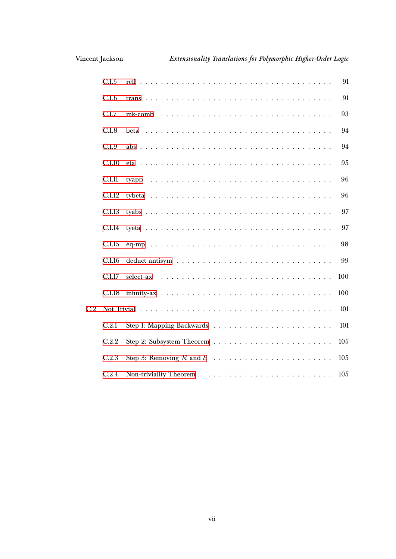|     | C.1.5  |         | 91  |
|-----|--------|---------|-----|
|     | C.1.6  |         | 91  |
|     | C.1.7  | mk-comb | 93  |
|     | C.1.8  |         | 94  |
|     | C.1.9  |         | 94  |
|     | C.1.10 |         | 95  |
|     | C.1.11 |         | 96  |
|     | C.1.12 |         | 96  |
|     | C.1.13 |         | 97  |
|     | C.1.14 |         | 97  |
|     | C.1.15 |         | 98  |
|     | C.1.16 |         | 99  |
|     | C.1.17 |         | 100 |
|     | C.1.18 |         | 100 |
| C.2 |        |         | 101 |
|     | C.2.1  |         | 101 |
|     | C.2.2  |         | 105 |
|     | C.2.3  |         | 105 |
|     | C.2.4  |         | 105 |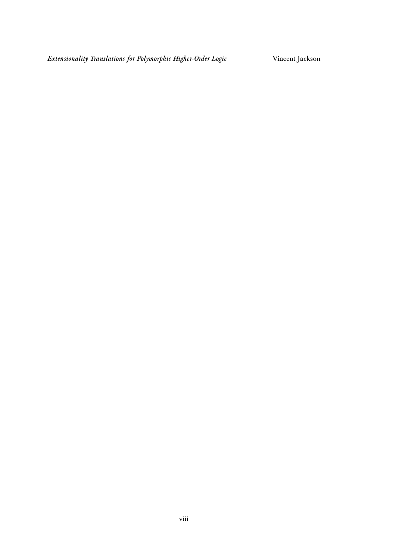*Extensionality Translations for Polymorphic Higher-Order Logic* Vincent Jackson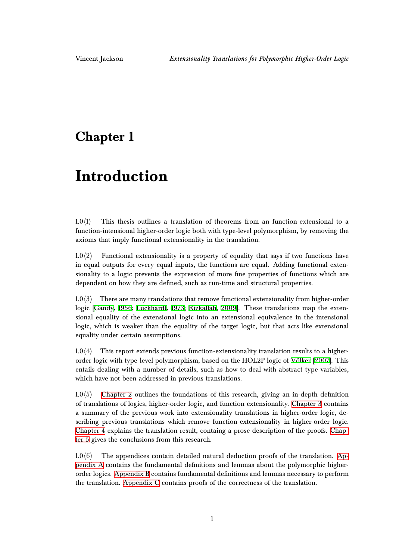## **Chapter 1**

## **Introduction**

1.0*⟨*1*⟩* This thesis outlines a translation of theorems from an function-extensional to a function-intensional higher-order logic both with type-level polymorphism, by removing the axioms that imply functional extensionality in the translation.

1.0*⟨*2*⟩* Functional extensionality is a property of equality that says if two functions have in equal outputs for every equal inputs, the functions are equal. Adding functional extensionality to a logic prevents the expression of more fine properties of functions which are dependent on how they are defined, such as run-time and structural properties.

1.0*⟨*3*⟩* There are many translations that remove functional extensionality from higher-order logic [Gandy, 1956; Luckhardt, 1973; Rizkallah, 2009]. These translations map the extensional equality of the extensional logic into an extensional equivalence in the intensional logic, which is weaker than the equality of the target logic, but that acts like extensional equali[ty under cert](#page-49-1)a[in assumpt](#page-50-0)i[ons.](#page-50-0)

1.0*⟨*4*⟩* This report extends previous function-extensionality translation results to a higherorder logic with type-level polymorphism, based on the HOL2P logic of Völker [2007]. This entails dealing with a number of details, such as how to deal with abstract type-variables, which have not been addressed in previous translations.

1.0*⟨*5*⟩* Chapter 2 outlines the foundations of this research, giving an [in-dep](#page-50-1)t[h defi](#page-50-1)nition of translations of logics, higher-order logic, and function extensionality. Chapter 3 contains a summary of the previous work into extensionality translations in higher-order logic, describing previous translations which remove function-extensionality in higher-order logic. Chapter 4 [explains](#page-9-0) the translation result, containg a prose description o[f the proof](#page-23-0)s. Chapter 5 gives the conclusions from this research.

1.0*⟨*6*⟩* The appendices contain detailed natural deduction proofs of the translation. Ap[pendix A](#page-28-0) contains the fundamental definitions and lemmas about the polymorphic [higher](#page-47-0)[order](#page-47-0) logics. Appendix B contains fundamental definitions and lemmas necessary to perform the translation. Appendix C contains proofs of the correctness of the translation.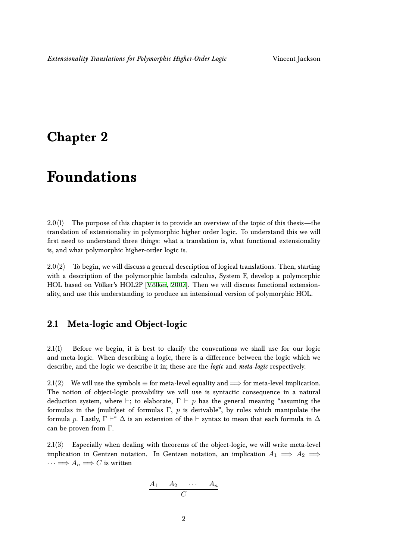## <span id="page-9-0"></span>**Chapter 2**

## **Foundations**

2.0<sup> $\langle$ </sup>1<sup> $\rangle$ </sup> The purpose of this chapter is to provide an overview of the topic of this thesis—the translation of extensionality in polymorphic higher order logic. To understand this we will first need to understand three things: what a translation is, what functional extensionality is, and what polymorphic higher-order logic is.

2.0*⟨*2*⟩* To begin, we will discuss a general description of logical translations. Then, starting with a description of the polymorphic lambda calculus, System F, develop a polymorphic HOL based on Völker's HOL2P [Völker, 2007]. Then we will discuss functional extensionality, and use this understanding to produce an intensional version of polymorphic HOL.

## **2.1 Meta-logic and Object-logic**

<span id="page-9-1"></span> $2.1\langle 1 \rangle$  Before we begin, it is best to clarify the conventions we shall use for our logic and meta-logic. When describing a logic, there is a difference between the logic which we describe, and the logic we describe it in; these are the *logic* and *meta-logic* respectively.

2.1*⟨*2*⟩* We will use the symbols *≡* for meta-level equality and =*⇒* for meta-level implication. The notion of object-logic provability we will use is syntactic consequence in a natural deduction system, where *⊢*; to elaborate, Γ *⊢ p* has the general meaning "assuming the formulas in the (multi)set of formulas Γ, *p* is derivable", by rules which manipulate the formula *p*. Lastly, Γ *⊢ <sup>∗</sup>* ∆ is an extension of the *⊢* syntax to mean that each formula in ∆ can be proven from Γ.

2.1*⟨*3*⟩* Especially when dealing with theorems of the object-logic, we will write meta-level implication in Gentzen notation. In Gentzen notation, an implication  $A_1 \implies A_2 \implies$  $\cdots \Longrightarrow A_n \Longrightarrow C$  is written

$$
\begin{array}{cccc}\nA_1 & A_2 & \cdots & A_n \\
\hline\nC & & & & \\
\end{array}
$$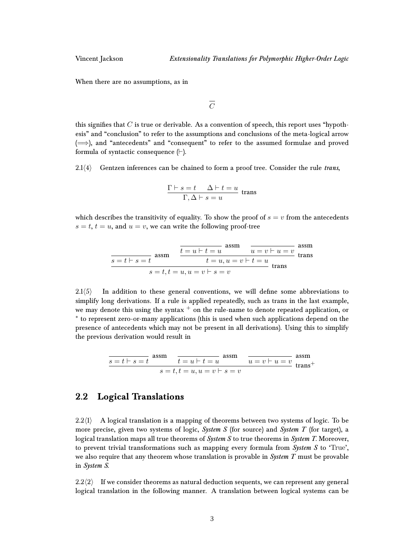When there are no assumptions, as in

$$
\overline{C}
$$

this signifies that  $C$  is true or derivable. As a convention of speech, this report uses "hypothesis" and "conclusion" to refer to the assumptions and conclusions of the meta-logical arrow (=*⇒*), and "antecedents" and "consequent" to refer to the assumed formulae and proved formula of syntactic consequence (*⊢*).

2.1*⟨*4*⟩* Gentzen inferences can be chained to form a proof tree. Consider the rule *trans*,

$$
\frac{\Gamma \vdash s = t \quad \Delta \vdash t = u}{\Gamma, \Delta \vdash s = u} \text{ trans}
$$

which describes the transitivity of equality. To show the proof of  $s = v$  from the antecedents  $s = t$ ,  $t = u$ , and  $u = v$ , we can write the following proof-tree

$$
\underbrace{\frac{t=u\vdash t=u}{t=u,u\vdash t=u}}_{s=t,\,t=u,\,u=v\vdash s=v}\begin{array}{l} \text{assm} \\ \hline u=v\vdash u=v\\ \text{trans} \end{array}\text{trans}
$$

2.1*⟨*5*⟩* In addition to these general conventions, we will define some abbreviations to simplify long derivations. If a rule is applied repeatedly, such as trans in the last example, we may denote this using the syntax  $<sup>+</sup>$  on the rule-name to denote repeated application, or</sup> *∗* to represent zero-or-many applications (this is used when such applications depend on the presence of antecedents which may not be present in all derivations). Using this to simplify the previous derivation would result in

$$
\frac{1}{s=t\vdash s=t} \text{ assume } \frac{t=u\vdash t=u}{s=t, t=u, u=v\vdash s=v} \text{ atoms} + \frac{u=v\vdash u=v}{\text{trans}} \text{trans}
$$

## <span id="page-10-0"></span>**2.2 Logical Translations**

2.2*⟨*1*⟩* A logical translation is a mapping of theorems between two systems of logic. To be more precise, given two systems of logic, *System S* (for source) and *System T* (for target), a logical translation maps all true theorems of *System S* to true theorems in *System T*. Moreover, to prevent trivial transformations such as mapping every formula from *System S* to 'True', we also require that any theorem whose translation is provable in *System T* must be provable in *System S*.

2.2 $\langle 2 \rangle$  If we consider theorems as natural deduction sequents, we can represent any general logical translation in the following manner. A translation between logical systems can be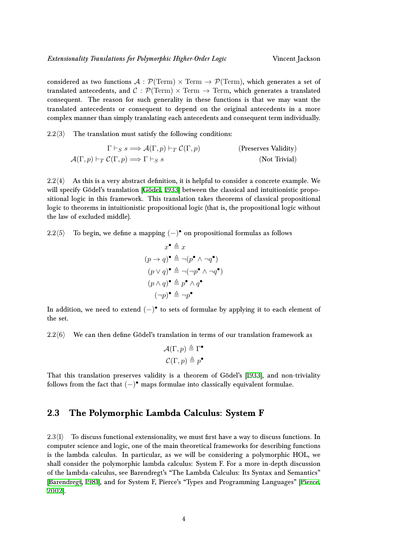considered as two functions  $A : \mathcal{P}(\text{Term}) \times \text{Term} \rightarrow \mathcal{P}(\text{Term})$ , which generates a set of translated antecedents, and  $C : \mathcal{P}(\text{Term}) \times \text{Term} \rightarrow \text{Term}$ , which generates a translated consequent. The reason for such generality in these functions is that we may want the translated antecedents or consequent to depend on the original antecedents in a more complex manner than simply translating each antecedents and consequent term individually.

2.2*⟨*3*⟩* The translation must satisfy the following conditions:

$$
\Gamma \vdash_S s \Longrightarrow \mathcal{A}(\Gamma, p) \vdash_T \mathcal{C}(\Gamma, p)
$$
 (Preserves Validity)  

$$
\mathcal{A}(\Gamma, p) \vdash_T \mathcal{C}(\Gamma, p) \Longrightarrow \Gamma \vdash_S s
$$
 (Not Trivial)

2.2*⟨*4*⟩* As this is a very abstract definition, it is helpful to consider a concrete example. We will specify Gödel's translation [Gödel, 1933] between the classical and intuitionistic propositional logic in this framework. This translation takes theorems of classical propositional logic to theorems in intuitionistic propositional logic (that is, the propositional logic without the law of excluded middle).

2.2*⟨*5*⟩* To begin, we define a mapping (*−*) *•* on propositional formulas as follows

$$
x^{\bullet} \triangleq x
$$

$$
(p \to q)^{\bullet} \triangleq \neg(p^{\bullet} \land \neg q^{\bullet})
$$

$$
(p \lor q)^{\bullet} \triangleq \neg(\neg p^{\bullet} \land \neg q^{\bullet})
$$

$$
(p \land q)^{\bullet} \triangleq p^{\bullet} \land q^{\bullet}
$$

$$
(\neg p)^{\bullet} \triangleq \neg p^{\bullet}
$$

In addition, we need to extend (*−*) *•* to sets of formulae by applying it to each element of the set.

2.2*⟨*6*⟩* We can then define Gödel's translation in terms of our translation framework as

$$
\mathcal{A}(\Gamma, p) \triangleq \Gamma^{\bullet}
$$

$$
\mathcal{C}(\Gamma, p) \triangleq p^{\bullet}
$$

That this translation preserves validity is a theorem of Gödel's [1933], and non-triviality follows from the fact that (*−*) *•* maps formulae into classically equivalent formulae.

## **2.3 The Polymorphic Lambda Calculus: Syst[em F](#page-49-2)**

<span id="page-11-0"></span>2.3*⟨*1*⟩* To discuss functional extensionality, we must first have a way to discuss functions. In computer science and logic, one of the main theoretical frameworks for describing functions is the lambda calculus. In particular, as we will be considering a polymorphic HOL, we shall consider the polymorphic lambda calculus: System F. For a more in-depth discussion of the lambda-calculus, see Barendregt's "The Lambda Calculus: Its Syntax and Semantics" [Barendregt, 1981], and for System F, Pierce's "Types and Programming Languages" [Pierce, 2002].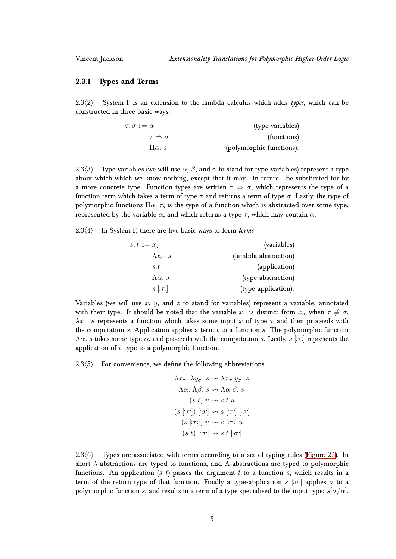### **2.3.1 Types and Terms**

<span id="page-12-0"></span>2.3*⟨*2*⟩* System F is an extension to the lambda calculus which adds *types*, which can be constructed in three basic ways:

| (type variables)         | $\tau,\sigma \mathrel{\mathop:}= \alpha$ |  |  |
|--------------------------|------------------------------------------|--|--|
| (functions)              | $\tau \Rightarrow \sigma$                |  |  |
| (polymorphic functions). | $\prod \alpha$ . s                       |  |  |

2.3 $\langle 3 \rangle$  Type variables (we will use  $\alpha$ ,  $\beta$ , and  $\gamma$  to stand for type-variables) represent a type about which which we know nothing, except that it may—in future—be substituted for by a more concrete type. Function types are written  $\tau \Rightarrow \sigma$ , which represents the type of a function term which takes a term of type *τ* and returns a term of type *σ*. Lastly, the type of polymorphic functions  $\Pi\alpha$ .  $\tau$ , is the type of a function which is abstracted over some type, represented by the variable  $\alpha$ , and which returns a type  $\tau$ , which may contain  $\alpha$ .

2.3*⟨*4*⟩* In System F, there are five basic ways to form *terms*

| (variables)          | $s,t \mathrel{\mathop:}= x_\tau$ |  |  |
|----------------------|----------------------------------|--|--|
| (lambda abstraction) | $\lambda x_{\tau}$ . s           |  |  |
| (application)        | $ s\>t$                          |  |  |
| (type abstraction)   | $\big  \Lambda \alpha$ . s       |  |  |
| (type application).  | $ s :\tau:$                      |  |  |

Variables (we will use *x*, *y*, and *z* to stand for variables) represent a variable, annotated with their type. It should be noted that the variable  $x_{\tau}$  is distinct from  $x_{\sigma}$  when  $\tau \neq \sigma$ . *λx<sup>τ</sup> . s* represents a function which takes some input *x* of type *τ* and then proceeds with the computation *s*. Application applies a term *t* to a function *s*. The polymorphic function Λ*α. s* takes some type *α*, and proceeds with the computation *s*. Lastly, *s* [:*τ* :] represents the application of a type to a polymorphic function.

2.3 $\langle 5 \rangle$  For convenience, we define the following abbreviations

$$
\lambda x_{\tau}. \lambda y_{\sigma}. s \rightsquigarrow \lambda x_{\tau} y_{\sigma}. s
$$

$$
\Lambda \alpha. \Lambda \beta. s \rightsquigarrow \Lambda \alpha \beta. s
$$

$$
(s t) u \rightsquigarrow s t u
$$

$$
(s [\tau \tau]) [\cdot \sigma \cdot] \rightsquigarrow s [\cdot \tau \cdot] [\cdot \sigma \cdot]
$$

$$
(s [\cdot \tau \cdot]) u \rightsquigarrow s [\cdot \tau \cdot] u
$$

$$
(s t) [\cdot \sigma \cdot] \rightsquigarrow s t [\cdot \sigma \cdot]
$$

2.3*⟨*6*⟩* Types are associated with terms according to a set of typing rules (Figure 2.1). In short *λ*-abstractions are typed to functions, and Λ-abstractions are typed to polymorphic functions. An application (*s t*) passes the argument *t* to a function *s*, which results in a term of the return type of that function. Finally a type-application  $s$  [: $\sigma$ :] applies  $\sigma$  to a polymorphic function *s*, and results in a term of a type specialised to the inpu[t type:](#page-13-2) *s*[*σ/α*].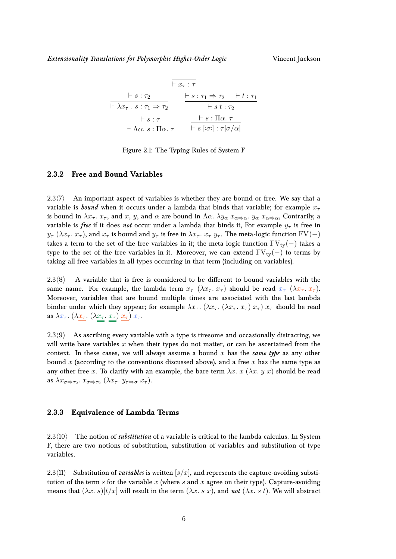*Extensionality Translations for Polymorphic Higher-Order Logic* Vincent Jackson

$$
\frac{\vdash x_{\tau} : \tau}{\vdash \lambda x_{\tau_1} . s : \tau_1 \Rightarrow \tau_2} \qquad \frac{\vdash s : \tau_1 \Rightarrow \tau_2 \quad \vdash t : \tau_1}{\vdash s t : \tau_2}
$$
\n
$$
\frac{\vdash s : \tau}{\vdash \Lambda \alpha . s : \Pi \alpha . \tau} \qquad \frac{\vdash s : \Pi \alpha . \tau}{\vdash s [:\sigma] : \tau [\sigma/\alpha]}
$$

<span id="page-13-2"></span>Figure 2.1: The Typing Rules of System F

## <span id="page-13-0"></span>**2.3.2 Free and Bound Variables**

2.3*⟨*7*⟩* An important aspect of variables is whether they are bound or free. We say that a variable is *bound* when it occurs under a lambda that binds that variable; for example *x<sup>τ</sup>* is bound in  $\lambda x_{\tau}$ .  $x_{\tau}$ , and  $x$ ,  $y$ , and  $\alpha$  are bound in  $\Lambda \alpha$ .  $\lambda y_{\alpha}$   $x_{\alpha \Rightarrow \alpha}$ ,  $y_{\alpha}$ ,  $x_{\alpha \Rightarrow \alpha}$ , Contrarily, a variable is *free* if it does *not* occur under a lambda that binds it, For example  $y<sub>\tau</sub>$  is free in  $y_{\tau}$  ( $\lambda x_{\tau}$ ,  $x_{\tau}$ ), and  $x_{\tau}$  is bound and  $y_{\tau}$  is free in  $\lambda x_{\tau}$ ,  $x_{\tau}$   $y_{\tau}$ . The meta-logic function FV(*−*) takes a term to the set of the free variables in it; the meta-logic function FV<sub>ty</sub>(−) takes a type to the set of the free variables in it. Moreover, we can extend  $FV_{tv}(-)$  to terms by taking all free variables in all types occurring in that term (including on variables).

2.3*⟨*8*⟩* A variable that is free is considered to be different to bound variables with the same name. For example, the lambda term  $x_{\tau}$  ( $\lambda x_{\tau}$ ,  $x_{\tau}$ ) should be read  $x_{\tau}$  ( $\lambda x_{\tau}$ ,  $x_{\tau}$ ). Moreover, variables that are bound multiple times are associated with the last lambda binder under which they appear; for example  $\lambda x_{\tau}$ .  $(\lambda x_{\tau}$ .  $(\lambda x_{\tau}$ .  $x_{\tau})$   $x_{\tau}$  should be read as  $\lambda x_{\tau}$ .  $(\lambda \underline{x_{\tau}} \cdot (\lambda \underline{x_{\tau}} \cdot \underline{x_{\tau}}) \underline{x_{\tau}}) x_{\tau}$ .

2.3*⟨*9*⟩* As ascribing every variable with a type is tiresome and occasionally distracting, we will write bare variables x when their types do not matter, or can be ascertained from the context. In these cases, we will always assume a bound *x* has the *same type* as any other bound *x* (according to the conventions discussed above), and a free *x* has the same type as any other free *x*. To clarify with an example, the bare term  $\lambda x$ . *x* ( $\lambda x$ . *y x*) should be read as  $\lambda x_{\sigma \Rightarrow \tau_2}$ .  $x_{\sigma \Rightarrow \tau_2}$  ( $\lambda x_{\tau}$ .  $y_{\tau \Rightarrow \sigma}$   $x_{\tau}$ ).

### <span id="page-13-1"></span>**2.3.3 Equivalence of Lambda Terms**

2.3*⟨*10*⟩* The notion of *substitution* of a variable is critical to the lambda calculus. In System F, there are two notions of substitution, substitution of variables and substitution of type variables.

2.3*⟨*11*⟩* Substitution of *variables* is written [*s/x*], and represents the capture-avoiding substitution of the term *s* for the variable *x* (where *s* and *x* agree on their type). Capture-avoiding means that  $(\lambda x. s)[t/x]$  will result in the term  $(\lambda x. s x)$ , and *not*  $(\lambda x. s t)$ . We will abstract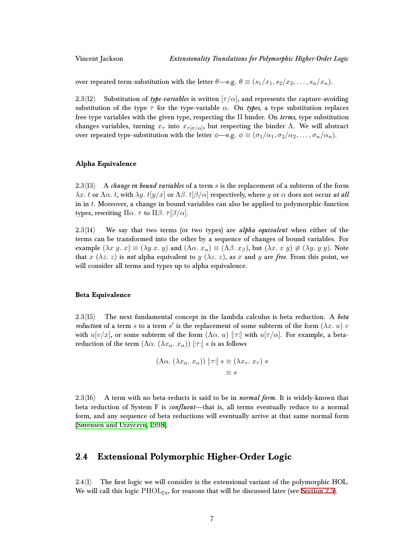over repeated term-substitution with the letter  $\theta$ —e.g.  $\theta \equiv (s_1/x_1, s_2/x_2, \ldots, s_n/x_n)$ .

2.3*⟨*12*⟩* Substitution of *type-variables* is written [*τ /α*], and represents the capture-avoiding substitution of the type  $\tau$  for the type-variable  $\alpha$ . On types, a type substitution replaces free type variables with the given type, respecting the Π binder. On *terms*, type substitution changes variables, turning  $x_\tau$  into  $x_{\tau[\sigma/\alpha]}$ , but respecting the binder Λ. We will abstract over repeated type-substitution with the letter  $\phi$ —e.g.  $\phi \equiv (\sigma_1/\alpha_1, \sigma_2/\alpha_2, \dots, \sigma_n/\alpha_n)$ .

#### **Alpha Equivalence**

2.3*⟨*13*⟩* A *change in bound variables* of a term *s* is the replacement of a subterm of the form *λx. t* or Λ*α. t*, with *λy. t*[*y/x*] or Λ*β. t*[*β/α*] respectively, where *y* or *α* does not occur *at all* in in *t*. Moreover, a change in bound variables can also be applied to polymorphic-function types, rewriting Π*α. τ* to Π*β. τ* [*β/α*].

2.3*⟨*14*⟩* We say that two terms (or two types) are *alpha equivalent* when either of the terms can be transformed into the other by a sequence of changes of bound variables. For example  $(\lambda x \ y. x) \equiv (\lambda y \ x. y)$  and  $(\Lambda \alpha. x_{\alpha}) \equiv (\Lambda \beta. x_{\beta})$ , but  $(\lambda x. x \ y) \neq (\lambda y. y \ y)$ . Note that  $x (\lambda z, z)$  is *not* alpha equivalent to  $y (\lambda z, z)$ , as  $x$  and  $y$  are free. From this point, we will consider all terms and types up to alpha equivalence.

#### **Beta Equivalence**

2.3*⟨*15*⟩* The next fundamental concept in the lambda calculus is beta reduction. A *beta reduction* of a term *s* to a term *s'* is the replacement of some subterm of the form  $(\lambda x. u) v$ with  $u[v/x]$ , or some subterm of the form  $(\Lambda \alpha, u)$  [:*τ*:] with  $u[\tau/\alpha]$ . For example, a betareduction of the term  $(Λα. (λx<sub>α</sub>. x<sub>α</sub>))$  [:*τ*:] *s* is as follows

$$
(\Lambda \alpha. (\lambda x_{\alpha}. x_{\alpha})) [\tau:] s \equiv (\lambda x_{\tau}. x_{\tau}) s
$$
  

$$
\equiv s
$$

2.3*⟨*16*⟩* A term with no beta-reducts is said to be in *normal form*. It is widely-known that beta reduction of System F is *confluent*—that is, all terms eventually reduce to a normal form, and any sequence of beta reductions will eventually arrive at that same normal form [Sørensen and Urzyczyn, 1998].

## **[2.4 Extensional Poly](#page-50-2)morphic Higher-Order Logic**

<span id="page-14-0"></span>2.4*⟨*1*⟩* The first logic we will consider is the extensional variant of the polymorphic HOL. We will call this logic PHOL*ξη*, for reasons that will be discussed later (see Section 2.5).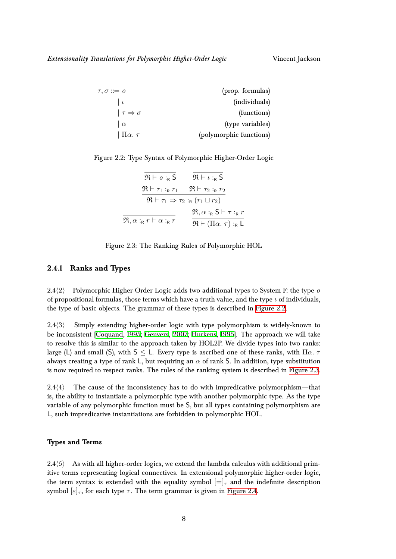| (prop. formulas)        | $\tau, \sigma \mathrel{\mathop:}= o$ |  |
|-------------------------|--------------------------------------|--|
| (individuals)           | $\lfloor t \rfloor$                  |  |
| (functions)             | $\tau \Rightarrow \sigma$            |  |
| (type variables)        | $\alpha$                             |  |
| (polymorphic functions) | $\Pi$ $\alpha$ . $\tau$              |  |

Figure 2.2: Type Syntax of Polymorphic Higher-Order Logic

<span id="page-15-1"></span>

| $\mathfrak{R} \vdash o :_{\sf R} \sf S$                                | $\Re\vdash\iota:_{\scriptscriptstyle\mathsf{R}}\mathsf{S}$                    |
|------------------------------------------------------------------------|-------------------------------------------------------------------------------|
| $\mathfrak{R} \vdash \tau_1 :_{\mathsf{R}} r_1$                        | $\mathfrak{R} \vdash \tau_2 :_{\mathsf{R}} r_2$                               |
| $\Re\vdash \tau_1 \Rightarrow \tau_2 :_{\mathsf{R}} (r_1 \sqcup r_2)$  |                                                                               |
|                                                                        | $\mathfrak{R}, \alpha :_{\mathsf{R}} \mathsf{S} \vdash \tau :_{\mathsf{R}} r$ |
| $\mathfrak{R}, \alpha :_{\mathsf{R}} r \vdash \alpha :_{\mathsf{R}} r$ | $\mathfrak{R} \vdash (\Pi \alpha. \tau) :_{\mathsf{R}} \mathsf{L}$            |

<span id="page-15-2"></span>Figure 2.3: The Ranking Rules of Polymorphic HOL

## **2.4.1 Ranks and Types**

<span id="page-15-0"></span>2.4*⟨*2*⟩* Polymorphic Higher-Order Logic adds two additional types to System F: the type *o* of propositional formulas, those terms which have a truth value, and the type *ι* of individuals, the type of basic objects. The grammar of these types is described in Figure 2.2.

2.4*⟨*3*⟩* Simply extending higher-order logic with type polymorphism is widely-known to be inconsistent [Coquand, 1995; Geuvers, 2007; Hurkens, 1995]. The approach we will take to resolve this is similar to the approach taken by HOL2P. We divide [types into](#page-15-1) two ranks: large (L) and small (S), with S *≤* L. Every type is ascribed one of these ranks, with Π*α. τ* always creating a type of rank L, but requiring an *α* of rank S. In addition, type substitution is now required [to respect](#page-49-3) [ranks](#page-49-3). [The rul](#page-49-4)e[s of th](#page-49-4)[e ranking syste](#page-50-3)m is described in Figure 2.3.

2.4*⟨*4*⟩* The cause of the inconsistency has to do with impredicative polymorphism—that is, the ability to instantiate a polymorphic type with another polymorphic type. As the type variable of any polymorphic function must be S, but all types containing polymo[rphism are](#page-15-2) L, such impredicative instantiations are forbidden in polymorphic HOL.

## **Types and Terms**

2.4*⟨*5*⟩* As with all higher-order logics, we extend the lambda calculus with additional primitive terms representing logical connectives. In extensional polymorphic higher-order logic, the term syntax is extended with the equality symbol  $[=]_{\tau}$  and the indefinite description symbol  $[\varepsilon]_{\tau}$ , for each type  $\tau$ . The term grammar is given in Figure 2.4.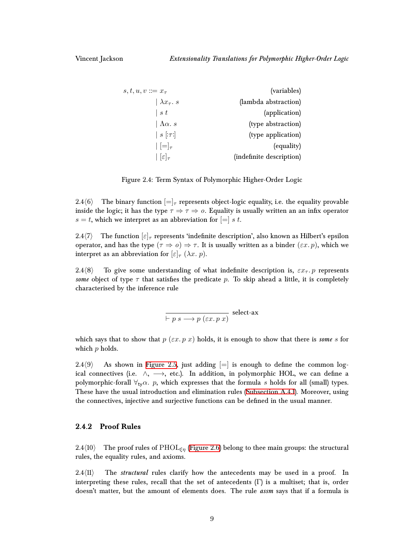| (variables)              | $s, t, u, v \mathrel{\mathop:}= x_{\tau}$ |  |
|--------------------------|-------------------------------------------|--|
| (lambda abstraction)     | $\lambda x_{\tau}$ . s                    |  |
| (application)            | s t                                       |  |
| (type abstraction)       | $\Lambda$ $\alpha$ . s                    |  |
| (type application)       | $ s :\tau:$                               |  |
| (equality)               | $ [-]_\tau$                               |  |
| (indefinite description) | $ \epsilon _{\tau}$                       |  |

Figure 2.4: Term Syntax of Polymorphic Higher-Order Logic

2.4 $\langle 6 \rangle$  The binary function  $\left[-\right]$ <sub>*τ*</sub> represents object-logic equality, i.e. the equality provable inside the logic; it has the type  $\tau \Rightarrow \tau \Rightarrow o$ . Equality is usually written an an infix operator  $s = t$ , which we interpret as an abbreviation for  $\left[-\right] s t$ .

2.4*⟨*7*⟩* The function [*ε*]*<sup>τ</sup>* represents 'indefinite description', also known as Hilbert's epsilon operator, and has the type  $(\tau \Rightarrow o) \Rightarrow \tau$ . It is usually written as a binder  $(\varepsilon x. p)$ , which we interpret as an abbreviation for  $\left[\varepsilon\right]_{\tau}$  ( $\lambda x. p$ ).

2.4 $\langle 8 \rangle$  To give some understanding of what indefinite description is,  $\epsilon x_{\tau}$  *p* represents *some* object of type  $\tau$  that satisfies the predicate p. To skip ahead a little, it is completely characterised by the inference rule

$$
\overline{\vdash p s \longrightarrow p \ ( \varepsilon x.\, p \ x)}
$$
 select-ax

which says that to show that  $p \left(\varepsilon x. p x\right)$  holds, it is enough to show that there is *some s* for which *p* holds.

2.4 $\langle 9 \rangle$  As shown in Figure 2.5, just adding  $[=]$  is enough to define the common logical connectives (i.e.  $\land$ ,  $\longrightarrow$ , etc.). In addition, in polymorphic HOL, we can define a polymorphic-forall *∀*ty*α. p*, which expresses that the formula *s* holds for all (small) types. These have the usual introduction and elimination rules (Subsection A.4.1). Moreover, using the connectives, injecti[ve and surje](#page-17-0)ctive functions can be defined in the usual manner.

### **2.4.2 Proof Rules**

<span id="page-16-0"></span>2.4*⟨*10*⟩* The proof rules of PHOL*ξη* (Figure 2.6) belong to thee main groups: the structural rules, the equality rules, and axioms.

2.4*⟨*11*⟩* The *structural* rules clarify how the antecedents may be used in a proof. In interpreting these rules, recall that t[he set of a](#page-18-0)ntecedents (Γ) is a multiset; that is, order doesn't matter, but the amount of elements does. The rule *assm* says that if a formula is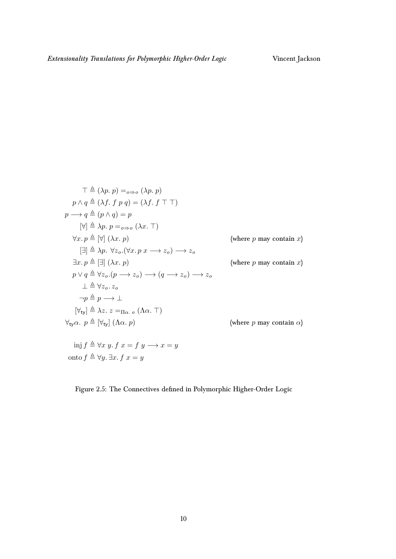$$
\top \triangleq (\lambda p. p) =_{o \Rightarrow o} (\lambda p. p)
$$
\n
$$
p \land q \triangleq (\lambda f. f p q) = (\lambda f. f \top \top)
$$
\n
$$
p \rightarrow q \triangleq (p \land q) = p
$$
\n
$$
[\forall] \triangleq \lambda p. p =_{o \Rightarrow o} (\lambda x. \top)
$$
\n
$$
\forall x. p \triangleq [\forall] (\lambda x. p)
$$
\n
$$
[\exists] \triangleq \lambda p. \forall z_o. (\forall x. p x \rightarrow z_o) \rightarrow z_o
$$
\n
$$
\exists x. p \triangleq [\exists] (\lambda x. p)
$$
\n
$$
p \lor q \triangleq \forall z_o. (p \rightarrow z_o) \rightarrow (q \rightarrow z_o) \rightarrow z_o
$$
\n
$$
\perp \triangleq \forall z_o. z_o
$$
\n
$$
\neg p \triangleq p \rightarrow \perp
$$
\n
$$
[\forall_{\text{ty}}] \triangleq \lambda z. z =_{\text{II}\alpha. o} (\Lambda \alpha. \top)
$$
\n
$$
\forall_{\text{ty}} \alpha. p \triangleq [\forall_{\text{ty}}] (\Lambda \alpha. p)
$$
\n(where p may contain \alpha)

inj *f* ≜ *∀x y. f x* = *f y −→ x* = *y* onto  $f \triangleq \forall y$ .  $\exists x. f x = y$ 

<span id="page-17-0"></span>Figure 2.5: The Connectives defined in Polymorphic Higher-Order Logic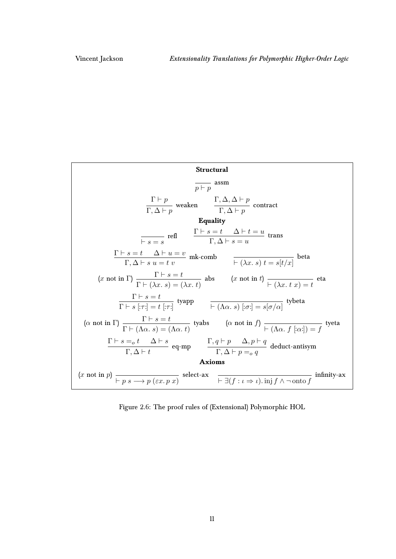| <b>Structural</b>                                                                                                           |                                                                                                               |
|-----------------------------------------------------------------------------------------------------------------------------|---------------------------------------------------------------------------------------------------------------|
| $p \rightarrow p$ assm                                                                                                      |                                                                                                               |
| $\frac{\Gamma \vdash p}{\Gamma, \Delta \vdash p}$ weaken                                                                    | $\frac{\Gamma, \Delta, \Delta \vdash p}{\Gamma, \Delta \vdash p}$ contract                                    |
| <b>Equality</b>                                                                                                             |                                                                                                               |
| $\frac{\Gamma \vdash s = s}{\Gamma, \Delta \vdash y}$ refl                                                                  | $\frac{\Gamma \vdash s = t}{\Gamma, \Delta \vdash s = u}$ trans                                               |
| $\frac{\Gamma \vdash s = t}{\Gamma, \Delta \vdash s u = tv}$ mk-comb                                                        | $\frac{\Gamma \vdash s = t}{\Gamma(\lambda x. s) t = s[t/x]}$ beta                                            |
| $(x \text{ not in } \Gamma) \frac{\Gamma \vdash s = t}{\Gamma \vdash (\lambda x. s) = (\lambda x. t)}$ abs                  | $(x \text{ not in } t) \frac{\Gamma \vdash s = t}{\Gamma(\lambda x. t x) = t}$ eta                            |
| $\frac{\Gamma \vdash s = t}{\Gamma \vdash s [\tau x] = t [\tau x]}$ type                                                    | $\frac{\Gamma(\Lambda \alpha. s) [\sigma x]}{\Gamma(\Lambda \alpha. s) [\sigma x] = s[\sigma/\alpha]}$ typeta |
| $(\alpha \text{ not in } \Gamma) \frac{\Gamma \vdash s = t}{\Gamma \vdash (\Lambda \alpha. s) = (\Lambda \alpha. t)}$ tyabs | $(\alpha \text{ not in } f) \frac{\Gamma(\Lambda \alpha. f [\alpha x]) = f}{\Gamma, \Delta \vdash t}$ tyeta   |
| $\frac{\Gamma \vdash s = o \cdot t \Delta \vdash s}{\Gamma, \Delta \vdash t}$ eq-mp                                         | $\frac{\Gamma, q \vdash p \Delta, p \vdash q}{\Gamma, \Delta \vdash p = o q}$ deduct-antisym                  |
| $(x \text{ not in } p) \frac{\vdash p s \rightarrow p (\varepsilon x. p x)}{\Gamma, \Delta \vdash t}$ select-ax             | $\frac{\exists (f : \iota \Rightarrow \iota) . \text{inj } f \w$                                              |

<span id="page-18-0"></span>Figure 2.6: The proof rules of (Extensional) Polymorphic HOL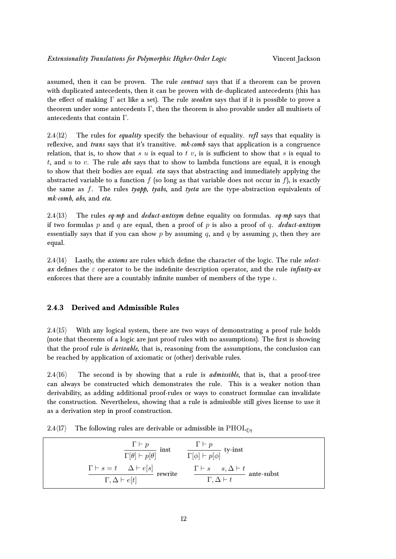assumed, then it can be proven. The rule *contract* says that if a theorem can be proven with duplicated antecedents, then it can be proven with de-duplicated antecedents (this has the effect of making Γ act like a set). The rule *weaken* says that if it is possible to prove a theorem under some antecedents Γ, then the theorem is also provable under all multisets of antecedents that contain Γ.

2.4*⟨*12*⟩* The rules for *equality* specify the behaviour of equality. *refl* says that equality is reflexive, and *trans* says that it's transitive. *mk-comb* says that application is a congruence relation, that is, to show that *s u* is equal to *t v*, is is sufficient to show that *s* is equal to *t*, and *u* to *v*. The rule *abs* says that to show to lambda functions are equal, it is enough to show that their bodies are equal. *eta* says that abstracting and immediately applying the abstracted variable to a function  $f$  (so long as that variable does not occur in  $f$ ), is exactly the same as *f*. The rules *tyapp*, *tyabs*, and *tyeta* are the type-abstraction equivalents of *mk-comb*, *abs*, and *eta*.

2.4*⟨*13*⟩* The rules *eq-mp* and *deduct-antisym* define equality on formulas. *eq-mp* says that if two formulas *p* and *q* are equal, then a proof of *p* is also a proof of *q*. *deduct-antisym* essentially says that if you can show *p* by assuming *q*, and *q* by assuming *p*, then they are equal.

2.4*⟨*14*⟩* Lastly, the *axioms* are rules which define the character of the logic. The rule *selectax* defines the *ε* operator to be the indefinite description operator, and the rule *infinity-ax* enforces that there are a countably infinite number of members of the type *ι*.

### <span id="page-19-0"></span>**2.4.3 Derived and Admissible Rules**

2.4 $\langle 15 \rangle$  With any logical system, there are two ways of demonstrating a proof rule holds (note that theorems of a logic are just proof rules with no assumptions). The first is showing that the proof rule is *derivable*, that is, reasoning from the assumptions, the conclusion can be reached by application of axiomatic or (other) derivable rules.

2.4*⟨*16*⟩* The second is by showing that a rule is *admissible*, that is, that a proof-tree can always be constructed which demonstrates the rule. This is a weaker notion than derivability, as adding additional proof-rules or ways to construct formulae can invalidate the construction. Nevertheless, showing that a rule is admissible still gives license to use it as a derivation step in proof construction.

|  | 2.4 $\langle 17 \rangle$ The following rules are derivable or admissible in PHOL <sub><math>\xi \eta</math></sub> |  |  |  |  |
|--|-------------------------------------------------------------------------------------------------------------------|--|--|--|--|
|--|-------------------------------------------------------------------------------------------------------------------|--|--|--|--|

| $\Gamma \vdash p$<br>inst<br>$\Gamma[\theta] \vdash p[\theta]$                            | $\Gamma \vdash p$<br>$\frac{1+p}{\Gamma[\phi]+p[\phi]}$ ty-inst                |
|-------------------------------------------------------------------------------------------|--------------------------------------------------------------------------------|
| $\Gamma \vdash s = t \quad \Delta \vdash e[s]$<br>rewrite<br>$\Gamma, \Delta \vdash e[t]$ | $\Gamma \vdash s$ $s, \Delta \vdash t$ ante-subst<br>$\Gamma, \Delta \vdash t$ |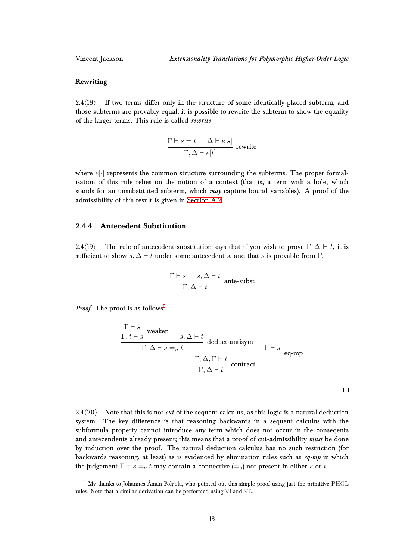#### **Rewriting**

2.4*⟨*18*⟩* If two terms differ only in the structure of some identically-placed subterm, and those subterms are provably equal, it is possible to rewrite the subterm to show the equality of the larger terms. This rule is called *rewrite*

$$
\frac{\Gamma \vdash s = t \quad \Delta \vdash e[s]}{\Gamma, \Delta \vdash e[t]} \text{ rewrite}
$$

where  $e[\cdot]$  represents the common structure surrounding the subterms. The proper formalisation of this rule relies on the notion of a context (that is, a term with a hole, which stands for an unsubstituted subterm, which *may* capture bound variables). A proof of the admissibility of this result is given in Section A.2.

#### **2.4.4 Antecedent Substitution**

<span id="page-20-0"></span>2.4 $\langle 19 \rangle$  The rule of antecedent-substitution says that if you wish to prove  $\Gamma, \Delta \vdash t$ , it is sufficient to show  $s, \Delta \vdash t$  under some antecedent *s*, and that *s* is provable from  $\Gamma$ .

$$
\frac{\Gamma \vdash s \quad s, \Delta \vdash t}{\Gamma, \Delta \vdash t}
$$
ante-subst

*Proof.* The proof is as follows<sup>1</sup>

$$
\frac{\Gamma \vdash s}{\Gamma, t \vdash s} \text{ weaken} \qquad s, \Delta \vdash t
$$
 deduct-antisym  

$$
\frac{\Gamma, \Delta \vdash s =_o t}{\Gamma, \Delta, \Gamma \vdash t} \text{ deduct-antisym}
$$
 
$$
\frac{\Gamma \vdash s}{\Gamma, \Delta \vdash t} \text{ contract}
$$

2.4*⟨*20*⟩* Note that this is not *cut* of the sequent calculus, as this logic is a natural deduction system. The key difference is that reasoning backwards in a sequent calculus with the subformula property cannot introduce any term which does not occur in the conseqents and antecendents already present; this means that a proof of cut-admissibility *must* be done by induction over the proof. The natural deduction calculus has no such restriction (for backwards reasoning, at least) as is evidenced by elimination rules such as *eq-mp* in which the judgement  $\Gamma \vdash s =_o t$  may contain a connective  $(=_o)$  not present in either *s* or *t*.

 $<sup>1</sup>$  My thanks to Johannes Åman Pohjola, who pointed out this simple proof using just the primitive PHOL</sup> rules. Note that a similar derivation can be performed using *∨*I and *∨*E.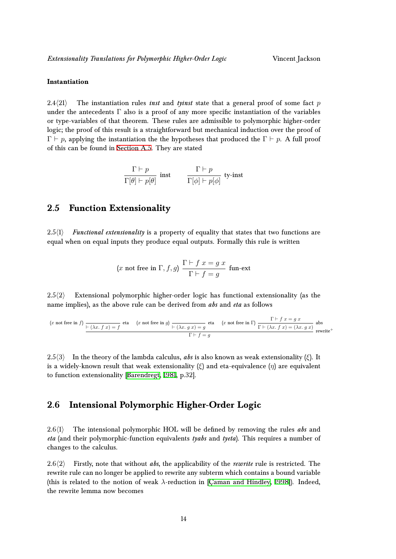#### **Instantiation**

2.4*⟨*21*⟩* The instantiation rules *inst* and *tyinst* state that a general proof of some fact *p* under the antecedents  $\Gamma$  also is a proof of any more specific instantiation of the variables or type-variables of that theorem. These rules are admissible to polymorphic higher-order logic; the proof of this result is a straightforward but mechanical induction over the proof of Γ *⊢ p*, applying the instantiation the the hypotheses that produced the Γ *⊢ p*. A full proof of this can be found in Section A.5. They are stated

$$
\frac{\Gamma \vdash p}{\Gamma[\theta] \vdash p[\theta]} \text{ inst} \qquad \frac{\Gamma \vdash p}{\Gamma[\phi] \vdash p[\phi]} \text{ ty-inst}
$$

## **2.5 Function Extensionality**

2.5*⟨*1*⟩ Functional extensionality* is a property of equality that states that two functions are equal when on equal inputs they produce equal outputs. Formally this rule is written

$$
(x \text{ not free in } \Gamma, f, g) \xrightarrow{\Gamma \vdash f \ x = g \ x} \text{fun-ext}
$$

2.5*⟨*2*⟩* Extensional polymorphic higher-order logic has functional extensionality (as the name implies), as the above rule can be derived from *abs* and *eta* as follows

$$
(x \text{ not free in } f) \xrightarrow[\text{for } ( \lambda x. f x) = f]{} \text{eta} \quad (x \text{ not free in } g) \xrightarrow[\text{for } ( \lambda x. g x) = g]{} \text{eta} \quad (x \text{ not free in } \Gamma) \xrightarrow[\text{for } ( \lambda x. f x) = ( \lambda x. g x) \text{ and } \text{if } ( \lambda x. f x) = ( \lambda x. g x) \text{ and } \text{if } ( \lambda x. f x) = ( \lambda x. g x) \text{ and } \text{if } ( \lambda x. f x) = ( \lambda x. g x) \text{ and } \text{if } ( \lambda x. f x) = ( \lambda x. g x) \text{ and } \text{if } ( \lambda x. f x) = ( \lambda x. g x) \text{ and } \text{if } ( \lambda x. f x) = ( \lambda x. g x) \text{ and } \text{if } ( \lambda x. f x) = ( \lambda x. g x) \text{ and } \text{if } ( \lambda x. f x) = ( \lambda x. g x) \text{ and } \text{if } ( \lambda x. f x) = ( \lambda x. g x) \text{ and } \text{if } ( \lambda x. f x) = ( \lambda x. g x) \text{ and } \text{if } ( \lambda x. f x) = ( \lambda x. g x) \text{ and } \text{if } ( \lambda x. f x) = ( \lambda x. g x) \text{ and } \text{if } ( \lambda x. f x) = ( \lambda x. g x) \text{ and } \text{if } ( \lambda x. f x) = ( \lambda x. g x) \text{ and } \text{if } ( \lambda x. f x) = ( \lambda x. g x) \text{ and } \text{if } ( \lambda x. f x) = ( \lambda x. g x) \text{ and } \text{if } ( \lambda x. f x) = ( \lambda x. g x) \text{ and } \text{if } ( \lambda x. f x) = ( \lambda x. g x) \text{ and } \text{if } ( \lambda x. f x) = ( \lambda x. g x) \text{ and } \text{if } ( \lambda x. f x) = ( \lambda x. g x) \text{ and } \text{if } ( \lambda x. f x) = ( \lambda x. g x) \text{ and } \text{if } ( \lambda x. f x) = ( \lambda x. g x) \text{ and } \text{if } ( \lambda x. f x) = ( \lambda x. g x) \text{ and } \text{if } ( \lambda x. f x) = ( \lambda x. g x
$$

2.5*⟨*3*⟩* In the theory of the lambda calculus, *abs* is also known as weak extensionality (*ξ*). It is a widely-known result that weak extensionality (*ξ*) and eta-equivalence (*η*) are equivalent to function extensionality [Barendregt, 1981, p.32].

## **2.6 Intensional P[olymorphic](#page-49-5) Higher-Order Logic**

2.6*⟨*1*⟩* The intensional polymorphic HOL will be defined by removing the rules *abs* and *eta* (and their polymorphic-function equivalents *tyabs* and *tyeta*). This requires a number of changes to the calculus.

2.6*⟨*2*⟩* Firstly, note that without *abs*, the applicability of the *rewrite* rule is restricted. The rewrite rule can no longer be applied to rewrite any subterm which contains a bound variable (this is related to the notion of weak *λ*-reduction in [Çaman and Hindley, 1998]). Indeed, the rewrite lemma now becomes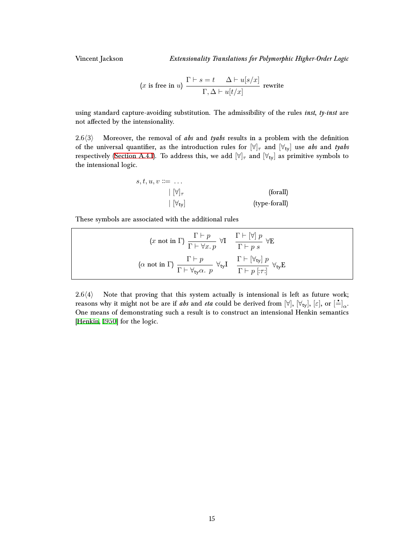$$
(x \text{ is free in } u) \frac{\Gamma \vdash s = t \quad \Delta \vdash u[s/x]}{\Gamma, \Delta \vdash u[t/x]} \text{ rewrite}
$$

using standard capture-avoiding substitution. The admissibility of the rules *inst*, *ty-inst* are not affected by the intensionality.

2.6*⟨*3*⟩* Moreover, the removal of *abs* and *tyabs* results in a problem with the definition of the universal quantifier, as the introduction rules for [*∀*]*<sup>τ</sup>* and [*∀*ty] use *abs* and *tyabs* respectively (Section A.4.1). To address this, we add [*∀*]*<sup>τ</sup>* and [*∀*ty] as primitive symbols to the intensional logic.

$$
s, t, u, v ::= \dots
$$
  
 
$$
| \; [\forall]_{\tau}
$$
  
 
$$
| \; [\forall_{\text{ty}}] \qquad \qquad \text{(type-forall)}
$$

These symbols are associated with the additional rules

| $(x \text{ not in } \Gamma) \frac{\Gamma \vdash p}{\Gamma \vdash \forall x. p} \forall I \quad \frac{\Gamma \vdash [\forall] p}{\Gamma \vdash p s} \forall E$                                                                            |  |
|------------------------------------------------------------------------------------------------------------------------------------------------------------------------------------------------------------------------------------------|--|
| $(\alpha \text{ not in } \Gamma) \frac{\Gamma \vdash p}{\Gamma \vdash \forall_{\mathsf{ty}} \alpha. p} \forall_{\mathsf{ty}} I \quad \frac{\Gamma \vdash [\forall_{\mathsf{ty}}] p}{\Gamma \vdash p \;[:\tau:]} \forall_{\mathsf{ty}} E$ |  |

2.6 $\langle 4 \rangle$  Note that proving that this system actually is intensional is left as future work; reasons why it might not be are if *abs* and *eta* could be derived from  $[\forall], [\forall_{ty}], [\varepsilon],$  or  $[\dot{=}]_{\alpha}$ . One means of demonstrating such a result is to construct an intensional Henkin semantics [Henkin, 1950] for the logic.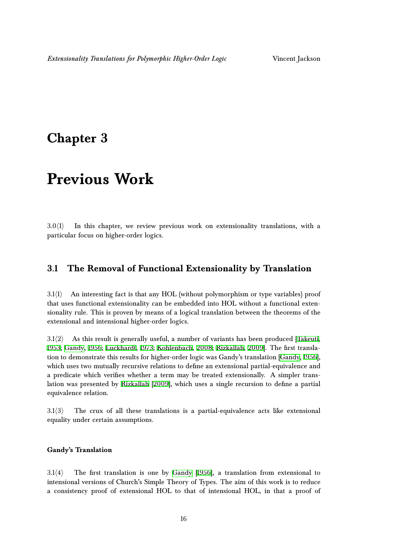## <span id="page-23-0"></span>**Chapter 3**

## **Previous Work**

3.0 $\langle 1 \rangle$  In this chapter, we review previous work on extensionality translations, with a particular focus on higher-order logics.

## **3.1 The Removal of Functional Extensionality by Translation**

3.1*⟨*1*⟩* An interesting fact is that any HOL (without polymorphism or type variables) proof that uses functional extensionality can be embedded into HOL without a functional extensionality rule. This is proven by means of a logical translation between the theorems of the extensional and intensional higher-order logics.

3.1*⟨*2*⟩* As this result is generally useful, a number of variants has been produced [Takeuti, 1953; Gandy, 1956; Luckhardt, 1973; Kohlenbach, 2008; Rizkallah, 2009]. The first translation to demonstrate this results for higher-order logic was Gandy's translation [Gandy, 1956], which uses two mutually recursive relations to define an extensional partial-equivalence and a predicate which verifies whether a term may be treated extensionally. A simpl[er trans](#page-50-4)[lation](#page-50-4) [was present](#page-49-1)ed by [Rizka](#page-50-0)l[lah](#page-50-0) [2[009\], which](#page-50-5) [uses a](#page-50-5) [single recursion](#page-50-6) to d[efine a](#page-49-1) [partia](#page-49-1)l equivalence relation.

3.1*⟨*3*⟩* The crux of all these tr[anslati](#page-50-6)ons is a partial-equivalence acts like extensional equality under certain a[ssumption](#page-50-6)s.

#### **Gandy's Translation**

3.1*⟨*4*⟩* The first translation is one by Gandy [1956], a translation from extensional to intensional versions of Church's Simple Theory of Types. The aim of this work is to reduce a consistency proof of extensional HOL to that of intensional HOL, in that a proof of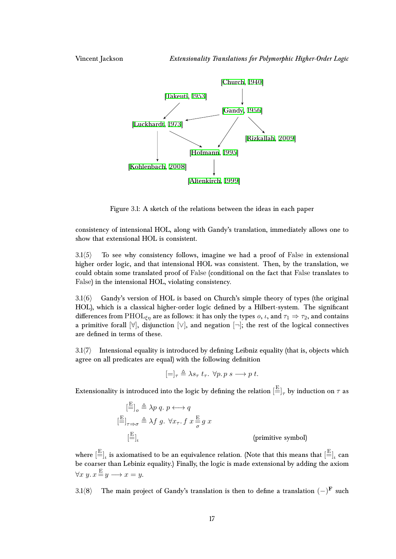

Figure 3.1: A sketch of the [relations betwee](#page-49-7)n the ideas in each paper

consistency of intensional HOL, along with Gandy's translation, immediately allows one to show that extensional HOL is consistent.

3.1*⟨*5*⟩* To see why consistency follows, imagine we had a proof of False in extensional higher order logic, and that intensional HOL was consistent. Then, by the translation, we could obtain some translated proof of False (conditional on the fact that False translates to False) in the intensional HOL, violating consistency.

3.1*⟨*6*⟩* Gandy's version of HOL is based on Church's simple theory of types (the original HOL), which is a classical higher-order logic defined by a Hilbert-system. The significant differences from  $\text{PHOL}_{\xi\eta}$  are as follows: it has only the types *o*, *ι*, and  $\tau_1 \Rightarrow \tau_2$ , and contains a primitive forall [*∀*], disjunction [*∨*], and negation [*¬*]; the rest of the logical connectives are defined in terms of these.

3.1*⟨*7*⟩* Intensional equality is introduced by defining Leibniz equality (that is, objects which agree on all predicates are equal) with the following definition

$$
[=]_\tau \triangleq \lambda s_\tau t_\tau. \ \forall p. \ p \ s \longrightarrow p \ t.
$$

Extensionality is introduced into the logic by defining the relation  $[\frac{\mathrm{E}}=]_{\tau}$  by induction on  $\tau$  as

$$
\begin{aligned}\n[\frac{\mathbf{E}}{=}]_o &\stackrel{\Delta}{=} \lambda p \ q. \ p \longleftrightarrow q \\
[\frac{\mathbf{E}}{=}]_{\tau \Rightarrow \sigma} &\stackrel{\Delta}{=} \lambda f \ g. \ \forall x_\tau. \ f \ x \ \frac{\mathbf{E}}{\sigma} g \ x \\
[\frac{\mathbf{E}}{=}]_l\n\end{aligned}
$$
\n(primitive symbol)

where  $[\frac{\text{E}}{=}]_{{\iota}}$  is axiomatised to be an equivalence relation. (Note that this means that  $[\frac{\text{E}}{=}]_{{\iota}}$  can be coarser than Lebiniz equality.) Finally, the logic is made extensional by adding the axiom  $\forall x \ y. x \stackrel{\text{E}}{=} y \longrightarrow x = y.$ 

3.1*⟨*8*⟩* The main project of Gandy's translation is then to define a translation (*−*) **<sup>F</sup>** such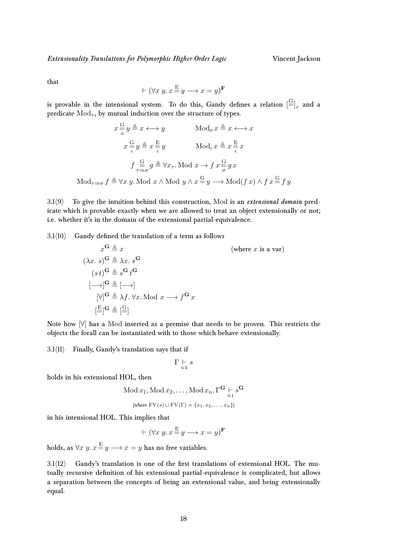that

$$
\vdash (\forall x \ y. \ x \stackrel{\mathcal{E}}{=} y \longrightarrow x = y)^{\mathcal{F}}
$$

is provable in the intensional system. To do this, Gandy defines a relation  $[\frac{G}{=}]_{\tau}$  and a predicate  $Mod_{\tau}$ , by mutual induction over the structure of types.

$$
x \frac{G}{\sigma} y \triangleq x \longleftrightarrow y \qquad \text{Mod}_o x \triangleq x \longleftrightarrow x
$$

$$
x \frac{G}{\tau} y \triangleq x \frac{E}{\tau} y \qquad \text{Mod}_t x \triangleq x \frac{E}{\tau} x
$$

$$
f \frac{G}{\tau \Rightarrow \sigma} g \triangleq \forall x_{\tau}. \text{Mod } x \to f x \frac{G}{\sigma} g x
$$

$$
\text{Mod}_{\tau \Rightarrow \sigma} f \triangleq \forall x y. \text{ Mod } x \land \text{Mod } y \land x \frac{G}{\tau} y \longrightarrow \text{Mod}(f x) \land f x \frac{G}{\tau} f y
$$

3.1*⟨*9*⟩* To give the intuition behind this construction, Mod is an *extensional domain* predicate which is provable exactly when we are allowed to treat an object extensionally or not; i.e. whether it's in the domain of the extensional partial-equivalence.

3.1*⟨*10*⟩* Gandy defined the translation of a term as follows

$$
x^{\mathbf{G}} \triangleq x \qquad \qquad \text{(where } x \text{ is a var)}
$$
\n
$$
(\lambda x. s)^{\mathbf{G}} \triangleq \lambda x. s^{\mathbf{G}}
$$
\n
$$
(st)^{\mathbf{G}} \triangleq s^{\mathbf{G}} t^{\mathbf{G}}
$$
\n
$$
[\rightarrow]^{\mathbf{G}} \triangleq [-\rightarrow]
$$
\n
$$
[\forall]^{\mathbf{G}} \triangleq \lambda f. \forall x. \text{Mod } x \longrightarrow f^{\mathbf{G}} x
$$
\n
$$
[\stackrel{\mathbf{E}}{=}]^{\mathbf{G}} \triangleq [\stackrel{\mathbf{G}}{=}]
$$

Note how [*∀*] has a Mod inserted as a premise that needs to be proven. This restricts the objects the forall can be instantiated with to those which behave extensionally.

3.1*⟨*11*⟩* Finally, Gandy's translation says that if

 $\Gamma \vdash s$ <sub>G-E</sub>

holds in his extensional HOL, then

Mod 
$$
x_1
$$
, Mod  $x_2$ ,..., Mod  $x_n$ ,  $\Gamma^{\mathbf{G}} \underset{G-I}{\vdash} s^{\mathbf{G}}$   
(where  $FV(s) \cup FV(\Gamma) = \{x_1, x_2, ..., x_n\}$ )

in his intensional HOL. This implies that

$$
\vdash (\forall x \ y. \ x \stackrel{\mathcal{E}}{=} y \longrightarrow x = y)^{\mathcal{F}}
$$

holds, as  $\forall x\; y. \, x \mathop{=}^{\mathrm{E}} y \longrightarrow x = y$  has no free variables.

3.1*⟨*12*⟩* Gandy's translation is one of the first translations of extensional HOL. The mutually recursive definition of his extensional partial-equivalence is complicated, but allows a separation between the concepts of being an extensional value, and being extensionally equal.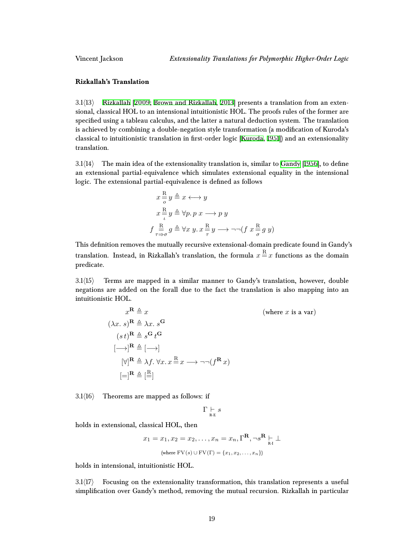#### **Rizkallah's Translation**

3.1*⟨*13*⟩* Rizkallah [2009; Brown and Rizkallah, 2013] presents a translation from an extensional, classical HOL to an intensional intuitionistic HOL. The proofs rules of the former are specified using a tableau calculus, and the latter a natural deduction system. The translation is achieved by combining a double-negation style transformation (a modification of Kuroda's classical [to intuitionistic t](#page-50-6)[ranslation in](#page-49-8) first-orde[r logi](#page-49-8)c [Kuroda, 1951]) and an extensionality translation.

3.1*⟨*14*⟩* The main idea of the extensionality translation is, similar to Gandy [1956], to define an extensional partial-equivalence which simulates ex[tensiona](#page-50-8)l [equ](#page-50-8)ality in the intensional logic. The extensional partial-equivalence is defined as follows

$$
x \frac{R}{\sigma} y \stackrel{\Delta}{=} x \longleftrightarrow y
$$
  
\n
$$
x \frac{R}{\sigma} y \stackrel{\Delta}{=} \forall p. p \ x \longrightarrow p \ y
$$
  
\n
$$
f \frac{R}{\sigma \Rightarrow \sigma} g \stackrel{\Delta}{=} \forall x \ y. x \frac{R}{\tau} y \longrightarrow \neg \neg (f \ x \frac{R}{\sigma} g \ y)
$$

This definition removes the mutually recursive extensional-domain predicate found in Gandy's translation. Instead, in Rizkallah's translation, the formula  $x{\stackrel{\R}{=}}x$  functions as the domain predicate.

3.1*⟨*15*⟩* Terms are mapped in a similar manner to Gandy's translation, however, double negations are added on the forall due to the fact the translation is also mapping into an intuitionistic HOL.

$$
x^{\mathbf{R}} \triangleq x \qquad \qquad \text{(where } x \text{ is a var)}
$$
\n
$$
(\lambda x. s)^{\mathbf{R}} \triangleq \lambda x. s^{\mathbf{G}}
$$
\n
$$
(s t)^{\mathbf{R}} \triangleq s^{\mathbf{G}} t^{\mathbf{G}}
$$
\n
$$
[\rightarrow]^{\mathbf{R}} \triangleq [-\rightarrow]
$$
\n
$$
[\forall]^{\mathbf{R}} \triangleq \lambda f. \forall x. x \triangleq x \longrightarrow \neg\neg(f^{\mathbf{R}} x)
$$
\n
$$
[=]^{\mathbf{R}} \triangleq [\triangleq]
$$

3.1*⟨*16*⟩* Theorems are mapped as follows: if

$$
\Gamma \underset{\text{R-E}}{\vdash} s
$$

holds in extensional, classical HOL, then

$$
x_1 = x_1, x_2 = x_2, \dots, x_n = x_n, \Gamma^{\mathbf{R}}, \neg s^{\mathbf{R}} \vdash_{R_1} \bot
$$
  
(where  $\text{FV}(s) \cup \text{FV}(\Gamma) = \{x_1, x_2, \dots, x_n\}$ )

holds in intensional, intuitionistic HOL.

3.1*⟨*17*⟩* Focusing on the extensionality transformation, this translation represents a useful simplification over Gandy's method, removing the mutual recursion. Rizkallah in particular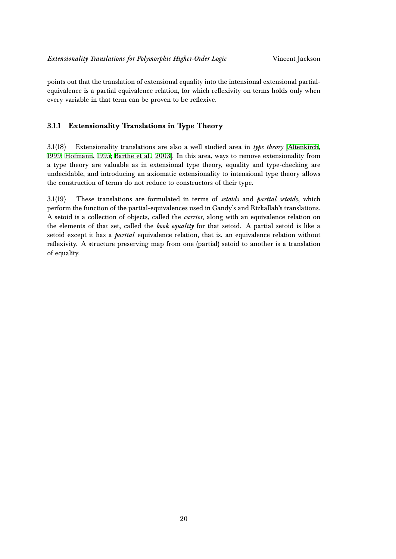points out that the translation of extensional equality into the intensional extensional partialequivalence is a partial equivalence relation, for which reflexivity on terms holds only when every variable in that term can be proven to be reflexive.

## **3.1.1 Extensionality Translations in Type Theory**

<span id="page-27-0"></span>3.1*⟨*18*⟩* Extensionality translations are also a well studied area in *type theory* [Altenkirch, 1999; Hofmann, 1995; Barthe et al., 2003]. In this area, ways to remove extensionality from a type theory are valuable as in extensional type theory, equality and type-checking are undecidable, and introducing an axiomatic extensionality to intensional type th[eory allows](#page-49-7) [the c](#page-49-7)[onstruction of te](#page-50-7)r[ms do not reduce t](#page-49-9)o constructors of their type.

3.1*⟨*19*⟩* These translations are formulated in terms of *setoids* and *partial setoids*, which perform the function of the partial-equivalences used in Gandy's and Rizkallah's translations. A setoid is a collection of objects, called the *carrier*, along with an equivalence relation on the elements of that set, called the *book equality* for that setoid. A partial setoid is like a setoid except it has a *partial* equivalence relation, that is, an equivalence relation without reflexivity. A structure preserving map from one (partial) setoid to another is a translation of equality.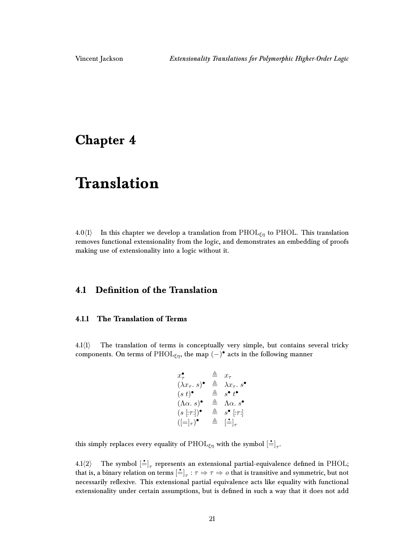## <span id="page-28-0"></span>**Chapter 4**

## **Translation**

4.0*⟨*1*⟩* In this chapter we develop a translation from PHOL*ξη* to PHOL. This translation removes functional extensionality from the logic, and demonstrates an embedding of proofs making use of extensionality into a logic without it.

## <span id="page-28-1"></span>**4.1 Definition of the Translation**

## <span id="page-28-2"></span>**4.1.1 The Translation of Terms**

4.1*⟨*1*⟩* The translation of terms is conceptually very simple, but contains several tricky components. On terms of PHOL*ξη*, the map (*−*) *•* acts in the following manner

$$
\begin{array}{ccc}\nx_{\tau}^{\bullet} & \triangleq & x_{\tau} \\
(\lambda x_{\tau}. s)^{\bullet} & \triangleq & \lambda x_{\tau}. s^{\bullet} \\
(s t)^{\bullet} & \triangleq & s^{\bullet} t^{\bullet} \\
(\Lambda \alpha. s)^{\bullet} & \triangleq & \Lambda \alpha. s^{\bullet} \\
(s [:\tau:])^{\bullet} & \triangleq & s^{\bullet} [:\tau:] \\
([=]_{\tau})^{\bullet} & \triangleq & [\stackrel{\star}{=}]_{\tau}\n\end{array}
$$

this simply replaces every equality of  $\operatorname{PHOL}_{\xi\eta}$  with the symbol  $[\mathring{\equiv}]_{\tau}.$ 

4.1 $\langle 2 \rangle$  The symbol  $[{\stackrel{\centerdot}{=}}]_{\tau}$  represents an extensional partial-equivalence defined in PHOL; that is, a binary relation on terms  $[\dot{=} ]_\tau: \tau \Rightarrow \tau \Rightarrow o$  that is transitive and symmetric, but not necessarily reflexive. This extensional partial equivalence acts like equality with functional extensionality under certain assumptions, but is defined in such a way that it does not add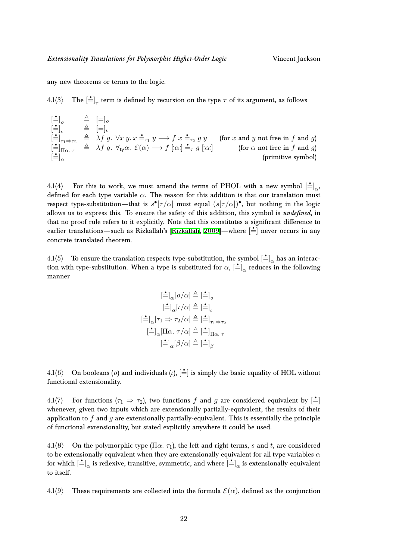any new theorems or terms to the logic.

 $4.1\langle 3\rangle$  The  $[\dot{=}]\tau$  term is defined by recursion on the type  $\tau$  of its argument, as follows

$$
\begin{array}{llll}\n[\mathring{\equiv}]_o & \triangleq & \begin{bmatrix} = \end{bmatrix}_o \\
[\mathring{\equiv}]_l & \triangleq & \begin{bmatrix} = \end{bmatrix}_o \\
[\mathring{\equiv}]_{r_1 \Rightarrow r_2} & \triangleq & \lambda f \ g. \ \forall x \ y. \ x \stackrel{\star}{=}_{r_1} y \longrightarrow f \ x \stackrel{\star}{=}_{r_2} g \ y & \text{(for $x$ and $y$ not free in $f$ and $g$)} \\
[\mathring{\equiv}]_{\Pi\alpha.\ \tau} & \triangleq & \lambda f \ g. \ \forall y\alpha. \ \mathcal{E}(\alpha) \longrightarrow f \ [\alpha:]\n\stackrel{\star}{=}_{\tau} g \ [\alpha:]\n\end{array}\n\quad \text{(for $\alpha$ not free in $f$ and $g$)}\n\text{(primitive symbol)}
$$

 $4.1\langle 4 \rangle$  For this to work, we must amend the terms of PHOL with a new symbol  $\left[\frac{4}{n}\right]_{\alpha}$ , defined for each type variable *α*. The reason for this addition is that our translation must respect type-substitution—that is  $s^\bullet[\tau/\alpha]$  must equal  $(s[\tau/\alpha])^\bullet$ , but nothing in the logic allows us to express this. To ensure the safety of this addition, this symbol is *undefined*, in that no proof rule refers to it explicitly. Note that this constitutes a significant difference to earlier translations—such as Rizkallah's [Rizkallah, 2009]—where  $\left[\frac{\bullet}{-}\right]$  never occurs in any concrete translated theorem.

 $4.1\langle 5\rangle$   $\;$  To ensure the translation respects type-substitution, the symbol  $[{\bf \dot{=}}]_\alpha$  has an interaction with type-substitution. When a type [is substitu](#page-50-6)t[ed for](#page-50-6)  $\alpha$ ,  $[\dot{=}]\alpha$  reduces in the following manner

$$
[\dot{=}]_{\alpha}[o/\alpha] \triangleq [\dot{=}]_{o}
$$

$$
[\dot{=}]_{\alpha}[\iota/\alpha] \triangleq [\dot{=}]_{\iota}
$$

$$
[\dot{=}]_{\alpha}[\tau_{1} \Rightarrow \tau_{2}/\alpha] \triangleq [\dot{=}]_{\tau_{1} \Rightarrow \tau_{2}}
$$

$$
[\dot{=}]_{\alpha}[\Pi\alpha.\ \tau/\alpha] \triangleq [\dot{=}]_{\Pi\alpha.\ \tau}
$$

$$
[\dot{=}]_{\alpha}[\beta/\alpha] \triangleq [\dot{=}]_{\beta}
$$

4.1*⟨*6*⟩* On booleans (*o*) and individuals (*ι*), [ *•*=] is simply the basic equality of HOL without functional extensionality.

4.1 $\langle 7 \rangle$  For functions ( $\tau_1 \Rightarrow \tau_2$ ), two functions f and g are considered equivalent by  $[\stackrel{\bullet}{=}]$ whenever, given two inputs which are extensionally partially-equivalent, the results of their application to *f* and *g* are extensionally partially-equivalent. This is essentially the principle of functional extensionality, but stated explicitly anywhere it could be used.

4.1*⟨*8*⟩* On the polymorphic type (Π*α. τ*1), the left and right terms, *s* and *t*, are considered to be extensionally equivalent when they are extensionally equivalent for all type variables *α* for which  $[\mathring{\equiv}]_\alpha$  is reflexive, transitive, symmetric, and where  $[\mathring{\equiv}]_\alpha$  is extensionally equivalent to itself.

4.1 $\langle 9 \rangle$  These requirements are collected into the formula  $\mathcal{E}(\alpha)$ , defined as the conjunction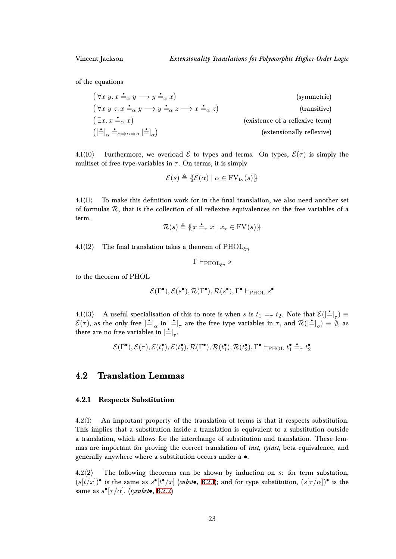of the equations

$$
(\forall x \ y. x \doteq_{\alpha} y \longrightarrow y \doteq_{\alpha} x)
$$
 (symmetric)  
\n
$$
(\forall x \ y \ z. x \doteq_{\alpha} y \longrightarrow y \doteq_{\alpha} z \longrightarrow x \doteq_{\alpha} z)
$$
 (transitive)  
\n
$$
(\exists x. x \doteq_{\alpha} x)
$$
 (existence of a reflexive term)  
\n
$$
([\dot{=}]_{\alpha} \doteq_{\alpha \Rightarrow \alpha \Rightarrow o} [\dot{=}]_{\alpha})
$$
 (extensionally reflexive)

4.1 $\langle 10 \rangle$  Furthermore, we overload *E* to types and terms. On types,  $\mathcal{E}(\tau)$  is simply the multiset of free type-variables in  $\tau$ . On terms, it is simply

$$
\mathcal{E}(s) \triangleq \{\!\!\{\mathcal{E}(\alpha) \mid \alpha \in \mathrm{FV}_{\mathrm{ty}}(s)\}\!\!\}
$$

4.1*⟨*11*⟩* To make this definition work for in the final translation, we also need another set of formulas *R*, that is the collection of all reflexive equivalences on the free variables of a term.

$$
\mathcal{R}(s) \triangleq \{x \triangleq_\tau x \mid x_\tau \in \text{FV}(s)\}
$$

4.1*⟨*12*⟩* The final translation takes a theorem of PHOL*ξη*

 $Γ ⊢$ <sub>PHOL<sub>ξη</sub> *s*</sub>

to the theorem of PHOL

$$
\mathcal{E}(\Gamma^\bullet), \mathcal{E}(s^\bullet), \mathcal{R}(\Gamma^\bullet), \mathcal{R}(s^\bullet), \Gamma^\bullet \vdash_{\text{PHOL}} s^\bullet
$$

 $4.1\langle13\rangle$  A useful specialisation of this to note is when *s* is  $t_1 =_\tau t_2$ . Note that  $\mathcal{E}([\triangleq]_\tau) \equiv$  $\mathcal{E}(\tau)$ , as the only free  $\left[\dot{=} \right]_{\alpha}$  in  $\left[\dot{=} \right]_{\tau}$  are the free type variables in  $\tau$ , and  $\mathcal{R}(\left[\dot{=} \right]_{o})\equiv \emptyset$ , as there are no free variables in  $\left[\frac{1}{n}\right]_{\tau}$ .

$$
\mathcal{E}(\Gamma^\bullet), \mathcal{E}(\tau), \mathcal{E}(t_1^\bullet), \mathcal{E}(t_2^\bullet), \mathcal{R}(\Gamma^\bullet), \mathcal{R}(t_1^\bullet), \mathcal{R}(t_2^\bullet), \Gamma^\bullet \vdash_{\text{PHOL}} t_1^\bullet \doteq_\tau t_2^\bullet
$$

## **4.2 Translation Lemmas**

### <span id="page-30-0"></span>**4.2.1 Respects Substitution**

<span id="page-30-1"></span>4.2*⟨*1*⟩* An important property of the translation of terms is that it respects substitution. This implies that a substitution inside a translation is equivalent to a substitution outside a translation, which allows for the interchange of substitution and translation. These lemmas are important for proving the correct translation of *inst*, *tyinst*, beta-equivalence, and generally anywhere where a substitution occurs under a *•*.

4.2*⟨*2*⟩* The following theorems can be shown by induction on *s*: for term substation,  $(s[t/x])$ <sup>•</sup> is the same as  $s^{\bullet}[t^{\bullet}/x]$  (*subst* $\bullet$ , B.2.1); and for type substitution,  $(s[\tau/\alpha])^{\bullet}$  is the same as  $s^{\bullet}[\tau/\alpha]$ . (*tysubst*•, B.2.2)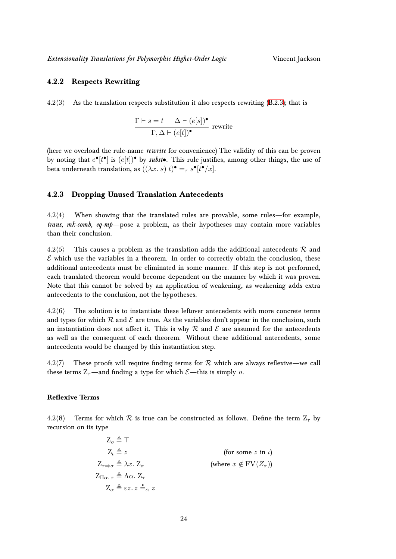### **4.2.2 Respects Rewriting**

<span id="page-31-0"></span>4.2*⟨*3*⟩* As the translation respects substitution it also respects rewriting (B.2.3); that is

$$
\frac{\Gamma \vdash s = t \quad \Delta \vdash (e[s])^{\bullet}}{\Gamma, \Delta \vdash (e[t])^{\bullet}} \text{ rewrite}
$$

(here we overload the rule-name *rewrite* for convenience) The validity of this can be proven by noting that  $e^{\bullet}[t^{\bullet}]$  is  $(e[t])^{\bullet}$  by *subst* $\bullet$ . This rule justifies, among other things, the use of beta underneath translation, as  $((\lambda x. s) t)^{\bullet} =_{\tau} s^{\bullet}[t^{\bullet}/x].$ 

### **4.2.3 Dropping Unused Translation Antecedents**

<span id="page-31-1"></span>4.2*⟨*4*⟩* When showing that the translated rules are provable, some rules—for example, *trans*, *mk-comb*, *eq-mp*—pose a problem, as their hypotheses may contain more variables than their conclusion.

4.2*⟨*5*⟩* This causes a problem as the translation adds the additional antecedents *R* and  $\mathcal E$  which use the variables in a theorem. In order to correctly obtain the conclusion, these additional antecedents must be eliminated in some manner. If this step is not performed, each translated theorem would become dependent on the manner by which it was proven. Note that this cannot be solved by an application of weakening, as weakening adds extra antecedents to the conclusion, not the hypotheses.

4.2*⟨*6*⟩* The solution is to instantiate these leftover antecedents with more concrete terms and types for which  $R$  and  $\mathcal E$  are true. As the variables don't appear in the conclusion, such an instantiation does not affect it. This is why  $R$  and  $\mathcal E$  are assumed for the antecedents as well as the consequent of each theorem. Without these additional antecedents, some antecedents would be changed by this instantiation step.

4.2*⟨*7*⟩* These proofs will require finding terms for *R* which are always reflexive—we call these terms  $Z_{\tau}$ —and finding a type for which  $\mathcal{E}$ —this is simply *o*.

#### **Reflexive Terms**

4.2 $\langle 8 \rangle$  Terms for which  $\cal{R}$  is true can be constructed as follows. Define the term  $Z_{\tau}$  by recursion on its type

$$
Z_o \triangleq T
$$
  
\n
$$
Z_t \triangleq z
$$
 (for some  $z$  in  $\iota$ )  
\n
$$
Z_{\tau \Rightarrow \sigma} \triangleq \lambda x. Z_{\sigma}
$$
 (where  $x \notin \text{FV}(Z_{\sigma})$ )  
\n
$$
Z_{\text{II}\alpha. \tau} \triangleq \Lambda \alpha. Z_{\tau}
$$
  
\n
$$
Z_{\alpha} \triangleq \varepsilon z. z \triangleq_{\alpha} z
$$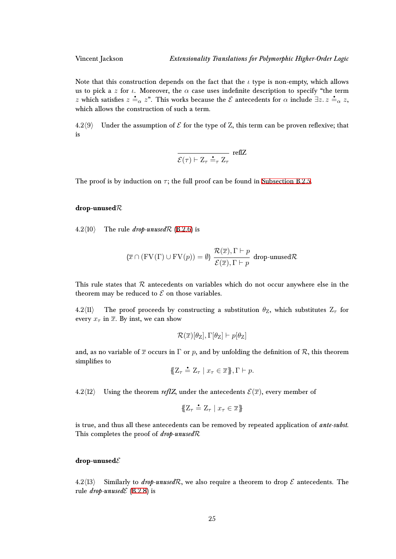Note that this construction depends on the fact that the *ι* type is non-empty, which allows us to pick a *z* for *ι*. Moreover, the  $\alpha$  case uses indefinite description to specify "the term *z* which satisfies  $z = \alpha z^n$ . This works because the *E* antecedents for  $\alpha$  include  $\exists z. z = \alpha z$ , which allows the construction of such a term.

4.2*⟨*9*⟩* Under the assumption of *E* for the type of Z, this term can be proven reflexive; that is

$$
\frac{}{\mathcal{E}(\tau) \vdash Z_{\tau} \stackrel{\bullet}{=} \tau Z_{\tau}} \text{reflZ}
$$

The proof is by induction on  $\tau$ ; the full proof can be found in Subsection B.2.5.

#### **drop-unused***R*

 $4.2\langle10\rangle$  The rule *drop-unusedR* (B.2.6) is

$$
(\overline{x}\cap(\mathrm{FV}(\Gamma)\cup\mathrm{FV}(p))=\emptyset)\ \frac{\mathcal{R}(\overline{x}),\Gamma\vdash p}{\mathcal{E}(\overline{x}),\Gamma\vdash p}\ \text{drop-unused}\mathcal{R}
$$

This rule states that *R* antecedents on variables which do not occur anywhere else in the theorem may be reduced to  $\mathcal E$  on those variables.

4.2 $\langle 11 \rangle$  The proof proceeds by constructing a substitution  $\theta_Z$ , which substitutes  $Z_\tau$  for every  $x_{\tau}$  in  $\overline{x}$ . By inst, we can show

$$
\mathcal{R}(\overline{x})[\theta_{\mathrm{Z}}], \Gamma[\theta_{\mathrm{Z}}] \vdash p[\theta_{\mathrm{Z}}]
$$

and, as no variable of  $\bar{x}$  occurs in  $\Gamma$  or  $p$ , and by unfolding the definition of  $\mathcal{R}$ , this theorem simplifies to

$$
\{\!\!\{\mathbf Z_{\tau} \stackrel{\bullet}{=} \mathbf Z_{\tau} \mid x_{\tau} \in \overline{x}\}\!\!\}, \Gamma \vdash p.
$$

 $4.2\langle12\rangle$  Using the theorem *reflZ*, under the antecedents  $\mathcal{E}(\bar{x})$ , every member of

$$
\{\!\!\{Z_\tau\stackrel{\scriptscriptstyle\bullet}{=} Z_\tau\mid x_\tau\in\overline{x}\}\!\!\}
$$

is true, and thus all these antecedents can be removed by repeated application of *ante-subst*. This completes the proof of *drop-unusedR*

#### **drop-unused***E*

4.2*⟨*13*⟩* Similarly to *drop-unusedR*, we also require a theorem to drop *E* antecedents. The rule *drop-unused* $\mathcal{E}$  (B.2.8) is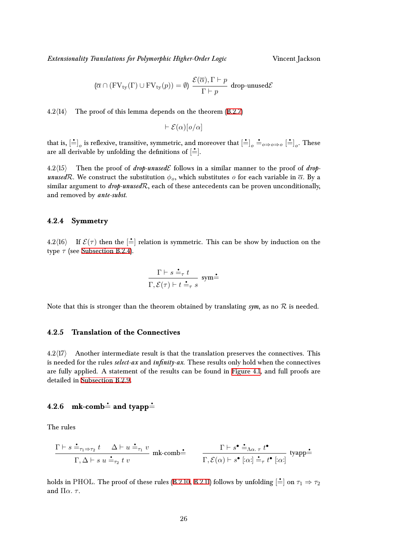$$
(\overline{\alpha} \cap (\mathrm{FV_{ty}}(\Gamma) \cup \mathrm{FV_{ty}}(p))) = \emptyset) \frac{\mathcal{E}(\overline{\alpha}), \Gamma \vdash p}{\Gamma \vdash p} \text{ drop-unused}\mathcal{E}
$$

4.2*⟨*14*⟩* The proof of this lemma depends on the theorem (B.2.7)

*⊢ E*(*α*)[*o/α*]

that is,  $[\stackrel{\bullet}{=}]_o$  is reflexive, transitive, symmetric, and moreover [that](#page-84-1)  $[\stackrel{\bullet}{=}]_o \stackrel{\bullet}{=}_{o \Rightarrow o \Rightarrow o} [\stackrel{\bullet}{=}]_o.$  These are all derivable by unfolding the definitions of [ *•*=].

4.2*⟨*15*⟩* Then the proof of *drop-unusedE* follows in a similar manner to the proof of *dropunusedR*. We construct the substitution  $\phi_o$ , which substitutes *o* for each variable in  $\overline{\alpha}$ . By a similar argument to *drop-unusedR*, each of these antecedents can be proven unconditionally, and removed by *ante-subst*.

### **4.2.4 Symmetry**

<span id="page-33-0"></span> $4.2\langle 16 \rangle$  If  $\mathcal{E}(\tau)$  then the  $\left[\stackrel{\bullet}{=}\right]$  relation is symmetric. This can be show by induction on the type *τ* (see Subsection B.2.4).

$$
\frac{\Gamma \vdash s \doteq_{\tau} t}{\Gamma, \mathcal{E}(\tau) \vdash t \doteq_{\tau} s} \text{ sym} \doteq
$$

Note that this is stronger than the theorem obtained by translating *sym*, as no *R* is needed.

## **4.2.5 Translation of the Connectives**

<span id="page-33-1"></span>4.2*⟨*17*⟩* Another intermediate result is that the translation preserves the connectives. This is needed for the rules *select-ax* and *infinity-ax*. These results only hold when the connectives are fully applied. A statement of the results can be found in Figure 4.1, and full proofs are detailed in Subsection B.2.9.

### **4.2.6** m[k-comb](#page-86-0)= and tyapp=

<span id="page-33-2"></span>The rules

$$
\frac{\Gamma \vdash s \stackrel{\bullet}{=} \tau_1 \Rightarrow \tau_2 \ t \quad \Delta \vdash u \stackrel{\bullet}{=} \tau_1 \ v}{\Gamma, \Delta \vdash s \ u \stackrel{\bullet}{=} \tau_2 \ t \ v} \ \text{mk-comb} \stackrel{\bullet}{=} \frac{\Gamma \vdash s^{\bullet} \stackrel{\bullet}{=} \Lambda \alpha. \ \tau \ t^{\bullet}}{\Gamma, \mathcal{E}(\alpha) \vdash s^{\bullet} \ [\alpha \vdash \mathbf{a}^{\bullet} \ ] \stackrel{\bullet}{=} \tau \ t^{\bullet} \ [\alpha \vdash \mathbf{a}^{\dagger}]}
$$

holds in PHOL. The proof of these rules (B.2.10, B.2.11) follows by unfolding  $[\dot{\bar{}}]$  on  $\tau_1 \Rightarrow \tau_2$ and  $\Pi\alpha$ .  $\tau$ .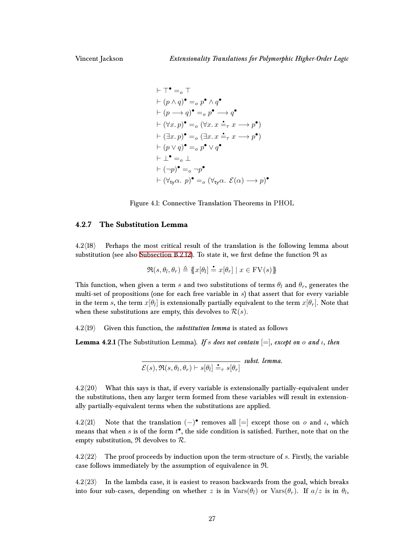$$
\vdash \top^{\bullet} =_{o} \top
$$
\n
$$
\vdash (p \land q)^{\bullet} =_{o} p^{\bullet} \land q^{\bullet}
$$
\n
$$
\vdash (p \rightarrow q)^{\bullet} =_{o} p^{\bullet} \rightarrow q^{\bullet}
$$
\n
$$
\vdash (\forall x. p)^{\bullet} =_{o} (\forall x. x \stackrel{\star}{=}_{\tau} x \rightarrow p^{\bullet})
$$
\n
$$
\vdash (\exists x. p)^{\bullet} =_{o} (\exists x. x \stackrel{\star}{=}_{\tau} x \rightarrow p^{\bullet})
$$
\n
$$
\vdash (p \lor q)^{\bullet} =_{o} p^{\bullet} \lor q^{\bullet}
$$
\n
$$
\vdash \bot^{\bullet} =_{o} \bot
$$
\n
$$
\vdash (\neg p)^{\bullet} =_{o} \neg p^{\bullet}
$$
\n
$$
\vdash (\forall_{\mathsf{ty}} \alpha. p)^{\bullet} =_{o} (\forall_{\mathsf{ty}} \alpha. \ \mathcal{E}(\alpha) \rightarrow p)^{\bullet}
$$

Figure 4.1: Connective Translation Theorems in PHOL

### **4.2.7 The Substitution Lemma**

<span id="page-34-0"></span>4.2*⟨*18*⟩* Perhaps the most critical result of the translation is the following lemma about substitution (see also Subsection B.2.12). To state it, we first define the function  $\Re$  as

$$
\Re(s, \theta_l, \theta_r) \triangleq \{x[\theta_l] \doteq x[\theta_r] \mid x \in \text{FV}(s)\}
$$

This function, when [given a term](#page-92-0) *s* and two substitutions of terms  $\theta_l$  and  $\theta_r$ , generates the multi-set of propositions (one for each free variable in *s*) that assert that for every variable in the term  $s,$  the term  $x[\theta_l]$  is extensionally partially equivalent to the term  $x[\theta_r].$  Note that when these substitutions are empty, this devolves to  $\mathcal{R}(s)$ .

### 4.2*⟨*19*⟩* Given this function, the *substitution lemma* is stated as follows

**Lemma 4.2.1** (The Substitution Lemma)**.** *If s does not contain* [=]*, except on o and ι, then*

$$
\overline{\mathcal{E}(s), \mathfrak{R}(s, \theta_l, \theta_r) \vdash s[\theta_l] \doteq_{\tau} s[\theta_r]}
$$
 *subset.  $lemma$ .*

4.2*⟨*20*⟩* What this says is that, if every variable is extensionally partially-equivalent under the substitutions, then any larger term formed from these variables will result in extensionally partially-equivalent terms when the substitutions are applied.

4.2*⟨*21*⟩* Note that the translation (*−*) *•* removes all [=] except those on *o* and *ι*, which means that when *s* is of the form *t •* , the side condition is satisfied. Further, note that on the empty substitution, R devolves to *R*.

4.2*⟨*22*⟩* The proof proceeds by induction upon the term-structure of *s*. Firstly, the variable case follows immediately by the assumption of equivalence in R.

4.2*⟨*23*⟩* In the lambda case, it is easiest to reason backwards from the goal, which breaks into four sub-cases, depending on whether  $z$  is in  $\text{Vars}(\theta_l)$  or  $\text{Vars}(\theta_r)$ . If  $a/z$  is in  $\theta_l$ ,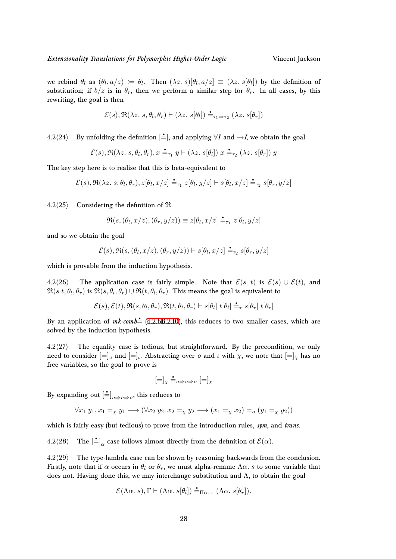we rebind  $\theta_l$  as  $(\theta_l, a/z) := \theta_l$ . Then  $(\lambda z. s)[\theta_l, a/z] \equiv (\lambda z. s[\theta_l])$  by the definition of substitution; if  $b/z$  is in  $\theta_r$ , then we perform a similar step for  $\theta_r$ . In all cases, by this rewriting, the goal is then

$$
\mathcal{E}(s), \Re(\lambda z. \, s, \theta_l, \theta_r) \vdash (\lambda z. \, s[\theta_l]) \triangleq_{\tau_1 \Rightarrow \tau_2} (\lambda z. \, s[\theta_r])
$$

4.2*⟨*24*⟩* By unfolding the definition [ *•*=], and applying *∀I* and *→I*, we obtain the goal

$$
\mathcal{E}(s), \Re(\lambda z.\ s, \theta_l, \theta_r), x \triangleq_{\tau_1} y \vdash (\lambda z.\ s[\theta_l]) \ x \triangleq_{\tau_2} (\lambda z.\ s[\theta_r]) \ y
$$

The key step here is to realise that this is beta-equivalent to

$$
\mathcal{E}(s), \mathfrak{R}(\lambda z. \, s, \theta_l, \theta_r), z[\theta_l, x/z] \triangleq_{\tau_1} z[\theta_l, y/z] \vdash s[\theta_l, x/z] \triangleq_{\tau_2} s[\theta_r, y/z]
$$

4.2*⟨*25*⟩* Considering the definition of R

$$
\Re(s, (\theta_l, x/z), (\theta_r, y/z)) \equiv z[\theta_l, x/z] \doteq_{\tau_1} z[\theta_l, y/z]
$$

and so we obtain the goal

$$
\mathcal{E}(s), \Re(s, (\theta_l, x/z), (\theta_r, y/z)) \vdash s[\theta_l, x/z] \doteq_{\tau_2} s[\theta_r, y/z]
$$

which is provable from the induction hypothesis.

4.2 $\langle 26 \rangle$  The application case is fairly simple. Note that  $\mathcal{E}(s \ t)$  is  $\mathcal{E}(s) \cup \mathcal{E}(t)$ , and  $\mathfrak{R}(s\ t,\theta_l,\theta_r)$  is  $\mathfrak{R}(s,\theta_l,\theta_r)\cup \mathfrak{R}(t,\theta_l,\theta_r).$  This means the goal is equivalent to

$$
\mathcal{E}(s), \mathcal{E}(t), \mathfrak{R}(s, \theta_l, \theta_r), \mathfrak{R}(t, \theta_l, \theta_r) \vdash s[\theta_l] \; t[\theta_l] \stackrel{\bullet}{=} \tau s[\theta_r] \; t[\theta_r]
$$

By an application of  $mk\text{-}comb^{\dagger}$  (4.2.6B.2.10), this reduces to two smaller cases, which are solved by the induction hypothesis.

4.2*⟨*27*⟩* The equality case is tedious, but straightforward. By the precondition, we only need to consider  $[=]_o$  and  $[=]_l$ . [Abstr](#page-33-2)[acting](#page-91-0) over  $o$  and  $\iota$  with  $\chi,$  we note that  $[=]_\chi$  has no free variables, so the goal to prove is

$$
[=]_\chi \stackrel{\bullet}{=}_{o \Rightarrow o \Rightarrow o} [=]_\chi
$$

By expanding out  $\left[\stackrel{\bullet}{=}\right]_{o\Rightarrow o\Rightarrow o},$  this reduces to

$$
\forall x_1 \ y_1 \ldots x_1 =_\chi y_1 \longrightarrow (\forall x_2 \ y_2 \ldots x_2 =_\chi y_2 \longrightarrow (x_1 =_\chi x_2) =_o (y_1 =_\chi y_2))
$$

which is fairly easy (but tedious) to prove from the introduction rules, *sym*, and *trans*.

 $4.2\langle 28 \rangle$  $\boldsymbol{\dot{=}}\vert_{\alpha}$  case follows almost directly from the definition of  $\mathcal{E}(\alpha).$ 

4.2*⟨*29*⟩* The type-lambda case can be shown by reasoning backwards from the conclusion. Firstly, note that if  $\alpha$  occurs in  $\theta_l$  or  $\theta_r$ , we must alpha-rename  $\Lambda \alpha$ . *s* to some variable that does not. Having done this, we may interchange substitution and  $\Lambda$ , to obtain the goal

$$
\mathcal{E}(\Lambda \alpha. s), \Gamma \vdash (\Lambda \alpha. s[\theta_l]) \triangleq_{\Pi \alpha. \tau} (\Lambda \alpha. s[\theta_r]).
$$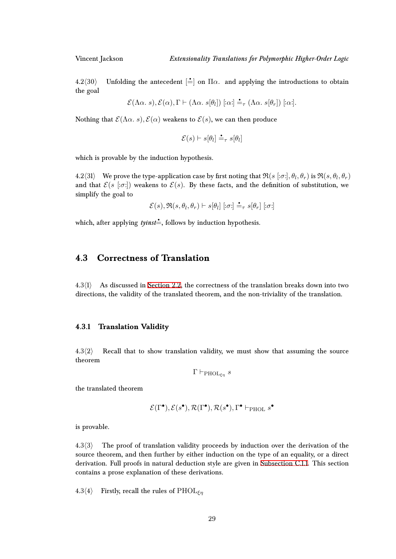4.2*⟨*30*⟩* Unfolding the antecedent [ *•*=] on Π*α.* and applying the introductions to obtain the goal

$$
\mathcal{E}(\Lambda \alpha. s), \mathcal{E}(\alpha), \Gamma \vdash (\Lambda \alpha. s[\theta_l]) [:\alpha] \doteq_{\tau} (\Lambda \alpha. s[\theta_r]) [:\alpha].
$$

Nothing that  $\mathcal{E}(\Lambda \alpha, s), \mathcal{E}(\alpha)$  weakens to  $\mathcal{E}(s)$ , we can then produce

$$
\mathcal{E}(s) \vdash s[\theta_l] \doteq_{\tau} s[\theta_l]
$$

which is provable by the induction hypothesis.

 $4.2\langle 31 \rangle$  We prove the type-application case by first noting that  $\Re(s~[:\sigma;], \theta_l, \theta_r)$  is  $\Re(s, \theta_l, \theta_r)$ and that  $\mathcal{E}(s \mid \sigma!)$  weakens to  $\mathcal{E}(s)$ . By these facts, and the definition of substitution, we simplify the goal to

 $\mathcal{E}(s), \Re(s, \theta_l, \theta_r) \vdash s[\theta_l]$   $\left[ : \sigma : \right] \triangleq_\tau s[\theta_r]$   $\left[ : \sigma : \right]$ 

which, after applying *tyinst*<sup>2</sup>, follows by induction hypothesis.

# **4.3 Correctness of Translation**

4.3*⟨*1*⟩* As discussed in Section 2.2, the correctness of the translation breaks down into two directions, the validity of the translated theorem, and the non-triviality of the translation.

#### **4.3.1 Translation Validity**

4.3*⟨*2*⟩* Recall that to show translation validity, we must show that assuming the source theorem

$$
\Gamma\vdash_{\mathrm{PHOL}_{\xi\eta}} s
$$

the translated theorem

$$
\mathcal{E}(\Gamma^\bullet), \mathcal{E}(s^\bullet), \mathcal{R}(\Gamma^\bullet), \mathcal{R}(s^\bullet), \Gamma^\bullet \vdash_{\mathrm{PHOL}} s^\bullet
$$

is provable.

4.3*⟨*3*⟩* The proof of translation validity proceeds by induction over the derivation of the source theorem, and then further by either induction on the type of an equality, or a direct derivation. Full proofs in natural deduction style are given in Subsection C.1.1. This section contains a prose explanation of these derivations.

4.3*⟨*4*⟩* Firstly, recall the rules of PHOL*ξη*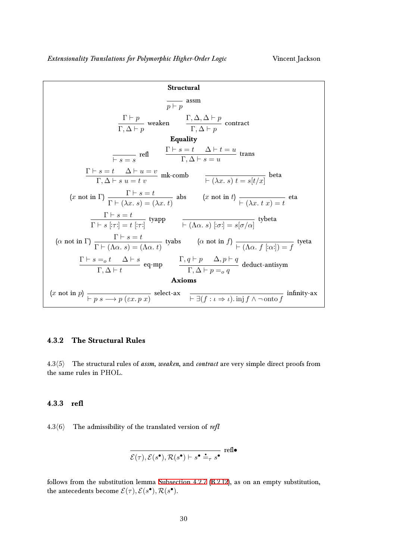| Structural                                                                                                                                                                                                                                              |  |  |
|---------------------------------------------------------------------------------------------------------------------------------------------------------------------------------------------------------------------------------------------------------|--|--|
| $\frac{1}{p+p}$ assm                                                                                                                                                                                                                                    |  |  |
| $\frac{\Gamma \vdash p}{\Gamma, \Delta \vdash p}$ weaken $\qquad \frac{\Gamma, \Delta, \Delta \vdash p}{\Gamma, \Delta \vdash p}$ contract                                                                                                              |  |  |
| Equality                                                                                                                                                                                                                                                |  |  |
| $\cfrac{\Gamma\vdash s=t\quad \Delta\vdash t=u}{\Gamma,\Delta\vdash s=u}\ \ \text{trans}$                                                                                                                                                               |  |  |
| $\frac{\Gamma\vdash s=t\quad \Delta\vdash u=v}{\Gamma,\Delta\vdash s\ u=t\ v}$ mk-comb<br>$\vdash (\lambda x.\ s)\ t=s[t/x]$ beta                                                                                                                       |  |  |
| $(x \text{ not in } \Gamma)$ $\frac{\Gamma \vdash s = t}{\Gamma \vdash (\lambda x. s) = (\lambda x. t)}$ abs $(x \text{ not in } t)$ $\frac{\Gamma \vdash s = t}{\vdash (\lambda x. t x) = t}$ eta                                                      |  |  |
| $\Gamma \vdash s = t$<br>$\Gamma \vdash s \vdash r : \rexists = t \vdash \rexists \rexists$ tyapp<br>$\vdash (\Lambda \alpha. s) \vdash \rexists s \urcorner \sigma / \alpha$ tybeta                                                                    |  |  |
| $(\alpha \text{ not in } \Gamma) \frac{\Gamma \vdash s = t}{\Gamma \vdash (\Lambda \alpha. s) = (\Lambda \alpha. t)} \text{ tyabs} \qquad (\alpha \text{ not in } f) \frac{\Gamma \vdash s = t}{\vdash (\Lambda \alpha. f[:\alpha]) = f} \text{ tyeta}$ |  |  |
| $\frac{\Gamma\vdash s=_o t \quad \Delta\vdash s}{\Gamma,\Delta\vdash t} \text{ eq-mp} \qquad \frac{\Gamma,q\vdash p \quad \Delta,p\vdash q}{\Gamma,\Delta\vdash p=_o q} \text{ deduct-antisym}$                                                         |  |  |
| <b>Axioms</b>                                                                                                                                                                                                                                           |  |  |
| $(x \text{ not in } p)$ $\overline{\vdash p s \rightarrow p (\varepsilon x. p x)}$ select-ax $\overline{\vdash \exists (f : \iota \Rightarrow \iota). \text{inj } f \land \neg \text{onto } f}$ infinity-ax                                             |  |  |

# **4.3.2 The Structural Rules**

4.3*⟨*5*⟩* The structural rules of *assm*, *weaken*, and *contract* are very simple direct proofs from the same rules in PHOL.

## **4.3.3 refl**

4.3*⟨*6*⟩* The admissibility of the translated version of *refl*

$$
\overline{\mathcal{E}(\tau), \mathcal{E}(s^{\bullet}), \mathcal{R}(s^{\bullet}) \vdash s^{\bullet} \xrightarrow{\bullet}_{\tau} s^{\bullet}}
$$
refl $\bullet$ 

follows from the substitution lemma Subsection 4.2.7 (B.2.12), as on an empty substitution, the antecedents become  $\mathcal{E}(\tau), \mathcal{E}(s^{\bullet}), \mathcal{R}(s^{\bullet}).$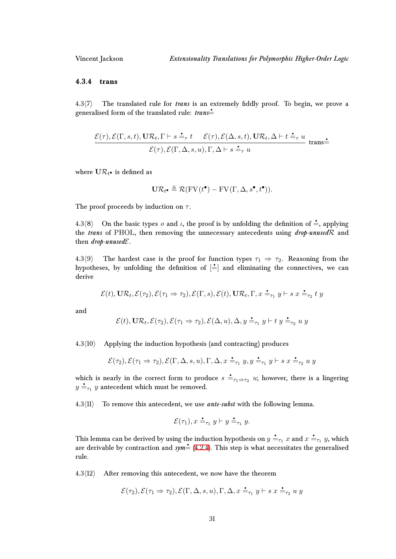## **4.3.4 trans**

4.3*⟨*7*⟩* The translated rule for *trans* is an extremely fiddly proof. To begin, we prove a generalised form of the translated rule: *trans •*=

$$
\frac{\mathcal{E}(\tau), \mathcal{E}(\Gamma, s, t), \mathbf{U}\mathcal{R}_t, \Gamma \vdash s \doteq_{\tau}^{\bullet} t \quad \mathcal{E}(\tau), \mathcal{E}(\Delta, s, t), \mathbf{U}\mathcal{R}_t, \Delta \vdash t \doteq_{\tau}^{\bullet} u}{\mathcal{E}(\tau), \mathcal{E}(\Gamma, \Delta, s, u), \Gamma, \Delta \vdash s \doteq_{\tau}^{\bullet} u} \text{ trans.}
$$

where  $\mathrm{U}\mathcal{R}_{t^{\bullet}}$  is defined as

$$
\mathbf{U}\mathcal{R}_{t^{\bullet}} \triangleq \mathcal{R}(\mathrm{FV}(t^{\bullet}) - \mathrm{FV}(\Gamma, \Delta, s^{\bullet}, t^{\bullet})).
$$

The proof proceeds by induction on *τ* .

4.3 $\langle 8 \rangle$  On the basic types *o* and *ι*, the proof is by unfolding the definition of  $\dot{=}$ , applying the *trans* of PHOL, then removing the unnecessary antecedents using *drop-unusedR* and then *drop-unusedE*.

4.3 $\langle 9 \rangle$  The hardest case is the proof for function types  $\tau_1 \Rightarrow \tau_2$ . Reasoning from the hypotheses, by unfolding the definition of [ *•*=] and eliminating the connectives, we can derive

$$
\mathcal{E}(t),\mathbf{U}\mathcal{R}_t,\mathcal{E}(\tau_2),\mathcal{E}(\tau_1\Rightarrow \tau_2),\mathcal{E}(\Gamma,s),\mathcal{E}(t),\mathbf{U}\mathcal{R}_t,\Gamma,x\circeq_{\tau_1}y\vdash s\ x\circeq_{\tau_2}t\ y
$$

and

$$
\mathcal{E}(t), \mathbf{U}\mathcal{R}_t, \mathcal{E}(\tau_2), \mathcal{E}(\tau_1 \Rightarrow \tau_2), \mathcal{E}(\Delta, u), \Delta, y \doteq_{\tau_1} y \vdash t y \doteq_{\tau_2} u y
$$

4.3*⟨*10*⟩* Applying the induction hypothesis (and contracting) produces

$$
\mathcal{E}(\tau_2), \mathcal{E}(\tau_1 \Rightarrow \tau_2), \mathcal{E}(\Gamma, \Delta, s, u), \Gamma, \Delta, x \triangleq_{\tau_1} y, y \triangleq_{\tau_1} y \vdash s x \triangleq_{\tau_2} u y
$$

which is nearly in the correct form to produce  $s = \frac{1}{\tau_1 \Rightarrow \tau_2} u$ ; however, there is a lingering  $y = r_1$  *y* antecedent which must be removed.

4.3*⟨*11*⟩* To remove this antecedent, we use *ante-subst* with the following lemma.

$$
\mathcal{E}(\tau_1), x \doteq_{\tau_1} y \vdash y \doteq_{\tau_1} y.
$$

This lemma can be derived by using the induction hypothesis on  $y \doteq_{\tau_1} x$  and  $x \doteq_{\tau_1} y,$  which are derivable by contraction and sym<sup>2</sup> (4.2.4). This step is what necessitates the generalised rule.

4.3*⟨*12*⟩* After removing this antecedent, we now have the theorem

$$
\mathcal{E}(\tau_2), \mathcal{E}(\tau_1 \Rightarrow \tau_2), \mathcal{E}(\Gamma, \Delta, s, u), \Gamma, \Delta, x \stackrel{\bullet}{=}_{\tau_1} y \vdash s\ x \stackrel{\bullet}{=}_{\tau_2} u\ y
$$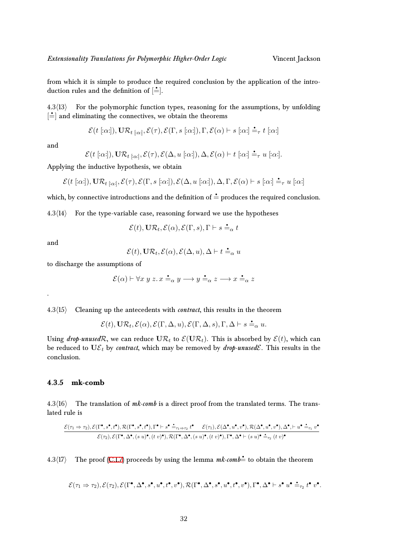from which it is simple to produce the required conclusion by the application of the introduction rules and the definition of [ *•*=].

4.3*⟨*13*⟩* For the polymorphic function types, reasoning for the assumptions, by unfolding [ *•*=] and eliminating the connectives, we obtain the theorems

$$
\mathcal{E}(t~[{\scriptstyle:\!\! \alpha$}{:}]),\mathbf{U}\mathcal{R}_{t~[{\scriptstyle:\!\! \alpha$}{:}]}, \mathcal{E}(\tau), \mathcal{E}(\Gamma,s~[{\scriptstyle:\!\! \alpha$}{:}]), \Gamma, \mathcal{E}(\alpha) \vdash s~[{\scriptstyle:\!\! \alpha$}{:}] \xrightarrow{\bullet} t~[{\scriptstyle:\!\! \alpha$}{:}]
$$

and

$$
\mathcal{E}(t~[:\alpha]),\mathbf{U}\mathcal{R}_{t~[:\alpha]},\mathcal{E}(\tau),\mathcal{E}(\Delta,u~[:\alpha]),\Delta,\mathcal{E}(\alpha)\vdash t~[:\alpha;]\doteq_{\tau} u~[:\alpha].
$$

Applying the inductive hypothesis, we obtain

$$
\mathcal{E}(t~[:\alpha]),\mathbf{U}\mathcal{R}_{t~[:\alpha]},\mathcal{E}(\tau),\mathcal{E}(\Gamma,s~[:\alpha]),\mathcal{E}(\Delta,u~[:\alpha]),\Delta,\Gamma,\mathcal{E}(\alpha)\vdash s~[:\alpha]\triangleq_{\tau} u~[:\alpha]
$$

which, by connective introductions and the definition of  $\stackrel{\bullet}{=}$  produces the required conclusion.

4.3*⟨*14*⟩* For the type-variable case, reasoning forward we use the hypotheses

$$
\mathcal{E}(t),\mathbf{U}\mathcal{R}_t,\mathcal{E}(\alpha),\mathcal{E}(\Gamma,s),\Gamma\vdash s\stackrel{\bullet}{=}_{\alpha}t
$$

and

.

$$
\mathcal{E}(t), \mathbf{U}\mathcal{R}_t, \mathcal{E}(\alpha), \mathcal{E}(\Delta, u), \Delta \vdash t \doteq_{\alpha} u
$$

to discharge the assumptions of

$$
\mathcal{E}(\alpha) \vdash \forall x \ y \ z. \ x \doteq_{\alpha} y \longrightarrow y \doteq_{\alpha} z \longrightarrow x \doteq_{\alpha} z
$$

4.3*⟨*15*⟩* Cleaning up the antecedents with *contract*, this results in the theorem

$$
\mathcal{E}(t),\mathbf{U}\mathcal{R}_t,\mathcal{E}(\alpha),\mathcal{E}(\Gamma,\Delta,u),\mathcal{E}(\Gamma,\Delta,s),\Gamma,\Delta\vdash s\stackrel{\bullet}{=}_{\alpha} u.
$$

Using *drop-unused*<sup>*R*</sup>, we can reduce  $\mathbf{U}\mathcal{R}_t$  to  $\mathcal{E}(\mathbf{U}\mathcal{R}_t)$ . This is absorbed by  $\mathcal{E}(t)$ , which can be reduced to  $\mathbf{U}\mathcal{E}_t$  by *contract*, which may be removed by *drop-unused* $\mathcal{E}$ . This results in the conclusion.

#### **4.3.5 mk-comb**

4.3*⟨*16*⟩* The translation of *mk-comb* is a direct proof from the translated terms. The translated rule is

$$
\frac{\mathcal{E}(\tau_1 \Rightarrow \tau_2), \mathcal{E}(\Gamma^\bullet, s^\bullet, t^\bullet), \mathcal{R}(\Gamma^\bullet, s^\bullet, t^\bullet), \Gamma^\bullet \vdash s^\bullet \doteq_{\tau_1 \Rightarrow \tau_2} t^\bullet \qquad \mathcal{E}(\tau_1), \mathcal{E}(\Delta^\bullet, u^\bullet, v^\bullet), \mathcal{R}(\Delta^\bullet, u^\bullet, v^\bullet), \Delta^\bullet, \vdash u^\bullet \doteq_{\tau_1} v^\bullet}{\mathcal{E}(\tau_2), \mathcal{E}(\Gamma^\bullet, \Delta^\bullet, (s\ u)^\bullet, (t\ v)^\bullet), \mathcal{R}(\Gamma^\bullet, \Delta^\bullet, (s\ u)^\bullet, (t\ v)^\bullet), \Gamma^\bullet, \Delta^\bullet \vdash (s\ u)^\bullet \doteq_{\tau_2} (t\ v)^\bullet}
$$

 $4.3\langle17\rangle$  The proof (C.1.7) proceeds by using the lemma  $mk\text{-}comb\text{-}$  to obtain the theorem

$$
\mathcal{E}(\tau_1 \Rightarrow \tau_2), \mathcal{E}(\tau_2), \mathcal{E}(\Gamma^\bullet, \Delta^\bullet, s^\bullet, u^\bullet, t^\bullet, v^\bullet), \mathcal{R}(\Gamma^\bullet, \Delta^\bullet, s^\bullet, u^\bullet, t^\bullet, v^\bullet), \Gamma^\bullet, \Delta^\bullet \vdash s^\bullet \ u^\bullet \doteq_{\tau_2} t^\bullet \ v^\bullet.
$$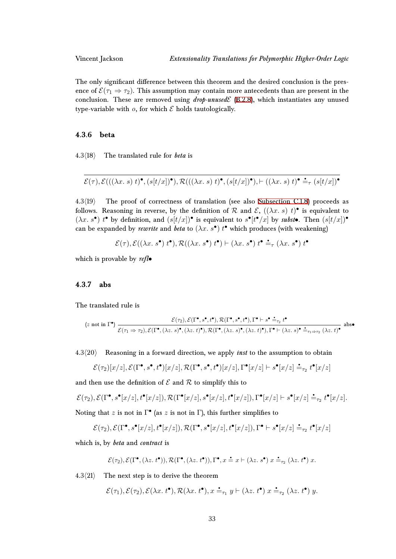The only significant difference between this theorem and the desired conclusion is the presence of  $\mathcal{E}(\tau_1 \Rightarrow \tau_2)$ . This assumption may contain more antecedents than are present in the conclusion. These are removed using *drop-unusedE* (B.2.8), which instantiates any unused type-variable with  $o$ , for which  $E$  holds tautologically.

#### **4.3.6 beta**

4.3*⟨*18*⟩* The translated rule for *beta* is

$$
\mathcal{E}(\tau),\mathcal{E}(((\lambda x.\; s)\; t)^{\bullet},(s[t/x])^{\bullet}),\mathcal{R}(((\lambda x.\; s)\; t)^{\bullet},(s[t/x])^{\bullet}),\vdash ((\lambda x.\; s)\; t)^{\bullet}\xrightarrow[]{\bullet} (s[t/x])^{\bullet}
$$

4.3*⟨*19*⟩* The proof of correctness of translation (see also Subsection C.1.8) proceeds as follows. Reasoning in reverse, by the definition of  $R$  and  $\mathcal{E}$ ,  $((\lambda x. s) t)^{\bullet}$  is equivalent to  $(\lambda x. s^{\bullet})$  *t*<sup>**•**</sup> by definition, and  $(s[t/x])^{\bullet}$  is equivalent to  $s^{\bullet}[t^{\bullet}/x]$  by *subst*•. Then  $(s[t/x])^{\bullet}$ can be expanded by *rewrite* and *beta* to  $(\lambda x. s^{\bullet}) t^{\bullet}$  which pr[oduces \(with weak](#page-101-0)ening)

$$
\mathcal{E}(\tau), \mathcal{E}((\lambda x. s^{\bullet}), t^{\bullet}), \mathcal{R}((\lambda x. s^{\bullet}), t^{\bullet}) \vdash (\lambda x. s^{\bullet}), t^{\bullet} \doteq_{\tau} (\lambda x. s^{\bullet}), t^{\bullet}
$$

which is provable by *refl•*

# **4.3.7 abs**

The translated rule is

$$
(z \text{ not in } \Gamma^{\bullet}) \xrightarrow{\mathcal{E}(\tau_2), \mathcal{E}(\Gamma^{\bullet}, s^{\bullet}, t^{\bullet}), \mathcal{R}(\Gamma^{\bullet}, s^{\bullet}, t^{\bullet}), \Gamma^{\bullet} \vdash s^{\bullet} \doteq_{\tau_2}^{\bullet} t^{\bullet}} \text{abs}^{\bullet}
$$
\n
$$
\mathcal{E}(\tau_1 \Rightarrow \tau_2), \mathcal{E}(\Gamma^{\bullet}, (\lambda z. s)^{\bullet}, (\lambda z. t)^{\bullet}), \mathcal{R}(\Gamma^{\bullet}, (\lambda z. s)^{\bullet}, (\lambda z. t)^{\bullet}), \Gamma^{\bullet} \vdash (\lambda z. s)^{\bullet} \doteq_{\tau_1 \Rightarrow \tau_2} (\lambda z. t)^{\bullet} \text{abs}^{\bullet}
$$

4.3*⟨*20*⟩* Reasoning in a forward direction, we apply *inst* to the assumption to obtain

$$
\mathcal{E}(\tau_2)[x/z], \mathcal{E}(\Gamma^{\bullet}, s^{\bullet}, t^{\bullet})[x/z], \mathcal{R}(\Gamma^{\bullet}, s^{\bullet}, t^{\bullet})[x/z], \Gamma^{\bullet}[x/z] \vdash s^{\bullet}[x/z] \doteq_{\tau_2} t^{\bullet}[x/z]
$$

and then use the definition of  $\mathcal E$  and  $\mathcal R$  to simplify this to

$$
\mathcal{E}(\tau_2), \mathcal{E}(\Gamma^{\bullet}, s^{\bullet}[x/z], t^{\bullet}[x/z]), \mathcal{R}(\Gamma^{\bullet}[x/z], s^{\bullet}[x/z], t^{\bullet}[x/z]), \Gamma^{\bullet}[x/z] \vdash s^{\bullet}[x/z] \doteq_{\tau_2} t^{\bullet}[x/z].
$$

Noting that  $z$  is not in  $\Gamma^\bullet$  (as  $z$  is not in  $\Gamma$ ), this further simplifies to

$$
\mathcal{E}(\tau_2), \mathcal{E}(\Gamma^\bullet, s^\bullet[x/z], t^\bullet[x/z]), \mathcal{R}(\Gamma^\bullet, s^\bullet[x/z], t^\bullet[x/z]), \Gamma^\bullet \vdash s^\bullet[x/z] \doteq_{\tau_2} t^\bullet[x/z]
$$

which is, by *beta* and *contract* is

$$
\mathcal{E}(\tau_2), \mathcal{E}(\Gamma^\bullet, (\lambda z.~t^\bullet)), \mathcal{R}(\Gamma^\bullet, (\lambda z.~t^\bullet)), \Gamma^\bullet, x \doteq x \vdash (\lambda z.~s^\bullet)~x \doteq_{\tau_2} (\lambda z.~t^\bullet)~x.
$$

4.3*⟨*21*⟩* The next step is to derive the theorem

$$
\mathcal{E}(\tau_1), \mathcal{E}(\tau_2), \mathcal{E}(\lambda x. t^{\bullet}), \mathcal{R}(\lambda x. t^{\bullet}), x \doteq_{\tau_1} y \vdash (\lambda z. t^{\bullet}) x \doteq_{\tau_2} (\lambda z. t^{\bullet}) y.
$$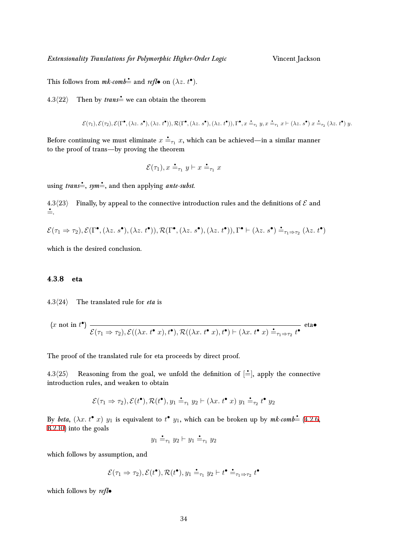This follows from  $mk\text{-}comb\text{-}$  and  $refl\text{-}$  on  $(\lambda z. t\text{-})$ .

 $4.3\langle 22 \rangle$  Then by *trans* •• we can obtain the theorem

$$
\mathcal{E}(\tau_1), \mathcal{E}(\tau_2), \mathcal{E}(\Gamma^{\bullet}, (\lambda z. s^{\bullet}), (\lambda z. t^{\bullet})), \mathcal{R}(\Gamma^{\bullet}, (\lambda z. s^{\bullet}), (\lambda z. t^{\bullet})), \Gamma^{\bullet}, x \doteq_{\tau_1} y, x \doteq_{\tau_1} x \vdash (\lambda z. s^{\bullet}) x \doteq_{\tau_2} (\lambda z. t^{\bullet}) y.
$$

Before continuing we must eliminate  $x = \frac{1}{\tau_1} x$ , which can be achieved—in a similar manner to the proof of trans—by proving the theorem

$$
\mathcal{E}(\tau_1), x \doteq_{\tau_1} y \vdash x \doteq_{\tau_1} x
$$

using *trans*<sup> $\dot{=}$ </sup>, *sym*<sup> $\dot{=}$ </sup>, and then applying *ante-subst*.

4.3*⟨*23*⟩* Finally, by appeal to the connective introduction rules and the definitions of *E* and *•*=.

$$
\mathcal{E}(\tau_1 \Rightarrow \tau_2), \mathcal{E}(\Gamma^{\bullet}, (\lambda z. s^{\bullet}), (\lambda z. t^{\bullet})), \mathcal{R}(\Gamma^{\bullet}, (\lambda z. s^{\bullet}), (\lambda z. t^{\bullet})), \Gamma^{\bullet} \vdash (\lambda z. s^{\bullet}) \doteq_{\tau_1 \Rightarrow \tau_2} (\lambda z. t^{\bullet})
$$

which is the desired conclusion.

# **4.3.8 eta**

4.3*⟨*24*⟩* The translated rule for *eta* is

$$
(x \text{ not in } t^{\bullet})
$$
  $\frac{}{\mathcal{E}(\tau_1 \Rightarrow \tau_2), \mathcal{E}((\lambda x. t^{\bullet} x), t^{\bullet}), \mathcal{R}((\lambda x. t^{\bullet} x), t^{\bullet}) \vdash (\lambda x. t^{\bullet} x) \doteq_{\tau_1 \Rightarrow \tau_2} t^{\bullet}}$ eta

The proof of the translated rule for eta proceeds by direct proof.

4.3*⟨*25*⟩* Reasoning from the goal, we unfold the definition of [ *•*=], apply the connective introduction rules, and weaken to obtain

$$
\mathcal{E}(\tau_1 \Rightarrow \tau_2), \mathcal{E}(t^{\bullet}), \mathcal{R}(t^{\bullet}), y_1 \stackrel{\bullet}{=} \tau_1 y_2 \vdash (\lambda x. t^{\bullet} x) y_1 \stackrel{\bullet}{=} \tau_2 t^{\bullet} y_2
$$

By *beta*,  $(\lambda x. t^{\bullet} x)$  *y*<sub>1</sub> is equivalent to  $t^{\bullet}$  *y*<sub>1</sub>, which can be broken up by *mk-comb*  $\stackrel{\bullet}{=}$  (4.2.6, B.2.10) into the goals

$$
y_1 \doteq_{\tau_1} y_2 \vdash y_1 \doteq_{\tau_1} y_2
$$

[which](#page-91-0) follows by assumption, and

$$
\mathcal{E}(\tau_1 \Rightarrow \tau_2), \mathcal{E}(t^{\bullet}), \mathcal{R}(t^{\bullet}), y_1 \stackrel{\bullet}{=}{}_{\tau_1} y_2 \vdash t^{\bullet} \stackrel{\bullet}{=}{}_{\tau_1 \Rightarrow \tau_2} t^{\bullet}
$$

which follows by *refl•*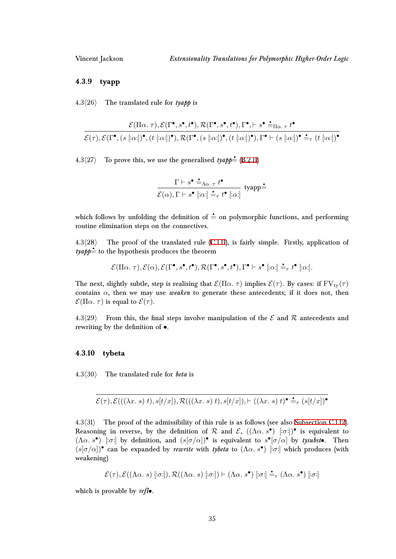#### **4.3.9 tyapp**

4.3*⟨*26*⟩* The translated rule for *tyapp* is

$$
\frac{\mathcal{E}(\Pi\alpha.\ \tau),\mathcal{E}(\Gamma^\bullet,s^\bullet,t^\bullet),\mathcal{R}(\Gamma^\bullet,s^\bullet,t^\bullet),\Gamma^\bullet,\vdash s^\bullet \doteq_{\Pi\alpha.\ \tau} t^\bullet}{\mathcal{E}(\tau),\mathcal{E}(\Gamma^\bullet,(s~[\alpha:])^\bullet,(t~[\alpha:])^\bullet),\mathcal{R}(\Gamma^\bullet,(s~[\alpha:])^\bullet,(t~[\alpha:])^\bullet),\Gamma^\bullet\vdash (s~[\alpha:])^\bullet \doteq_{\tau} (t~[\alpha:])^\bullet}
$$

4.3 $\langle 27 \rangle$  To prove this, we use the generalised *tyapp*  $\triangleq$  (B.2.11)

$$
\frac{\Gamma \vdash s^{\bullet} \doteq_{\Lambda \alpha. \tau} t^{\bullet}}{\mathcal{E}(\alpha), \Gamma \vdash s^{\bullet} \; [:\alpha \cdot] \doteq_{\tau} t^{\bullet} \; [:\alpha \cdot]} \; \text{typp} \dot{=}
$$

which follows by unfolding the definition of  $\stackrel{\bullet}{=}$  on polymorphic functions, and performing routine elimination steps on the connectives.

4.3*⟨*28*⟩* The proof of the translated rule (C.1.11), is fairly simple. Firstly, application of  *• to the hypothesis produces the theorem* 

$$
\mathcal{E}(\Pi\alpha.\ \tau),\mathcal{E}(\alpha),\mathcal{E}(\Gamma^\bullet,s^\bullet,t^\bullet),\mathcal{R}(\Gamma^\bullet,s^\bullet,t^\bullet),\Gamma^\bullet\vdash s^\bullet~[\alpha:]\doteq_\tau t^\bullet~[\alpha:].
$$

The next, slightly subtle, step is realising that  $\mathcal{E}(\Pi\alpha, \tau)$  implies  $\mathcal{E}(\tau)$ . By cases: if  $FV_{ty}(\tau)$ contains *α*, then we may use *weaken* to generate these antecedents; if it does not, then *E*( $\Pi \alpha$ *,*  $\tau$ *)* is equal to  $\mathcal{E}(\tau)$ *.* 

4.3 $\langle 29 \rangle$  From this, the final steps involve manipulation of the  $\mathcal E$  and  $\mathcal R$  antecedents and rewriting by the definition of *•*.

#### **4.3.10 tybeta**

4.3*⟨*30*⟩* The translated rule for *beta* is

 $\mathcal{E}(\tau), \mathcal{E}(((\lambda x. s) t), s[t/x]), \mathcal{R}(((\lambda x. s) t), s[t/x]), \vdash ((\lambda x. s) t) \bullet \doteq_{\tau} (s[t/x]) \bullet$ 

4.3*⟨*31*⟩* The proof of the admissibility of this rule is as follows (see also Subsection C.1.12). Reasoning in reverse, by the definition of  $R$  and  $\mathcal{E}$ ,  $((\Lambda \alpha. s^{\bullet})$   $[\cdot \sigma$ : $])^{\bullet}$  is equivalent to ( $\Lambda$ α. *s*<sup>•</sup>) [:*σ*:] by definition, and  $(s[\sigma/\alpha])$ <sup>•</sup> is equivalent to  $s^{\bullet}[\sigma/\alpha]$  by *tysubst*•. Then  $(s[\sigma/\alpha])^{\bullet}$  can be expanded by *rewrite* with *tybeta* to  $(\Lambda \alpha. s^{\bullet})$  [: $\sigma$ :] whi[ch produces \(with](#page-103-0) weakening)

$$
\mathcal{E}(\tau), \mathcal{E}((\Lambda \alpha. s) [\cdot \sigma]), \mathcal{R}((\Lambda \alpha. s) [\cdot \sigma]) \vdash (\Lambda \alpha. s^{\bullet}) [\cdot \sigma] \stackrel{\bullet}{=} \tau (\Lambda \alpha. s^{\bullet}) [\cdot \sigma]
$$

which is provable by *refl•*.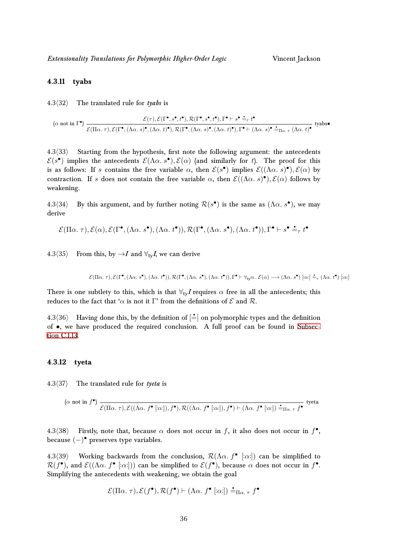#### **4.3.11 tyabs**

4.3*⟨*32*⟩* The translated rule for *tyabs* is

$$
(\alpha \text{ not in } \Gamma^{\bullet}) \xrightarrow{\mathcal{E}(\tau), \mathcal{E}(\Gamma^{\bullet}, s^{\bullet}, t^{\bullet}), \mathcal{R}(\Gamma^{\bullet}, s^{\bullet}, t^{\bullet}), \Gamma^{\bullet} \vdash s^{\bullet} \xrightarrow{\star} t^{\bullet}} \mathcal{E}(\Pi\alpha. \tau), \mathcal{E}(\Gamma^{\bullet}, (\Lambda\alpha. s)^{\bullet}, (\Lambda\alpha. t)^{\bullet}), \mathcal{R}(\Gamma^{\bullet}, (\Lambda\alpha. s)^{\bullet}, (\Lambda\alpha. t)^{\bullet}), \Gamma^{\bullet} \vdash (\Lambda\alpha. s)^{\bullet} \xrightarrow{\star} \Pi\alpha. \tau (\Lambda\alpha. t)^{\bullet} \text{ (yabse)}
$$

4.3*⟨*33*⟩* Starting from the hypothesis, first note the following argument: the antecedents  $\mathcal{E}(s^{\bullet})$  implies the antecedents  $\mathcal{E}(\Lambda \alpha, s^{\bullet}), \mathcal{E}(\alpha)$  (and similarly for *t*). The proof for this is as follows: If *s* contains the free variable  $\alpha$ , then  $\mathcal{E}(s^{\bullet})$  implies  $\mathcal{E}((\Lambda \alpha. s)^{\bullet}), \mathcal{E}(\alpha)$  by contraction. If *s* does not contain the free variable  $\alpha$ , then  $\mathcal{E}((\Lambda \alpha. s)^{\bullet}), \mathcal{E}(\alpha)$  follows by weakening.

 $4.3\langle 34 \rangle$  By this argument, and by further noting  $\mathcal{R}(s^{\bullet})$  is the same as  $(\Lambda \alpha. s^{\bullet})$ , we may derive

$$
\mathcal{E}(\Pi\alpha.\ \tau),\mathcal{E}(\alpha),\mathcal{E}(\Gamma^\bullet,(\Lambda\alpha.\ s^\bullet),(\Lambda\alpha.\ t^\bullet)),\mathcal{R}(\Gamma^\bullet,(\Lambda\alpha.\ s^\bullet),(\Lambda\alpha.\ t^\bullet)),\Gamma^\bullet\vdash s^\bullet\doteq_\tau t^\bullet
$$

4.3 $\langle 35 \rangle$  From this, by  $\rightarrow$ *I* and  $\forall_{\text{tv}}$ *I*, we can derive

$$
\mathcal{E}(\Pi\alpha.\ \tau),\mathcal{E}(\Gamma^\bullet,(\Lambda\alpha.\ s^\bullet),(\Lambda\alpha.\ t^\bullet)),\mathcal{R}(\Gamma^\bullet,(\Lambda\alpha.\ s^\bullet),(\Lambda\alpha.\ t^\bullet)),\Gamma^\bullet\vdash\forall_\mathrm{ty}\alpha.\ \mathcal{E}(\alpha)\longrightarrow(\Lambda\alpha.\ s^\bullet)\;[\alpha]\doteq_\tau(\Lambda\alpha.\ t^\bullet)\;[\alpha]
$$

There is one subtlety to this, which is that  $\forall_{t}$ *I* requires  $\alpha$  free in all the antecedents; this reduces to the fact that '*α* is not it Γ' from the definitions of *E* and *R*.

4.3*⟨*36*⟩* Having done this, by the definition of [ *•*=] on polymorphic types and the definition of *•*, we have produced the required conclusion. A full proof can be found in Subsection C.1.13.

#### **[4.3.12 t](#page-104-0)yeta**

4.3*⟨*37*⟩* The translated rule for *tyeta* is

$$
(\alpha \text{ not in } f^{\bullet}) \xrightarrow[\mathcal{E}(\Pi\alpha.\ \tau),\mathcal{E}((\Lambda\alpha.\ f^{\bullet}\ [\alpha]),f^{\bullet}),\mathcal{R}((\Lambda\alpha.\ f^{\bullet}\ [\alpha]),f^{\bullet})\vdash (\Lambda\alpha.\ f^{\bullet}\ [\alpha])\doteq_{\Pi\alpha.\ \tau}f^{\bullet} \text{ tyeta}
$$

 $4.3\langle 38 \rangle$  Firstly, note that, because  $\alpha$  does not occur in f, it also does not occur in  $f^{\bullet}$ , because (*−*) *•* preserves type variables.

4.3*⟨*39*⟩* Working backwards from the conclusion, *R*(Λ*α. f •* [:*α*:]) can be simplified to  $\mathcal{R}(f^{\bullet})$ , and  $\mathcal{E}((\Lambda \alpha, f^{\bullet} [:\alpha]))$  can be simplified to  $\mathcal{E}(f^{\bullet})$ , because  $\alpha$  does not occur in  $f^{\bullet}$ . Simplifying the antecedents with weakening, we obtain the goal

$$
\mathcal{E}(\Pi\alpha.\ \tau), \mathcal{E}(f^{\bullet}), \mathcal{R}(f^{\bullet}) \vdash (\Lambda\alpha.\ f^{\bullet}~[\alpha\cdot]) \doteq_{\Pi\alpha.\ \tau} f^{\bullet}
$$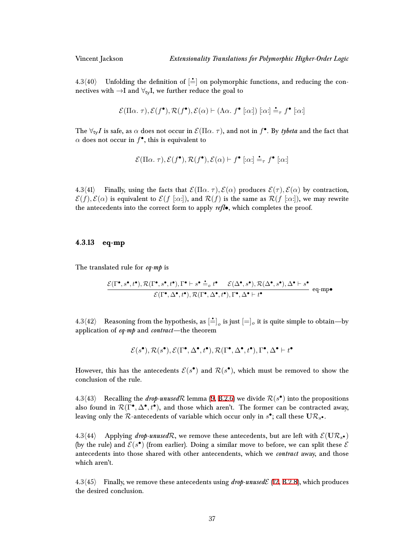4.3*⟨*40*⟩* Unfolding the definition of [ *•*=] on polymorphic functions, and reducing the connectives with *→*I and *∀*tyI, we further reduce the goal to

$$
\mathcal{E}(\Pi\alpha.\ \tau), \mathcal{E}(f^{\bullet}), \mathcal{R}(f^{\bullet}), \mathcal{E}(\alpha) \vdash (\Lambda\alpha.\ f^{\bullet} [\alpha\cdot]) [\cdot \alpha] \doteq_{\tau} f^{\bullet} [\cdot \alpha\cdot]
$$

The  $\forall_{ty}I$  is safe, as  $\alpha$  does not occur in  $\mathcal{E}(\Pi\alpha.\ \tau)$ , and not in  $f^\bullet$ . By *tybeta* and the fact that  $\alpha$  does not occur in  $f^{\bullet}$ , this is equivalent to

$$
\mathcal{E}(\Pi\alpha.\ \tau), \mathcal{E}(f^\bullet), \mathcal{R}(f^\bullet), \mathcal{E}(\alpha) \vdash f^\bullet \; [:\alpha :] \doteq_\tau f^\bullet \; [:\alpha :]
$$

4.3 $\langle 41 \rangle$  Finally, using the facts that  $\mathcal{E}(\Pi \alpha, \tau)$ ,  $\mathcal{E}(\alpha)$  produces  $\mathcal{E}(\tau)$ ,  $\mathcal{E}(\alpha)$  by contraction,  $\mathcal{E}(f), \mathcal{E}(\alpha)$  is equivalent to  $\mathcal{E}(f | \alpha)$ , and  $\mathcal{R}(f)$  is the same as  $\mathcal{R}(f | \alpha)$ , we may rewrite the antecedents into the correct form to apply *refl•*, which completes the proof.

# **4.3.13 eq-mp**

The translated rule for *eq-mp* is

$$
\frac{\mathcal{E}(\Gamma^{\bullet},s^{\bullet},t^{\bullet}),\mathcal{R}(\Gamma^{\bullet},s^{\bullet},t^{\bullet}),\Gamma^{\bullet}\vdash s^{\bullet} \doteq_{o} t^{\bullet}}{\mathcal{E}(\Gamma^{\bullet},\Delta^{\bullet},t^{\bullet}),\mathcal{R}(\Gamma^{\bullet},\Delta^{\bullet},t^{\bullet}),\Gamma^{\bullet},\Delta^{\bullet}\vdash t^{\bullet}} \text{ eq-mpe}
$$

 $4.3\langle 42 \rangle$  Reasoning from the hypothesis, as  $\left[ \dot{=} \right]_o$  is just  $\left[ = \right]_o$  it is quite simple to obtain—by application of *eq-mp* and *contract*—the theorem

$$
\mathcal{E}(s^{\bullet}), \mathcal{R}(s^{\bullet}), \mathcal{E}(\Gamma^{\bullet}, \Delta^{\bullet}, t^{\bullet}), \mathcal{R}(\Gamma^{\bullet}, \Delta^{\bullet}, t^{\bullet}), \Gamma^{\bullet}, \Delta^{\bullet} \vdash t^{\bullet}
$$

However, this has the antecedents  $\mathcal{E}(s^{\bullet})$  and  $\mathcal{R}(s^{\bullet})$ , which must be removed to show the conclusion of the rule.

4.3 $\langle 43 \rangle$  Recalling the *drop-unused* $R$  lemma (9, B.2.6) we divide  $R(s^{\bullet})$  into the propositions also found in  $\mathcal{R}(\Gamma^{\bullet}, \Delta^{\bullet}, t^{\bullet})$ , and those which aren't. The former can be contracted away, leaving only the  $\mathcal{R}$ -antecedents of variable which occur only in  $s^{\bullet}$ ; call these  $\mathrm{U} \mathcal{R}_{s^{\bullet}}$ .

4.3 $\langle 44 \rangle$  Applying *drop-unusedR*, we remove [t](#page-32-0)[hese a](#page-84-0)ntecedents, but are left with  $\mathcal{E}(\mathbf{U}\mathcal{R}_{s^{\bullet}})$ (by the rule) and  $\mathcal{E}(s^{\bullet})$  (from earlier). Doing a similar move to before, we can split these  $\mathcal E$ antecedents into those shared with other antecendents, which we *contract* away, and those which aren't.

4.3*⟨*45*⟩* Finally, we remove these antecedents using *drop-unusedE* (12, B.2.8), which produces the desired conclusion.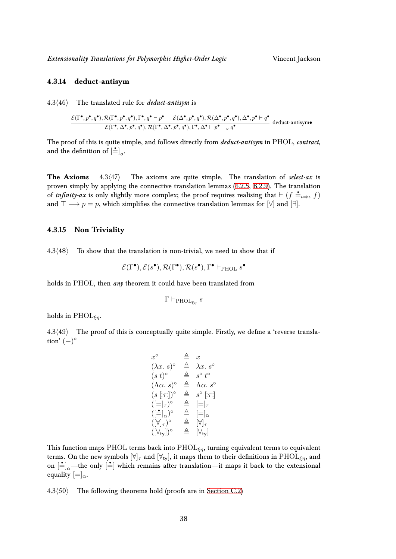#### **4.3.14 deduct-antisym**

4.3*⟨*46*⟩* The translated rule for *deduct-antisym* is

$$
\frac{\mathcal{E}(\Gamma^{\bullet},p^{\bullet},q^{\bullet}), \mathcal{R}(\Gamma^{\bullet},p^{\bullet},q^{\bullet}), \Gamma^{\bullet},q^{\bullet} \vdash p^{\bullet} \qquad \mathcal{E}(\Delta^{\bullet},p^{\bullet},q^{\bullet}), \mathcal{R}(\Delta^{\bullet},p^{\bullet},q^{\bullet}), \Delta^{\bullet},p^{\bullet} \vdash q^{\bullet}}{\mathcal{E}(\Gamma^{\bullet},\Delta^{\bullet},p^{\bullet},q^{\bullet}), \mathcal{R}(\Gamma^{\bullet},\Delta^{\bullet},p^{\bullet},q^{\bullet}), \Gamma^{\bullet},\Delta^{\bullet} \vdash p^{\bullet} =_o q^{\bullet}} \text{ deduct-antisym-}
$$

The proof of this is quite simple, and follows directly from *deduct-antisym* in PHOL, *contract*, and the definition of  $[\stackrel{\bullet}{=}]_o$ .

**The Axioms** 4.3*⟨*47*⟩* The axioms are quite simple. The translation of *select-ax* is proven simply by applying the connective translation lemmas (4.2.5, B.2.9). The translation of *infinity-ax* is only slightly more complex; the proof requires realising that  $\vdash$  ( $f \doteq_{\iota \Rightarrow \iota} f$ ) and *⊤ −→ p* = *p*, which simplifies the connective translation lemmas for [*∀*] and [*∃*].

#### **4.3.15 Non Triviality**

4.3*⟨*48*⟩* To show that the translation is non-trivial, we need to show that if

$$
\mathcal{E}(\Gamma^\bullet), \mathcal{E}(s^\bullet), \mathcal{R}(\Gamma^\bullet), \mathcal{R}(s^\bullet), \Gamma^\bullet \vdash_{\mathrm{PHOL}} s^\bullet
$$

holds in PHOL, then *any* theorem it could have been translated from

$$
\Gamma\vdash_{\mathrm{PHOL}_{\xi\eta}} s
$$

holds in PHOL*ξη*.

4.3*⟨*49*⟩* The proof of this is conceptually quite simple. Firstly, we define a 'reverse translation' (*−*) *◦*

$$
x^{\circ} \triangleq x
$$
  
\n
$$
(\lambda x. s)^{\circ} \triangleq \lambda x. s^{\circ}
$$
  
\n
$$
(s t)^{\circ} \triangleq s^{\circ} t^{\circ}
$$
  
\n
$$
(\Lambda \alpha. s)^{\circ} \triangleq \Lambda \alpha. s^{\circ}
$$
  
\n
$$
(s [:\tau:])^{\circ} \triangleq s^{\circ} [\tau:]
$$
  
\n
$$
([=]_{\tau})^{\circ} \triangleq [=]_{\tau}
$$
  
\n
$$
([\forall]_{\tau})^{\circ} \triangleq [\forall]_{\tau}
$$
  
\n
$$
([\forall_{\tau}])^{\circ} \triangleq [\forall_{\tau}]
$$

This function maps PHOL terms back into PHOL*ξη*, turning equivalent terms to equivalent terms. On the new symbols [*∀*]*<sup>τ</sup>* and [*∀*ty], it maps them to their definitions in PHOL*ξη*, and on  $\left[ \dot{=} \right]_{\alpha}$ —the only  $\left[ \dot{=} \right]$  which remains after translation—it maps it back to the extensional equality  $[=]_{\alpha}$ .

4.3*⟨*50*⟩* The following theorems hold (proofs are in Section C.2)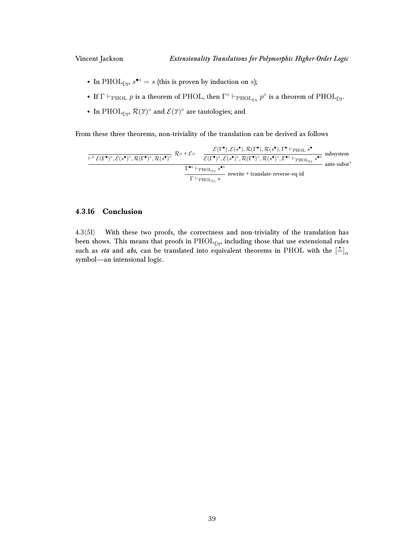- In PHOL<sub> $\xi_{\eta}$ </sub>,  $s^{\bullet \circ} = s$  (this is proven by induction on *s*);
- If Γ *⊦*<sub>PHOL</sub> *p* is a theorem of PHOL, then  $\Gamma^\circ$  *⊢*<sub>PHOL<sub>ξη</sub>,  $p^\circ$  is a theorem of PHOL<sub>ξη</sub>.</sub>
- In  $\mathrm{PHOL}_{\xi\eta}, \mathcal{R}(\overline{x})^{\circ}$  and  $\mathcal{E}(\overline{x})^{\circ}$  are tautologies; and

From these three theorems, non-triviality of the translation can be derived as follows

$$
\frac{\mathcal{E}(\Gamma^{\bullet}) \cdot \mathcal{E}(s^{\bullet}) \cdot \mathcal{R}(s^{\bullet}) \cdot \mathcal{R}(s^{\bullet})}{\mathcal{E}(\Gamma^{\bullet}) \cdot \mathcal{E}(s^{\bullet}) \cdot \mathcal{R}(s^{\bullet})} \cdot \frac{\mathcal{E}(\Gamma^{\bullet}) \cdot \mathcal{E}(s^{\bullet}) \cdot \mathcal{R}(s^{\bullet}) \cdot \mathcal{R}(s^{\bullet}) \cdot \Gamma^{\bullet} + \text{PHOL } s^{\bullet}}{\mathcal{E}(\Gamma^{\bullet}) \cdot \mathcal{E}(s^{\bullet}) \cdot \mathcal{R}(\Gamma^{\bullet}) \cdot \mathcal{R}(s^{\bullet}) \cdot \Gamma^{\bullet \circ} + \text{PHOL}_{\xi_{\eta}} s^{\bullet \circ}} \text{ subsystem} \cdot \frac{\Gamma^{\bullet \circ} + \text{PHOL}_{\xi_{\eta}} s^{\bullet \circ}}{\Gamma + \text{PHOL}_{\xi_{\eta}} s} \text{ amte-subst*}
$$

# **4.3.16 Conclusion**

4.3*⟨*51*⟩* With these two proofs, the correctness and non-triviality of the translation has been shows. This means that proofs in  $PHOL_{\xi\eta}$ , including those that use extensional rules such as *eta* and *abs*, can be translated into equivalent theorems in PHOL with the  $\left[\frac{4}{3}\right]_{\alpha}$ symbol—an intensional logic.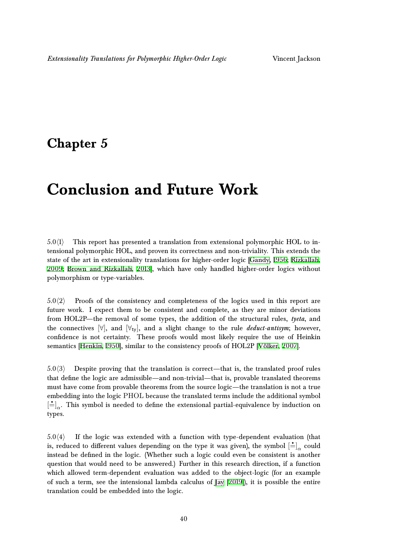# **Chapter 5**

# **Conclusion and Future Work**

5.0*⟨*1*⟩* This report has presented a translation from extensional polymorphic HOL to intensional polymorphic HOL, and proven its correctness and non-triviality. This extends the state of the art in extensionality translations for higher-order logic [Gandy, 1956; Rizkallah, 2009; Brown and Rizkallah, 2013], which have only handled higher-order logics without polymorphism or type-variables.

[5.0](#page-50-0)*⟨*2*⟩* [Proofs of the consi](#page-49-0)s[tency](#page-49-0) and completeness of the logics used in this report are future work. I expect them to be consistent and complete, as they are minor deviations from HOL2P—the removal of some types, the addition of the structural rules, *tyeta*, and the connectives [*∀*], and [*∀*ty], and a slight change to the rule *deduct-antisym*; however, confidence is not certainty. These proofs would most likely require the use of Heinkin semantics [Henkin, 1950], similar to the consistency proofs of HOL2P [Völker, 2007].

5.0*⟨*3*⟩* Despite proving that the translation is correct—that is, the translated proof rules that define [the log](#page-50-1)i[c are](#page-50-1) admissible—and non-trivial—that is, provabl[e transl](#page-50-2)a[ted th](#page-50-2)eorems must have come from provable theorems from the source logic—the translation is not a true embedding into the logic PHOL because the translated terms include the additional symbol  $[\dot{=}]\alpha$ . This symbol is needed to define the extensional partial-equivalence by induction on types.

5.0*⟨*4*⟩* If the logic was extended with a function with type-dependent evaluation (that is, reduced to different values depending on the type it was given), the symbol  $[\mathring{\equiv}]_\alpha$  could instead be defined in the logic. (Whether such a logic could even be consistent is another question that would need to be answered.) Further in this research direction, if a function which allowed term-dependent evaluation was added to the object-logic (for an example of such a term, see the intensional lambda calculus of Jay [2019]), it is possible the entire translation could be embedded into the logic.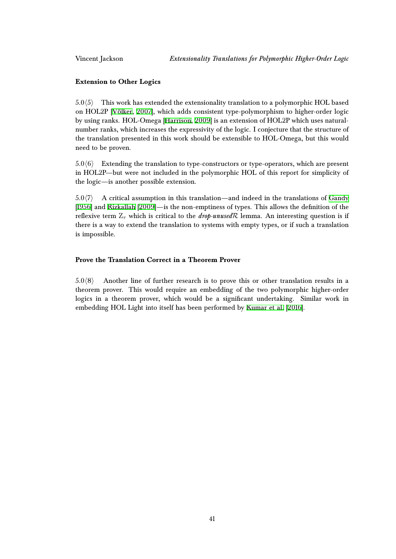# **Extension to Other Logics**

5.0*⟨*5*⟩* This work has extended the extensionality translation to a polymorphic HOL based on HOL2P [Völker, 2007], which adds consistent type-polymorphism to higher-order logic by using ranks. HOL-Omega [Harrison, 2009] is an extension of HOL2P which uses naturalnumber ranks, which increases the expressivity of the logic. I conjecture that the structure of the translation pres[ented](#page-50-2) in this work should be extensible to HOL-Omega, but this would need to be [proven.](#page-50-2)

5.0*⟨*6*⟩* Extending the translation to type-constructors or type-operators, which are present in HOL2P—but were not included in the polymorphic HOL of this report for simplicity of the logic—is another possible extension.

5.0*⟨*7*⟩* A critical assumption in this translation—and indeed in the translations of Gandy [1956] and Rizkallah [2009]—is the non-emptiness of types. This allows the definition of the reflexive term  $Z_{\tau}$  which is critical to the *drop-unusedR* lemma. An interesting question is if there is a way to extend the translation to systems with empty types, or if such a tran[slation](#page-49-1) [is imp](#page-49-1)ossi[ble.](#page-50-0)

# **Prove the Translation Correct in a Theorem Prover**

5.0*⟨*8*⟩* Another line of further research is to prove this or other translation results in a theorem prover. This would require an embedding of the two polymorphic higher-order logics in a theorem prover, which would be a significant undertaking. Similar work in embedding HOL Light into itself has been performed by Kumar et al. [2016].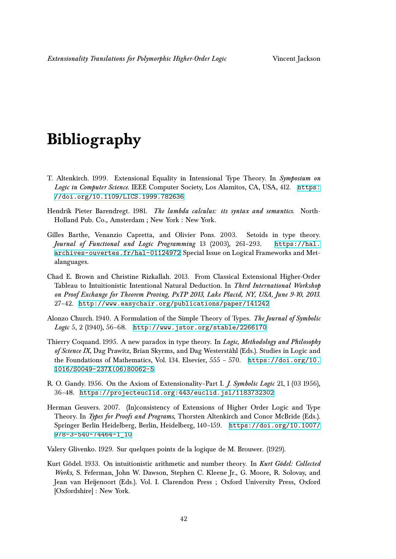# **Bibliography**

- T. Altenkirch. 1999. Extensional Equality in Intensional Type Theory. In *Symposium on Logic in Computer Science*. IEEE Computer Society, Los Alamitos, CA, USA, 412. https: //doi.org/10.1109/LICS.1999.782636
- Hendrik Pieter Barendregt. 1981. *The lambda calculus: its syntax and semantics*. North-Holland Pub. Co., Amsterdam ; New York : New York.
- Gi[lles Barthe, Venanzio Capretta, and Oli](https://doi.org/10.1109/LICS.1999.782636)vier Pons. 2003. Setoids in type theory. *Journal of Functional and Logic Programming* 13 (2003), 261–293. https://hal. archives-ouvertes.fr/hal-01124972 Special Issue on Logical Frameworks and Metalanguages.
- Chad E. Brown and Christine Rizkallah. 2013. From Classical Extension[al Higher-Order](https://hal.archives-ouvertes.fr/hal-01124972) [Tableau to Intuitionistic Intentional Natur](https://hal.archives-ouvertes.fr/hal-01124972)al Deduction. In *Third International Workshop on Proof Exchange for Theorem Proving, PxTP 2013, Lake Placid, NY, USA, June 9-10, 2013*. 27–42. http://www.easychair.org/publications/paper/141242
- <span id="page-49-0"></span>Alonzo Church. 1940. A Formulation of the Simple Theory of Types. *The Journal of Symbolic Logic* 5, 2 (1940), 56–68. http://www.jstor.org/stable/2266170
- Thierry C[oquand. 1995. A new paradox in type theory. In](http://www.easychair.org/publications/paper/141242) *Logic, Methodology and Philosophy of Science IX*, Dag Prawitz, Brian Skyrms, and Dag Westerståhl (Eds.). Studies in Logic and the Foundations of Mathe[matics, Vol. 134. Elsevier, 555 – 570.](http://www.jstor.org/stable/2266170) https://doi.org/10. 1016/S0049-237X(06)80062-5
- R. O. Gandy. 1956. On the Axiom of Extensionality–Part I. *J. Symbolic Logic* 21, 1 (03 1956), 36–48. https://projecteuclid.org:443/euclid.jsl/118[3732302](https://doi.org/10.1016/S0049-237X(06)80062-5)
- <span id="page-49-1"></span>H[erman Geuvers. 2007. \(In\)consis](https://doi.org/10.1016/S0049-237X(06)80062-5)tency of Extensions of Higher Order Logic and Type Theory. In *Types for Proofs and Programs*, Thorsten Altenkirch and Conor McBride (Eds.). Springer [Berlin Heidelberg, Berlin, Heidelberg, 140–159.](https://projecteuclid.org:443/euclid.jsl/1183732302) https://doi.org/10.1007/ 978-3-540-74464-1\_10

Valery Glivenko. 1929. Sur quelques points de la logique de M. Brouwer. (1929).

K[urt Gödel. 1933. On intuiti](https://doi.org/10.1007/978-3-540-74464-1_10)onistic arithmetic and number theory. In *[Kurt Gödel: Collected](https://doi.org/10.1007/978-3-540-74464-1_10) Works*, S. Feferman, John W. Dawson, Stephen C. Kleene Jr., G. Moore, R. Solovay, and Jean van Heijenoort (Eds.). Vol. I. Clarendon Press ; Oxford University Press, Oxford [Oxfordshire] : New York.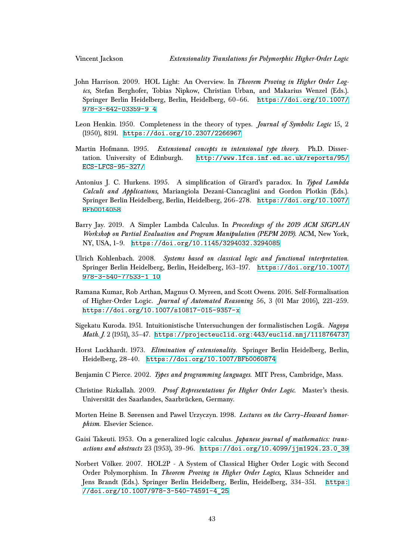- John Harrison. 2009. HOL Light: An Overview. In *Theorem Proving in Higher Order Logics*, Stefan Berghofer, Tobias Nipkow, Christian Urban, and Makarius Wenzel (Eds.). Springer Berlin Heidelberg, Berlin, Heidelberg, 60–66. https://doi.org/10.1007/ 978-3-642-03359-9\_4
- Leon Henkin. 1950. Completeness in the theory of types. *Journal of Symbolic Logic* 15, 2 (1950), 8191. https://doi.org/10.2307/2266967
- <span id="page-50-1"></span>Martin Hofmann. 1995. *Extensional concepts in intensional type theory*. Ph.D. Dissertation. University of Edinburgh. http://www.lfcs.inf.ed.ac.uk/reports/95/ ECS-LFCS-9[5-327/](https://doi.org/10.2307/2266967)
- Antonius J. C. Hurkens. 1995. A simplification of Girard's paradox. In *Typed Lambda Calculi and Applications*, Mariangiol[a Dezani-Ciancaglini and Gordon Plotkin \(Eds.\).](http://www.lfcs.inf.ed.ac.uk/reports/95/ECS-LFCS-95-327/) [Springer Berlin Heide](http://www.lfcs.inf.ed.ac.uk/reports/95/ECS-LFCS-95-327/)lberg, Berlin, Heidelberg, 266–278. https://doi.org/10.1007/ BFb0014058
- Barry Jay. 2019. A Simpler Lambda Calculus. In *Proceedings of the 2019 ACM SIGPLAN Workshop on Partial Evaluation and Program Manipulation (PEPM 2019)*[. ACM, New York,](https://doi.org/10.1007/BFb0014058) [NY, USA, 1–9](https://doi.org/10.1007/BFb0014058). https://doi.org/10.1145/3294032.3294085
- Ulrich Kohlenbach. 2008. *Systems based on classical logic and functional interpretation*. Springer Berlin Heidelberg, Berlin, Heidelberg, 163–197. https://doi.org/10.1007/ 978-3-540-77[533-1\\_10](https://doi.org/10.1145/3294032.3294085)
- Ramana Kumar, Rob Arthan, Magnus O. Myreen, and Scott Owens. 2016. Self-Formalisation of Higher-Order Logic. *Journal of Automated Reasoning* [56, 3 \(01 Mar 2016\), 221–259.](https://doi.org/10.1007/978-3-540-77533-1_10) [https://doi.org/10.10](https://doi.org/10.1007/978-3-540-77533-1_10)07/s10817-015-9357-x
- Sigekatu Kuroda. 1951. Intuitionistische Untersuchungen der formalistischen Logik. *Nagoya Math. J.* 2 (1951), 35–47. https://projecteuclid.org:443/euclid.nmj/1118764737
- Horst Luckhardt. 1973. *[Elimination of extensionality](https://doi.org/10.1007/s10817-015-9357-x)*. Springer Berlin Heidelberg, Berlin, Heidelberg, 28–40. https://doi.org/10.1007/BFb0060874
- Benjamin C Pierce. 2002. *[Types and programming languages](https://projecteuclid.org:443/euclid.nmj/1118764737)*. MIT Press, Cambridge, Mass.
- Christine Rizkallah. 2009. *[Proof Representations for Higher Order](https://doi.org/10.1007/BFb0060874) Logic*. Master's thesis. Universität des Saarlandes, Saarbrücken, Germany.
- <span id="page-50-0"></span>Morten Heine B. Sørensen and Pawel Urzyczyn. 1998. *Lectures on the Curry–Howard Isomorphism*. Elsevier Science.
- Gaisi Takeuti. 1953. On a generalized logic calculus. *Japanese journal of mathematics: transactions and abstracts* 23 (1953), 39–96. https://doi.org/10.4099/jjm1924.23.0\_39
- <span id="page-50-2"></span>Norbert Völker. 2007. HOL2P - A System of Classical Higher Order Logic with Second Order Polymorphism. In *Theorem Proving in Higher Order Logics*, Klaus Schneider and Jens Brandt (Eds.). Springer Berlin H[eidelberg, Berlin, Heidelberg, 334–351.](https://doi.org/10.4099/jjm1924.23.0_39) https: //doi.org/10.1007/978-3-540-74591-4\_25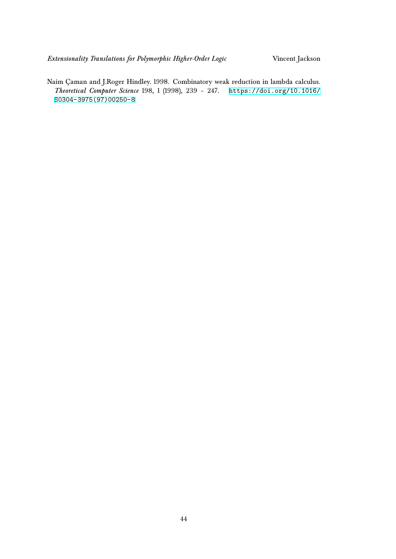Naim Çaman and J.Roger Hindley. 1998. Combinatory weak reduction in lambda calculus. *Theoretical Computer Science* 198, 1 (1998), 239 – 247. https://doi.org/10.1016/ S0304-3975(97)00250-8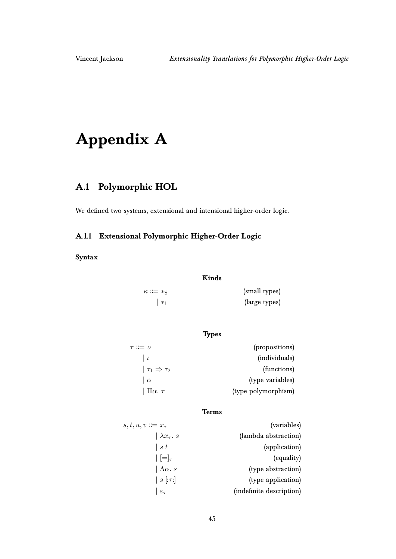# **Appendix A**

# **A.1 Polymorphic HOL**

We defined two systems, extensional and intensional higher-order logic.

# **A.1.1 Extensional Polymorphic Higher-Order Logic**

**Syntax**

**Kinds**  $\kappa ::= *_{\mathsf{S}}$  (small types) *| ∗*<sup>L</sup> (large types)

| (propositions)      | $\tau \mathrel{\mathop:}= o$ |
|---------------------|------------------------------|
| (individuals)       | $\lfloor t \rfloor$          |
| (functions)         | $ \tau_1 \Rightarrow \tau_2$ |
| (type variables)    | $\alpha$                     |
| (type polymorphism) | $\Pi\alpha$ . $\tau$         |

**Types**

# **Terms**

| (variables)              | $s, t, u, v \mathrel{\mathop:}= x_{\tau}$ |
|--------------------------|-------------------------------------------|
| (lambda abstraction)     | $\lambda x_{\tau}$ . s                    |
| (application)            | s t                                       |
| (equality)               | $\vert \vert = \vert_{\tau}$              |
| (type abstraction)       | $\vert \Lambda \alpha. s$                 |
| (type application)       | $ s :\tau:$                               |
| (indefinite description) | $ \varepsilon_{\tau} $                    |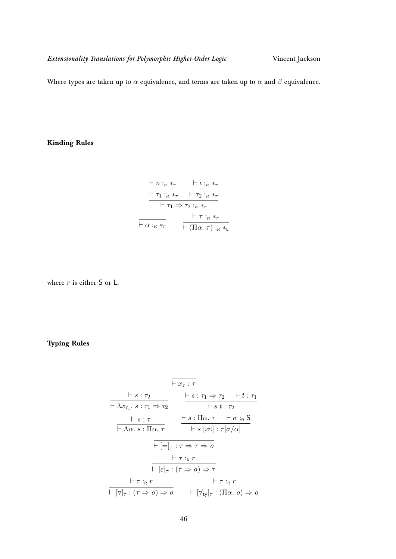Where types are taken up to  $\alpha$  equivalence, and terms are taken up to  $\alpha$  and  $\beta$  equivalence.

# **Kinding Rules**

$$
\begin{array}{ccc}\n\overline{\phantom{0}} & \overline{\phantom{0}} & \overline{\phantom{0}} & \overline{\phantom{0}} & \overline{\phantom{0}} & \overline{\phantom{0}} \\
\overline{\phantom{0}} & \overline{\phantom{0}} & \overline{\phantom{0}} & \overline{\phantom{0}} & \overline{\phantom{0}} & \overline{\phantom{0}} \\
\overline{\phantom{0}} & \phantom{0} & \overline{\phantom{0}} & \overline{\phantom{0}} & \overline{\phantom{0}} \\
\overline{\phantom{0}} & \phantom{0} & \overline{\phantom{0}} & \overline{\phantom{0}} & \overline{\phantom{0}} \\
\overline{\phantom{0}} & \phantom{0} & \overline{\phantom{0}} & \overline{\phantom{0}} \\
\overline{\phantom{0}} & \phantom{0} & \overline{\phantom{0}} & \overline{\phantom{0}} & \overline{\phantom{0}} \\
\overline{\phantom{0}} & \phantom{0} & \overline{\phantom{0}} & \overline{\phantom{0}} \\
\overline{\phantom{0}} & \phantom{0} & \overline{\phantom{0}} & \overline{\phantom{0}} \\
\overline{\phantom{0}} & \phantom{0} & \overline{\phantom{0}} & \overline{\phantom{0}} \\
\overline{\phantom{0}} & \phantom{0} & \overline{\phantom{0}} & \overline{\phantom{0}} \\
\overline{\phantom{0}} & \phantom{0} & \overline{\phantom{0}} & \overline{\phantom{0}} \\
\overline{\phantom{0}} & \phantom{0} & \overline{\phantom{0}} & \overline{\phantom{0}} \\
\overline{\phantom{0}} & \phantom{0} & \overline{\phantom{0}} & \overline{\phantom{0}} \\
\overline{\phantom{0}} & \phantom{0} & \overline{\phantom{0}} & \overline{\phantom{0}} \\
\overline{\phantom{0}} & \phantom{0} & \overline{\phantom{0}} & \overline{\phantom{0}} \\
\overline{\phantom{0}} & \phantom{0} & \overline{\phantom{0}} & \overline{\phantom{0}} \\
\overline{\phantom{0}} & \phantom{0} & \overline{\phantom{0}} & \overline{\phantom{0}} \\
\overline{\phantom{0}} & \phantom{0} & \overline{\phantom{0}} & \overline{\phantom{0}} \\
\overline{\phantom{0}} &
$$

where *r* is either S or L.

# **Typing Rules**

$$
\frac{\begin{array}{c}\n\vdash s : \tau_2 \\
\hline\n\vdash \lambda x_{\tau_1} \cdot s : \tau_1 \Rightarrow \tau_2 \\
\hline\n\vdash s : \tau_1 \Rightarrow \tau_2\n\end{array}\n\qquad\n\begin{array}{c}\n\vdash s : \tau_1 \Rightarrow \tau_2 \quad \vdash t : \tau_1 \\
\hline\n\vdash s : \tau_2\n\end{array}\n\qquad\n\begin{array}{c}\n\vdash s : \Pi \alpha \cdot \tau \quad \vdash \sigma :_{\mathsf{R}} \mathsf{S} \\
\hline\n\vdash \Lambda \alpha \cdot s : \Pi \alpha \cdot \tau\n\end{array}\n\qquad\n\begin{array}{c}\n\vdash s : \Pi \alpha \cdot \tau \quad \vdash \sigma :_{\mathsf{R}} \mathsf{S} \\
\hline\n\vdash s : \sigma : \tau [\sigma/\alpha]\n\end{array}\n\qquad\n\begin{array}{c}\n\vdash r :_{\mathsf{R}} r \\
\hline\n\vdash [\varepsilon]_{\tau} : (\tau \Rightarrow o) \Rightarrow \tau\n\end{array}\n\qquad\n\begin{array}{c}\n\vdash \tau :_{\mathsf{R}} r \\
\hline\n\vdash [\forall]_{\tau} : (\tau \Rightarrow o) \Rightarrow o\n\end{array}\n\qquad\n\begin{array}{c}\n\vdash \top :_{\mathsf{R}} r \\
\hline\n\vdash [\forall]_{\tau} : (\Pi \alpha \cdot o) \Rightarrow o\n\end{array}
$$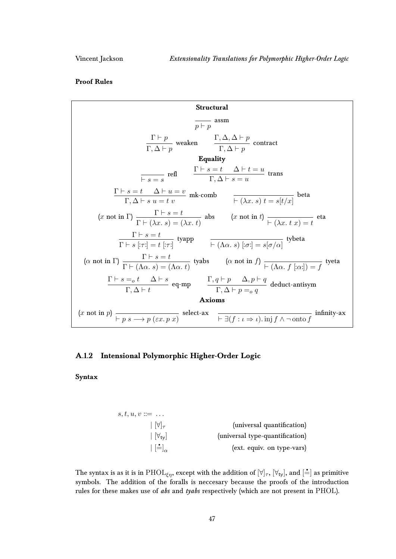# **Proof Rules**

| <b>Structural</b>                                                                                                                       |                                                                                                                                |
|-----------------------------------------------------------------------------------------------------------------------------------------|--------------------------------------------------------------------------------------------------------------------------------|
| $p \rightarrow p$ assm                                                                                                                  |                                                                                                                                |
| $\frac{\Gamma \vdash p}{\Gamma, \Delta \vdash p}$ weaken                                                                                | $\frac{\Gamma, \Delta, \Delta \vdash p}{\Gamma, \Delta \vdash p}$ contract                                                     |
| <b>Equality</b>                                                                                                                         |                                                                                                                                |
| $\frac{\Gamma}{\vdash s = s}$ refl                                                                                                      | $\frac{\Gamma \vdash s = t}{\Gamma, \Delta \vdash s = u}$ trans                                                                |
| $\frac{\Gamma \vdash s = t}{\Gamma, \Delta \vdash s u = t}$ mk-comb                                                                     | $\frac{\Gamma \vdash s = t}{\vdash (\lambda x. s) t = s[t/x]}$ beta                                                            |
| $(x \text{ not in } \Gamma)$ $\frac{\Gamma \vdash s = t}{\Gamma \vdash (\lambda x. s) = (\lambda x. t)}$ abs                            | $(x \text{ not in } t)$ $\frac{\Gamma \vdash s = t}{\vdash (\lambda x. t \cdot x) = t}$ eta                                    |
| $\frac{\Gamma \vdash s = t}{\Gamma \vdash s [\tau :] = t [\tau :]}$ tvapp                                                               | $\frac{\Gamma}{\vdash (\Lambda \alpha. s) [\sigma :]} = s[\sigma/\alpha]$ tybeta                                               |
| $(\alpha \text{ not in } \Gamma)$ $\frac{\Gamma \vdash s = t}{\Gamma \vdash (\Lambda \alpha. s) = (\Lambda \alpha. t)}$ tvabs           | $(\alpha \text{ not in } f)$ $\frac{\vdash (\Lambda \alpha. f [\alpha :) = f}{\vdash (\Lambda \alpha. f [\alpha :) = f}$ tyeta |
| $\frac{\Gamma \vdash s =_o t \quad \Delta \vdash s}{\Gamma, \Delta \vdash t}$ eq-rnp                                                    | $\frac{\Gamma, q \vdash p \quad \Delta, p \vdash q}{\Gamma, \Delta \vdash p =_o q}$ deduct-antisym                             |
| $(x \text{ not in } p)$ $\frac{\vdash p s \rightarrow p (\varepsilon x. p x)}{\vdash p s \rightarrow p (\varepsilon x. p x)}$ select-ax | <math< td=""></math<>                                                                                                          |

# **A.1.2 Intensional Polymorphic Higher-Order Logic**

**Syntax**

$$
s, t, u, v ::= ...
$$
  
\n
$$
|\nabla|_{\tau}
$$
 (universal quantification)  
\n
$$
|\nabla_{\tau}|
$$
  
\n
$$
|\nabla_{\tau}|
$$
  
\n
$$
|\nabla_{\tau}|
$$
  
\n
$$
|\nabla_{\tau}|
$$
  
\n
$$
|\nabla_{\tau}|
$$
  
\n
$$
(\text{universal type-quantification})
$$
  
\n
$$
(\text{ext. equiv. on type-vars})
$$

The syntax is as it is in  $\text{PHOL}_{\xi\eta},$  except with the addition of  $[\forall]_\tau,$   $[\forall_{\text{ty}}],$  and  $[\mathring{=}]$  as primitive symbols. The addition of the foralls is neccesary because the proofs of the introduction rules for these makes use of *abs* and *tyabs* respectively (which are not present in PHOL).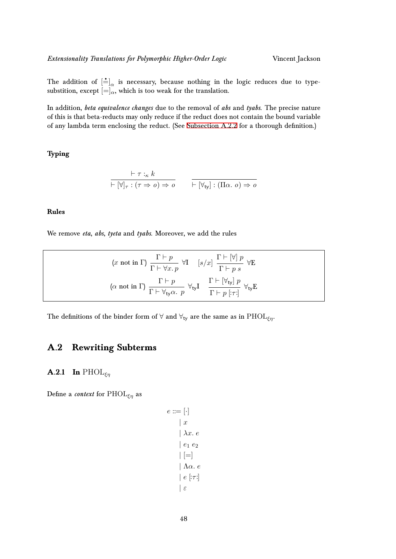The addition of  $\left[\stackrel{\bullet}{=}\right]_\alpha$  is necessary, because nothing in the logic reduces due to typesubstition, except  $[=]_{\alpha}$ , which is too weak for the translation.

In addition, *beta equivalence changes* due to the removal of *abs* and *tyabs*. The precise nature of this is that beta-reducts may only reduce if the reduct does not contain the bound variable of any lambda term enclosing the reduct. (See Subsection A.2.2 for a thorough definition.)

# **Typing**

$$
\frac{\vdash \tau :_{\kappa} k}{\vdash [\forall]_{\tau} : (\tau \Rightarrow o) \Rightarrow o} \qquad \frac{\vdash [\forall_{\mathsf{ty}}] : (\Pi \alpha. o) \Rightarrow o}{\vdash [\forall_{\mathsf{ty}}] : (\Pi \alpha. o) \Rightarrow o}
$$

#### **Rules**

We remove *eta*, *abs*, *tyeta* and *tyabs*. Moreover, we add the rules

| $(x \text{ not in } \Gamma) \frac{\Gamma \vdash p}{\Gamma \vdash \forall x. p} \forall I \quad [s/x] \frac{\Gamma \vdash [\forall] p}{\Gamma \vdash p s} \forall E$                                                              |  |
|----------------------------------------------------------------------------------------------------------------------------------------------------------------------------------------------------------------------------------|--|
| $(\alpha \text{ not in } \Gamma) \frac{\Gamma \vdash p}{\Gamma \vdash \forall_{\text{ty}} \alpha. p} \forall_{\text{ty}} I \quad \frac{\Gamma \vdash [\forall_{\text{ty}}] p}{\Gamma \vdash p \;[:\tau:]} \forall_{\text{ty}} E$ |  |

The definitions of the binder form of  $\forall$  and  $\forall_{ty}$  are the same as in  $\text{PHOL}_{\xi\eta}$ .

# **A.2 Rewriting Subterms**

# **A.2.1 In** PHOL*ξη*

Define a *context* for PHOL*ξη* as

$$
\begin{aligned}\n\therefore &= [\cdot] \\
& \mid x \\
& \mid \lambda x. e \\
& \mid e_1 e_2 \\
& \mid [\equiv] \\
& \mid \Lambda \alpha. e \\
& \mid e [\cdot \tau \cdot] \\
& \mid \varepsilon\n\end{aligned}
$$

 $e$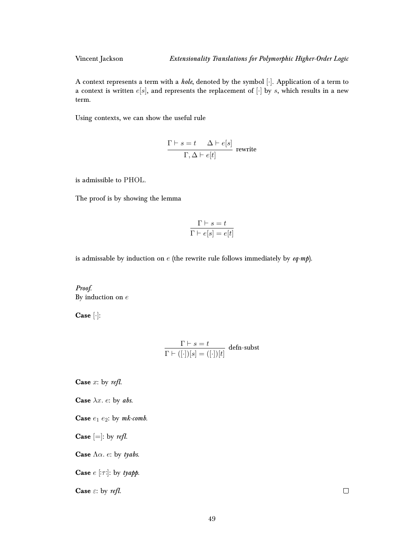A context represents a term with a *hole*, denoted by the symbol [*·*]. Application of a term to a context is written *e*[*s*], and represents the replacement of [*·*] by *s*, which results in a new term.

Using contexts, we can show the useful rule

$$
\frac{\Gamma \vdash s = t \quad \Delta \vdash e[s]}{\Gamma, \Delta \vdash e[t]} \text{ rewrite}
$$

is admissible to PHOL.

The proof is by showing the lemma

$$
\frac{\Gamma\vdash s = t}{\Gamma\vdash e[s] = e[t]}
$$

is admissable by induction on *e* (the rewrite rule follows immediately by *eq-mp*).

*Proof.* By induction on *e*

**Case** [*·*]:

$$
\frac{\Gamma \vdash s = t}{\Gamma \vdash ([\cdot])[s] = ([\cdot])[t]} \text{ defn-subst}
$$

**Case** *x*: by *refl*.

**Case**  $\lambda x$ . *e*: by *abs.* 

**Case** *e*<sup>1</sup> *e*2: by *mk-comb*.

**Case**  $[=]$ : by *refl.* 

**Case** Λ*α. e*: by *tyabs*.

**Case** *e* [:*τ* :]: by *tyapp*.

**Case** *ε*: by *refl*.

 $\Box$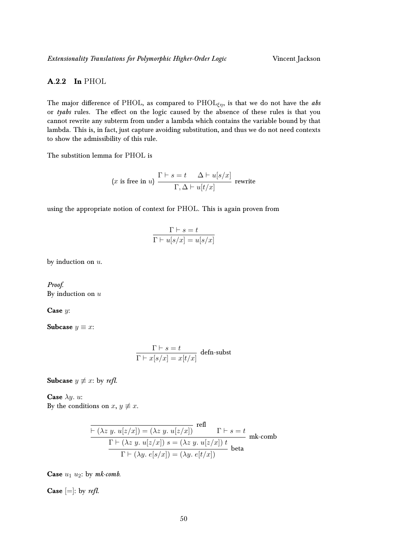# **A.2.2 In** PHOL

The major difference of PHOL, as compared to PHOL*ξη*, is that we do not have the *abs* or *tyabs* rules. The effect on the logic caused by the absence of these rules is that you cannot rewrite any subterm from under a lambda which contains the variable bound by that lambda. This is, in fact, just capture avoiding substitution, and thus we do not need contexts to show the admissibility of this rule.

The substition lemma for PHOL is

$$
(x \text{ is free in } u) \frac{\Gamma \vdash s = t \quad \Delta \vdash u[s/x]}{\Gamma, \Delta \vdash u[t/x]} \text{ rewrite}
$$

using the appropriate notion of context for PHOL. This is again proven from

$$
\frac{\Gamma \vdash s = t}{\Gamma \vdash u[s/x] = u[s/x]}
$$

by induction on *u*.

*Proof.* By induction on *u*

**Case** *y*:

**Subcase**  $y \equiv x$ :

$$
\frac{\Gamma\vdash s=t}{\Gamma\vdash x[s/x]=x[t/x]}\ \text{defn-subst}
$$

**Subcase**  $y \not\equiv x$ : by *refl.* 

**Case** *λy. u*: By the conditions on  $x, y \neq x$ .

$$
\frac{\Gamma(\lambda z \ y. u[z/x]) = (\lambda z \ y. u[z/x]) \text{refl}}{\Gamma \vdash (\lambda z \ y. u[z/x]) \ s = (\lambda z \ y. u[z/x]) \ t} \text{mk-comb}
$$
\n
$$
\frac{\Gamma \vdash (\lambda z \ y. u[z/x]) \ s = (\lambda z \ y. u[z/x]) \ t}{\Gamma \vdash (\lambda y. e[s/x]) = (\lambda y. e[t/x])} \text{beta}
$$

**Case**  $u_1$   $u_2$ : by  $mk$ -comb.

**Case**  $[=]$ : by *refl.*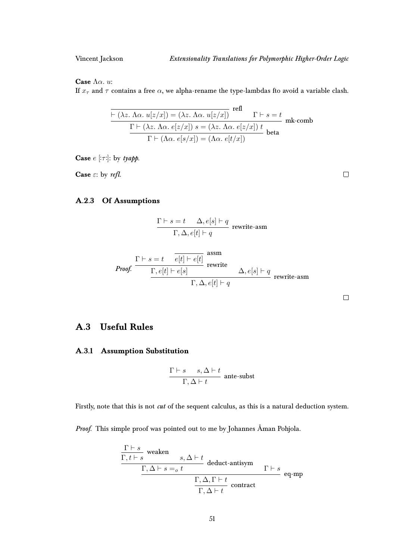# **Case** Λ*α. u*:

If  $x<sub>\tau</sub>$  and  $\tau$  contains a free  $\alpha$ , we alpha-rename the type-lambdas fto avoid a variable clash.

$$
\frac{\vdash (\lambda z.\ \Lambda \alpha.\ u[z/x]) = (\lambda z.\ \Lambda \alpha.\ u[z/x])} \quad \text{refl} \quad \Gamma \vdash s = t \quad \text{nk-comb}
$$
\n
$$
\frac{\Gamma \vdash (\lambda z.\ \Lambda \alpha.\ e[z/x]) \ s = (\lambda z.\ \Lambda \alpha.\ e[z/x]) \ t}{\Gamma \vdash (\Lambda \alpha.\ e[s/x]) = (\Lambda \alpha.\ e[t/x])} \quad \text{beta}
$$

**Case** *e* [:*τ* :]: by *tyapp*.

**Case** *ε*: by *refl*.

 $\Box$ 

# **A.2.3 Of Assumptions**

$$
\frac{\Gamma \vdash s = t \quad \Delta, e[s] \vdash q}{\Gamma, \Delta, e[t] \vdash q} \text{ rewrite-asm}
$$

*Proof.* 
$$
\frac{\Gamma \vdash s = t \quad \overline{e[t] \vdash e[t]} \quad \text{assm}}{\frac{\Gamma, e[t] \vdash e[s]}{\Gamma, \Delta, e[t] \vdash q} \quad \Delta, e[s] \vdash q} \quad \text{rewrite-asm}
$$

# **A.3 Useful Rules**

# **A.3.1 Assumption Substitution**

$$
\frac{\Gamma \vdash s \qquad s, \Delta \vdash t}{\Gamma, \Delta \vdash t}
$$
ante-subst

Firstly, note that this is not *cut* of the sequent calculus, as this is a natural deduction system.

*Proof.* This simple proof was pointed out to me by Johannes Åman Pohjola.

$$
\begin{aligned}\n\frac{\Gamma \vdash s}{\Gamma, t \vdash s} \text{ weaken} &\quad s, \Delta \vdash t \\
\frac{\Gamma, \Delta \vdash s =_o t}{\Gamma, \Delta \vdash t} &\text{deduct-antisym} \\
\frac{\Gamma, \Delta, \Gamma \vdash t}{\Gamma, \Delta \vdash t} &\text{contract} \\
\end{aligned} \quad \text{eq-np}
$$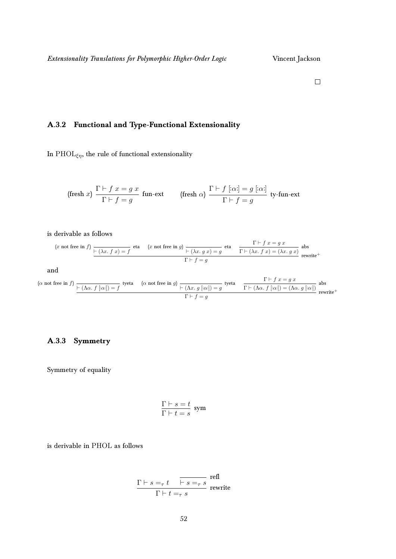$\Box$ 

# **A.3.2 Functional and Type-Functional Extensionality**

In PHOL*ξη*, the rule of functional extensionality

$$
\text{(fresh } x\text{)} \frac{\Gamma \vdash f \ x = g \ x}{\Gamma \vdash f = g} \ \text{fun-ext} \qquad \text{(fresh } \alpha\text{)} \ \frac{\Gamma \vdash f \ [:\alpha \cdot] = g \ [:\alpha \cdot]}{\Gamma \vdash f = g} \ \text{ty-fun-ext}
$$

# is derivable as follows

$$
(x \text{ not free in } f) \xrightarrow[\Gamma \text{ (}\lambda x. f x) = f]{} \text{eta} \qquad (x \text{ not free in } g) \xrightarrow[\Gamma \text{ (}\lambda x. g x) = g]{} \text{eta} \qquad \frac{\Gamma \vdash f x = g x}{\Gamma \vdash (\lambda x. f x) = (\lambda x. g x)} \text{abs} \qquad \frac{\Gamma \vdash f x = g x}{\Gamma \vdash (\lambda x. f x) = (\lambda x. g x)} \text{t} \qquad \frac{\Gamma \vdash f x = g x}{\Gamma \vdash (\lambda x. f x) = (\lambda x. g x)} \text{t} \qquad \frac{\Gamma \vdash f x = g x}{\Gamma \vdash (\lambda x. g x) = (\lambda x. g x)} \text{t} \qquad \frac{\Gamma \vdash f x = g x}{\Gamma \vdash (\lambda x. g x) = (\lambda x. g x)} \text{t} \qquad \frac{\Gamma \vdash f x = g x}{\Gamma \vdash (\lambda x. g x) = (\lambda x. g x)} \text{t} \qquad \frac{\Gamma \vdash f x = g x}{\Gamma \vdash (\lambda x. g x) = (\lambda x. g x)} \text{t} \qquad \frac{\Gamma \vdash f x = g x}{\Gamma \vdash (\lambda x. g x) = (\lambda x. g x)} \text{t} \qquad \frac{\Gamma \vdash f x = g x}{\Gamma \vdash (\lambda x. g x) = (\lambda x. g x)} \text{t} \quad \frac{\Gamma \vdash f x = g x}{\Gamma \vdash (\lambda x. g x) = (\lambda x. g x)} \text{t} \quad \frac{\Gamma \vdash f x = g x}{\Gamma \vdash (\lambda x. g x) = (\lambda x. g x)} \text{t} \quad \frac{\Gamma \vdash f x = g x}{\Gamma \vdash (\lambda x. g x) = (\lambda x. g x)} \text{t} \quad \frac{\Gamma \vdash f x = g x}{\Gamma \vdash (\lambda x. g x) = (\lambda x. g x)} \text{t} \quad \frac{\Gamma \vdash f x = g x}{\Gamma \vdash (\lambda x. g x) = (\lambda x. g x)} \text{t} \quad \frac{\Gamma \vdash f x = g x}{\Gamma \vdash (\lambda x. g x)} \text{t} \quad \frac{\Gamma \vdash f x = g x}{\Gamma \vdash (\lambda x. g x)} \text{t} \quad \frac{\Gamma \vdash f x = g x}{\Gamma \vdash (\lambda x. g x)} \text{t} \quad \frac{\Gamma \vdash f x}{\Gamma \vdash (\lambda x
$$

and

$$
(\alpha \text{ not free in } f) \frac{\Gamma \vdash f x = g x}{\Gamma \vdash (\Lambda \alpha. f [\alpha]) = f} \text{ tyeta} \quad (\alpha \text{ not free in } g) \frac{\Gamma \vdash f x = g x}{\Gamma \vdash (\Lambda \alpha. f [\alpha]) = (\Lambda \alpha. g [\alpha])} \text{ abs}
$$
\n
$$
\frac{\Gamma \vdash f x = g x}{\Gamma \vdash f = g} \text{ tyeta}
$$

# **A.3.3 Symmetry**

Symmetry of equality

$$
\frac{\Gamma \vdash s = t}{\Gamma \vdash t = s} \text{ sym}
$$

is derivable in PHOL as follows

$$
\frac{\Gamma \vdash s =_\tau t \quad \overline{\vdash s =_\tau s} \quad \text{refl}}{\Gamma \vdash t =_\tau s} \quad \text{rewrite}
$$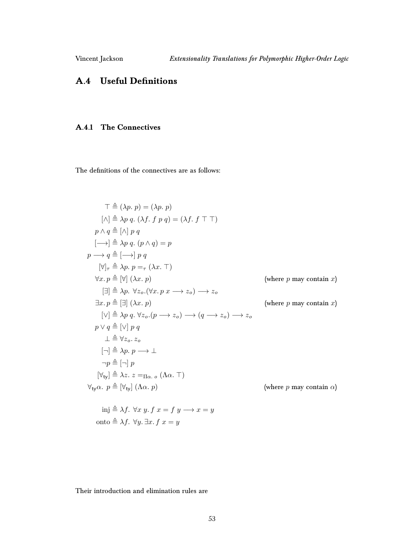# **A.4 Useful Definitions**

# **A.4.1 The Connectives**

The definitions of the connectives are as follows:

*⊤* ≜ (*λp. p*) = (*λp. p*)  $[\wedge] \triangleq \lambda p q$ .  $(\lambda f. f p q) = (\lambda f. f \top)$ *p ∧ q* ≜ [*∧*] *p q*  $[\longrightarrow] \triangleq \lambda p q$ .  $(p \wedge q) = p$ *p* → *q*  $\triangleq$   $\mapsto$  *p q* [*∀*]*<sup>τ</sup>* ≜ *λp. p* =*<sup>τ</sup>* (*λx. ⊤*)  $\forall x \cdot p \triangleq [\forall] (\lambda x \cdot p)$  (where *p* may contain *x*) [*∃*] ≜ *λp. ∀zo.*(*∀x. p x −→ zo*) *−→ z<sup>o</sup>*  $\exists x. p \triangleq [\exists] (\lambda x. p)$  (where *p* may contain *x*)  $[V] \triangleq \lambda p q. \forall z_o.(p \rightarrow z_o) \rightarrow (q \rightarrow z_o) \rightarrow z_o$ *p ∨ q* ≜ [*∨*] *p q ⊥* ≜ *∀zo. z<sup>o</sup>*  $[\neg] \triangleq \lambda p. p \longrightarrow \bot$  $\neg p \triangleq \Box p$  $[\forall_{\text{tv}}] \triangleq \lambda z. \ z = \Pi_{\alpha, \alpha} (\Lambda_{\alpha}, \top)$ *∀*<sub>tγ</sub>*α*. *p*  $\triangleq$   $[∀<sub>tv</sub>] (Λα. *p*)$  (where *p* may contain *α*) inj ≜ *λf. ∀x y. f x* = *f y −→ x* = *y* onto  $\triangleq \lambda f$ .  $\forall y$ .  $\exists x. f x = y$ 

Their introduction and elimination rules are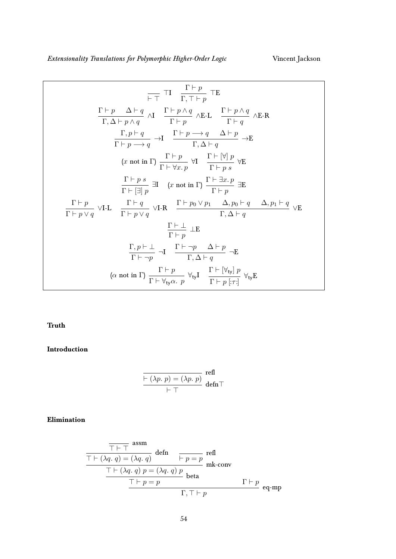$$
\frac{\Gamma + p}{\Gamma + \Gamma} \top \Gamma
$$
\n
$$
\frac{\Gamma + p}{\Gamma, \Delta + p \wedge q} \wedge \Gamma
$$
\n
$$
\frac{\Gamma + p \wedge q}{\Gamma + p} \wedge \frac{\Gamma + p \wedge q}{\Gamma + p} \wedge \frac{\Gamma + p \wedge q}{\Gamma + q} \wedge \frac{\Gamma + p \wedge q}{\Gamma + q} \wedge \frac{\Gamma + p \wedge q}{\Gamma + p} \wedge \frac{\Gamma + p \wedge q}{\Gamma, \Delta + q} \rightarrow \frac{\Gamma + p \wedge q}{\Gamma, \Delta + q} \rightarrow \frac{\Gamma + p \wedge q}{\Gamma, \Delta + q} \rightarrow \frac{\Gamma + p \wedge q}{\Gamma + p \wedge q} \forall \Gamma
$$
\n
$$
\frac{\Gamma + p \wedge q}{\Gamma + [\exists] p} \exists \Gamma \quad (x \text{ not in } \Gamma) \frac{\Gamma + \exists x. p}{\Gamma + p} \exists \frac{\Gamma}{\Gamma}
$$
\n
$$
\frac{\Gamma + p}{\Gamma + p \vee q} \vee \Gamma + R \frac{\Gamma + p \vee p \vee p_1 \wedge p_0 \vee q \wedge p_1 \wedge q}{\Gamma, \Delta + q} \vee \frac{\Gamma + \bot}{\Gamma + p} \bot \frac{\Gamma}{\Gamma + p} \bot \frac{\Gamma}{\Gamma} \bot \frac{\Gamma}{\Gamma} \bot \frac{\Gamma}{\Gamma}}{\Gamma + p \vee q} \rightarrow \frac{\Gamma + \bot}{\Gamma + p} \bot \frac{\Gamma + \neg p \wedge \Delta + p}{\Gamma, \Delta + q} \rightarrow \frac{\Gamma}{\Gamma} \bot \frac{\Gamma}{\Gamma} \rightarrow \frac{\Gamma}{\Gamma} \bot \frac{\Gamma}{\Gamma} \bot \frac{\Gamma}{\Gamma} \bot \frac{\Gamma}{\Gamma} \bot \frac{\Gamma}{\Gamma} \bot \frac{\Gamma}{\Gamma} \bot \frac{\Gamma}{\Gamma} \bot \frac{\Gamma}{\Gamma} \bot \frac{\Gamma}{\Gamma} \bot \frac{\Gamma}{\Gamma} \bot \frac{\Gamma}{\Gamma} \bot \frac{\Gamma}{\Gamma} \bot \frac{\Gamma}{\Gamma} \bot \frac{\Gamma}{\Gamma} \bot \frac{\Gamma}{\Gamma} \bot \frac{\Gamma}{\Gamma} \bot \frac{\Gamma}{\Gamma} \bot \frac{\Gamma}{\Gamma} \bot \frac{\Gamma}{\Gamma} \bot \frac{\Gamma}{\Gamma} \bot \frac{\Gamma}{\Gamma} \bot \frac{\Gamma}{\Gamma} \bot \frac{\Gamma}{\Gamma} \bot \frac{\Gamma}{\Gamma} \bot \frac
$$

**Truth**

**Introduction**

$$
\frac{\vdash (\lambda p.\ p) = (\lambda p.\ p)}{\vdash \top} \text{ defn} \top
$$

# **Elimination**

| $\overline{T \vdash T}$ <b>assm</b>                                   | $\overline{efn}$                             | $\overline{refn}$ |
|-----------------------------------------------------------------------|----------------------------------------------|-------------------|
| $\overline{T \vdash (\lambda q. q) = (\lambda q. q)}$ <b>defn</b>     | $\overline{f \vdash p = p}$ <b>refl</b>      |                   |
| $\overline{T \vdash (\lambda q. q) p = (\lambda q. q) p}$ <b>beta</b> | $\overline{T \vdash p}$ <b>refn</b>          |                   |
| $\overline{T \vdash p = p}$                                           | $\Gamma, \overline{T \vdash p}$ <b>eq-mp</b> |                   |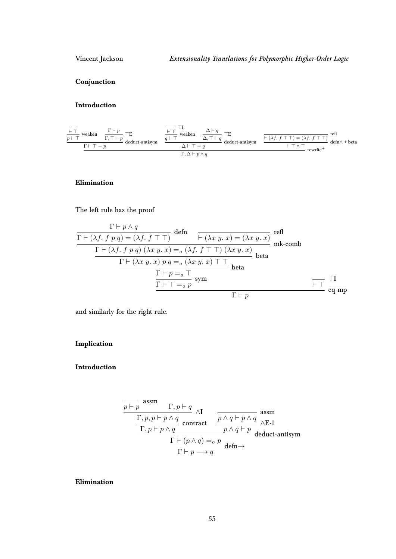## **Conjunction**

# **Introduction**



#### **Elimination**

The left rule has the proof

$$
\frac{\Gamma \vdash p \land q}{\Gamma \vdash (\lambda f. f p q) = (\lambda f. f \top \top)} \text{ defn } \boxed{\vdash (\lambda x \ y. x) = (\lambda x \ y. x)} \text{ refl}
$$
\n
$$
\frac{\Gamma \vdash (\lambda f. f p q) (\lambda x \ y. x) =_{o} (\lambda f. f \top \top) (\lambda x \ y. x)}{\Gamma \vdash (\lambda x \ y. x) p q =_{o} (\lambda x \ y. x) \top \top} \text{ beta}
$$
\n
$$
\frac{\Gamma \vdash p =_{o} \top}{\Gamma \vdash p =_{o} \top} \text{ sym } \boxed{\vdash \top}
$$
\n
$$
\frac{\Gamma \vdash p =_{o} \top}{\Gamma \vdash p} \text{ eq-mp}
$$

and similarly for the right rule.

# **Implication**

## **Introduction**

$$
\begin{array}{c|c}\n\hline\n\frac{p \vdash p \quad \text{assm}}{\Gamma, p, p \vdash p \land q} & \land I \\
\hline\n\frac{\Gamma, p, p \vdash p \land q}{\Gamma, p \vdash p \land q} & \text{contract} \quad \frac{\overline{p} \land q \vdash p \land q}{p \land q \vdash p} \text{ A} \\
\hline\n\frac{\Gamma \vdash (p \land q) =_o p}{\Gamma \vdash p \longrightarrow q} & \text{defn}\rightarrow\n\end{array}
$$

#### **Elimination**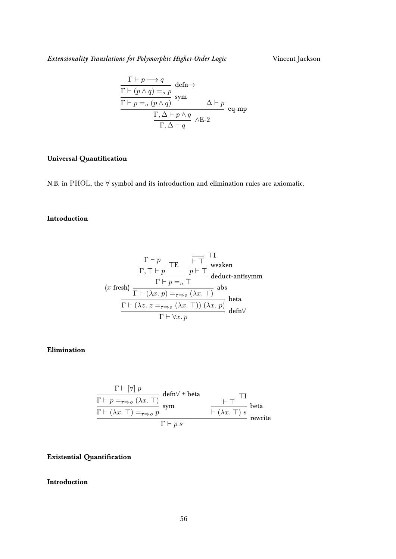$$
\frac{\Gamma \vdash p \longrightarrow q}{\Gamma \vdash (p \land q) =_o p} \text{ defn} \rightarrow
$$
\n
$$
\frac{\Gamma \vdash p =_o (p \land q)}{\Gamma \vdash p =_o (p \land q)} \text{ sym} \Delta \vdash p}
$$
\n
$$
\frac{\Gamma, \Delta \vdash p \land q}{\Gamma, \Delta \vdash q} \land E-2
$$

# **Universal Quantification**

N.B. in PHOL, the *∀* symbol and its introduction and elimination rules are axiomatic.

# **Introduction**

$$
\frac{\Gamma \vdash p}{\Gamma, \top \vdash p} \top \mathbf{E} \qquad \frac{\overline{\vdash \top}}{p \vdash \top} \text{ weaken}
$$
\n
$$
(x \text{ fresh}) \frac{\Gamma \vdash p =_o \top}{\Gamma \vdash (\lambda x. p) =_{\tau \Rightarrow o} (\lambda x. \top)} \text{ abs}
$$
\n
$$
\frac{\Gamma \vdash (\lambda z. z =_{\tau \Rightarrow o} (\lambda x. \top)) (\lambda x. p)}{\Gamma \vdash (\lambda z. z =_{\tau \Rightarrow o} (\lambda x. \top)) (\lambda x. p)} \text{ beta}
$$
\n
$$
\Gamma \vdash \forall x. p
$$

#### **Elimination**

$$
\frac{\Gamma \vdash [\forall] p}{\Gamma \vdash p =_{\tau \Rightarrow o} (\lambda x. \top)} \text{ defn}\forall + \text{beta}
$$
\n
$$
\frac{\overline{\Gamma \vdash p =_{\tau \Rightarrow o} (\lambda x. \top)}}{\Gamma \vdash (\lambda x. \top) =_{\tau \Rightarrow o} p} \text{ sym}
$$
\n
$$
\frac{\overline{\Gamma \vdash (\lambda x. \top) s}}{\Gamma \vdash p s} \text{ rewrite}
$$

# **Existential Quantification**

# **Introduction**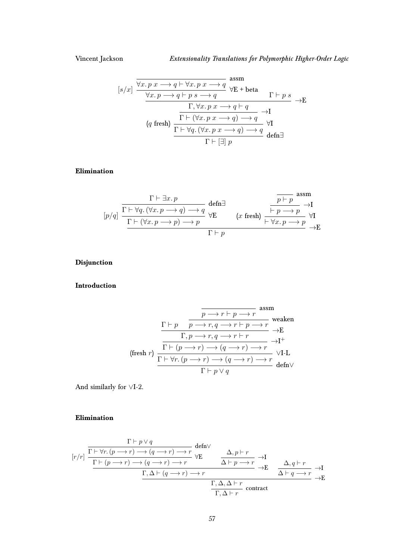$$
[s/x] \xrightarrow{\forall x. p \ x \longrightarrow q \vdash \forall x. p \ x \longrightarrow q} \forall E + \text{beta}
$$
\n
$$
\xrightarrow{\forall x. p \longrightarrow q \vdash p \ s \longrightarrow q} \forall E + \text{beta}
$$
\n
$$
\xrightarrow{\Gamma, \forall x. p \ x \longrightarrow q \vdash q} \rightarrow \text{I}
$$
\n
$$
(q \ \text{ fresh}) \ \xrightarrow{\Gamma \vdash (\forall x. p \ x \longrightarrow q) \longrightarrow q} \forall \text{I}
$$
\n
$$
\xrightarrow{\Gamma \vdash \forall q. (\forall x. p \ x \longrightarrow q) \longrightarrow q} \forall \text{I}
$$
\n
$$
\xrightarrow{\Gamma \vdash [\exists] p} p
$$

# **Elimination**

$$
[p/q] \xrightarrow{\Gamma \vdash \exists x. p \atop \Gamma \vdash (\forall x. p \longrightarrow q) \longrightarrow q} \text{defn} \exists
$$
\n
$$
[p/q] \xrightarrow{\Gamma \vdash \forall q. (\forall x. p \longrightarrow q) \longrightarrow q} \forall E \qquad (x \text{ fresh}) \xrightarrow{\overline{p \vdash p} \rightarrow p} \forall I
$$
\n
$$
\Gamma \vdash p \qquad \qquad \Gamma \vdash p
$$

# **Disjunction**

# **Introduction**

$$
\frac{\overbrace{\Gamma \vdash p \quad p \longrightarrow r, q \longrightarrow r \vdash p \longrightarrow r}^{\Gamma \vdash p \longrightarrow r} \text{weken}}{\Gamma, p \longrightarrow r, q \longrightarrow r \vdash p \longrightarrow r} \rightarrow E
$$
\n
$$
\frac{\Gamma \vdash (p \longrightarrow r) \longrightarrow (q \longrightarrow r) \longrightarrow r}{\Gamma \vdash (p \longrightarrow r) \longrightarrow (q \longrightarrow r) \longrightarrow r} \rightarrow I^{+}
$$
\n
$$
\frac{\Gamma \vdash \forall r. (p \longrightarrow r) \longrightarrow (q \longrightarrow r) \longrightarrow r}{\Gamma \vdash p \lor q} \text{ defn} \lor I^{-}
$$

And similarly for *∨*I-2.

# **Elimination**

$$
\frac{\Gamma\vdash p\lor q}{\Gamma\vdash \forall r.\,(p\longrightarrow r)\longrightarrow (q\longrightarrow r)\longrightarrow r}\;\;\text{defn}\lor\\\;\;\\ \frac{\Gamma\vdash \forall r.\,(p\longrightarrow r)\longrightarrow (q\longrightarrow r)\longrightarrow r}{\Gamma\vdash (p\longrightarrow r)\longrightarrow (q\longrightarrow r)\longrightarrow r}\;\;\;\frac{\Delta,p\vdash r}{\Delta\vdash p\longrightarrow r}\longrightarrow\text{E}}\;\;\frac{\Delta,q\vdash r}{\Delta\vdash q\longrightarrow r}\longrightarrow\text{I}
$$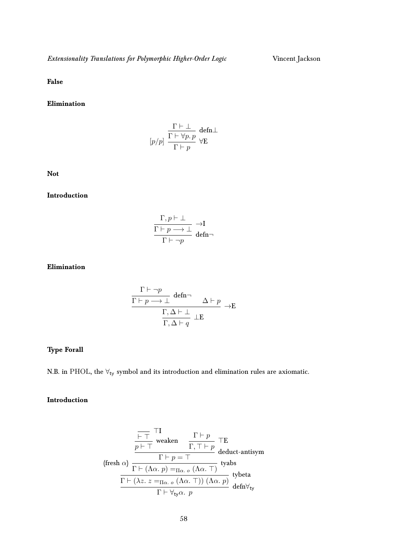# **False**

# **Elimination**

$$
\frac{\Gamma\vdash\bot}{\Gamma\vdash\forall p.\,p}\,\frac{\mathop{\rm defn}\bot}{\Gamma\vdash p}\,\,\forall\mathop{\mathrm{E}}
$$

**Not**

# **Introduction**

$$
\frac{\Gamma, p \vdash \bot}{\Gamma \vdash p \longrightarrow \bot} \rightarrow I
$$
  
 
$$
\frac{\Gamma \vdash p \longrightarrow \bot}{\Gamma \vdash \neg p}
$$
 defn
$$
\neg
$$

# **Elimination**

$$
\frac{\frac{\Gamma\vdash \neg p}{\Gamma\vdash p\longrightarrow \bot}\ \mathsf{defn}\negthinspace\negthinspace\rightharpoonup \Delta\vdash p}{\frac{\Gamma,\Delta\vdash\bot}{\Gamma,\Delta\vdash q}\ \bot\mathbf{E}}\to\mathbf{E}
$$

# **Type Forall**

N.B. in PHOL, the *∀*ty symbol and its introduction and elimination rules are axiomatic.

*⊤*I

# **Introduction**

$$
\frac{\frac{\overline{\overline{\overline{F}}\top}}{p+\overline{\overline{F}}}\text{weaken}\qquad \frac{\Gamma\vdash p}{\Gamma,\overline{\overline{F}}\vdash p}\qquad \overline{\text{TE}}}{\Gamma\vdash p=\overline{\Gamma}}}{\frac{\Gamma\vdash p=\overline{\Gamma}}{\Gamma\vdash (\Lambda\alpha.\ p)=\Pi\alpha.\ o\ (\Lambda\alpha.\ \overline{\Gamma})}\text{ tyabs}}{\frac{\Gamma\vdash (\lambda z.\ z=\Pi\alpha.\ o\ (\Lambda\alpha.\ \overline{\Gamma})\ (\Lambda\alpha.\ p)}{\Gamma\vdash (\lambda z.\ z=\Pi\alpha.\ o\ (\Lambda\alpha.\ \overline{\Gamma})\ (\Lambda\alpha.\ p)}\text{ defn}\forall_{\text{ty}}
$$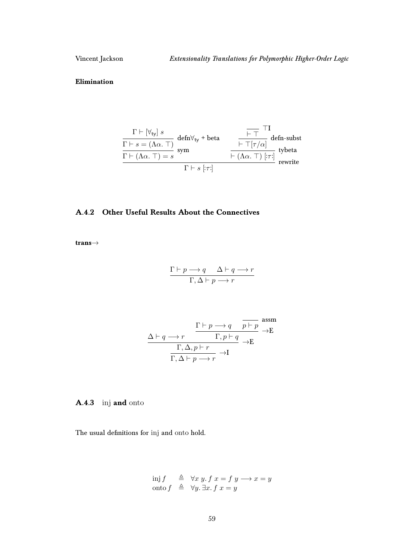# **Elimination**

$$
\frac{\Gamma \vdash [\forall_{\mathsf{ty}}] s}{\Gamma \vdash s = (\Lambda \alpha. \top) \text{ sym}} \cdot \frac{\frac{}{\vdash \top} \top I}{\frac{}{\vdash \top (\tau/\alpha]} \text{ defn-subst}}{\frac{}{\vdash \top (\Lambda \alpha. \top) \vdash s}} \text{ type that}
$$
\n
$$
\frac{\Gamma \vdash (\Lambda \alpha. \top) = s}{\Gamma \vdash s [\vdash \tau : \tau]}
$$
\n
$$
\frac{}{\Gamma \vdash s [\vdash \tau : \tau]}
$$
\n
$$
\frac{}{\Gamma \vdash s [\vdash \tau : \tau]}
$$

# **A.4.2 Other Useful Results About the Connectives**

**trans***→*

$$
\frac{\Gamma \vdash p \longrightarrow q \quad \Delta \vdash q \longrightarrow r}{\Gamma, \Delta \vdash p \longrightarrow r}
$$

$$
\frac{\Delta\vdash q\longrightarrow r\qquad\frac{\Gamma\vdash p\longrightarrow q\qquad\overline{p\vdash p}}{\Gamma, p\vdash q}\to\mathbb{E}}{\frac{\Gamma,\Delta,p\vdash r}{\Gamma,\Delta\vdash p\longrightarrow r}\to\mathbb{I}}
$$

# **A.4.3** inj **and** onto

The usual definitions for inj and onto hold.

$$
\begin{array}{rcl}\n\text{inj } f & \triangleq & \forall x \ y. \ f \ x = f \ y \longrightarrow x = y \\
\text{onto } f & \triangleq & \forall y. \ \exists x. \ f \ x = y\n\end{array}
$$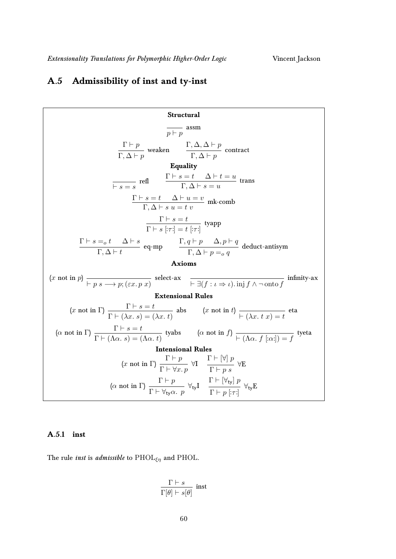# **A.5 Admissibility of inst and ty-inst**

| <b>Structural</b>                                                                                                                                                                                                    |                                                                                                   |
|----------------------------------------------------------------------------------------------------------------------------------------------------------------------------------------------------------------------|---------------------------------------------------------------------------------------------------|
| $p \mapsto p$ assm                                                                                                                                                                                                   |                                                                                                   |
| $\frac{\Gamma \vdash p}{\Gamma, \Delta \vdash p}$ weaken                                                                                                                                                             | $\frac{\Gamma, \Delta, \Delta \vdash p}{\Gamma, \Delta \vdash p}$ contract                        |
| <b>Equality</b>                                                                                                                                                                                                      | $\frac{\Gamma \vdash s = t \Delta \vdash t = u}{\Gamma, \Delta \vdash s = u}$ trans               |
| $\frac{\Gamma \vdash s = t \Delta \vdash u = v}{\Gamma, \Delta \vdash s = u}$ mk-comb                                                                                                                                |                                                                                                   |
| $\frac{\Gamma \vdash s = t}{\Gamma \vdash s [\tau]} = t [\tau \tau]$ type                                                                                                                                            |                                                                                                   |
| $\frac{\Gamma \vdash s = t}{\Gamma, \Delta \vdash t}$ type                                                                                                                                                           |                                                                                                   |
| $\frac{\Gamma \vdash s = o t \Delta \vdash s}{\Gamma, \Delta \vdash t}$ eq- $\text{mp}$                                                                                                                              | $\frac{\Gamma, q \vdash p \Delta, p \vdash q}{\Gamma, \Delta \vdash p = o q}$ deduct-antisym      |
| $(x \text{ not in } p) \xrightarrow{\Gamma} p s \longrightarrow p; (ex, p x)$ select- $\text{ax} \xrightarrow{\Gamma \exists (f : t \Rightarrow t). \text{inj } f \wedge \neg \text{onto } f}$ infinity- $\text{ax}$ |                                                                                                   |
| $(x \text{ not in } \Gamma) \xrightarrow{\Gamma \vdash s = t}$ also                                                                                                                                                  | $(x \text{ not in } t) \xrightarrow{\Gamma \vdash (\lambda x. t x) = t}$ eta                      |
| $(\alpha \text{ not in } \Gamma) \xrightarrow{\Gamma \vdash s = t}$ tyabs                                                                                                                                            | $(\alpha \text{ not in } f) \xrightarrow{\Gamma \vdash ( \Lambda \alpha. f [\alpha]} ) = f$ tyeta |
| $(\alpha \text{ not in } \Gamma) \xrightarrow{\Gamma \vdash s} f \wedge \neg \text{yibs}$                                                                                                                            | $(\alpha \text{ not in } f) \xrightarrow{\Gamma \vdash p} g \vee f$                               |
| <math< td=""></math<>                                                                                                                                                                                                |                                                                                                   |

# **A.5.1 inst**

The rule *inst* is *admissible* to PHOL*ξη* and PHOL.

$$
\frac{\Gamma \vdash s}{\Gamma[\theta] \vdash s[\theta]} \text{ inst}
$$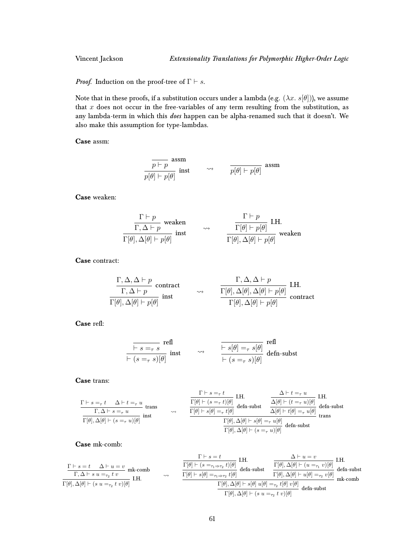*Proof.* Induction on the proof-tree of  $\Gamma \vdash s$ .

Note that in these proofs, if a substitution occurs under a lambda (e.g.  $(\lambda x. s[\theta])$ ), we assume that  $x$  does not occur in the free-variables of any term resulting from the substitution, as any lambda-term in which this *does* happen can be alpha-renamed such that it doesn't. We also make this assumption for type-lambdas.

**Case** assm:

$$
\frac{\overline{p \vdash p}}{p[\theta] \vdash p[\theta]} \text{ inst} \qquad \leadsto \qquad \frac{}{p[\theta] \vdash p[\theta]} \text{ assim}
$$

**Case** weaken:

$$
\frac{\Gamma \vdash p}{\Gamma, \Delta \vdash p} \text{ weaken} \qquad \leadsto \qquad \frac{\Gamma \vdash p}{\Gamma[\theta] \vdash p[\theta]} \text{ I.H.}
$$
\n
$$
\frac{\Gamma \vdash p}{\Gamma[\theta], \Delta[\theta] \vdash p[\theta]} \text{ u.}
$$

**Case** contract:

$$
\frac{\Gamma, \Delta, \Delta \vdash p}{\Gamma, \Delta \vdash p} \text{ contract} \qquad \leadsto \qquad \frac{\Gamma, \Delta, \Delta \vdash p}{\Gamma[\theta], \Delta[\theta] \vdash p[\theta]} \text{ Inst} \qquad \text{or} \qquad \frac{\Gamma, \Delta, \Delta \vdash p}{\Gamma[\theta], \Delta[\theta], \Delta[\theta] \vdash p[\theta]} \text{ contract}
$$

**Case** refl:

$$
\frac{\overline{\hspace{0.5cm}\vdash s =_\tau s}}{\hspace{0.5cm}\vdash (s =_\tau s)[\theta]} \text{ inst} \qquad \leadsto \qquad \frac{\overline{\hspace{0.5cm}\vdash s[\theta] =_\tau s[\theta]}}{\hspace{0.5cm}\vdash (s =_\tau s)[\theta]} \text{ defn-subst}
$$

**Case** trans:

$$
\begin{array}{ccc}\n\Gamma \vdash s =_\tau t & \Delta \vdash t =_\tau u \\
\hline\n\Gamma \vdash s =_\tau t & \Delta \vdash t =_\tau u \\
\hline\n\Gamma \vdash s =_\tau u & \Gamma \uparrow \theta \vdash (s =_\tau t)[\theta] & \text{I.H.} \\
\hline\n\Gamma \vdash s =_\tau t & \Delta \vdash t =_\tau u \\
\hline\n\Gamma \vdash (s =_\tau t)[\theta] & \text{defn-subst} & \Delta \uparrow \vdash (t =_\tau u)[\theta] & \text{defn-subst} \\
\hline\n\Gamma \vdash (s =_\tau t)[\theta] & \text{defn-subst} & \Delta \uparrow \theta \vdash t[\theta] =_\tau u[\theta] & \text{defn-subst} \\
\hline\n\Gamma \vdash (s =_\tau u)[\theta] & \text{defn-subst} & \Gamma \vdash (s =_\tau u)[\theta] & \text{defn-subst} \\
\hline\n\Gamma \vdash (s =_\tau u)[\theta] & \text{defn-subst} & \Gamma \vdash (s =_\tau u)[\theta] & \text{defn-subst} \\
\hline\n\Gamma \vdash (s =_\tau u)[\theta] & \text{defn-subst} & \Gamma \vdash (s =_\tau u)[\theta] & \text{defn-subst} \\
\hline\n\Gamma \vdash (s =_\tau u)[\theta] & \text{defn-subst} & \Gamma \vdash (s =_\tau u)[\theta] & \text{defn-subst} \\
\hline\n\Gamma \vdash (s =_\tau u)[\theta] & \text{defn-subst} & \Gamma \vdash (s =_\tau u)[\theta] & \text{defn-subst} \\
\hline\n\Gamma \vdash (s =_\tau u)[\theta] & \text{defn-subst} & \Gamma \vdash (s =_\tau u)[\theta] & \text{defn-subst} \\
\hline\n\Gamma \vdash (s =_\tau u)[\theta] & \text{defn-subst} & \Gamma \vdash (s =_\tau u)[\theta] & \text{defn-subst} \\
\hline\n\Gamma \vdash (s =_\tau u)[\theta] & \text{defn-subst} & \Gamma \vdash (s =_\tau u)[\theta] & \text{defn-subst} \\
\hline\n\Gamma \vdash (s =_\tau u
$$

**Case** mk-comb:

$$
\frac{\Gamma \vdash s = t \quad \Delta \vdash u = v}{\Gamma, \Delta \vdash s \; u =_{\tau_2} t \; v} \quad \text{mk-comb} \qquad \qquad \frac{\Gamma \vdash s = t}{\Gamma[\theta] \vdash (s =_{\tau_1 \Rightarrow \tau_2} t)[\theta]} \quad \text{I.H.} \qquad \frac{\Delta \vdash u = v}{\Gamma[\theta], \Delta[\theta] \vdash (u =_{\tau_1} v)[\theta]} \quad \text{I.H.} \qquad \frac{\Gamma \vdash s = t}{\Gamma[\theta], \Delta[\theta] \vdash (u =_{\tau_1} v)[\theta]} \quad \text{I.H.} \qquad \frac{\Gamma[\theta], \Delta[\theta] \vdash (u =_{\tau_1} v)[\theta]}{\Gamma[\theta], \Delta[\theta] \vdash s[\theta] \; u[\theta] =_{\tau_2} t[\theta] \; v[\theta]} \quad \text{defn-subst} \quad \frac{\Gamma[\theta], \Delta[\theta] \vdash u[\theta] =_{\tau_2} v[\theta]}{\Gamma[\theta], \Delta[\theta] \vdash (s \; u =_{\tau_2} t \; v)[\theta]} \quad \text{mk-comb} \qquad \frac{\Gamma[\theta], \Delta[\theta] \vdash s[\theta] \; u[\theta] =_{\tau_2} t[\theta] \; v[\theta]}{\Gamma[\theta], \Delta[\theta] \vdash (s \; u =_{\tau_2} t \; v)[\theta]} \quad \text{dk-comb}
$$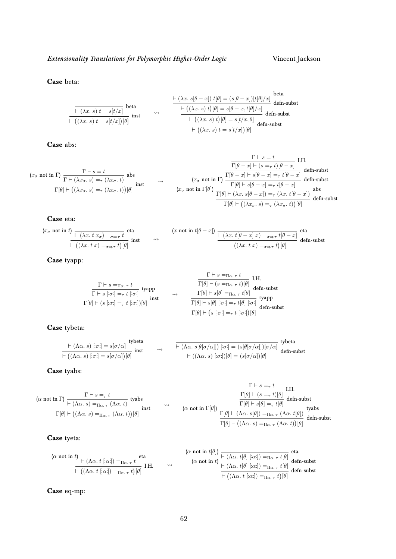## **Case** beta:

$$
\frac{\overline{\vdash (\lambda x. s) t = s[t/x]}}{\overline{\vdash (\lambda x. s) t = s[t/x]}} \text{ beta} \qquad \qquad \overline{\qquad \qquad } \frac{\overline{\vdash (\lambda x. s[\theta - x]) t[\theta] = (s[\theta - x])[t[\theta]/x]} \text{ beta}}{\overline{\vdash ((\lambda x. s) t)[\theta] = s[\theta - x, t[\theta]/x]} \text{ defn-subst}}}{\overline{\vdash ((\lambda x. s) t)[\theta] = s[t/x, \theta]} \text{ defn-subst}} \qquad \overline{\qquad \qquad } \frac{\overline{\vdash (\lambda x. s[\theta - x]) t[\theta] = (s[\theta - x][t[\theta]/x]} \text{ defn-subst}}{\overline{\vdash ((\lambda x. s) t = s[t/x])[\theta]}} \text{ defn-subst}}
$$

**Case** abs:

$$
(x_{\sigma} \text{ not in } \Gamma) \frac{\Gamma \vdash s = t}{\Gamma \vdash (\lambda x_{\sigma}. s) = \tau (\lambda x_{\sigma}. t)} \text{ abs}
$$
\n
$$
\frac{\Gamma \vdash s = t}{\Gamma[\theta] \vdash ((\lambda x_{\sigma}. s) = \tau (\lambda x_{\sigma}. t))[\theta]} \text{ inst}
$$
\n
$$
(x_{\sigma} \text{ not in } \Gamma) \frac{\Gamma[\theta - x] \vdash (s = \tau t)[\theta - x]}{\Gamma[\theta] \vdash s[\theta - x] = \tau t[\theta - x]} \text{ defn-subst}
$$
\n
$$
(x_{\sigma} \text{ not in } \Gamma[\theta]) \frac{\Gamma[\theta + s[\theta - x] = \tau t[\theta - x]}{\Gamma[\theta] \vdash (\lambda x. s[\theta - x]) = \tau (\lambda x. t[\theta - x])} \text{ abs}
$$
\n
$$
\frac{\Gamma[\theta] \vdash ((\lambda x_{\sigma}. s) = \tau (\lambda x. t[\theta - x])}{\Gamma[\theta] \vdash ((\lambda x_{\sigma}. s) = \tau (\lambda x_{\sigma}. t))[\theta]} \text{ defn-subst}
$$

### **Case** eta:

(*x<sup>σ</sup>* not in *t*) eta *⊢* (*λx. t xσ*) =*<sup>σ</sup>⇒<sup>τ</sup> t* inst *⊢* ( (*λx. t x*) =*<sup>σ</sup>⇒<sup>τ</sup> t* ) [*θ*] ⇝ (*x* not in *t*[*θ − x*]) eta *⊢* (*λx. t*[*θ − x*] *x*) =*<sup>σ</sup>⇒<sup>τ</sup> t*[*θ − x*] defn-subst *⊢* ( (*λx. t x*) =*<sup>σ</sup>⇒<sup>τ</sup> t* ) [*θ*]

# **Case** tyapp:

$$
\frac{\Gamma \vdash s =_{\Pi\alpha.\ \tau} t}{\Gamma \vdash s \; [ \sigma ] =_{\tau} t \; [ \sigma ]} \text{typ} \qquad \qquad \frac{\Gamma \vdash s =_{\Pi\alpha.\ \tau} t}{\Gamma[\theta] \vdash (s =_{\Pi\alpha.\ \tau} t)[\theta]} \text{ left-subst}
$$
\n
$$
\frac{\Gamma \vdash s =_{\Pi\alpha.\ \tau} t}{\Gamma[\theta] \vdash s[\theta] =_{\Pi\alpha.\ \tau} t[\theta]} \text{ define-subst}
$$
\n
$$
\frac{\Gamma[\theta] \vdash (s =_{\Pi\alpha.\ \tau} t)[\theta]}{\Gamma[\theta] \vdash s[\theta] \; [ \sigma ] =_{\tau} t[\theta] \; [ \sigma ]}} \text{ then-subst}
$$
\n
$$
\frac{\Gamma \vdash s =_{\Pi\alpha.\ \tau} t}{\Gamma[\theta] \vdash (s[\theta] \; [ \sigma ] =_{\tau} t[\theta] \; [ \sigma ]}} \text{ then-subst}
$$

# **Case** tybeta:

$$
\frac{\overline{\vdash (\Lambda \alpha.s) [\cdot \sigma]} = s[\sigma/\alpha]}{\vdash ((\Lambda \alpha.s) [\cdot \sigma] = s[\sigma/\alpha]) [\theta]} \text{ inst} \qquad \rightsquigarrow \qquad \frac{\overline{\vdash (\Lambda \alpha.s[\theta[\sigma/\alpha]]) [\cdot \sigma]} = (s[\theta[\sigma/\alpha]])[\sigma/\alpha]}{\vdash ((\Lambda \alpha.s) [\cdot \sigma!])[\theta] = (s[\sigma/\alpha])[\theta]} \text{ defn-subst}
$$

**Case** tyabs:

$$
(\alpha \text{ not in } \Gamma) \frac{\Gamma \vdash s =_\tau t}{\Gamma[\theta] \vdash (\Lambda \alpha. s) =_{\Pi \alpha. \tau} (\Lambda \alpha. t)} \text{ tyabs}
$$
\n
$$
\frac{\Gamma \vdash s =_\tau t}{\Gamma[\theta] \vdash (s =_\tau t)[\theta]} \text{ L.H.}
$$
\n
$$
\alpha \text{ not in } \Gamma[\theta] \text{ in } \Gamma[\theta] \text{ in } \Gamma[\theta] \text{ in } \Gamma[\theta] \text{ in } \Gamma[\theta] \text{ in } \Gamma[\theta] \text{ in } \Gamma[\theta] \text{ in } \Gamma[\theta] \text{ in } \Gamma[\theta] \text{ in } \Gamma[\theta] \text{ in } \Gamma[\theta] \text{ in } \Gamma[\theta] \text{ in } \Gamma[\theta] \text{ in } \Gamma[\theta] \text{ in } \Gamma[\theta] \text{ in } \Gamma[\theta] \text{ in } \Gamma[\theta] \text{ in } \Gamma[\theta] \text{ in } \Gamma[\theta] \text{ in } \Gamma[\theta] \text{ in } \Gamma[\theta] \text{ in } \Gamma[\theta] \text{ in } \Gamma[\theta] \text{ in } \Gamma[\theta] \text{ in } \Gamma[\theta] \text{ in } \Gamma[\theta] \text{ in } \Gamma[\theta] \text{ in } \Gamma[\theta] \text{ in } \Gamma[\theta] \text{ in } \Gamma[\theta] \text{ in } \Gamma[\theta] \text{ in } \Gamma[\theta] \text{ in } \Gamma[\theta] \text{ in } \Gamma[\theta] \text{ in } \Gamma[\theta] \text{ in } \Gamma[\theta] \text{ in } \Gamma[\theta] \text{ in } \Gamma[\theta] \text{ in } \Gamma[\theta] \text{ in } \Gamma[\theta] \text{ in } \Gamma[\theta] \text{ in } \Gamma[\theta] \text{ in } \Gamma[\theta] \text{ in } \Gamma[\theta] \text{ in } \Gamma[\theta] \text{ in } \Gamma[\theta] \text{ in } \Gamma[\theta] \text{ in } \Gamma[\theta] \text{ in } \Gamma[\theta] \text{ in } \Gamma[\theta] \text{ in } \Gamma[\theta] \text{ in } \Gamma[\theta] \text{ in } \Gamma[\theta] \text{ in } \Gamma[\theta] \text{ in } \Gamma[\theta] \text{ in } \Gamma[\theta] \text{ in } \Gamma[\theta] \text{ in } \Gamma[\theta] \text{ in } \Gamma[\theta] \text{ in } \Gamma[\theta] \text{ in } \Gamma[\theta] \text{ in } \Gamma[\theta] \text{ in } \Gamma[\theta] \text{ in } \Gamma[\theta]
$$

# **Case** tyeta:

$$
\begin{array}{ll}\n(\alpha \text{ not in } t) \over \vdash (\Lambda \alpha. t [\alpha]) = \Pi \alpha. \tau t} & \text{eta} & \text{d} \alpha \text{ not in } t[\theta] & \text{d} \alpha. t[\alpha] & \text{d} \alpha \text{ not in } t \\
 & \over \vdash ((\Lambda \alpha. t [\alpha]) = \Pi \alpha. \tau t)[\theta] & \text{I.H.} & \text{d} \alpha \text{ not in } t\n\end{array}
$$
\n
$$
\begin{array}{ll}\n(\alpha \text{ not in } t[\theta]) & \overline{\vdash (\Lambda \alpha. t[\theta][\alpha]) = \Pi \alpha. \tau t[\theta]} & \text{eta-subst} \\
 & \overline{\vdash (\Lambda \alpha. t[\theta][\alpha]) = \Pi \alpha. \tau t[\theta]} & \text{defn-subst} \\
 & \overline{\vdash ((\Lambda \alpha. t [\alpha]) = \Pi \alpha. \tau t)[\theta]} & \text{defn-subst}\n\end{array}
$$

**Case** eq-mp: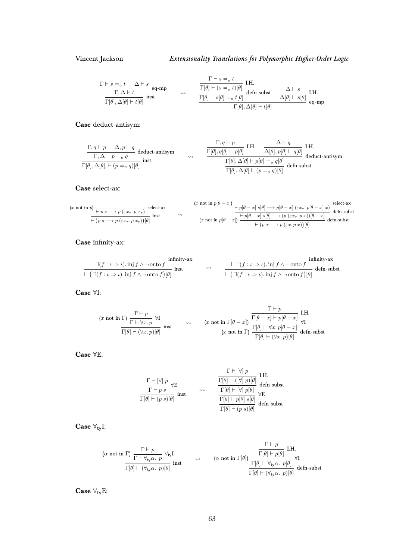$$
\begin{array}{ccc}\Gamma\vdash s=_o t&\Delta\vdash s\\ \hline &\Gamma,\Delta\vdash t\\ \hline \Gamma[\theta],\Delta[\theta]\vdash t[\theta] &\text{inst}\end{array}\qquad\sim\qquad\frac{\Gamma\vdash s=_o t}{\Gamma[\theta]\vdash (s=_o t)[\theta]}\text{ I.H.}\\ \begin{array}{ccc}\text{I.H.}\\ \hline &\Gamma[\theta]\vdash s[\theta]=_o t[\theta] &\text{defn-subst}&\Delta\vdash s\\ \hline &\Gamma[\theta],\Delta[\theta]\vdash t[\theta] &\text{eq-mp}\\ \end{array}
$$

# **Case** deduct-antisym:

$$
\frac{\Gamma, q \vdash p \quad \Delta, p \vdash q}{\Gamma, \Delta \vdash p =_o q} \text{ deduct-antisym} \qquad \longrightarrow \qquad \frac{\Gamma, q \vdash p}{\Gamma[\theta], q[\theta] \vdash p[\theta]} \text{ I.H.} \qquad \frac{\Delta \vdash q}{\Delta[\theta], p[\theta] \vdash q[\theta]} \text{ I.H.}
$$
\n
$$
\frac{\Gamma, q \vdash p}{\Gamma[\theta], \Delta[\theta] \vdash p[\theta] =_o q[\theta]} \text{ I.H.} \qquad \frac{\Delta \vdash q}{\Delta[\theta], p[\theta] \vdash q[\theta]} \text{ I.H.}
$$
\n
$$
\frac{\Gamma[\theta], \Delta[\theta] \vdash p[\theta] =_o q[\theta]}{\Gamma[\theta], \Delta[\theta] \vdash p[\theta] =_o q[\theta]} \text{ defn-subst}
$$

#### **Case** select-ax:

$$
(x \text{ not in } p) \xrightarrow[\text{p } s \longrightarrow p \ (\varepsilon x_{\tau} \cdot p \ x_{\tau}) \text{ }]} \text{ select-ax}
$$
\n
$$
(x \text{ not in } p[\theta - x]) \xrightarrow[\text{p } p[\theta - x] \ s[\theta] \longrightarrow p[\theta - x] \ (\varepsilon x_{\tau} \cdot p[\theta - x] \ x_{\tau} \text{ }]} \text{ select-ax}
$$
\n
$$
(x \text{ not in } p[\theta - x]) \xrightarrow[\text{p } p[\theta - x] \ s[\theta] \longrightarrow (p \ (\varepsilon x_{\tau} \cdot p \ x_{\tau}) \text{ }]} \text{ defn-subst}
$$
\n
$$
(x \text{ not in } p[\theta - x]) \xrightarrow[\text{p } p[\theta - x] \ s[\theta] \longrightarrow (p \ (\varepsilon x_{\tau} \cdot p \ x_{\tau}) \text{ }]} \text{ defn-subst}
$$
\n
$$
(x \text{ not in } p[\theta - x]) \xrightarrow[\text{p } p[\theta - x] \ s[\theta] \longrightarrow (p \ (\varepsilon x_{\tau} \cdot p \ x_{\tau}) \text{ }]} \text{ defn-subst}
$$

# **Case** infinity-ax:

$$
\dfrac{\dfrac{\dfrac{\dfrac{\partial f}{\partial t}(f\colon t\Rightarrow \iota).\inf f\wedge\lnot\text{onto}\,f}{\dfrac{\partial f}{\partial t}(f\colon \iota\Rightarrow \iota). \inf f\wedge\lnot\text{onto}\,f}}{\dfrac{\dfrac{\partial f}{\partial t}(f\colon \iota\Rightarrow \iota). \inf f\wedge\lnot\text{onto}\,f}{\dfrac{\partial f}{\partial t}(f\colon \iota\Rightarrow \iota). \inf f\wedge\lnot\text{onto}\,f)[\theta]}}{\dfrac{\dfrac{\partial f}{\partial t}(f\colon \iota\Rightarrow \iota). \inf f\wedge\lnot\text{onto}\,f}{\dfrac{\partial f}{\partial t}(f\colon \iota\Rightarrow \iota). \inf f\wedge\lnot\text{onto}\,f}[0]}
$$

**Case** *∀*I:

$$
(x \text{ not in } \Gamma) \frac{\Gamma \vdash p}{\Gamma \vdash \forall x. p} \forall I
$$
\n
$$
\overline{\Gamma[\theta] \vdash (\forall x. p)[\theta]} \text{ inst}
$$
\n
$$
(x \text{ not in } \Gamma[\theta - x]) \frac{\Gamma[\theta - x] \vdash p[\theta - x]}{\Gamma[\theta] \vdash \forall x. p[\theta - x]} \forall I
$$
\n
$$
(x \text{ not in } \Gamma) \frac{\Gamma[\theta] \vdash \forall x. p[\theta - x]}{\Gamma[\theta] \vdash (\forall x. p)[\theta]} \text{ defn-subst}
$$

**Case** *∀*E:

$$
\begin{array}{ccc}\n\Gamma \vdash [\forall] \ p \\
\hline\n\Gamma \vdash p \ s \\
\hline\n\Gamma[\theta] \vdash (p \ s)[\theta]\n\end{array}\n\quad \text{inst}\n\quad\n\begin{array}{ccc}\n\Gamma \vdash [\forall] \ p \\
\hline\n\Gamma[\theta] \vdash ([\forall] \ p)[\theta] \\
\hline\n\Gamma[\theta] \vdash [\forall] \ p[\theta] \\
\hline\n\Gamma[\theta] \vdash p[\theta] \ s[\theta]\n\end{array}\n\quad\n\begin{array}{ccc}\n\text{I.H.} \\
\hline\n\text{defn-subst} \\
\hline\n\Gamma[\theta] \vdash p[\theta] \ s[\theta] \\
\hline\n\Gamma[\theta] \vdash (p \ s)[\theta]\n\end{array}\n\quad\n\begin{array}{ccc}\n\text{I.H.} \\
\hline\n\end{array}
$$

**Case** *∀*tyI:

$$
\begin{array}{ccc} (\alpha\; \text{not}\; \text{in}\; \Gamma)\; \dfrac{\Gamma\vdash p}{\Gamma\vdash \forall_{\text{ty}}\alpha.\; p}\; \forall_{\text{ty}}\text{I}\\ \phantom{\overline{\Gamma\left[\beta\right]\vdash (\forall_{\text{ty}}\alpha.\; p)[\theta]}}\text{inst} & \rightsquigarrow & \left(\alpha\; \text{not}\; \text{in}\; \Gamma[\theta]\right)\; \dfrac{\overline{\Gamma\vdash p}}{\Gamma[\theta]\vdash \forall_{\text{ty}}\alpha.\; p[\theta]}\; \forall \text{I}\\ \phantom{\overline{\Gamma\left[\beta\right]\vdash (\forall_{\text{ty}}\alpha.\; p)[\theta]}}\text{defn-subst} & \phantom{\overline{\Gamma\left[\beta\right]\vdash (\forall_{\text{ty}}\alpha.\; p)[\theta]}}\text{str} \end{array}
$$

**Case** *∀*tyE: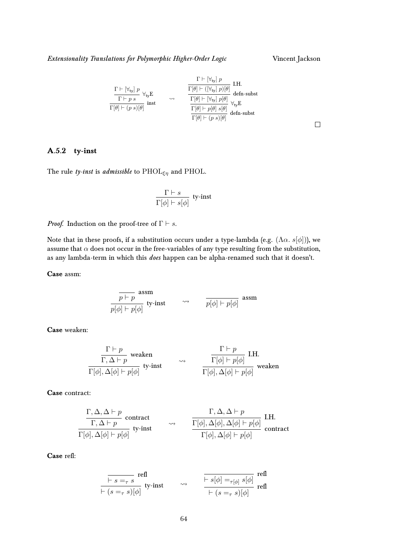$\Box$ 

$$
\begin{array}{ccc}\n\Gamma \vdash [\forall_{\mathsf{ty}}]\ p \\
\hline\n\Gamma \vdash p\ s \\
\hline\n\Gamma[\theta] \vdash (p\ s)[\theta]\n\end{array}\n\quad \rightsquigarrow\n\qquad\n\begin{array}{ccc}\n\Gamma \vdash [\forall_{\mathsf{ty}}]\ p \\
\hline\n\Gamma[\theta] \vdash ([\forall_{\mathsf{ty}}]\ p)[\theta] \\
\hline\n\Gamma[\theta] \vdash [\forall_{\mathsf{ty}}]\ p[\theta] \\
\hline\n\Gamma[\theta] \vdash p[\theta]\ s[\theta] \\
\hline\n\Gamma[\theta] \vdash (p\ s)[\theta] \\
\hline\n\Gamma[\theta] \vdash (p\ s)[\theta]\n\end{array}\n\quad \text{Left-subst}
$$

**A.5.2 ty-inst**

The rule *ty-inst* is *admissible* to PHOL*ξη* and PHOL.

$$
\frac{\Gamma \vdash s}{\Gamma[\phi] \vdash s[\phi]} \text{ ty-inst}
$$

*Proof.* Induction on the proof-tree of  $\Gamma \vdash s$ .

Note that in these proofs, if a substitution occurs under a type-lambda (e.g.  $(\Lambda \alpha. s[\phi]),$  we assume that  $\alpha$  does not occur in the free-variables of any type resulting from the substitution, as any lambda-term in which this *does* happen can be alpha-renamed such that it doesn't.

**Case** assm:

$$
\frac{\overline{p \vdash p}}{p[\phi] \vdash p[\phi]} \text{ ty-inst} \qquad \leadsto \qquad \frac{}{p[\phi] \vdash p[\phi]} \text{ assm}
$$

**Case** weaken:

$$
\frac{\Gamma \vdash p}{\Gamma, \Delta \vdash p} \text{ weaken} \qquad \leadsto \qquad \frac{\Gamma \vdash p}{\Gamma[\phi], \Delta[\phi] \vdash p[\phi]} \text{ I.H.}
$$
\n
$$
\downarrow \qquad \qquad \downarrow \qquad \qquad \frac{\Gamma \vdash p}{\Gamma[\phi], \Delta[\phi] \vdash p[\phi]} \text{ U.H.}
$$
\n
$$
\downarrow \qquad \qquad \downarrow \qquad \qquad \downarrow \qquad \qquad \downarrow \qquad \qquad \downarrow \qquad \downarrow \qquad \downarrow \qquad \downarrow \qquad \downarrow \qquad \downarrow \qquad \downarrow \qquad \downarrow \qquad \downarrow \qquad \downarrow \qquad \downarrow \qquad \downarrow \qquad \downarrow \qquad \downarrow \qquad \downarrow \qquad \downarrow \qquad \downarrow \qquad \downarrow \qquad \downarrow \qquad \downarrow \qquad \downarrow \qquad \downarrow \qquad \downarrow \qquad \downarrow \qquad \downarrow \qquad \downarrow \qquad \downarrow \qquad \downarrow \qquad \downarrow \qquad \downarrow \qquad \downarrow \qquad \downarrow \qquad \downarrow \qquad \downarrow \qquad \downarrow \qquad \downarrow \qquad \downarrow \qquad \downarrow \qquad \downarrow \qquad \downarrow \qquad \downarrow \qquad \downarrow \qquad \downarrow \qquad \downarrow \qquad \downarrow \qquad \downarrow \qquad \downarrow \qquad \downarrow \qquad \downarrow \qquad \downarrow \qquad \downarrow \qquad \downarrow \qquad \downarrow \qquad \downarrow \qquad \downarrow \qquad \downarrow \qquad \downarrow \qquad \downarrow \qquad \downarrow \qquad \downarrow \qquad \downarrow \qquad \downarrow \qquad \downarrow \qquad \downarrow \qquad \downarrow \qquad \downarrow \qquad \downarrow \qquad \downarrow \qquad \downarrow \qquad \downarrow \qquad \downarrow \qquad \downarrow \qquad \downarrow \qquad \downarrow \qquad \downarrow \qquad \downarrow \qquad \downarrow \qquad \downarrow \qquad \downarrow \qquad \downarrow \qquad \downarrow \qquad \downarrow \qquad \downarrow \qquad \downarrow \qquad \downarrow \qquad \downarrow \qquad \downarrow \qquad \downarrow \qquad \downarrow \qquad \downarrow \qquad \downarrow \qquad \downarrow \qquad \downarrow \qquad \downarrow \qquad \downarrow \qquad \downarrow \qquad \downarrow \qquad \downarrow \qquad \down
$$

**Case** contract:

$$
\frac{\Gamma, \Delta, \Delta \vdash p}{\Gamma, \Delta \vdash p} \text{ contract} \qquad \leadsto \qquad \frac{\Gamma, \Delta, \Delta \vdash p}{\Gamma[\phi], \Delta[\phi] \vdash p[\phi]} \text{ L.H.}
$$
\n
$$
\frac{\Gamma, \Delta, \Delta \vdash p}{\Gamma[\phi], \Delta[\phi], \Delta[\phi] \vdash p[\phi]} \text{ L.H.}
$$
\n
$$
\frac{\Gamma, \Delta, \Delta \vdash p}{\Gamma[\phi], \Delta[\phi] \vdash p[\phi]} \text{ contract}
$$

**Case** refl:

$$
\frac{\overline{\phantom{F}}\vdash s =_r s}{\overline{\phantom{F}}\vdash (s =_r s)[\phi]} \text{ty-inst} \qquad \leadsto \qquad \frac{\overline{\phantom{F}}\vdash s[\phi] =_{\tau[\phi]} s[\phi]}{\overline{\phantom{F}}\vdash (s =_r s)[\phi]} \text{refl}
$$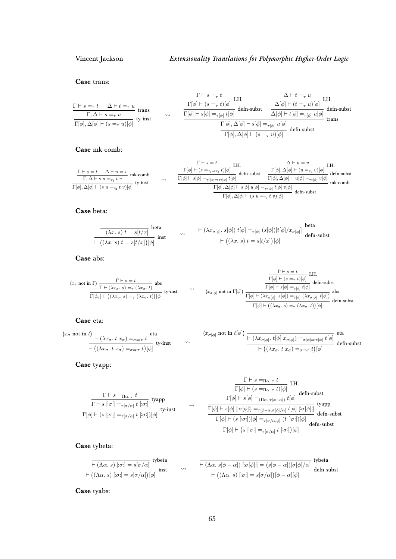#### **Case** trans:

$$
\frac{\Gamma \vdash s =_\tau t \quad \Delta \vdash t =_\tau u}{\Gamma \Delta \vdash s =_\tau u} \text{ trans } \qquad \qquad \frac{\Gamma \vdash s =_\tau t}{\Gamma[\phi] \vdash (s =_\tau t)[\phi]} \text{ L.H. } \frac{\Delta \vdash t =_\tau u}{\Delta[\phi] \vdash (t =_\tau u)[\phi]} \text{ L.H. } \frac{\Delta \vdash t =_\tau u}{\Delta[\phi] \vdash (t =_\tau u)[\phi]} \text{ L.H. } \frac{\Delta \vdash t =_\tau u}{\Delta[\phi] \vdash (t =_\tau u)[\phi]} \text{ L.H. } \frac{\Delta \vdash t =_\tau u}{\Delta[\phi] \vdash (t =_\tau u)[\phi]} \text{ L.H. } \frac{\Delta \vdash t =_\tau u}{\Delta[\phi] \vdash (t =_\tau u)[\phi]} \text{ then-subst } \frac{\Gamma[\phi], \Delta[\phi] \vdash s[\phi] =_{\tau[\phi]} u[\phi]}{\Gamma[\phi], \Delta[\phi] \vdash (s =_\tau u)[\phi]} \text{ trans } \frac{\Gamma[\phi], \Delta[\phi] \vdash s[\phi] =_{\tau[\phi]} u[\phi]}{\Gamma[\phi], \Delta[\phi] \vdash (s =_\tau u)[\phi]} \text{ define-subst } \frac{\Gamma[\phi], \Delta[\phi] \vdash s[\phi] =_{\tau[\phi]} u[\phi]}{\Gamma[\phi], \Delta[\phi] \vdash (s =_\tau u)[\phi]} \text{ then subst } \frac{\Gamma[\phi], \Delta[\phi] \vdash s[\phi] =_{\tau[\phi]} u[\phi]}{\Gamma[\phi], \Delta[\phi] \vdash (s =_\tau u)[\phi]} \text{ then subst } \frac{\Gamma[\phi], \Delta[\phi]}{\Gamma[\phi], \Delta[\phi]} \text{ then subst } \frac{\Gamma[\phi], \Delta[\phi]}{\Gamma[\phi], \Delta[\phi]} \text{ then subst } \frac{\Gamma[\phi], \Delta[\phi]}{\Gamma[\phi], \Delta[\phi]} \text{ then subst } \frac{\Gamma[\phi], \Delta[\phi]}{\Gamma[\phi], \Delta[\phi]} \text{ then subst } \frac{\Gamma[\phi], \Delta[\phi]}{\Gamma[\phi], \Delta[\phi]} \text{ then subst } \frac{\Gamma[\phi], \Delta[\phi]}{\Gamma[\phi], \Delta[\phi]} \text{ then subst } \frac{\Gamma[\phi], \Delta[\phi]}{\Gamma[\phi], \Delta[\phi]} \text{ then subst } \frac{\Gamma[\phi], \Delta[\phi]}{\Gamma[\phi], \Delta[\phi]} \text{ then subst } \frac{\Gamma[\phi], \Delta[\phi]}{\
$$

#### **Case** mk-comb:

$$
\frac{\Gamma \vdash s = t \quad \Delta \vdash u = v}{\Gamma, \Delta \vdash s \; u =_{\tau_2} t \; v} \quad \text{mk-comb} \qquad \longrightarrow \qquad \frac{\frac{\Gamma \vdash s = t}{\Gamma[\phi] \vdash (s =_{\tau_1 \Rightarrow \tau_2} t)[\phi]} \; \text{I.H.}}{\frac{\Gamma[\phi] \vdash (s =_{\tau_1 \Rightarrow \tau_2} t)[\phi]}{\Gamma[\phi], \Delta[\phi] \vdash (u =_{\tau_1} v)[\phi]} \; \text{defn-subst}} \quad \frac{\frac{\Delta \vdash u = v}{\Gamma[\phi], \Delta[\phi] \vdash (u =_{\tau_1} v)[\phi]} \; \text{I.H.}}{\frac{\Gamma[\phi], \Delta[\phi] \vdash s[\phi] \; u[\phi] =_{\tau_2[\phi]} t[\phi]}{\Gamma[\phi], \Delta[\phi] \vdash s[\phi] \; u[\phi] =_{\tau_2[\phi]} t[\phi]} \; \text{defn-subst}} \quad \frac{\Delta \vdash u = v}{\Gamma[\phi], \Delta[\phi] \vdash (u =_{\tau_1} v)[\phi]} \; \text{defn-subst}
$$

#### **Case** beta:

$$
\begin{array}{c|c|c|c} \hline \text{ $\vdash$} (\lambda x.\ s)\ t=s[t/x] & \text{beta} & \\ \hline \text{ $\vdash$} \ ((\lambda x.\ s)\ t=s[t/x])[\phi] & \text{inst} & \leadsto & \frac{\text{ $\vdash$} \ (\lambda x_{\sigma[\phi]}.\ s[\phi])\ t[\phi]=_{\tau[\phi]} \ (s[\phi])[t[\phi]/x_{\sigma[\phi]}] }{\text{ $\vdash$} \ ((\lambda x.\ s)\ t=s[t/x])[\phi] } & \text{defn-subst} \end{array}
$$

#### **Case** abs:

Γ *⊢ s* = *t* (*x<sup>τ</sup>* not in Γ) abs <sup>Γ</sup> *<sup>⊢</sup>* (*λxσ. s*) =*<sup>τ</sup>* (*λxσ. t*) ty-inst Γ[*ϕσ*] *⊢* ( (*λxσ. s*) =*<sup>τ</sup>* (*λxσ. t*) ) [*ϕ*] ⇝ Γ *⊢ s* = *t* I.H. Γ[*ϕ*] *⊢* (*s* =*<sup>τ</sup> t*)[*ϕ*] defn-subst Γ[*ϕ*] *<sup>⊢</sup> <sup>s</sup>*[*ϕ*] =*τ*[*ϕ*] *<sup>t</sup>*[*ϕ*] (*xσ*[*ϕ*] not in Γ[*ϕ*]) abs Γ[*ϕ*] *⊢* (*λxσ*[*ϕ*] *. s*[*ϕ*]) =*τ*[*ϕ*] (*λxσ*[*ϕ*] *. t*[*ϕ*]) defn-subst Γ[*ϕ*] *⊢* ( (*λxσ. s*) =*<sup>τ</sup>* (*λxσ. t*) ) [*ϕ*]

#### **Case** eta:

$$
(x_{\sigma} \text{ not in } t) \xrightarrow[\text{ } (\lambda x_{\sigma}. t x_{\sigma}) = \sigma \Rightarrow \tau \text{ } t] \text{ et a}
$$
\n
$$
(x_{\sigma[\phi]} \text{ not in } t[\phi]) \xrightarrow[\text{ } (\lambda x_{\sigma} \text{ } t \text{ } \sigma \text{ } \phi] \text{ } \xrightarrow[\text{ } \sigma \text{ } (\lambda x_{\sigma} \text{ } t \text{ } \sigma \text{ } \phi \text{ } \phi \text{ } \phi \text{ } \phi \text{ } \phi \text{ } \phi \text{ } \phi \text{ } \phi \text{ } \phi \text{ } \phi \text{ } \phi \text{ } \phi \text{ } \phi \text{ } \phi \text{ } \phi \text{ } \phi \text{ } \phi \text{ } \phi \text{ } \phi \text{ } \phi \text{ } \phi \text{ } \phi \text{ } \phi \text{ } \phi \text{ } \phi \text{ } \phi \text{ } \phi \text{ } \phi \text{ } \phi \text{ } \phi \text{ } \phi \text{ } \phi \text{ } \phi \text{ } \phi \text{ } \phi \text{ } \phi \text{ } \phi \text{ } \phi \text{ } \phi \text{ } \phi \text{ } \phi \text{ } \phi \text{ } \phi \text{ } \phi \text{ } \phi \text{ } \phi \text{ } \phi \text{ } \phi \text{ } \phi \text{ } \phi \text{ } \phi \text{ } \phi \text{ } \phi \text{ } \phi \text{ } \phi \text{ } \phi \text{ } \phi \text{ } \phi \text{ } \phi \text{ } \phi \text{ } \phi \text{ } \phi \text{ } \phi \text{ } \phi \text{ } \phi \text{ } \phi \text{ } \phi \text{ } \phi \text{ } \phi \text{ } \phi \text{ } \phi \text{ } \phi \text{ } \phi \text{ } \phi \text{ } \phi \text{ } \phi \text{ } \phi \text{ } \phi \text{ } \phi \text{ } \phi \text{ } \phi \text{ } \phi \text{ } \phi \text{ } \phi \text{ } \phi \text{ } \phi \text{ } \phi \text{ } \phi \text{ } \phi \text{ } \phi \text{ } \phi \text{ } \phi \text{ } \phi \text{ } \phi \text{ } \phi \text{ } \phi \text{ } \phi \text{ } \phi \text{ } \phi \text{ } \phi \text{ } \phi \text{ } \phi \text
$$

**Case** tyapp:

Γ *⊢ s* =Π*α. τ t* tyapp Γ *⊢ s* [:*σ*:] =*τ*[*σ/α*] *t* [:*σ*:] ty-inst Γ[*ϕ*] *⊢* (*s* [:*σ*:] =*τ*[*σ/α*] *t* [:*σ*:])[*ϕ*] ⇝ Γ *⊢ s* =Π*α. τ t* I.H. Γ[*ϕ*] *⊢* (*s* =Π*α. τ t*)[*ϕ*] defn-subst Γ[*ϕ*] *⊢ s*[*ϕ*] =(Π*α. τ*[*ϕ−α*]) *t*[*ϕ*] tyapp Γ[*ϕ*] *⊢ s*[*ϕ*] [:*σ*[*ϕ*]:] =*τ*[*ϕ−α,σ*[*ϕ*]*/α*] *t*[*ϕ*] [:*σ*[*ϕ*]:] defn-subst Γ[*ϕ*] *⊢* (*s* [:*σ*:])[*ϕ*] =*τ*[*σ/α,ϕ*] (*t* [:*σ*:])[*ϕ*] defn-subst Γ[*ϕ*] *⊢* ( *s* [:*σ*:] =*τ*[*σ/α*] *t* [:*σ*:] ) [*ϕ*]

**Case** tybeta:

$$
\frac{\overline{\vdash (\Lambda \alpha.s) [\cdot \sigma]} = s[\sigma/\alpha]}{\vdash ((\Lambda \alpha.s) [\cdot \sigma] = s[\sigma/\alpha])[ \varphi]} \text{inst} \qquad \rightsquigarrow \qquad \frac{\overline{\vdash (\Lambda \alpha.s[\phi - \alpha]) [\cdot \sigma[\phi] \cdot]} = (s[\phi - \alpha])[ \sigma[\phi]/\alpha]}{\vdash ((\Lambda \alpha.s) [\cdot \sigma] = s[\sigma/\alpha])[ \varphi - \alpha][\phi]} \text{ t}\n\text{b} \text{et} \text{n-subst}
$$

**Case** tyabs: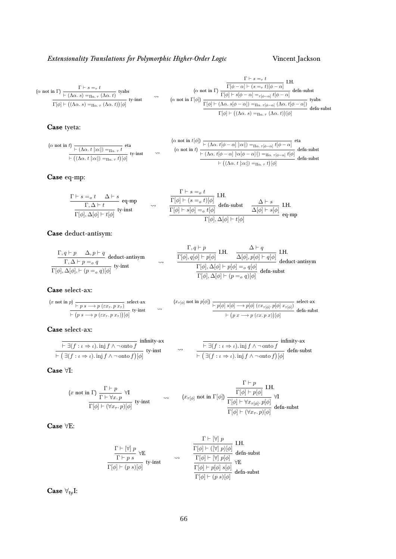# *Extensionality Translations for Polymorphic Higher-Order Logic* Vincent Jackson

$$
\frac{\Gamma \vdash s =_\tau t}{\Gamma[\phi] \vdash ((\Lambda \alpha . s) =_{\Pi \alpha . \tau} (\Lambda \alpha . t))[\phi]}
$$
   
 
$$
\frac{\Gamma \vdash s =_\tau t}{\Gamma[\phi] \vdash ((\Lambda \alpha . s) =_{\Pi \alpha . \tau} (\Lambda \alpha . t))[\phi]}
$$
   
 
$$
\sim \qquad \qquad (\alpha \text{ not in } \Gamma[\phi]) \frac{\Gamma[\phi] \vdash (s =_\tau t)[\phi - \alpha]}{\Gamma[\phi] \vdash (\Lambda \alpha . s[\phi - \alpha]) =_{\Pi \alpha . \tau[\phi - \alpha]} (t[\phi - \alpha])}
$$
   
 
$$
\frac{\Gamma[\phi] \vdash (s =_\tau t)[\phi - \alpha]}{\Gamma[\phi] \vdash ((\Lambda \alpha . s) =_{\Pi \alpha . \tau} (\Lambda \alpha . t)[\phi] }
$$
   
 
$$
\frac{\Gamma[\phi] \vdash ((\Lambda \alpha . s) =_{\Pi \alpha . \tau} (\Lambda \alpha . t)[\phi - \alpha]}{\Gamma[\phi] \vdash ((\Lambda \alpha . s) =_{\Pi \alpha . \tau} (\Lambda \alpha . t)[\phi ]}
$$

**Case** tyeta:

(*α* not in *t*) eta *<sup>⊢</sup>* (Λ*α. t* [:*α*:]) =Π*α. τ <sup>t</sup>* ty-inst *⊢* ( (Λ*α. t* [:*α*:]) =Π*α. τ <sup>t</sup>* ) [*ϕ*] ⇝ (*α* not in *t*[*ϕ*]) eta *<sup>⊢</sup>* (Λ*α. t*[*<sup>ϕ</sup> <sup>−</sup> <sup>α</sup>*] [:*α*:]) =Π*α. τ*[*ϕ−α*] *<sup>t</sup>*[*<sup>ϕ</sup> <sup>−</sup> <sup>α</sup>*] (*α* not in *t*) defn-subst *<sup>⊢</sup>* (Λ*α. t*[*<sup>ϕ</sup> <sup>−</sup> <sup>α</sup>*] [:*α*[*<sup>ϕ</sup> <sup>−</sup> <sup>α</sup>*]:]) =Π*α. τ*[*ϕ−α*] *<sup>t</sup>*[*ϕ*] defn-subst *⊢* ( (Λ*α. t* [:*α*:]) =Π*α. τ <sup>t</sup>* ) [*ϕ*]

**Case** eq-mp:

$$
\begin{array}{ccc}\Gamma\vdash s=_o t&\Delta\vdash s\\\hline \Gamma[\phi],\Delta[\phi]\vdash t[\phi]&\text{ty-inst}\\\hline \Gamma[\phi],\Delta[\phi]\vdash t[\phi]&\end{array}\qquad\sim\qquad\frac{\Gamma\vdash s=_o t}{\Gamma[\phi]\vdash (s=_o t)[\phi]} \begin{array}{lll}\text{I.H.}\\ \hline \Gamma[\phi]\vdash s[\phi]=_o t[\phi] &\text{defn-subst}\\\hline \Gamma[\phi],\Delta[\phi]\vdash t[\phi] &\text{eq-mp}\\ \end{array}\qquad \begin{array}{c}\Gamma\vdash s=_o t\\ \hline \Gamma[\phi],\Delta[\phi]\vdash t[\phi] &\text{if}\end{array}
$$

#### **Case** deduct-antisym:

$$
\begin{array}{ccc}\n\frac{\Gamma, q \vdash p & \Delta, p \vdash q \\
\hline\n\Gamma, \Delta \vdash p =_o q & \text{deduct-antisym} \\
\hline\n\Gamma[\phi], \Delta[\phi], \vdash (p =_o q)[\phi] & \text{tyl-inst}\n\end{array}\n\quad\n\begin{array}{c}\n\Gamma, q \vdash p & \Delta \vdash q \\
\hline\n\Gamma[\phi], q[\phi] \vdash p[\phi] & \text{I.H.} & \Delta[\phi], p[\phi] \vdash q[\phi] \\
\hline\n\Gamma[\phi], \Delta[\phi] \vdash p[\phi] =_o q[\phi] & \text{defin-subst}\n\end{array}\n\quad\n\begin{array}{c}\n\text{I.H.} & \Delta \vdash q \\
\hline\n\Gamma[\phi], \Delta[\phi] \vdash p[\phi] =_o q[\phi] & \text{defin-subst}\n\end{array}
$$

#### **Case** select-ax:

(*x* not in *p*) select-ax *<sup>⊢</sup> p s −→ <sup>p</sup>* (*εx<sup>τ</sup> . p x<sup>τ</sup>* ) ty-inst *⊢* ( *p s −→ <sup>p</sup>* (*εx<sup>τ</sup> . p x<sup>τ</sup>* ) ) [*ϕ*] ⇝ (*xτ*[*ϕ*] not in *<sup>p</sup>*[*ϕ*]) select-ax *<sup>⊢</sup> <sup>p</sup>*[*ϕ*] *<sup>s</sup>*[*ϕ*] *−→ <sup>p</sup>*[*ϕ*] (*εxτ*[*ϕ*] *. p*[*ϕ*] *<sup>x</sup>τ*[*ϕ*]) defn-subst *⊢* ( *p x −→ <sup>p</sup>* (*εx. p x*) ) [*ϕ*]

#### **Case** select-ax:

$$
\dfrac{\dfrac{\dfrac{\dfrac{\partial f}{\partial t}(f: \iota \Rightarrow \iota). \mathop{\rm inj}\, f \wedge \neg \mathop{\rm onto}\, f}{\dfrac{\partial f}{\partial t}(f: \iota \Rightarrow \iota). \mathop{\rm inj}\, f \wedge \neg \mathop{\rm onto}\, f)}{\dfrac{\dfrac{\partial f}{\partial t}(f: \iota \Rightarrow \iota). \mathop{\rm inj}\, f \wedge \neg \mathop{\rm onto}\, f}{\dfrac{\partial f}{\partial t}(f: \iota \Rightarrow \iota). \mathop{\rm inj}\, f \wedge \neg \mathop{\rm onto}\, f)}[\phi]}}{\mathop{\rm def}\nolimits} \text{defn-subst}
$$

**Case** *∀*I:

$$
(x \text{ not in } \Gamma) \frac{\Gamma \vdash p}{\Gamma \vdash \forall x.\ p} \forall I
$$
\n
$$
\overbrace{\Gamma[\phi] \vdash (\forall x_\tau.\ p)[\phi]}^{\Gamma \vdash p} \text{ty-inst}
$$
\n
$$
\xrightarrow{\qquad \qquad \qquad \text{if } \Gamma[\phi] \vdash p[\phi] \quad \text{if } \Gamma[\phi] \vdash \forall x_{\tau[\phi]}.\ p[\phi] \quad \text{if } \Gamma[\phi] \vdash (\forall x_\tau.\ p)[\phi] \quad \text{if } \Gamma[\phi] \vdash (\forall x_\tau.\ p)[\phi] \quad \text{defn-subst}
$$

#### **Case** *∀*E:

$$
\begin{array}{ccc}\n\Gamma \vdash [\forall] \ p \\
\hline\n\Gamma \vdash p \ s \\
\hline\n\Gamma[\phi] \vdash (p \ s)[\phi]\n\end{array} \quad \leadsto \quad \begin{array}{c}\n\Gamma \vdash [\forall] \ p \\
\hline\n\Gamma[\phi] \vdash ([\forall] \ p)[\phi] \\
\hline\n\Gamma[\phi] \vdash [\forall] \ p[\phi] \\
\hline\n\Gamma[\phi] \vdash p[\phi] \ s[\phi]\n\end{array} \quad \begin{array}{c}\n\text{I.H.} \\
\text{defn-subst} \\
\hline\n\Gamma[\phi] \vdash [p] \ p[\phi] \ s[\phi] \\
\hline\n\Gamma[\phi] \vdash (p \ s)[\phi]\n\end{array}
$$

**Case** *∀*tyI: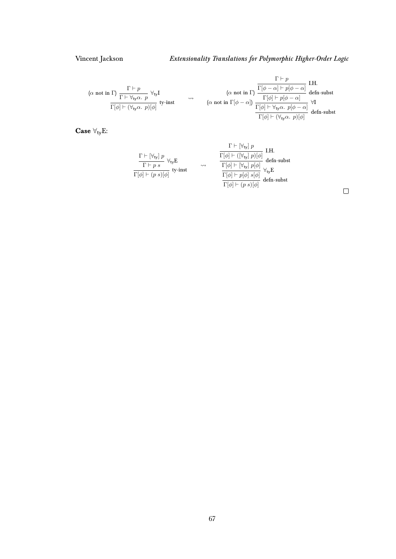$$
\begin{array}{ccc} \hbox{($\alpha$ not in $\Gamma$)$} \displaystyle & \frac{\Gamma\vdash p}{\Gamma\vdash \forall_{\mathsf{ty}}\alpha.\ p}\,\,\forall_{\mathsf{ty}}\mathrm{I} & & \\ \hline & & \\ \displaystyle & \frac{\Gamma\vdash p}{\Gamma[\phi]\vdash (\forall_{\mathsf{ty}}\alpha.\ p)[\phi]} \,\,\mathsf{ty}\text{-inst} & & \hline & \\ & & \\ \hline & & \\ \displaystyle & & \\ \hline & & \\ \displaystyle & & \\ \hline & & \\ \hline & & \\ \hline & & \\ \hline & & \\ \hline & & \\ \hline & & \\ \hline & & \\ \hline & & \\ \hline & & \\ \hline & & \\ \hline & & \\ \hline & & \\ \hline & & \\ \hline & & \\ \hline & & \\ \hline & & \\ \hline & & \\ \hline & & \\ \hline & & \\ \hline & & \\ \hline & & \\ \hline & & \\ \hline & & \\ \hline & & \\ \hline & & \\ \hline & & \\ \hline & & \\ \hline & & \\ \hline & & \\ \hline & & \\ \hline & & \\ \hline & & \\ \hline & & \\ \hline & & \\ \hline & & \\ \hline & & \\ \hline & & \\ \hline & & \\ \hline & & \\ \hline & & \\ \hline & & \\ \hline & & \\ \hline & & \\ \hline & & \\ \hline & & \\ \hline & & \\ \hline & & \\ \hline & & \\ \hline & & \\ \hline & & \\ \hline & & \\ \hline & & \\ \hline & & \\ \hline & & \\ \hline & & \\ \hline & & \\ \hline & & \\ \hline & & \\ \hline & & \\ \hline & & \\ \hline & & \\ \hline & & \\ \hline & & \\ \hline & & \\ \hline & & \\ \hline & & \\ \hline & & \\ \hline & & \\ \hline & & \\ \hline & & \\ \hline & & \\ \hline & & \\ \hline & & \\ \hline & & \\ \hline & & \\ \hline & & \\ \hline & & \\ \hline & & \\ \hline & & \\ \hline & & \\ \hline & & \\ \hline & & \\ \hline & & \\ \hline & & \\ \hline & & \\ \hline & & \\ \hline & & \\ \hline & & \\ \hline & & \\ \hline & & \\ \hline & & \\ \hline & & \\ \hline & & \\ \hline & & \\ \hline & & \\ \hline & & \\ \hline & & \\ \hline & & \\ \hline & & \\ \hline & &
$$

**Case** *∀*tyE:

$$
\frac{\Gamma \vdash [\forall_{\mathsf{ty}}] \ p}{\Gamma \vdash p \ s} \ \forall_{\mathsf{ty}} \mathbf{E}
$$
\n
$$
\frac{\Gamma[\phi] \vdash ([\forall_{\mathsf{ty}}] \ p) [\phi]}{\Gamma[\phi] \vdash (p \ s)[\phi]} \ \mathsf{ty\text{-}inst}
$$
\n
$$
\xrightarrow{\Gamma[\phi] \vdash [\forall_{\mathsf{ty}}] \ p[\phi]} \ \mathsf{defn\text{-}subst}
$$
\n
$$
\frac{\Gamma[\phi] \vdash [\forall_{\mathsf{ty}}] \ p[\phi]}{\Gamma[\phi] \vdash p[\phi] \ s[\phi]} \ \mathsf{defn\text{-}subst}
$$
\n
$$
\frac{\Gamma[\phi] \vdash [\forall_{\mathsf{ty}}] \ p[\phi]}{\Gamma[\phi] \vdash (p \ s)[\phi]} \ \mathsf{defn\text{-}subst}
$$

 $\Box$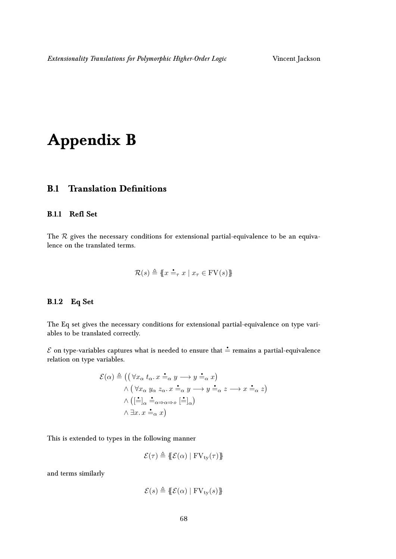# **Appendix B**

# **B.1 Translation Definitions**

#### **B.1.1 Refl Set**

The *R* gives the necessary conditions for extensional partial-equivalence to be an equivalence on the translated terms.

$$
\mathcal{R}(s) \triangleq \{x \stackrel{\bullet}{=} \tau x \mid x_{\tau} \in \text{FV}(s)\}
$$

#### **B.1.2 Eq Set**

The Eq set gives the necessary conditions for extensional partial-equivalence on type variables to be translated correctly.

 $\mathcal E$  on type-variables captures what is needed to ensure that  $\stackrel{\bullet}{=}$  remains a partial-equivalence relation on type variables.

$$
\mathcal{E}(\alpha) \triangleq \left( \left( \forall x_{\alpha} \ t_{\alpha} \ldots x \stackrel{\mathbf{z}}{\doteq_{\alpha}} y \longrightarrow y \stackrel{\mathbf{z}}{\doteq_{\alpha}} x \right) \land \left( \forall x_{\alpha} \ y_{\alpha} \ z_{\alpha} \ldots x \stackrel{\mathbf{z}}{\doteq_{\alpha}} y \longrightarrow y \stackrel{\mathbf{z}}{\doteq_{\alpha}} z \longrightarrow x \stackrel{\mathbf{z}}{\doteq_{\alpha}} z \right) \land \left( \left[ \stackrel{\mathbf{z}}{\doteq}_{\alpha} \stackrel{\mathbf{z}}{\doteq_{\alpha \Rightarrow \alpha \Rightarrow o} } \left[ \stackrel{\mathbf{z}}{\doteq}_{\alpha} \right) \right) \land \exists x \ldots x \stackrel{\mathbf{z}}{\doteq_{\alpha}} x \right)
$$

This is extended to types in the following manner

$$
\mathcal{E}(\tau) \triangleq \{\!\!\{\mathcal{E}(\alpha) \mid \text{FV}_{\text{ty}}(\tau)\}\!\!\}
$$

and terms similarly

$$
\mathcal{E}(s) \triangleq \{\!\!\{\mathcal{E}(\alpha) \mid \text{FV}_{\text{ty}}(s) \}\!\!\}
$$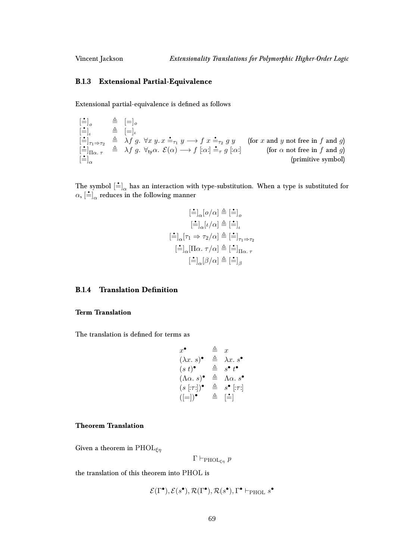#### **B.1.3 Extensional Partial-Equivalence**

Extensional partial-equivalence is defined as follows

 $\left[\stackrel{\bullet}{=}\right]_o$   $\triangleq$   $\left[\stackrel{\bullet}{=}\right]_o$ [ *•*=]*<sup>ι</sup>* ≜ [=]*<sup>ι</sup>*  $[\dot{=}]_{\tau_1 \Rightarrow \tau_2} \triangleq \lambda f \ g$ .  $\forall x \ y. \ x \doteq_{\tau_1} y \longrightarrow f \ x \doteq_{\tau_2} g \ y$  (for  $x$  and  $y$  not free in  $f$  and  $g$ )  $[\stackrel{\triangle}{=}]_{\Pi\alpha.\tau}$   $\triangleq$  *λf g.*  $\forall_{\text{ty}}\alpha$ *.*  $\mathcal{E}(\alpha) \longrightarrow f$  [: $\alpha$ :]  $\stackrel{\triangle}{=}$   $\tau$  *g* [: $\alpha$ :] (for  $\alpha$  not free in *f* and *g*)  $\left[\dot{=} \right]_{\alpha}$  (primitive symbol)

The symbol  $[\dot{=}]\vphantom{\int}$  has an interaction with type-substitution. When a type is substituted for  $\alpha,$   $\left[ \dot{=} \right]_{\alpha}$  reduces in the following manner

$$
\begin{aligned}\n[\dot{=}]_{\alpha}[o/\alpha] &\triangleq [\dot{=}]_{o} \\
[\dot{=}]_{\alpha}[\iota/\alpha] &\triangleq [\dot{=}]_{l} \\
[\dot{=}]_{\alpha}[\tau_{1} \Rightarrow \tau_{2}/\alpha] &\triangleq [\dot{=}]_{\tau_{1} \Rightarrow \tau_{2}} \\
[\dot{=}]_{\alpha}[\Pi\alpha.\ \tau/\alpha] &\triangleq [\dot{=}]_{\Pi\alpha.\ \tau} \\
[\dot{=}]_{\alpha}[\beta/\alpha] &\triangleq [\dot{=}]_{\beta}\n\end{aligned}
$$

### **B.1.4 Translation Definition**

#### **Term Translation**

The translation is defined for terms as

$$
x^{\bullet} \qquad \triangleq x
$$
  
\n
$$
(\lambda x. s)^{\bullet} \qquad \triangleq \qquad \lambda x. s^{\bullet}
$$
  
\n
$$
(s t)^{\bullet} \qquad \triangleq \qquad s^{\bullet} t^{\bullet}
$$
  
\n
$$
(\Lambda \alpha. s)^{\bullet} \qquad \triangleq \qquad \Lambda \alpha. s^{\bullet}
$$
  
\n
$$
(s [:\tau:])^{\bullet} \qquad \triangleq \qquad s^{\bullet} [:\tau:]
$$
  
\n
$$
([=])^{\bullet} \qquad \triangleq \qquad [\stackrel{\cdot}{=}]
$$

#### **Theorem Translation**

Given a theorem in PHOL*ξη*

 $Γ ⊢$ <sub>PHOL<sub> $ε$ </sub>*</sub>* 

the translation of this theorem into PHOL is

$$
\mathcal{E}(\Gamma^\bullet), \mathcal{E}(s^\bullet), \mathcal{R}(\Gamma^\bullet), \mathcal{R}(s^\bullet), \Gamma^\bullet \vdash_{\mathrm{PHOL}} s^\bullet
$$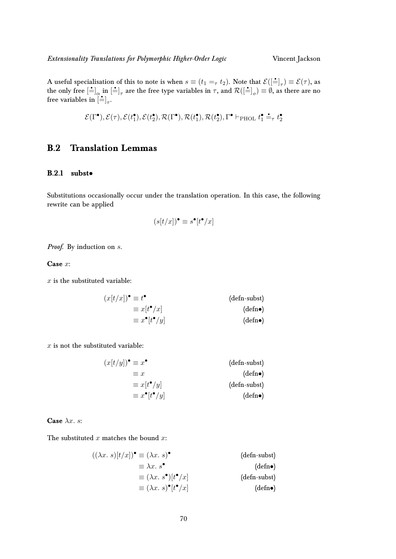A useful specialisation of this to note is when  $s \equiv (t_1 =_\tau t_2)$ . Note that  $\mathcal{E}([\dot{=}]=_\tau) \equiv \mathcal{E}(\tau)$ , as the only free  $[\stackrel{\bullet}{=}]_\alpha$  in  $[\stackrel{\bullet}{=}]_\tau$  are the free type variables in  $\tau,$  and  $\mathcal{R}([\stackrel{\bullet}{=}]_o)\equiv\emptyset,$  as there are no free variables in  $\left[\stackrel{\bullet}{=}\right]_{\tau}$ .

$$
\mathcal{E}(\Gamma^\bullet), \mathcal{E}(\tau), \mathcal{E}(t_1^\bullet), \mathcal{E}(t_2^\bullet), \mathcal{R}(\Gamma^\bullet), \mathcal{R}(t_1^\bullet), \mathcal{R}(t_2^\bullet), \Gamma^\bullet \vdash_{\text{PHOL}} t_1^\bullet \doteq_{\tau}^{\bullet} t_2^\bullet
$$

# **B.2 Translation Lemmas**

#### **B.2.1 subst***•*

Substitutions occasionally occur under the translation operation. In this case, the following rewrite can be applied

$$
(s[t/x])^{\bullet} \equiv s^{\bullet}[t^{\bullet}/x]
$$

*Proof.* By induction on *s*.

**Case** *x*:

*x* is the substituted variable:

$$
(x[t/x])• \equiv t•
$$
  
\equiv x[t<sup>•</sup>/x]  
\equiv x<sup>•</sup>[t<sup>•</sup>/y]  
(defn•)  
(defn•)  
(defn•)

*x* is not the substituted variable:

$$
(x[t/y])• \equiv x• \qquad (defn-subst)
$$
  
\n
$$
\equiv x
$$
  
\n
$$
\equiv x[t•/y] \qquad (defn-subst)
$$
  
\n
$$
\equiv x•[t•/y] \qquad (defn-9)
$$

**Case** *λx. s*:

The substituted *x* matches the bound *x*:

$$
((\lambda x. s)[t/x])^{\bullet} \equiv (\lambda x. s)^{\bullet}
$$
 (defn-subst)  

$$
\equiv \lambda x. s^{\bullet}
$$
 (defn-subst)  

$$
\equiv (\lambda x. s^{\bullet})[t^{\bullet}/x]
$$
 (defn-subst)  

$$
\equiv (\lambda x. s)^{\bullet}[t^{\bullet}/x]
$$
 (defn $\bullet$ )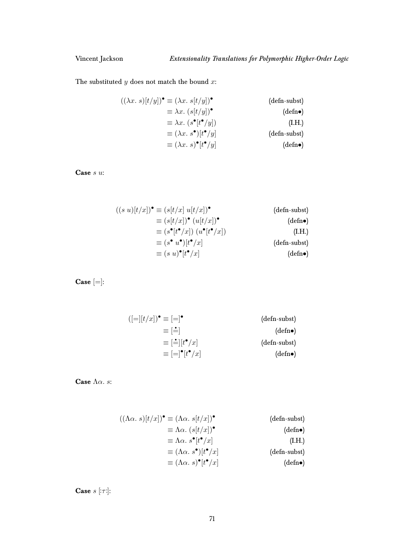The substituted *y* does not match the bound *x*:

$$
((\lambda x. s)[t/y])^{\bullet} \equiv (\lambda x. s[t/y])^{\bullet}
$$
\n
$$
\equiv \lambda x. (s[t/y])^{\bullet}
$$
\n
$$
\equiv \lambda x. (s[t/y])^{\bullet}
$$
\n
$$
(\text{defn-subst})
$$
\n
$$
\equiv \lambda x. (s^{\bullet}[t^{\bullet}/y])
$$
\n
$$
\equiv (\lambda x. s^{\bullet})[t^{\bullet}/y]
$$
\n
$$
(\text{defn-subst})
$$
\n
$$
\equiv (\lambda x. s)^{\bullet}[t^{\bullet}/y]
$$
\n
$$
(\text{defn-subst})
$$
\n
$$
(\text{defn-}subst)
$$
\n
$$
(\text{defn-}subst)
$$

**Case** *s u*:

$$
((s u)[t/x])\bullet \equiv (s[t/x] u[t/x])\bullet (defn-subst)\equiv (s[t/x])\bullet (u[t/x])\bullet (defn-\equiv (s\bullet [t\bullet/x]) (u\bullet [t\bullet/x]) (defn-\equiv (s u)\bullet [t\bullet/x] (defn-\equiv (s u)\bullet [t\bullet/x] (defn-\n (defn-\n (defn-\n (defn-\n (defn-\n (defn-\n (defn-\n (defn-\n (defn-\n (defn-\n (defn-\n (defn-\n (defn-\n (defn-\n (defn-\n (defn-\n (defn-\n (defn-\n (defn-\n (defn-\n (defn-\n (defn-\n (defn-\n (defn-\n (defn-\n (defn-\n (defn-\n (defn-\n (defn-\n (defn-\n (defn-\n (defn-\n (defn-\n (defn-\n (defn-\n (defn-\n (defn-\n (defn-\n (defn-\n (defn-\n (defn-\n (defn-\n (defn-\n (defn-\n (defn-\n (defn-\n (defn-\n (defn-\n (defn-\n (defn-\n (defn-\n (defn-\n (defn-\n (defn-\n (defn-\n (defn-\n (defn-\n (defn-\n (defn-\n (defn-\n (defn-\n (defn-\n (defn-\n (defn-\n (defn-\n (defn-\n (defn-\n (defn-\n (defn-\n (defn-\n (defn-\n (defn-\n (defn-\n (defn
$$

**Case** [=]:

$$
([=][t/x])^{\bullet} \equiv [=]^{\bullet}
$$
 (defn-subst)  

$$
\equiv [\stackrel{\bullet}{=}][t^{\bullet}/x]
$$
 (defn-subst)  

$$
\equiv [=]^{\bullet}[t^{\bullet}/x]
$$
 (defn-  

### **Case** Λ*α. s*:

$$
((\Lambda \alpha. s)[t/x])^{\bullet} \equiv (\Lambda \alpha. s[t/x])^{\bullet}
$$
\n
$$
\equiv \Lambda \alpha. (s[t/x])^{\bullet}
$$
\n
$$
\equiv \Lambda \alpha. s^{\bullet}[t^{\bullet}/x]
$$
\n
$$
\equiv (\Lambda \alpha. s^{\bullet})[t^{\bullet}/x]
$$
\n
$$
\equiv (\Lambda \alpha. s)^{\bullet}[t^{\bullet}/x]
$$
\n
$$
= (\Lambda \alpha. s)^{\bullet}[t^{\bullet}/x]
$$
\n
$$
(defn-) (defn)
$$
\n
$$
(defn-1) (defn-1)
$$
\n
$$
(defn-1) (defn-1)
$$
\n
$$
(defn-1)
$$
\n
$$
(defn-1)
$$

**Case** *s* [:*τ* :]: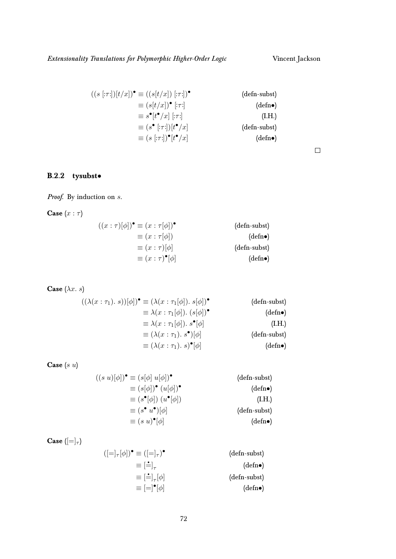$\Box$ 

$$
((s [:\tau:])[t/x])^{\bullet} \equiv ((s[t/x]) [:\tau:])^{\bullet}
$$
\n
$$
\equiv (s[t/x])^{\bullet} [\cdot \tau:]
$$
\n
$$
\equiv s^{\bullet}[t^{\bullet}/x] [\cdot \tau:]
$$
\n
$$
\equiv (s^{\bullet} [\cdot \tau:])[t^{\bullet}/x]
$$
\n
$$
\equiv (s [:\tau:])^{\bullet}[t^{\bullet}/x]
$$
\n
$$
=(s [:\tau:])^{\bullet}[t^{\bullet}/x]
$$
\n
$$
(\text{defn-subst})
$$
\n
$$
= (s [:\tau:])^{\bullet}[t^{\bullet}/x]
$$
\n
$$
(\text{defn}^{\bullet})
$$

# **B.2.2 tysubst***•*

*Proof.* By induction on *s*.

**Case** (*x* : *τ* )

| $(defn-subst)$    | $((x:\tau)[\phi])^{\bullet} \equiv (x:\tau[\phi])^{\bullet}$ |
|-------------------|--------------------------------------------------------------|
| (defn•)           | $\equiv (x : \tau[\phi])$                                    |
| $(defn-subst)$    | $\equiv (x:\tau)[\phi]$                                      |
| $(\text{define})$ | $\equiv (x:\tau)^{\bullet}[\phi]$                            |

# **Case** (*λx. s*)

$$
((\lambda(x:\tau_1). s))[\phi])^{\bullet} \equiv (\lambda(x:\tau_1[\phi]). s[\phi])^{\bullet}
$$
\n
$$
\equiv \lambda(x:\tau_1[\phi]). (s[\phi])^{\bullet}
$$
\n
$$
\equiv \lambda(x:\tau_1[\phi]). s^{\bullet}[\phi]
$$
\n
$$
\equiv (\lambda(x:\tau_1). s^{\bullet}[\phi])
$$
\n
$$
\equiv (\lambda(x:\tau_1). s)^{\bullet}[\phi]
$$
\n
$$
= (\lambda(x:\tau_1). s)^{\bullet}[\phi]
$$
\n
$$
(\text{defn-subst})
$$
\n
$$
= (\lambda(x:\tau_1). s)^{\bullet}[\phi]
$$
\n
$$
(\text{defn-} \bullet)
$$

((*s u*)[*ϕ*])*• ≡* (*s*[*ϕ*] *u*[*ϕ*])*•* (defn-subst) *≡* (*s*[*ϕ*])*•* (*u*[*ϕ*])*•* (defn*•*) *≡* (*s •* [*ϕ*]) (*u •* [*ϕ*]) (I.H.) *≡* (*s • u •* )[*ϕ*] (defn-subst) *≡* (*s u*) *•* [*ϕ*] (defn*•*)

$$
\textbf{Case }([=]_\tau)
$$

**Case** (*s u*)

| (defn-subst)      | $([=]_{\tau}[\phi])^{\bullet} \equiv (=[=]_{\tau})^{\bullet}$                      |
|-------------------|------------------------------------------------------------------------------------|
| (defn•)           | $\equiv \left[\frac{1}{\tau}\right]_{\tau}$                                        |
| (defn-subst)      | $\equiv [\dot{=}]_{\tau}[\phi]$                                                    |
| $(\text{define})$ | $\equiv$ $\left[\equiv\right]$ <sup><math>\bullet</math></sup> $\left[\phi\right]$ |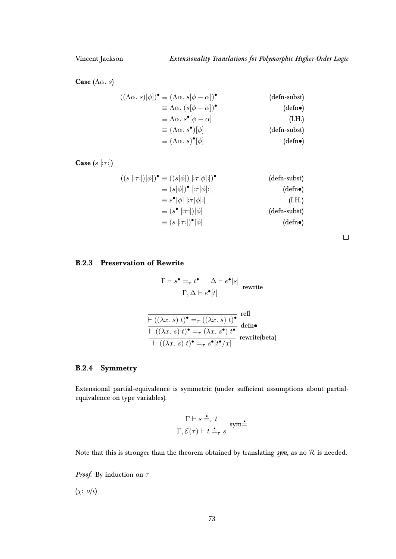Vincent Jackson *Extensionality Translations for Polymorphic Higher-Order Logic*

**Case** (Λ*α. s*)

$$
((\Lambda \alpha. s)[\phi])^{\bullet} \equiv (\Lambda \alpha. s[\phi - \alpha])^{\bullet}
$$
\n
$$
\equiv \Lambda \alpha. (s[\phi - \alpha])^{\bullet}
$$
\n
$$
\equiv \Lambda \alpha. s^{\bullet}[\phi - \alpha]
$$
\n
$$
\equiv (\Lambda \alpha. s^{\bullet})[\phi]
$$
\n
$$
\equiv (\Lambda \alpha. s)^{\bullet}[\phi]
$$
\n
$$
((\text{defn-subst})
$$
\n
$$
\equiv (\Lambda \alpha. s)^{\bullet}[\phi]
$$
\n
$$
(\text{defn-subst})
$$
\n
$$
\equiv (\Lambda \alpha. s)^{\bullet}[\phi]
$$
\n
$$
(\text{defn-subst})
$$

**Case** (*s* [:*τ* :])

$$
((s [:\tau:])[\phi])^{\bullet} \equiv ((s[\phi]) [:\tau[\phi] :])^{\bullet}
$$
\n
$$
\equiv (s[\phi])^{\bullet} [:\tau[\phi] :]
$$
\n
$$
\equiv s^{\bullet}[\phi] [:\tau[\phi] :]
$$
\n
$$
\equiv (s^{\bullet} [:\tau:])[\phi]
$$
\n
$$
\equiv (s [:\tau:])^{\bullet}[\phi]
$$
\n
$$
(\text{defn-subst})
$$
\n
$$
\equiv (s [:\tau:])^{\bullet}[\phi]
$$
\n
$$
(\text{defn-} \bullet)
$$

 $\Box$ 

#### **B.2.3 Preservation of Rewrite**

$$
\frac{\Gamma \vdash s^{\bullet} =_{\tau} t^{\bullet} \quad \Delta \vdash e^{\bullet}[s]}{\Gamma, \Delta \vdash e^{\bullet}[t]}
$$
 rewrite  

$$
\frac{\vdash ((\lambda x. s) t)^{\bullet} =_{\tau} ((\lambda x. s) t)^{\bullet}}{\vdash ((\lambda x. s) t)^{\bullet} =_{\tau} (\lambda x. s^{\bullet}) t^{\bullet}}
$$
 define  

$$
\frac{\vdash ((\lambda x. s) t)^{\bullet} =_{\tau} s^{\bullet}[t^{\bullet}/x]}{\vdash ((\lambda x. s) t)^{\bullet} =_{\tau} s^{\bullet}[t^{\bullet}/x]}
$$
 rewrite(beta)

#### **B.2.4 Symmetry**

Extensional partial-equivalence is symmetric (under sufficient assumptions about partialequivalence on type variables).

$$
\frac{\Gamma \vdash s \doteq_{\tau} t}{\Gamma, \mathcal{E}(\tau) \vdash t \doteq_{\tau} s} \text{ sym} \dot{=}
$$

Note that this is stronger than the theorem obtained by translating  $sym$ , as no  $R$  is needed.

*Proof.* By induction on *τ*

(*χ*: *o*/*ι*)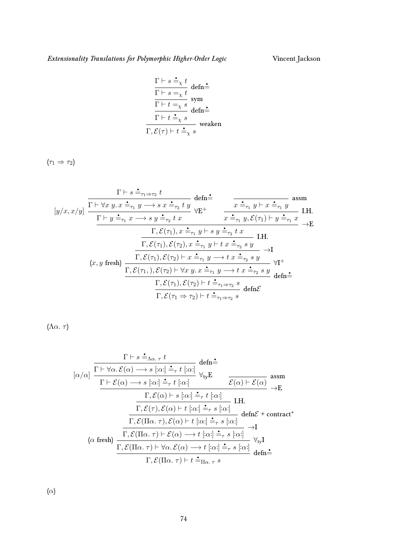*Extensionality Translations for Polymorphic Higher-Order Logic* Vincent Jackson

$$
\frac{\Gamma \vdash s \doteq_{\chi} t}{\Gamma \vdash s =_{\chi} t} \text{ defn} \doteq
$$
\n
$$
\frac{\frac{\Gamma \vdash s =_{\chi} t}{\Gamma \vdash t =_{\chi} s} \text{ sym}}{\Gamma \vdash t \doteq_{\chi} s} \text{ defn} \doteq
$$
\n
$$
\frac{\Gamma \vdash t \doteq_{\chi} s}{\Gamma, \mathcal{E}(\tau) \vdash t \doteq_{\chi} s} \text{ weaken}
$$

 $(\tau_1 \Rightarrow \tau_2)$ 

$$
[y/x, x/y] \frac{\Gamma \vdash s \stackrel{\mathbf{\dot{=}}_{\tau_1 \Rightarrow \tau_2} t}{\Gamma \vdash y \stackrel{\mathbf{\dot{=}}_{\tau_1} y \longrightarrow s x \stackrel{\mathbf{\dot{=}}_{\tau_2} t}{\mathcal{I}_2 t} y}} \text{defn} \stackrel{\mathbf{\dot{=}}_{\tau_1} y \vdash x \stackrel{\mathbf{\dot{=}}_{\tau_1} y}{\mathcal{I}_1 x \stackrel{\mathbf{\dot{=}}_{\tau_1} y \longrightarrow s x \stackrel{\mathbf{\dot{=}}_{\tau_2} t}{\mathcal{I}_2 t} x}} \frac{\text{defn} \stackrel{\mathbf{\dot{=}}_{\tau_1} y \vdash x \stackrel{\mathbf{\dot{=}}_{\tau_1} y}{\mathcal{I}_2 x \stackrel{\mathbf{\dot{=}}_{\tau_1} y \longrightarrow s y \stackrel{\mathbf{\dot{=}}_{\tau_1} y}{\mathcal{I}_2 x}} \mathcal{I}_1}} \text{L.H.}
$$
\n
$$
\frac{\Gamma, \mathcal{E}(\tau_1), x \stackrel{\mathbf{\dot{=}}_{\tau_1} y \vdash s y \stackrel{\mathbf{\dot{=}}_{\tau_2} t x}{\mathcal{I}_2 x}} \text{L.H.}}{\Gamma, \mathcal{E}(\tau_1), \mathcal{E}(\tau_2), x \stackrel{\mathbf{\dot{=}}_{\tau_1} y \vdash t x \stackrel{\mathbf{\dot{=}}_{\tau_2} s y}{\mathcal{I}_1 x}} \rightarrow \mathbf{I}}
$$
\n
$$
(x, y \text{ fresh}) \frac{\Gamma, \mathcal{E}(\tau_1), \mathcal{E}(\tau_2) \vdash x \stackrel{\mathbf{\dot{=}}_{\tau_1} y \longrightarrow t x \stackrel{\mathbf{\dot{=}}_{\tau_2} s y}{\mathcal{I}_2 x}} \forall \mathbf{I}^+}{\Gamma, \mathcal{E}(\tau_1), \mathcal{E}(\tau_2) \vdash \forall x y. x \stackrel{\mathbf{\dot{=}}_{\tau_1} y \longrightarrow t x \stackrel{\mathbf{\dot{=}}_{\tau_2} s y}{\mathcal{I}_2 x}}
$$
\n
$$
\frac{\Gamma, \mathcal{E}(\tau_1), \mathcal{E}(\tau_2) \vdash t \stackrel{\mathbf{\dot{=}}_{\tau_1} y \longrightarrow t x \stackrel{\mathbf
$$

(Λ*α. τ* )

$$
\frac{\Gamma \vdash s \stackrel{\mathbf{\dot{=}}_{\Lambda\alpha.\tau} t}{\Gamma \vdash \forall \alpha.\,\mathcal{E}(\alpha) \longrightarrow s [:\alpha] \stackrel{\mathbf{\dot{=}}_{\tau} t}{\mathcal{I} \vdash \mathcal{E}(\alpha]} \text{ define}^{\mathbf{\dot{=}}}
$$
\n
$$
[\alpha/\alpha] \xrightarrow{\Gamma \vdash \forall \alpha.\,\mathcal{E}(\alpha) \longrightarrow s [:\alpha] \stackrel{\mathbf{\dot{=}}_{\tau} t}{\mathcal{I} \vdash \alpha]} \forall_{\mathsf{ty}} E} \qquad \overline{\mathcal{E}(\alpha) \vdash \mathcal{E}(\alpha)} \text{ assume}
$$
\n
$$
\frac{\Gamma, \mathcal{E}(\alpha) \vdash s [:\alpha] \stackrel{\mathbf{\dot{=}}_{\tau} t}{\mathcal{I} \vdash \alpha]} \text{ I.H.}}{\Gamma, \mathcal{E}(\tau), \mathcal{E}(\alpha) \vdash t [:\alpha] \stackrel{\mathbf{\dot{=}}_{\tau} s}{\mathcal{I} \vdash \alpha]} \text{ define } \mathcal{E} \text{ contract*}}
$$
\n
$$
(\alpha \text{ fresh}) \xrightarrow{\Gamma, \mathcal{E}(\Pi\alpha. \tau) \vdash \mathcal{E}(\alpha) \longrightarrow t [:\alpha] \stackrel{\mathbf{\dot{=}}_{\tau} s [:\alpha]}{\mathcal{I} \vdash s} \forall_{\mathsf{ty}} I}
$$
\n
$$
\frac{\Gamma, \mathcal{E}(\Pi\alpha. \tau) \vdash \mathcal{E}(\alpha) \longrightarrow t [:\alpha] \stackrel{\mathbf{\dot{=}}_{\tau} s [:\alpha]}{\mathcal{I} \vdash s} \forall_{\mathsf{ty}} I}{\Gamma, \mathcal{E}(\Pi\alpha. \tau) \vdash \forall \alpha.\,\mathcal{E}(\alpha) \longrightarrow t [:\alpha] \stackrel{\mathbf{\dot{=}}_{\tau} s [:\alpha]}{\mathcal{I} \vdash s} \text{ define}}}
$$

(*α*)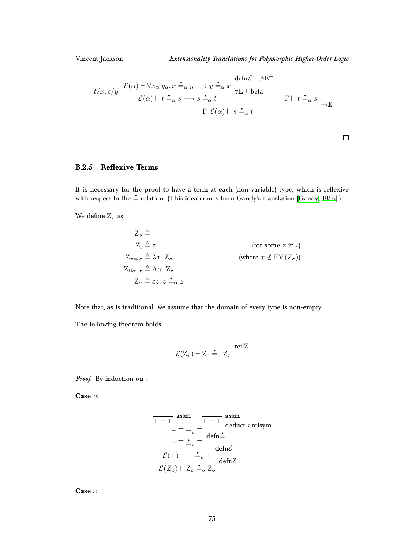$\Box$ 

$$
[t/x, s/y] \frac{\overline{\mathcal{E}(\alpha) \vdash \forall x_{\alpha} y_{\alpha} \cdot x \stackrel{\bullet}{=}_{\alpha} y \longrightarrow y \stackrel{\bullet}{=}_{\alpha} x}{\mathcal{E}(\alpha) \vdash t \stackrel{\bullet}{=}_{\alpha} s \longrightarrow s \stackrel{\bullet}{=}_{\alpha} t} \forall E + \text{beta}
$$
\n
$$
\Gamma \vdash t \stackrel{\bullet}{=}_{\alpha} s
$$
\n
$$
\Gamma, \mathcal{E}(\alpha) \vdash s \stackrel{\bullet}{=}_{\alpha} t \longrightarrow E
$$

**B.2.5 Reflexive Terms**

It is necessary for the proof to have a term at each (non-variable) type, which is reflexive with respect to the  $\stackrel{\bullet}{=}$  relation. (This idea comes from Gandy's translation [Gandy, 1956].)

We define  $Z_{\tau}$  as

$$
Z_o \triangleq \top
$$
\n
$$
Z_t \triangleq z
$$
\n
$$
Z_{\tau \Rightarrow \sigma} \triangleq \lambda x. Z_{\sigma}
$$
\n
$$
Z_{\Pi \alpha. \tau} \triangleq \Lambda \alpha. Z_{\tau}
$$
\n(where  $x \notin \text{FV}(Z_{\sigma})$ )

\n
$$
Z_{\alpha} \triangleq \varepsilon z. z \triangleq_{\alpha} z
$$

Note that, as is traditional, we assume that the domain of every type is non-empty.

The following theorem holds

$$
\overline{\mathcal{E}(Z_{\tau}) \vdash Z_{\tau} \xrightarrow{\bullet} Z_{\tau}} \ \ \text{refl} Z
$$

*Proof.* By induction on *τ*

**Case** *o*:

$$
\frac{\overline{\top}\vdash\top}{\top\vdash\top} \text{ assm}\n\quad\n\frac{\vdash\top = {}_o\top}{\vdash\top = {}_o\top}\text{ defn}\stackrel{\text{d}}{=}\n\frac{\downarrow\top\dot{=}{}_o\top}{\mathcal{E}(\top)\vdash\top \dot{=}{}_o\top}\text{ defn}\mathcal{E}\n\qquad\n\frac{\mathcal{E}(\top)\vdash\top \dot{=}{}_o\top}{\mathcal{E}(Z_o)\vdash Z_o\dot{=}{}_o\ Z_o}
$$

**Case** *ι*: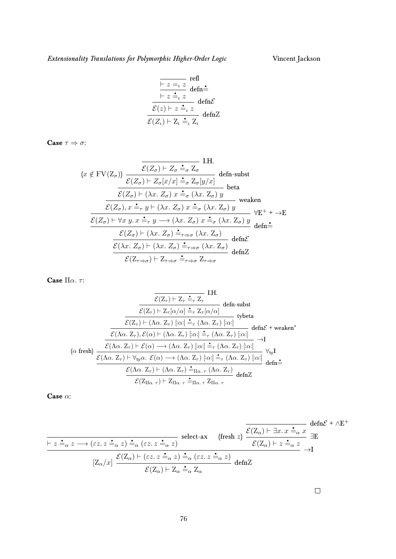$$
\frac{\overline{\vphantom{z}}\vphantom{z}}{\vphantom{\overline{z}}\vphantom{\overline{z}}\vphantom{\overline{z}}}=\vphantom{\overline{z}}_z \text{refn-\n+\n
$$
\frac{\overline{\vphantom{z}}\vphantom{\overline{z}}\vphantom{\overline{z}}\vphantom{\overline{z}}\vphantom{\overline{z}}}}{\vphantom{\overline{z}}\vphantom{\overline{z}}\vphantom{\overline{z}}\vphantom{\overline{z}}\vphantom{\overline{z}}\vphantom{\overline{z}}\vphantom{\overline{z}}\vphantom{\overline{z}}\vphantom{\overline{z}}}-\vphantom{\overline{z}}_z \text{defn}\vphantom{\overline{z}}\vphantom{\overline{z}}\vphantom{\overline{z}}\vphantom{\overline{z}}\vphantom{\overline{z}}\vphantom{\overline{z}}\vphantom{\overline{z}}\vphantom{\overline{z}}\vphantom{\overline{z}}\vphantom{\overline{z}}\vphantom{\overline{z}}\vphantom{\overline{z}}\vphantom{\overline{z}}\vphantom{\overline{z}}\vphantom{\overline{z}}\vphantom{\overline{z}}\vphantom{\overline{z}}\vphantom{\overline{z}}\vphantom{\overline{z}}\vphantom{\overline{z}}\vphantom{\overline{z}}\vphantom{\overline{z}}\vphantom{\overline{z}}\vphantom{\overline{z}}\vphantom{\overline{z}}\vphantom{\overline{z}}\vphantom{\overline{z}}\vphantom{\overline{z}}\vphantom{\overline{z}}\vphantom{\overline{z}}\vphantom{\overline{z}}\vphantom{\overline{z}}\vphantom{\overline{z}}\vphantom{\overline{z}}\vphantom{\overline{z}}\vphantom{\overline{z}}\vphantom{\overline{z}}\vphantom{\overline{z}}\vphantom{\overline{z}}\vphantom{\overline{z}}\vphantom{\overline{z}}\vphantom{\overline{z}}\vphantom{\overline{z}}\vphantom{\overline{z}}\vphantom{\overline{z}}\vphantom{\overline{z}}\vphantom{\overline{z}}\vphantom{\overline{z}}\vphantom{\overline{z}}\vphantom{\overline{z}}\vphantom{\overline{z}}\vphantom{\overline{
$$
$$

**Case**  $\tau \Rightarrow \sigma$ :

$$
(x \notin FV(Z_{\sigma})) \frac{\overline{\mathcal{E}(Z_{\sigma}) \vdash Z_{\sigma} \doteq_{\sigma} Z_{\sigma}}}{\mathcal{E}(Z_{\sigma}) \vdash Z_{\sigma}[x/x] \doteq_{\sigma} Z_{\sigma}[y/x]} \text{ defn-subst}
$$
\n
$$
\frac{\overline{\mathcal{E}(Z_{\sigma}) \vdash (x x. Z_{\sigma}) x \doteq_{\sigma} Z_{\sigma}[y/x]}}{\mathcal{E}(Z_{\sigma}), x \doteq_{\tau} y \vdash (x x. Z_{\sigma}) x \doteq_{\sigma} (x x. Z_{\sigma}) y} \text{ weaken}
$$
\n
$$
\frac{\overline{\mathcal{E}(Z_{\sigma}) \vdash \forall x y. x \doteq_{\tau} y \vdash (x x. Z_{\sigma}) x \doteq_{\sigma} (x x. Z_{\sigma}) y}}{\mathcal{E}(Z_{\sigma}) \vdash \forall x y. x \doteq_{\tau} y \longrightarrow (x x. Z_{\sigma}) x \doteq_{\sigma} (x x. Z_{\sigma}) y} \text{ defn} \doteq
$$
\n
$$
\frac{\mathcal{E}(Z_{\sigma}) \vdash (x x. Z_{\sigma}) \doteq_{\tau \Rightarrow \sigma} (x x. Z_{\sigma})}{\mathcal{E}(X_{\sigma}) \vdash (x x. Z_{\sigma}) \doteq_{\tau \Rightarrow \sigma} (x x. Z_{\sigma})} \text{ defn} \mathcal{E}
$$
\n
$$
\frac{\mathcal{E}(Z_{\tau \Rightarrow \sigma}) \vdash Z_{\tau \Rightarrow \sigma} \doteq_{\tau \Rightarrow \sigma} Z_{\tau \Rightarrow \sigma}}{\mathcal{E}(Z_{\tau \Rightarrow \sigma}) \vdash Z_{\tau \Rightarrow \sigma} Z_{\tau \Rightarrow \sigma}}
$$

**Case** Π*α. τ* :

$$
\frac{\overline{\mathcal{E}(Z_{\tau}) \vdash Z_{\tau} \stackrel{\blacktriangle}{=} \tau Z_{\tau}}}{\mathcal{E}(Z_{\tau}) \vdash Z_{\tau}[\alpha/\alpha] \stackrel{\blacktriangle}{=} \tau Z_{\tau}[\alpha/\alpha]} \text{ defn-subst}
$$
\n
$$
\frac{\overline{\mathcal{E}(Z_{\tau}) \vdash ( \Lambda \alpha. Z_{\tau} ) [:\alpha] \stackrel{\blacktriangle}{=} \tau ( \Lambda \alpha. Z_{\tau} ) [:\alpha]}}{\mathcal{E}( \Lambda \alpha. Z_{\tau}) , \mathcal{E}(\alpha) \vdash ( \Lambda \alpha. Z_{\tau} ) [:\alpha] \stackrel{\blacktriangle}{=} \tau ( \Lambda \alpha. Z_{\tau} ) [:\alpha] } \text{ defn}\mathcal{E} + \text{weaken*}
$$
\n
$$
(\alpha \text{ fresh}) \frac{\overline{\mathcal{E}(\Lambda \alpha. Z_{\tau}) \vdash \mathcal{E}(\alpha) \longrightarrow (\Lambda \alpha. Z_{\tau}) [:\alpha] \stackrel{\blacktriangle}{=} \tau ( \Lambda \alpha. Z_{\tau} ) [:\alpha]}}{\mathcal{E}( \Lambda \alpha. Z_{\tau}) \vdash \forall_{\text{ty}} \alpha. \ \mathcal{E}(\alpha) \longrightarrow (\Lambda \alpha. Z_{\tau}) [:\alpha] \stackrel{\blacktriangle}{=} \tau ( \Lambda \alpha. Z_{\tau} ) [:\alpha] } \biguparrow \forall_{\text{ty}} I
$$
\n
$$
\frac{\mathcal{E}(\Lambda \alpha. Z_{\tau}) \vdash \forall_{\text{ty}} \alpha. \ \mathcal{E}(\alpha) \longrightarrow (\Lambda \alpha. Z_{\tau}) [:\alpha] \stackrel{\blacktriangle}{=} \tau ( \Lambda \alpha. Z_{\tau} ) [:\alpha] }{\mathcal{E}( \Lambda \alpha. Z_{\tau}) \vdash (\Lambda \alpha. Z_{\tau}) \stackrel{\blacktriangle}{=} \Pi \alpha. \ \tau ( \Lambda \alpha. Z_{\tau} )} \text{ defn}\mathcal{Z}
$$

**Case** *α*:

$$
\frac{\varepsilon(z_{\alpha}) + z \triangleq_{\alpha} z \longrightarrow (\varepsilon z. z \triangleq_{\alpha} z) \triangleq_{\alpha} (\varepsilon z. z \triangleq_{\alpha} z)}{\varepsilon(z_{\alpha}) + z \triangleq_{\alpha} z} \xrightarrow{\mathbf{d} \in \mathbf{f} \in \mathcal{E} + \wedge E^{+}
$$
\n
$$
\frac{\varepsilon(z_{\alpha}) + z \triangleq_{\alpha} z}{\varepsilon(z_{\alpha}) + z \triangleq_{\alpha} z} \xrightarrow{\mathbf{f} \in \mathcal{E} + \wedge E^{+}}
$$
\n
$$
[Z_{\alpha}/x] \xrightarrow{\mathcal{E}(Z_{\alpha}) + (\varepsilon z. z \triangleq_{\alpha} z) \triangleq_{\alpha} (\varepsilon z. z \triangleq_{\alpha} z)} \text{defn } Z
$$

 $\Box$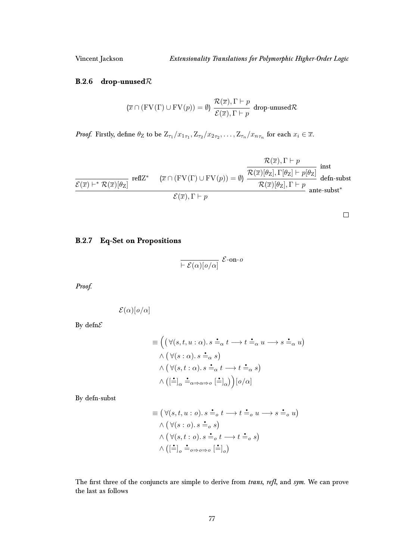#### **B.2.6 drop-unused***R*

$$
(\overline{x} \cap (\text{FV}(\Gamma) \cup \text{FV}(p))) = \emptyset) \frac{\mathcal{R}(\overline{x}), \Gamma \vdash p}{\mathcal{E}(\overline{x}), \Gamma \vdash p} \text{ drop-unused } \mathcal{R}
$$

*Proof.* Firstly, define  $\theta_{\mathrm{Z}}$  to be  $\mathrm{Z}_{\tau_1}/x_{1\tau_1}, \mathrm{Z}_{\tau_2}/x_{2\tau_2}, \ldots, \mathrm{Z}_{\tau_n}/x_{n\tau_n}$  for each  $x_i \in \overline{x}$ .

$$
\frac{\mathcal{R}(\overline{x}), \Gamma \vdash p}{\mathcal{E}(\overline{x}) \vdash^* \mathcal{R}(\overline{x})[\theta_{\mathbf{Z}}]} \text{ reflZ*} \qquad (\overline{x} \cap (\text{FV}(\Gamma) \cup \text{FV}(p))) = \emptyset) \frac{\overline{\mathcal{R}(\overline{x})[\theta_{\mathbf{Z}}], \Gamma[\theta_{\mathbf{Z}}] \vdash p[\theta_{\mathbf{Z}}]}{\mathcal{R}(\overline{x})[\theta_{\mathbf{Z}}], \Gamma \vdash p} \text{inst} \text{ defn-subst*}
$$
\n
$$
\mathcal{E}(\overline{x}), \Gamma \vdash p
$$

# **B.2.7 Eq-Set on Propositions**

$$
\frac{\partial}{\partial \tau} \mathcal{E}(\alpha) [o/\alpha] \mathcal{E}\text{-on-}o
$$

*Proof.*

$$
\mathcal{E}(\alpha)[o/\alpha]
$$

By defn*E*

$$
\equiv \left( \left( \forall (s, t, u : \alpha) \cdot s \doteq_{\alpha} t \longrightarrow t \doteq_{\alpha} u \longrightarrow s \doteq_{\alpha} u \right) \land \left( \forall (s : \alpha) \cdot s \doteq_{\alpha} s \right) \land \left( \forall (s, t : \alpha) \cdot s \doteq_{\alpha} t \longrightarrow t \doteq_{\alpha} s \right) \land \left( [\doteq]_{\alpha} \doteq_{\alpha \Rightarrow \alpha \Rightarrow o} [\doteq]_{\alpha} \right) \right) [o/\alpha]
$$

By defn-subst

$$
\equiv (\forall (s, t, u : o). s \doteq_o t \longrightarrow t \doteq_o u \longrightarrow s \doteq_o u)
$$
  
 
$$
\land (\forall (s : o). s \doteq_o s)
$$
  
 
$$
\land (\forall (s, t : o). s \doteq_o t \longrightarrow t \doteq_o s)
$$
  
 
$$
\land ([\doteq]_o \doteq_{o \Rightarrow o \Rightarrow o} [\doteq]_o)
$$

The first three of the conjuncts are simple to derive from *trans*, *refl*, and *sym*. We can prove the last as follows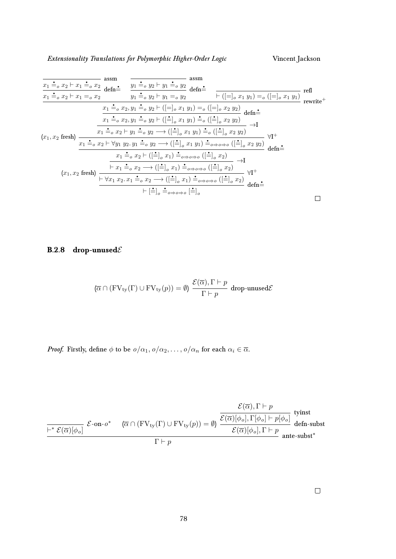assm assm *•*=*<sup>o</sup> y*<sup>2</sup> *⊢ y*<sup>1</sup> *•*=*<sup>o</sup> y*<sup>2</sup> *•*=*<sup>o</sup> x*<sup>2</sup> *⊢ x*<sup>1</sup> *•*=*<sup>o</sup> x*<sup>2</sup> *x*1 *y*1 defn *•*= defn *•*= refl *•*=*<sup>o</sup> x*<sup>2</sup> *⊢ x*<sup>1</sup> =*<sup>o</sup> x*<sup>2</sup> *•*=*<sup>o</sup> y*<sup>2</sup> *⊢ y*<sup>1</sup> =*<sup>o</sup> y*<sup>2</sup> *x*1 *y*1 *⊢* ([=]*<sup>o</sup> x*<sup>1</sup> *y*1) =*<sup>o</sup>* ([=]*<sup>o</sup> x*<sup>1</sup> *y*1) rewrite<sup>+</sup> *•*=*<sup>o</sup> x*2*, y*<sup>1</sup> *•*=*<sup>o</sup> y*<sup>2</sup> *⊢* ([=]*<sup>o</sup> x*<sup>1</sup> *y*1) =*<sup>o</sup>* ([=]*<sup>o</sup> x*<sup>2</sup> *y*2) *x*1 defn *•*= *•*=*<sup>o</sup> x*2*, y*<sup>1</sup> *•*=*<sup>o</sup> y*<sup>2</sup> *⊢* ([ *•*=]*<sup>o</sup> x*<sup>1</sup> *y*1) *•*=*<sup>o</sup>* ([ *•*=]*<sup>o</sup> x*<sup>2</sup> *y*2) *x*1 *→*I *•*=*<sup>o</sup> x*<sup>2</sup> *⊢ y*<sup>1</sup> *•*=*<sup>o</sup> y*<sup>2</sup> *−→* ([ *•*=]*<sup>o</sup> x*<sup>1</sup> *y*1) *•*=*<sup>o</sup>* ([ *•*=]*<sup>o</sup> x*<sup>2</sup> *y*2) *x*1 + (*x*1*, x*<sup>2</sup> fresh) *∀*I *•*=*<sup>o</sup> x*<sup>2</sup> *⊢ ∀y*<sup>1</sup> *y*2*. y*<sup>1</sup> *•*=*<sup>o</sup> y*<sup>2</sup> *−→* ([ *•*=]*<sup>o</sup> x*<sup>1</sup> *y*1) *•*=*o⇒o⇒<sup>o</sup>* ([ *•*=]*<sup>o</sup> x*<sup>2</sup> *y*2) *x*1 defn *•*= *•*=*<sup>o</sup> x*<sup>2</sup> *⊢* ([ *•*=]*<sup>o</sup> x*1) *•*=*o⇒o⇒<sup>o</sup>* ([ *•*=]*<sup>o</sup> x*2) *x*1 *→*I *•*=*<sup>o</sup> x*<sup>2</sup> *−→* ([ *•*=]*<sup>o</sup> x*1) *•*=*o⇒o⇒<sup>o</sup>* ([ *•*=]*<sup>o</sup> x*2) *⊢ x*<sup>1</sup> + (*x*1*, x*<sup>2</sup> fresh) *∀*I *•*=*<sup>o</sup> x*<sup>2</sup> *−→* ([ *•*=]*<sup>o</sup> x*1) *•*=*o⇒o⇒<sup>o</sup>* ([ *•*=]*<sup>o</sup> x*2) *⊢ ∀x*<sup>1</sup> *x*2*. x*<sup>1</sup> defn *•*= *•*=]*<sup>o</sup> •*=*o⇒o⇒<sup>o</sup>* [ *•*=]*<sup>o</sup> ⊢* [ 

# **B.2.8 drop-unused***E*

$$
(\overline{\alpha} \cap (\mathrm{FV_{ty}}(\Gamma) \cup \mathrm{FV_{ty}}(p)) = \emptyset) \frac{\mathcal{E}(\overline{\alpha}), \Gamma \vdash p}{\Gamma \vdash p} \text{ drop-unused}\mathcal{E}
$$

*Proof.* Firstly, define  $\phi$  to be  $o/\alpha_1$ ,  $o/\alpha_2$ , . . . ,  $o/\alpha_n$  for each  $\alpha_i \in \overline{\alpha}$ .

*E*-on-*o ∗ ⊢ <sup>∗</sup> E*(*α*)[*ϕo*] *E*(*α*)*,* Γ *⊢ p* tyinst *E*(*α*)[*ϕo*]*,* Γ[*ϕo*] *⊢ p*[*ϕo*] (*α ∩* (FVty(Γ) *∪* FVty(*p*)) = *∅*) defn-subst *E*(*α*)[*ϕo*]*,* Γ *⊢ p* ante-subst*<sup>∗</sup>* Γ *⊢ p*

 $\Box$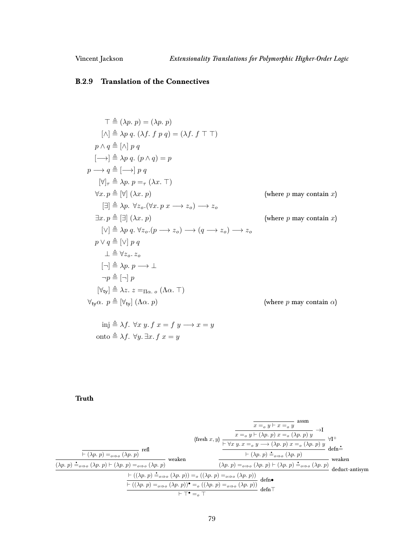# **B.2.9 Translation of the Connectives**

$$
\top \triangleq (\lambda p. p) = (\lambda p. p)
$$
\n
$$
[\wedge] \triangleq \lambda p q. (\lambda f. f p q) = (\lambda f. f \top \top)
$$
\n
$$
p \wedge q \triangleq [\wedge] p q
$$
\n
$$
[\rightarrow] \triangleq \lambda p q. (p \wedge q) = p
$$
\n
$$
p \rightarrow q \triangleq [\rightarrow] p q
$$
\n
$$
[\forall]_{\tau} \triangleq \lambda p. p =_{\tau} (\lambda x. \top)
$$
\n
$$
\forall x. p \triangleq [\forall] (\lambda x. p)
$$
\n
$$
[\exists] \triangleq \lambda p. \forall z_o. (\forall x. p x \rightarrow z_o) \rightarrow z_o
$$
\n
$$
\exists x. p \triangleq [\exists] (\lambda x. p)
$$
\n
$$
[\vee] \triangleq \lambda p q. \forall z_o. (p \rightarrow z_o) \rightarrow (q \rightarrow z_o) \rightarrow z_o
$$
\n
$$
p \vee q \triangleq [\vee] p q
$$
\n
$$
\perp \triangleq \forall z_o. z_o
$$
\n
$$
[\neg] \triangleq \lambda p. p \rightarrow \perp
$$
\n
$$
\neg p \triangleq [\neg] p
$$
\n
$$
[\forall y] \triangleq \lambda z. z = \Pi \alpha. o (\Lambda \alpha. \top)
$$
\n
$$
(\text{where } p \text{ may contain } \alpha)
$$

inj ≜ *λf. ∀x y. f x* = *f y −→ x* = *y* onto  $\triangleq \lambda f$ .  $\forall y$ .  $\exists x. f \ x = y$ 

# **Truth**

$$
\frac{x =_o y \mid x =_o y}{x =_o y \mid (\lambda p. p) x =_o (\lambda p. p) y} \rightarrow I
$$
\n
$$
\frac{x =_o y \mid (\lambda p. p) x =_o (\lambda p. p) y}{\frac{\vdash (\lambda p. p) =_o \Rightarrow_o (\lambda p. p) \land (p. p) =_o \Rightarrow_o (\lambda p. p) \land (p. p) =_o \Rightarrow_o (\lambda p. p) \land (p. p) =_o \Rightarrow_o (\lambda p. p) \land (p. p) =_o \Rightarrow_o (\lambda p. p) \land (p. p) =_o \Rightarrow_o (\lambda p. p) \land (p. p) =_o \Rightarrow_o (\lambda p. p) \land (p. p) =_o \Rightarrow_o (\lambda p. p) \land (p. p) =_o \Rightarrow_o (\lambda p. p) \land (p. p) =_o \Rightarrow_o (\lambda p. p) \land (p. p) =_o \Rightarrow_o (\lambda p. p) \land (p. p) =_o \Rightarrow_o (\lambda p. p) \land (p. p) =_o \Rightarrow_o (\lambda p. p) \land (p. p) =_o \Rightarrow_o (\lambda p. p) \land (p. p) =_o \Rightarrow_o (\lambda p. p) \land (p. p) =_o \Rightarrow_o (\lambda p. p) \land (p. p) =_o \Rightarrow_o (\lambda p. p) \land (p. p) =_o \Rightarrow_o (\lambda p. p) \land (p. p) =_o \Rightarrow_o (\lambda p. p) \land (p. p) =_o \Rightarrow_o (\lambda p. p) \land (p. p) =_o \Rightarrow_o (\lambda p. p) \land (p. p) =_o \Rightarrow_o (\lambda p. p) \land (p. p) =_o \Rightarrow_o (\lambda p. p) \land (p. p) =_o \Rightarrow_o (\lambda p. p) =_o \Rightarrow_o (\lambda p. p) =_o \Rightarrow_o (\lambda p. p) \land (p. p) =_o \Rightarrow_o (\lambda p. p) =_o \Rightarrow_o (\lambda p. p) \land (p. p) =_o \Rightarrow_o (\lambda p. p) =_o \Rightarrow_o (\lambda p. p) =_o \Rightarrow_o (\lambda p. p) \land (p. p) =_o \Rightarrow_o (\lambda p. p) =_o \Rightarrow_o (\lambda p. p) \land (p. p) =_o \Rightarrow_o (\lambda p. p) =_o \Rightarrow_o (\lambda p. p) =_o \Rightarrow_o (\lambda p. p) \land (p. p) =_o \Rightarrow_
$$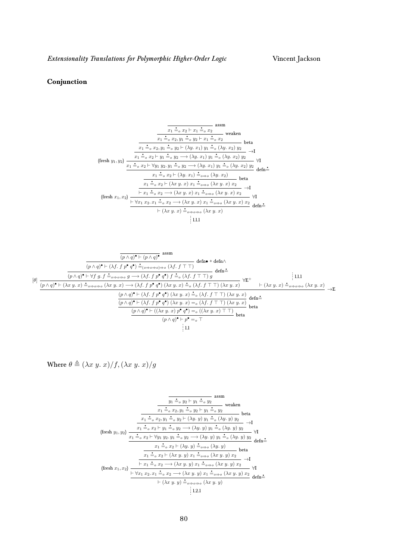#### **Conjunction**

$$
\frac{x_1 \doteq_o x_2 \vdash x_1 \doteq_o x_2}{x_1 \doteq_o x_2, y_1 \doteq_o y_2 \vdash x_1 \doteq_o x_2}
$$
weaken  
\n
$$
\frac{x_1 \doteq_o x_2, y_1 \doteq_o y_2 \vdash (x_1, x_1) y_1 \doteq_o (x_2, x_2) y_2}{x_1 \doteq_o x_2 \vdash y_1 \doteq_o y_2 \rightarrow (x_1, x_1) y_1 \doteq_o (x_2, x_2) y_2} \rightarrow 1
$$
\n(fresh  $y_1, y_2$ )  
\n
$$
\frac{x_1 \doteq_o x_2 \vdash y_1 \doteq_o y_2 \rightarrow (x_1, x_1) y_1 \doteq_o (x_2, x_2) y_2}{x_1 \doteq_o x_2 \vdash (x_1, x_2) y_1 \vdash o y_2 \rightarrow (x_1, x_1) y_1 \not\models o (x_2, x_2) y_2}
$$
\n
$$
\frac{x_1 \doteq_o x_2 \vdash (x_1, x_1) \doteq_o x_2 \rightarrow (x_1, x_1) y_1 \not\models o \rightarrow o (x_1, x_2) y_2}{x_1 \doteq_o x_2 \rightarrow (x_1, x_1) y_1 \vdash o \rightarrow o (x_1, x_2) y_2}
$$
\n
$$
\frac{x_1 \doteq_o x_2 \rightarrow (x_1, x_1) y_1 \vdash o \rightarrow o (x_1, x_2) y_2}{x_1 \vdash (x_1, x_2) y_1 \vdash (x_2, x_1) y_1 \vdash o \rightarrow o (x_1, x_1) y_2}
$$
\n
$$
\frac{x_1 \vdash (x_1, x_2) y_2 \vdash (x_1, x_2) y_1}{x_1 \vdash (x_1, x_2) y_1 \vdash (x_1, x_2) y_1 \vdash o (x_1, x_2) y_1}
$$
\n
$$
\frac{x_1 \vdash (x_1, x_2) y_1 \vdash (x_1, x_2) y_1}{x_1 \vdash (x_1, x_2) y_1 \vdash (x_1, x_2) y_1}
$$
\n
$$
\frac{x_1
$$



Where  $\theta \triangleq (\lambda x \ y. x)/f, (\lambda x \ y. x)/g$ 

$$
\frac{y_1 \doteq_o y_2 \vdash y_1 \doteq_o y_2}{x_1 \doteq_o x_2, y_1 \doteq_o y_2 \vdash y_1 \doteq_o y_2}
$$
weaken  
\n
$$
\frac{x_1 \doteq_o x_2, y_1 \doteq_o y_2 \vdash (\lambda y. y) y_1 \doteq_o (\lambda y. y) y_2}{x_1 \doteq_o x_2 \vdash y_1 \doteq_o y_2 \rightarrow (\lambda y. y) y_1 \doteq_o (\lambda y. y) y_2}
$$
\n
$$
\frac{x_1 \doteq_o x_2 \vdash y_1 \doteq_o y_2 \rightarrow (\lambda y. y) y_1 \doteq_o (\lambda y. y) y_2}{x_1 \doteq_o x_2 \vdash (\lambda y. y) y_2 \cdots \doteq_o (\lambda y. y) y_1 \doteq_o (\lambda y. y) y_2}
$$
\n
$$
\frac{x_1 \doteq_o x_2 \vdash (\lambda x. y. y) \doteq_o \rightarrow \delta (\lambda y. y)}{x_1 \doteq_o x_2 \vdash (\lambda x. y. y) \doteq_o \rightarrow \delta (\lambda x. y. y) x_2}
$$
\n
$$
\frac{x_1 \doteq_o x_2 \vdash (\lambda x. y. y) x_1 \doteq_o \rightarrow \delta (\lambda x. y. y) x_2}{\vdash x_1 \doteq_o x_2 \rightarrow (\lambda x. y. y) x_1 \doteq_o \rightarrow \delta (\lambda x. y. y) x_2}
$$
\n
$$
\frac{\vdash x_1 \doteq_o x_2 \rightarrow (\lambda x. y. y) x_1 \doteq_o \rightarrow \delta (\lambda x. y. y) x_2}{\vdash (\lambda x. y. y) \doteq_o \rightarrow \delta (\lambda x. y. y)}
$$
\n
$$
\frac{\vdash 1.2.1
$$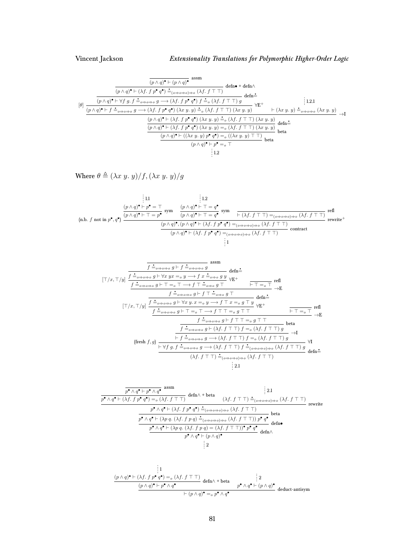$$
\frac{\overbrace{(p \land q)^{\bullet} \vdash (p \land q)^{\bullet}}^{\text{assm}} \text{assm}}{\overbrace{(p \land q)^{\bullet} \vdash (\lambda f. f p^{\bullet} q^{\bullet}) \doteq_{(o \Rightarrow o \Rightarrow o) \Rightarrow o} (\lambda f. f \top \top)}^{\text{des}} \text{defn} \doteq}
$$
\n
$$
[\theta] \frac{\overbrace{(p \land q)^{\bullet} \vdash \forall f \ g. f \doteq_{o \Rightarrow o \Rightarrow o} g \longrightarrow (\lambda f. f p^{\bullet} q^{\bullet}) f \doteq_{o} (\lambda f. f \top \top) g}^{\text{defn} \doteq}}{\overbrace{(p \land q)^{\bullet} \vdash f \doteq_{o \Rightarrow o \Rightarrow o} g \longrightarrow (\lambda f. f p^{\bullet} q^{\bullet}) (\lambda x y. y) \doteq_{o} (\lambda f. f \top \top) (\lambda x y. y)}^{\text{des}} \forall E^{+} \qquad [\lambda x y. y) \doteq_{o \Rightarrow o \Rightarrow o} (\lambda x y. y)}{\overbrace{(p \land q)^{\bullet} \vdash (\lambda f. f p^{\bullet} q^{\bullet}) (\lambda x y. y) \doteq_{o} (\lambda f. f \top \top) (\lambda x y. y)}^{\text{des}} \text{defn} \doteq}
$$
\n
$$
\frac{\overbrace{(p \land q)^{\bullet} \vdash (\lambda f. f p^{\bullet} q^{\bullet}) (\lambda x y. y) \doteq_{o} (\lambda f. f \top \top) (\lambda x y. y)}^{\text{des}} \text{defn} \doteq}{\overbrace{(p \land q)^{\bullet} \vdash (\lambda x y. y) p^{\bullet} q^{\bullet}) =_{o} (\lambda f. f \top \top) (\lambda x y. y)}^{\text{des}} \text{beta}}
$$
\n
$$
\frac{\overbrace{(p \land q)^{\bullet} \vdash (\lambda x y. y) p^{\bullet} q^{\bullet}) =_{o} (\lambda f. f \top \top) (\lambda x y. y)}^{\text{des}}}{\overbrace{(p \land q)^{\bullet} \vdash p^{\bullet} \equiv_{o} \top}^{\text{ess}}}
$$

Where  $\theta \triangleq (\lambda x \ y. y)/f, (\lambda x \ y. y)/g$ 

$$
\begin{array}{c}\n\vdots \\
\text{1.1} \\
\text{(n.b. } f \text{ not in } p^{\bullet}, q^{\bullet}\n\end{array}\n\quad\n\begin{array}{c}\n\text{(p \land q)^{\bullet} \vdash p^{\bullet} = \top \\
\text{(p \land q)^{\bullet} \vdash \top = p^{\bullet}} \text{ sym } \\
\text{(p \land q)^{\bullet} \vdash \top = q^{\bullet}} \text{ sym } \\
\text{(p \land q)^{\bullet} \vdash (\lambda f, f p^{\bullet} q^{\bullet}) = (\lambda f, f \top \top) = (\lambda f, f \top \top) \\
\text{(p \land q)^{\bullet} \vdash (\lambda f, f p^{\bullet} q^{\bullet}) = (\lambda f, f \top \top)} \text{ countact}\n\end{array}\n\quad\n\text{rewrite}\n\begin{array}{c}\n\text{refl } \\
\text{rewrite}\n\end{array}
$$
\n
$$
\begin{array}{c}\n\text{(p \land q)^{\bullet} \vdash (\lambda f, f p^{\bullet} q^{\bullet}) = (\lambda f, f \top \top) \\
\text{(p \land q)^{\bullet} \vdash (\lambda f, f p^{\bullet} q^{\bullet}) = (\lambda f, f \top \top)} \\
\text{if } \\
\text{if } \\
\end{array}
$$

assm *f •*=*o⇒o⇒<sup>o</sup> g ⊢ f •*=*o⇒o⇒<sup>o</sup> g* defn *•*= *f •*=*o⇒o⇒<sup>o</sup> <sup>g</sup> ⊢ ∀x yx* <sup>=</sup>*<sup>o</sup> <sup>y</sup> −→ f x •*=*o⇒<sup>o</sup> g y* [*⊤/x, <sup>⊤</sup>/y*] *<sup>∀</sup>*E<sup>+</sup> *f •*=*o⇒o⇒<sup>o</sup> g ⊢ ⊤* =*<sup>o</sup> ⊤ −→ f ⊤ •*=*o⇒<sup>o</sup> g ⊤* refl *⊢ ⊤* <sup>=</sup>*<sup>o</sup> <sup>⊤</sup> <sup>→</sup>*<sup>E</sup> *f •*=*o⇒o⇒<sup>o</sup> g ⊢ f ⊤ •*=*o⇒<sup>o</sup> g ⊤* defn *•*= *f •*=*o⇒o⇒<sup>o</sup> <sup>g</sup> ⊢ ∀x y. x* <sup>=</sup>*<sup>o</sup> <sup>y</sup> −→ <sup>f</sup> <sup>⊤</sup> <sup>x</sup>* <sup>=</sup>*<sup>o</sup> <sup>g</sup> <sup>⊤</sup> <sup>y</sup>* [*⊤/x, ⊤/y*] *∀*E<sup>+</sup> *f •*=*o⇒o⇒<sup>o</sup> g ⊢ ⊤* =*<sup>o</sup> ⊤ −→ f ⊤ ⊤* =*<sup>o</sup> g ⊤ ⊤* refl *⊢ ⊤* <sup>=</sup>*<sup>o</sup> <sup>⊤</sup> <sup>→</sup>*<sup>E</sup> *f •*=*o⇒o⇒<sup>o</sup> g ⊢ f ⊤ ⊤* =*<sup>o</sup> g ⊤ ⊤* beta *f •*=*o⇒o⇒<sup>o</sup> <sup>g</sup> <sup>⊢</sup>* (*λf. f ⊤ ⊤*) *<sup>f</sup>* <sup>=</sup>*<sup>o</sup>* (*λf. f ⊤ ⊤*) *<sup>g</sup> <sup>→</sup>*<sup>I</sup> *⊢ f •*=*o⇒o⇒<sup>o</sup> <sup>g</sup> −→* (*λf. f ⊤ ⊤*) *<sup>f</sup>* <sup>=</sup>*<sup>o</sup>* (*λf. f ⊤ ⊤*) *<sup>g</sup>* (fresh *f, g*) *<sup>∀</sup>*<sup>I</sup> *⊢ ∀f g. f •*=*o⇒o⇒<sup>o</sup> <sup>g</sup> −→* (*λf. f ⊤ ⊤*) *<sup>f</sup> •*=(*o⇒o⇒o*)*⇒<sup>o</sup>* (*λf. f ⊤ ⊤*) *<sup>g</sup>* defn *•*= (*λf. f ⊤ ⊤*) *•*=(*o⇒o⇒o*)*⇒<sup>o</sup>* (*λf. f ⊤ ⊤*) . . . . . 2.1

$$
\frac{p^{\bullet} \wedge q^{\bullet} \vdash p^{\bullet} \wedge q^{\bullet}}{p^{\bullet} \wedge q^{\bullet} \vdash (\lambda f. f p^{\bullet} q^{\bullet}) =_{o} (\lambda f. f \top \top)} \operatorname{defn} \wedge + \operatorname{beta} \qquad (\lambda f. f \top \top) \doteq_{(o \Rightarrow o \Rightarrow o) \Rightarrow o} (\lambda f. f \top \top)} \text{ rewrite}
$$
\n
$$
\frac{p^{\bullet} \wedge q^{\bullet} \vdash (\lambda f. f p^{\bullet} q^{\bullet}) \doteq_{(o \Rightarrow o \Rightarrow o) \Rightarrow o} (\lambda f. f \top \top)}{p^{\bullet} \wedge q^{\bullet} \vdash (\lambda p. q. (\lambda f. f p. q) \doteq_{(o \Rightarrow o \Rightarrow o) \Rightarrow o} (\lambda f. f \top \top)) p^{\bullet} q^{\bullet}} \text{ beta}
$$
\n
$$
\frac{p^{\bullet} \wedge q^{\bullet} \vdash (\lambda p. q. (\lambda f. f p. q) \doteq_{(o \Rightarrow o \Rightarrow o) \Rightarrow o} (\lambda f. f \top \top)) p^{\bullet} q^{\bullet}}{p^{\bullet} \wedge q^{\bullet} \vdash (p \wedge q)^{\bullet}}
$$
\n
$$
\vdots 2
$$

$$
\begin{array}{c}\n\vdots \\
\frac{(p \wedge q)^{\bullet} \vdash (\lambda f. f p^{\bullet} q^{\bullet}) =_{o} (\lambda f. f \top \top)}{(p \wedge q)^{\bullet} \vdash p^{\bullet} \wedge q^{\bullet}} \quad \text{defn} \wedge + \text{beta} \\
\qquad \qquad \downarrow \quad \text{defn} \wedge q^{\bullet} \vdash (p \wedge q)^{\bullet} \\
\qquad \qquad \vdash (p \wedge q)^{\bullet} =_{o} p^{\bullet} \wedge q^{\bullet} \\
\qquad \qquad \downarrow \quad \text{deduct-antisym}\n\end{array}
$$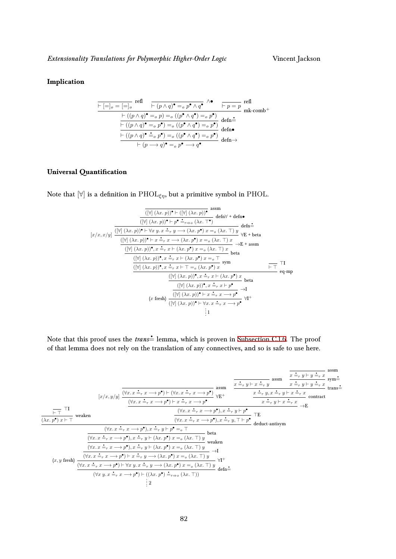# **Implication**

$$
\frac{\overline{\vdash[\mathbf{=}]_o=[=]}_o \quad \text{refl} \quad \overline{\vdash(p \land q)^{\bullet}=_o p^{\bullet} \land q^{\bullet}} \quad ^{\wedge \bullet} \quad \overline{\vdash p=p} \quad \text{refl}}{\overline{\vdash((p \land q)^{\bullet}=_o p) =_o ((p^{\bullet} \land q^{\bullet})=_o p^{\bullet})} \quad \text{otherwise}} \quad \text{mk-comb}^{+}
$$
\n
$$
\frac{\overline{\vdash((p \land q)^{\bullet}=_o p^{\bullet}) =_o ((p^{\bullet} \land q^{\bullet})=_o p^{\bullet})}}{\overline{\vdash((p \land q)^{\bullet}=_o p^{\bullet}) =_o ((p^{\bullet} \land q^{\bullet})=_o p^{\bullet})}} \quad \text{define}} \quad \text{defn} \rightarrow \text{refn}
$$

#### **Universal Quantification**

Note that  $[\forall]$  is a definition in  $\text{PHOL}_{\xi\eta}$ , but a primitive symbol in PHOL.

$$
\frac{\overline{(|\mathbb{Y}|\ (\lambda x.\ p))^{\bullet} + (|\mathbb{Y}|\ (\lambda x.\ p))^{\bullet}} \text{ assm}}{(\overline{|\mathbb{Y}|\ (\lambda x.\ p))^{\bullet} + p^{\bullet} \xrightarrow{=}_{\tau \Rightarrow o} (\lambda x.\ T^{\bullet})} \text{defn}\forall + \text{defn}\text{e}}
$$
\n
$$
[x/x, x/y] \frac{\overline{(|\mathbb{Y}|\ (\lambda x.\ p))^{\bullet} + \forall x \ y.\ x \xrightarrow{=}_{\tau} y \longrightarrow (\lambda x.\ p^{\bullet}) \ x =_{o} (\lambda x.\ T) \ y}}{(\overline{|\mathbb{Y}|\ (\lambda x.\ p))^{\bullet}, x \xrightarrow{=}_{\tau} x \longrightarrow (\lambda x.\ p^{\bullet}) \ x =_{o} (\lambda x.\ T) \ x} \rightarrow E + \text{assm}
$$
\n
$$
\frac{\overline{(|\mathbb{Y}|\ (\lambda x.\ p))^{\bullet}, x \xrightarrow{=}_{\tau} x \vdash (\lambda x.\ p^{\bullet}) \ x =_{o} (\lambda x.\ T) \ x}}{(\overline{|\mathbb{Y}|\ (\lambda x.\ p))^{\bullet}, x \xrightarrow{=}_{\tau} x \vdash (\lambda x.\ p^{\bullet}) \ x \xrightarrow{=}_{\tau} \ y \text{m}}
$$
\n
$$
\frac{\overline{(|\mathbb{Y}|\ (\lambda x.\ p))^{\bullet}, x \xrightarrow{=}_{\tau} x \vdash (\lambda x.\ p^{\bullet}) \ x}}{(\overline{|\mathbb{Y}|\ (\lambda x.\ p))^{\bullet}, x \xrightarrow{=}_{\tau} x \vdash (\lambda x.\ p^{\bullet}) \ x}} \text{beta}
$$
\n
$$
\frac{\overline{(|\mathbb{Y}|\ (\lambda x.\ p))^{\bullet}, x \xrightarrow{=}_{\tau} x \vdash p^{\bullet}}}{(\overline{|\mathbb{Y}|\ (\lambda x.\ p))^{\bullet} + x \xrightarrow{=}_{\tau} x \longrightarrow p^{\bullet}} \rightarrow I}
$$
\n
$$
(x \ \text{ fresh}) \frac{\overline{(|\mathbb{Y}|\ (\lambda x.\ p))^{\bullet} + x \xrightarrow{=}_{\tau} x \longrightarrow p^{\bullet}}}{(\overline{|\mathbb{Y}|\ (\lambda x.\ p))^{\bullet} + \forall x.\ x \xrightarrow{=}_{\tau} x \longrightarrow p^{\bullet}} \ y \text{H}^+}
$$
\n
$$
\vdots \ 1
$$

Note that this proof uses the *trans*<sup> $\triangle$ </sup> lemma, which is proven in Subsection C.1.6. The proof of that lemma does not rely on the translation of any connectives, and so is safe to use here.

$$
[x/x, y/y] \frac{\overline{(x, x \stackrel{\rightharpoonup}{=}_{\tau} x \rightarrow p^{\bullet}) \vdash (\forall x. x \stackrel{\rightharpoonup}{=}_{\tau} x \rightarrow p^{\bullet})}{\overline{(x, x \stackrel{\rightharpoonup}{=}_{\tau} x \rightarrow p^{\bullet}) \vdash x \stackrel{\rightharpoonup}{=}_{\tau} x \rightarrow p^{\bullet}}} \text{asm} \frac{\overline{x \stackrel{\rightharpoonup}{=}_{\tau} y \vdash x \stackrel{\rightharpoonup}{=}_{\tau} y \stackrel{\rightharpoonup}{=}_{\tau} x \stackrel{\rightharpoonup}{=}_{\tau} x \stackrel{\rightharpoonup}{=}_{\tau} x \stackrel{\rightharpoonup}{=}_{\tau} x \stackrel{\rightharpoonup}{=}_{\tau} x \stackrel{\rightharpoonup}{=}_{\tau} x \stackrel{\rightharpoonup}{=}_{\tau} x \stackrel{\rightharpoonup}{=}_{\tau} x \stackrel{\rightharpoonup}{=}_{\tau} x \stackrel{\rightharpoonup}{=}_{\tau} x \stackrel{\rightharpoonup}{=}_{\tau} x \stackrel{\rightharpoonup}{=}_{\tau} x \stackrel{\rightharpoonup}{=}_{\tau} x \stackrel{\rightharpoonup}{=}_{\tau} x \stackrel{\rightharpoonup}{=}_{\tau} x \stackrel{\rightharpoonup}{=}_{\tau} x \stackrel{\rightharpoonup}{=}_{\tau} x \stackrel{\rightharpoonup}{=}_{\tau} x \stackrel{\rightharpoonup}{=}_{\tau} x \stackrel{\rightharpoonup}{=}_{\tau} x \stackrel{\rightharpoonup}{=}_{\tau} x \stackrel{\rightharpoonup}{=}_{\tau} x \stackrel{\rightharpoonup}{=}_{\tau} x \stackrel{\rightharpoonup}{=}_{\tau} x \stackrel{\rightharpoonup}{=}_{\tau} x \stackrel{\rightharpoonup}{=}_{\tau} x \stackrel{\rightharpoonup}{=}_{\tau} x \stackrel{\rightharpoonup}{=}_{\tau} x \stackrel{\rightharpoonup}{=}_{\tau} x \stackrel{\rightharpoonup}{=}_{\tau} x \stackrel{\rightharpoonup}{=}_{\tau} x \stackrel{\rightharpoonup}{=}_{\tau} x \stackrel{\rightharpoonup}{=}_{\tau} x \stackrel{\rightharpoonup}{=}_{\tau} x \stackrel{\rightharpoonup}{=}_{\tau} x \stackrel{\rightharpoonup}{=}_{\tau} x \stackrel{\rightharpoon
$$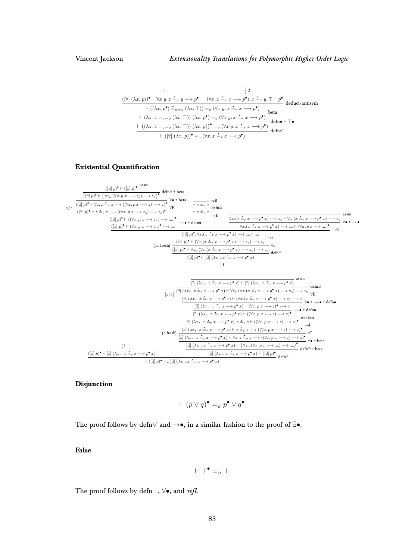. . . . . 1 ([*∀*] (*λx. p*))*• ⊢ ∀x y. x •*=*<sup>τ</sup> y −→ p •* . . . . . 2 (*∀x. x •*=*<sup>τ</sup> x −→ p •*)*, x •*=*<sup>τ</sup> y, ⊤ ⊢ p •* deduct-antisym *<sup>⊢</sup>* ((*λx. p•*) *•*=*o⇒<sup>o</sup>* (*λx. <sup>⊤</sup>*)) =*<sup>o</sup>* (*∀x y. x •*=*<sup>τ</sup> x −→ p •*) beta *<sup>⊢</sup>* (*λz. z* <sup>=</sup>*o⇒<sup>o</sup>* (*λx. <sup>⊤</sup>*)) (*λx. p•*) =*<sup>o</sup>* (*∀x y. x •*=*<sup>τ</sup> x −→ p •*) defn*•* + *⊤• ⊢* ( (*λz. z* <sup>=</sup>*o⇒<sup>o</sup>* (*λx. <sup>⊤</sup>*)) (*λx. p*) )*•* =*<sup>o</sup>* (*∀x y. x •*=*<sup>τ</sup> x −→ p •*) defn*∀ <sup>⊢</sup>* ([*∀*] (*λx. p*))*•* =*<sup>o</sup>* (*∀x. x •*=*<sup>τ</sup> x −→ p •*)

#### **Existential Quantification**



#### **Disjunction**

$$
\vdash (p \lor q)^{\bullet} =_o p^{\bullet} \lor q^{\bullet}
$$

The proof follows by defn*∨* and *→•*, in a similar fashion to the proof of *∃•*.

**False**

$$
\vdash \bot^{\bullet} =_{o} \bot
$$

The proof follows by defn*⊥*, *∀•*, and *refl*.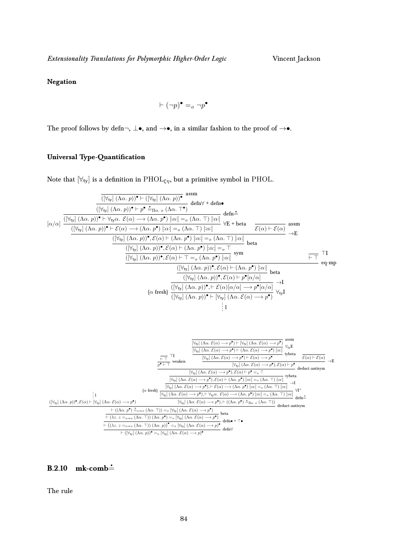*Extensionality Translations for Polymorphic Higher-Order Logic* Vincent Jackson

#### **Negation**

$$
\vdash (\neg p)^{\bullet} =_o \neg p^{\bullet}
$$

The proof follows by defn*¬*, *⊥•*, and *→•*, in a similar fashion to the proof of *→•*.

# **Universal Type-Quantification**

Note that [*∀*ty] is a definition in PHOL*ξη*, but a primitive symbol in PHOL.

$$
\frac{\left(\left[\forall_{\text{ty}}\right](\Lambda\alpha,\,p)\right)^{\bullet}+\left[\left(\forall_{\text{ty}}\right](\Lambda\alpha,\,p)\right)^{\bullet}}{\left(\left[\forall_{\text{ty}}\right](\Lambda\alpha,\,p)\right)^{\bullet}+\rho^{\bullet}-\Pi\alpha,\,\sigma^{\bullet}\left(\Lambda\alpha,\,T^{\bullet}\right)\left[\alpha;\right]}=\sigma^{\bullet}\left(\Lambda\alpha,\,T^{\bullet}\right)\left[\alpha;\right]}{\left(\left[\forall_{\text{ty}}\right](\Lambda\alpha,\,p)\right)^{\bullet}+\mathcal{E}(\alpha)\longrightarrow(\Lambda\alpha,\,p^{\bullet})\left[\alpha;\right]=\sigma^{\bullet}\left(\Lambda\alpha,\,T^{\bullet}\right)\left[\alpha;\right]}=\sigma^{\bullet}\left(\Lambda\alpha,\,T^{\bullet}\right)\left[\alpha;\right]}=\sigma^{\bullet}\left(\Lambda\alpha,\,T^{\bullet}\right)\left[\alpha;\right]}=\sigma^{\bullet}\left(\Lambda\alpha,\,T^{\bullet}\right)\left[\alpha;\right]=\sigma^{\bullet}\left(\Lambda\alpha,\,T^{\bullet}\right)\left[\alpha;\right]}=\sigma^{\bullet}\left(\Lambda\alpha,\,T^{\bullet}\right)\left[\alpha;\right]=\sigma^{\bullet}\left(\Lambda\alpha,\,T^{\bullet}\right)\left[\alpha;\right]=\sigma^{\bullet}\left(\Lambda\alpha,\,T^{\bullet}\right)\left[\alpha;\right]=\sigma^{\bullet}\left(\Lambda\alpha,\,T^{\bullet}\right)\left[\alpha;\right]=\sigma^{\bullet}\left(\Lambda\alpha,\,T^{\bullet}\right)\left[\alpha;\right]=\sigma^{\bullet}\left(\Lambda\alpha,\,T^{\bullet}\right)\left[\alpha;\right]=\sigma^{\bullet}\left(\Lambda\alpha,\,T^{\bullet}\right)\left[\alpha;\right]=\sigma^{\bullet}\left(\Lambda\alpha,\,T^{\bullet}\right)\left[\alpha;\right]=\sigma^{\bullet}\left(\Lambda\alpha,\,T^{\bullet}\right)\left[\alpha;\right]=\sigma^{\bullet}\left(\Lambda\alpha,\,T^{\bullet}\right)\left[\alpha;\right]=\sigma^{\bullet}\left(\Lambda\alpha,\,T^{\bullet}\right)\left[\alpha;\right]=\sigma^{\bullet}\left(\Lambda\alpha,\,T^{\bullet}\right)\left[\alpha;\right]=\sigma^{\bullet}\left(\Lambda\alpha,\,T^{\bullet}\right)\left[\alpha;\right]=\sigma^{\bullet}\left(\Lambda\alpha,\,T^{\bullet}\right)\left[\alpha;\right]=\sigma^{\bullet}\left(\Lambda\alpha,\,T^{\bullet}\right)\left[\alpha;\right]=\sigma^{\bullet}\left(\Lambda\alpha,\,T^{\bullet}\right)\left[\alpha;\right]=\sigma^{\bullet}\left(\Lambda
$$

# <span id="page-91-0"></span>**B.2.10** mk-comb=

The rule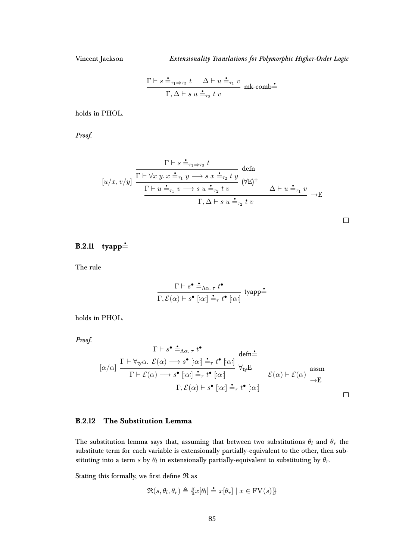Vincent Jackson *Extensionality Translations for Polymorphic Higher-Order Logic*

$$
\frac{\Gamma \vdash s \xrightarrow{\bullet}_{\tau_1 \Rightarrow \tau_2} t \quad \Delta \vdash u \xrightarrow{\bullet}_{\tau_1} v}{\Gamma, \Delta \vdash s \ u \xrightarrow{\bullet}_{\tau_2} t \ v} \ \text{mk-comb} \xleftarrow{\bullet}
$$

holds in PHOL.

*Proof.*

$$
[u/x, v/y] \frac{\Gamma \vdash s \stackrel{\mathbf{\dot{=}}}{\mathbf{r}_1 \Rightarrow \tau_2} t}{\Gamma \vdash \forall x \ y. x \stackrel{\mathbf{\dot{=}}}{\mathbf{r}_1} y \longrightarrow s \ x \stackrel{\mathbf{\dot{=}}}{\mathbf{r}_2} t \ y}{\Gamma \vdash u \stackrel{\mathbf{\dot{=}}}{\mathbf{r}_1} v \longrightarrow s \ u \stackrel{\mathbf{\dot{=}}}{\mathbf{r}_2} t \ v} (\forall E)^+} \Delta \vdash u \stackrel{\mathbf{\dot{=}}}{\mathbf{r}_1} v
$$
\n
$$
\Gamma, \Delta \vdash s \ u \stackrel{\mathbf{\dot{=}}}{\mathbf{r}_2} t \ v
$$

# <span id="page-92-0"></span>**B.2.11** tyapp  $\dot{=}$

The rule

$$
\frac{\Gamma \vdash s^{\bullet} \doteq_{\Lambda \alpha. \tau} t^{\bullet}}{\Gamma, \mathcal{E}(\alpha) \vdash s^{\bullet} [:\alpha] \doteq_{\tau} t^{\bullet} [:\alpha]} \text{ tyapp} \dot{=}
$$

holds in PHOL.

*Proof.*

$$
\frac{\Gamma \vdash s^{\bullet} \doteq_{\Lambda \alpha. \tau} t^{\bullet}}{\Gamma \vdash \forall_{\mathsf{ty}} \alpha. \ \mathcal{E}(\alpha) \longrightarrow s^{\bullet} [\alpha] \doteq_{\tau} t^{\bullet} [\alpha]} \frac{\text{defn}^{\bullet}}{\forall_{\mathsf{ty}} E}
$$
\n
$$
\frac{\Gamma \vdash \mathcal{E}(\alpha) \longrightarrow s^{\bullet} [\alpha] \doteq_{\tau} t^{\bullet} [\alpha]}{\Gamma \vdash \mathcal{E}(\alpha) \longrightarrow s^{\bullet} [\alpha] \doteq_{\tau} t^{\bullet} [\alpha]} \frac{\forall_{\mathsf{ty}} E}{\Gamma, \mathcal{E}(\alpha) \vdash \mathcal{E}(\alpha)} \xrightarrow{\mathcal{E}(\alpha) \vdash \mathcal{E}(\alpha)} \neg E}
$$
\n
$$
\Gamma, \mathcal{E}(\alpha) \vdash s^{\bullet} [\alpha] \doteq_{\tau} t^{\bullet} [\alpha]
$$

#### **B.2.12 The Substitution Lemma**

The substitution lemma says that, assuming that between two substitutions  $\theta_l$  and  $\theta_r$  the substitute term for each variable is extensionally partially-equivalent to the other, then substituting into a term  $s$  by  $\theta_l$  in extensionally partially-equivalent to substituting by  $\theta_r.$ 

Stating this formally, we first define  $Re$  as

$$
\Re(s, \theta_l, \theta_r) \triangleq \{\!\!\{\boldsymbol{x}[\theta_l] \boldsymbol{\dot{=}} \boldsymbol{x}[\theta_r] \mid x \in \mathrm{FV}(s)\}\!\!\}
$$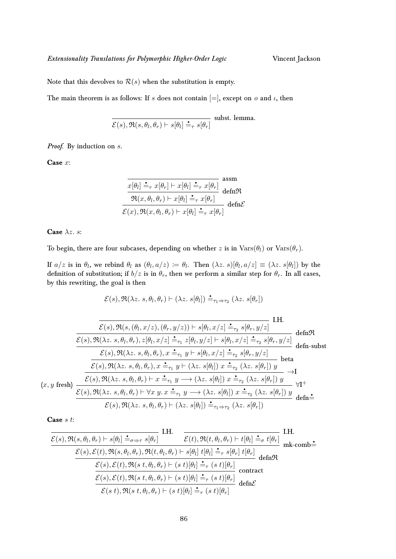Note that this devolves to  $\mathcal{R}(s)$  when the substitution is empty.

The main theorem is as follows: If *s* does not contain  $[=]$ , except on *o* and *ι*, then

$$
\overline{\mathcal{E}(s), \mathfrak{R}(s, \theta_l, \theta_r) \vdash s[\theta_l] \triangleq_\tau s[\theta_r]}
$$
subset, lemma.

*Proof.* By induction on *s*.

**Case** *x*:

$$
\frac{x[\theta_l] \triangleq_\tau x[\theta_r] \vdash x[\theta_l] \triangleq_\tau x[\theta_r]}{\mathfrak{R}(x, \theta_l, \theta_r) \vdash x[\theta_l] \triangleq_\tau x[\theta_r]} \text{defn\Re}\n\frac{\mathfrak{R}(x, \theta_l, \theta_r) \vdash x[\theta_l] \triangleq_\tau x[\theta_r]}{\mathcal{E}(x), \mathfrak{R}(x, \theta_l, \theta_r) \vdash x[\theta_l] \triangleq_\tau x[\theta_r]} \text{defn\mathcal{E}}
$$

**Case** *λz. s*:

To begin, there are four subcases, depending on whether *z* is in  $\text{Vars}(\theta_l)$  or  $\text{Vars}(\theta_r)$ .

If  $a/z$  is in  $\theta_l$ , we rebind  $\theta_l$  as  $(\theta_l, a/z) \coloneqq \theta_l$ . Then  $(\lambda z. s)[\theta_l, a/z] \equiv (\lambda z. s[\theta_l])$  by the definition of substitution; if  $b/z$  is in  $\theta_r$ , then we perform a similar step for  $\theta_r$ . In all cases, by this rewriting, the goal is then

$$
\mathcal{E}(s), \mathfrak{R}(\lambda z. s, \theta_l, \theta_r) \vdash (\lambda z. s[\theta_l]) \stackrel{\bullet}{=}_{\tau_1 \Rightarrow \tau_2} (\lambda z. s[\theta_r])
$$
\n
$$
\frac{\overline{\mathcal{E}(s)}, \mathfrak{R}(s, (\theta_l, x/z), (\theta_r, y/z)) \vdash s[\theta_l, x/z] \stackrel{\bullet}{=}_{\tau_2} s[\theta_r, y/z]}{\underbrace{\mathcal{E}(s)}, \mathfrak{R}(\lambda z. s, \theta_l, \theta_r), z[\theta_l, x/z] \stackrel{\bullet}{=}_{\tau_1} z[\theta_l, y/z] \vdash s[\theta_l, x/z] \stackrel{\bullet}{=}_{\tau_2} s[\theta_r, y/z]} \text{defn-subst}
$$
\n
$$
\frac{\mathcal{E}(s), \mathfrak{R}(\lambda z. s, \theta_l, \theta_r), x \stackrel{\bullet}{=}_{\tau_1} y \vdash s[\theta_l, x/z] \stackrel{\bullet}{=}_{\tau_2} s[\theta_r, y/z]}{\mathcal{E}(s), \mathfrak{R}(\lambda z. s, \theta_l, \theta_r), x \stackrel{\bullet}{=}_{\tau_1} y \vdash (\lambda z. s[\theta_l]) x \stackrel{\bullet}{=}_{\tau_2} (\lambda z. s[\theta_r]) y} \text{beta}
$$
\n
$$
\frac{\mathcal{E}(s), \mathfrak{R}(\lambda z. s, \theta_l, \theta_r) \vdash x \stackrel{\bullet}{=}_{\tau_1} y \longrightarrow (\lambda z. s[\theta_l]) x \stackrel{\bullet}{=}_{\tau_2} (\lambda z. s[\theta_r]) y}{\mathcal{E}(s), \mathfrak{R}(\lambda z. s, \theta_l, \theta_r) \vdash \forall x y. x \stackrel{\bullet}{=}_{\tau_1} y \longrightarrow (\lambda z. s[\theta_l]) x \stackrel{\bullet}{=}_{\tau_2} (\lambda z. s[\theta_r]) y}{\mathcal{E}(\lambda z. s[\theta_r]) y} \text{defn}^{\bullet}
$$

**Case** *s t*:

$$
\frac{\mathcal{E}(s), \Re(s, \theta_l, \theta_r) \vdash s[\theta_l] \triangleq_{\sigma \Rightarrow \tau} s[\theta_r]}{\mathcal{E}(s), \mathcal{E}(t), \Re(s, \theta_l, \theta_r), \Re(t, \theta_l, \theta_r) \vdash s[\theta_l] \uparrow \theta_l] \triangleq_{\sigma} t[\theta_r]} \frac{\mathcal{E}(s), \mathcal{E}(t), \Re(s, \theta_l, \theta_r), \Re(t, \theta_l, \theta_r) \vdash s[\theta_l] t[\theta_l] \triangleq_{\tau} s[\theta_r] t[\theta_r]}{\mathcal{E}(s), \mathcal{E}(t), \Re(s, t, \theta_l, \theta_r) \vdash (s \ t)[\theta_l] \triangleq_{\tau} (s \ t)[\theta_r]} \text{ contract}
$$
\n
$$
\frac{\mathcal{E}(s), \mathcal{E}(t), \Re(s \ t, \theta_l, \theta_r) \vdash (s \ t)[\theta_l] \triangleq_{\tau} (s \ t)[\theta_r]}{\mathcal{E}(s \ t), \Re(s \ t, \theta_l, \theta_r) \vdash (s \ t)[\theta_l] \triangleq_{\tau} (s \ t)[\theta_r]} \text{ defn}\mathcal{E}
$$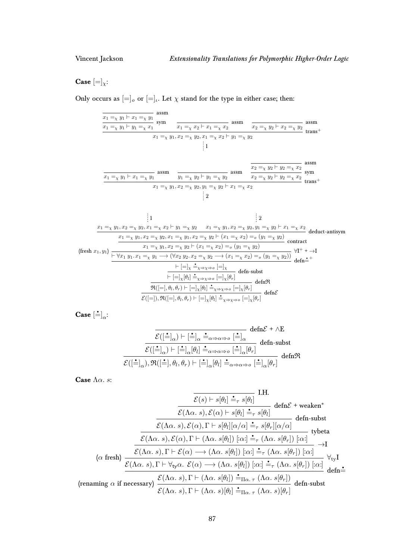**Case**  $[=]_{\chi}$ :

Only occurs as  $[=]_o$  or  $[=]_l.$  Let  $\chi$  stand for the type in either case; then:

$$
\frac{x_1 =_x y_1 \mid x_1 =_x y_1}{x_1 =_x y_1 \mid y_1 =_x x_1} \text{asym}
$$
\n
$$
\frac{x_1 =_x y_1 \mid y_1 =_x x_1}{x_1 =_x y_1, x_2 =_x y_2, x_1 =_x x_2 \mid y_1 =_x y_2} \text{asym}
$$
\n
$$
\frac{x_1 =_x y_1 \mid x_2 =_x y_2, x_1 =_x x_2 \mid y_1 =_x y_2}{\vdots}
$$
\n
$$
\frac{x_1 =_x y_1 \mid x_1 =_x y_1}{x_1 =_x y_1} \text{asym}
$$
\n
$$
\frac{x_1 =_x y_1 \mid x_1 =_x y_1}{x_1 =_x y_1, x_2 =_x y_2, y_1 =_x y_2} \text{asym}
$$
\n
$$
\frac{x_2 =_x y_2 \mid y_2 =_x x_2}{x_2 =_x y_2 \mid y_2 =_x x_2} \text{asym}
$$
\n
$$
\frac{x_2 =_x y_2 \mid y_2 =_x x_2}{x_2 =_x y_2 \mid y_2 =_x x_2} \text{asym}
$$
\n
$$
\frac{x_1 =_x y_1 \mid x_1 =_x y_1, x_2 =_x y_2, y_1 =_x y_2 \mid x_1 =_x x_2}{\vdots}
$$

. . . . . 1 *x*<sup>1</sup> =*<sup>χ</sup> y*1*, x*<sup>2</sup> =*<sup>χ</sup> y*2*, x*<sup>1</sup> =*<sup>χ</sup> x*<sup>2</sup> *⊢ y*<sup>1</sup> =*<sup>χ</sup> y*<sup>2</sup> . . . . . 2 *x*<sup>1</sup> =*<sup>χ</sup> y*1*, x*<sup>2</sup> =*<sup>χ</sup> y*2*, y*<sup>1</sup> =*<sup>χ</sup> y*<sup>2</sup> *⊢ x*<sup>1</sup> =*<sup>χ</sup> x*<sup>2</sup> deduct-antisym *x*<sup>1</sup> =*<sup>χ</sup> y*1*, x*<sup>2</sup> =*<sup>χ</sup> y*2*, x*<sup>1</sup> =*<sup>χ</sup> y*1*, x*<sup>2</sup> =*<sup>χ</sup> y*<sup>2</sup> *⊢* (*x*<sup>1</sup> =*<sup>χ</sup> x*2) =*<sup>o</sup>* (*y*<sup>1</sup> =*<sup>χ</sup> y*2) contract *x*<sup>1</sup> =*<sup>χ</sup> y*1*, x*<sup>2</sup> =*<sup>χ</sup> y*<sup>2</sup> *⊢* (*x*<sup>1</sup> =*<sup>χ</sup> x*2) =*<sup>o</sup>* (*y*<sup>1</sup> =*<sup>χ</sup> y*2) (fresh *x*1*, y*1) *∀*I<sup>+</sup> + *→*I *⊢ ∀x*<sup>1</sup> *y*1*. x*<sup>1</sup> =*<sup>χ</sup> y*<sup>1</sup> *−→* (*∀x*<sup>2</sup> *y*2*. x*<sup>2</sup> =*<sup>χ</sup> y*<sup>2</sup> *−→* (*x*<sup>1</sup> =*<sup>χ</sup> x*2) =*<sup>o</sup>* (*y*<sup>1</sup> =*<sup>χ</sup> y*2)) defn *•*= + *⊢* [=]*<sup>χ</sup> •*=*χ⇒χ⇒<sup>o</sup>* [=]*<sup>χ</sup>* defn-subst *⊢* [=]*χ*[*θl*] *•*=*χ⇒χ⇒<sup>o</sup>* [=]*χ*[*θr*] defnR R([=]*, θl, θr*) *⊢* [=]*χ*[*θl*] *•*=*χ⇒χ⇒<sup>o</sup>* [=]*χ*[*θr*] defn*E E*([=])*,* R([=]*, θl, θr*) *⊢* [=]*χ*[*θl*] *•*=*χ⇒χ⇒<sup>o</sup>* [=]*χ*[*θr*]

 $\mathbf{Case} \; [\mathbf{\dot{=}}]_{\alpha}$ :

$$
\frac{\overline{\mathcal{E}([\dot{\div}]_{\alpha})\vdash[\dot{\div}]_{\alpha}\dot{\div}_{\alpha\Rightarrow\alpha\Rightarrow o}[\dot{\div}]_{\alpha}}{\mathcal{E}([\dot{\div}]_{\alpha})\vdash[\dot{\div}]_{\alpha}[\theta_{l}]\dot{\div}_{\alpha\Rightarrow\alpha\Rightarrow o}[\dot{\div}]_{\alpha}[\theta_{r}]}\text{ defn-subst}
$$

$$
\frac{\mathcal{E}([\dot{\div}]_{\alpha})\vdash[\dot{\div}]_{\alpha}[\theta_{l}]\dot{\div}_{\alpha\Rightarrow\alpha\Rightarrow o}[\dot{\div}]_{\alpha}[\theta_{r}]}{\mathcal{E}([\dot{\div}]_{\alpha}),\mathfrak{R}([\dot{\div}],\theta_{l},\theta_{r})\vdash[\dot{\div}]_{\alpha}[\theta_{l}]\dot{\div}_{\alpha\Rightarrow\alpha\Rightarrow o}[\dot{\div}]_{\alpha}[\theta_{r}]}\text{ defn}\mathfrak{R}
$$

**Case** Λ*α. s*:

$$
\frac{\overline{\mathcal{E}(s) \vdash s[\theta_l] \doteq_{\tau} s[\theta_l]}}{\mathcal{E}(\Lambda \alpha. s), \mathcal{E}(\alpha) \vdash s[\theta_l] \doteq_{\tau} s[\theta_l]} \text{ defn}\mathcal{E} + \text{weaken*}
$$
\n
$$
\frac{\overline{\mathcal{E}(\Lambda \alpha. s), \mathcal{E}(\alpha) \vdash s[\theta_l] \doteq_{\tau} s[\theta_l]}}{\mathcal{E}(\Lambda \alpha. s), \mathcal{E}(\alpha), \Gamma \vdash s[\theta_l][\alpha/\alpha] \doteq_{\tau} s[\theta_r][\alpha/\alpha]} \text{ defn-subst}
$$
\n
$$
\frac{\overline{\mathcal{E}(\Lambda \alpha. s), \mathcal{E}(\alpha), \Gamma \vdash (\Lambda \alpha. s[\theta_l]) [\cdot \alpha] \doteq_{\tau} (\Lambda \alpha. s[\theta_r]) [\cdot \alpha]}}{\mathcal{E}(\Lambda \alpha. s), \Gamma \vdash \mathcal{E}(\alpha) \longrightarrow (\Lambda \alpha. s[\theta_l]) [\cdot \alpha] \doteq_{\tau} (\Lambda \alpha. s[\theta_r]) [\cdot \alpha]}\rightarrow I
$$
\n
$$
\frac{\mathcal{E}(\Lambda \alpha. s), \Gamma \vdash \forall_{\text{ty}} \alpha. \mathcal{E}(\alpha) \longrightarrow (\Lambda \alpha. s[\theta_l]) [\cdot \alpha] \doteq_{\tau} (\Lambda \alpha. s[\theta_r]) [\cdot \alpha]}{\mathcal{E}(\Lambda \alpha. s), \Gamma \vdash (\Lambda \alpha. s[\theta_l]) \doteq_{\Pi \alpha. \tau} (\Lambda \alpha. s[\theta_r])} \text{ defn}\rightarrow \text{defn}\rightarrow \text{defn}\rightarrow \text{defn}\rightarrow \text{defn}\rightarrow \text{defn}\rightarrow \text{defn}\rightarrow \text{defn}\rightarrow \text{defn}\rightarrow \text{defn}\rightarrow \text{defn}\rightarrow \text{defn}\rightarrow \text{defn}\rightarrow \text{defn}\rightarrow \text{defn}\rightarrow \text{defn}\rightarrow \text{defn}\rightarrow \text{defn}\rightarrow \text{defn}\rightarrow \text{defn}\rightarrow \text{defn}\rightarrow \text{defn}\rightarrow \text{defn}\rightarrow \text{defn}\rightarrow \text{defn}\rightarrow \text{defn}\rightarrow \text{defn}\rightarrow \text{defn}\rightarrow \text{defn}\rightarrow \text{defn}\rightarrow \text{defn}\rightarrow \text{defn}\rightarrow \text{defn}\rightarrow \text{defn}\rightarrow \text{defn}\rightarrow \text{defn}\rightarrow \
$$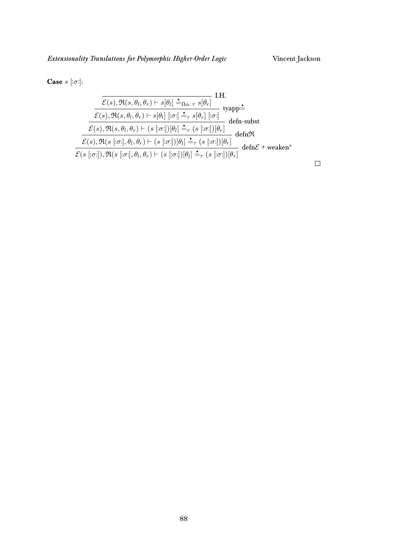# **Case** *s* [:*σ*:]:

$$
\frac{\overline{\mathcal{E}(s), \mathfrak{R}(s, \theta_l, \theta_r) \vdash s[\theta_l] \doteq_{\Pi\alpha. \tau} s[\theta_r]} \text{L.H.}}{\mathcal{E}(s), \mathfrak{R}(s, \theta_l, \theta_r) \vdash s[\theta_l] \left[:\sigma:\right] \doteq_{\tau} s[\theta_r] \left[:\sigma:\right]} \text{trape}^{\dagger} \text{tupp}^{\dagger}
$$
\n
$$
\frac{\overline{\mathcal{E}(s), \mathfrak{R}(s, \theta_l, \theta_r) \vdash (s \left[:\sigma:\right])[\theta_l] \doteq_{\tau} (s \left[:\sigma:\right])[\theta_r]} \text{defn-subst}}{\mathcal{E}(s), \mathfrak{R}(s \left[:\sigma:\right], \theta_l, \theta_r) \vdash (s \left[:\sigma:\right])[\theta_l] \doteq_{\tau} (s \left[:\sigma:\right])[\theta_r]} \text{defn\mathfrak{R}}
$$
\n
$$
\mathcal{E}(s \left[:\sigma:\right], \mathfrak{R}(s \left[:\sigma:\right], \theta_l, \theta_r) \vdash (s \left[:\sigma:\right])[\theta_l] \doteq_{\tau} (s \left[:\sigma:\right])[\theta_r] \text{defn\mathcal{E}} + \text{weaken*}
$$

 $\Box$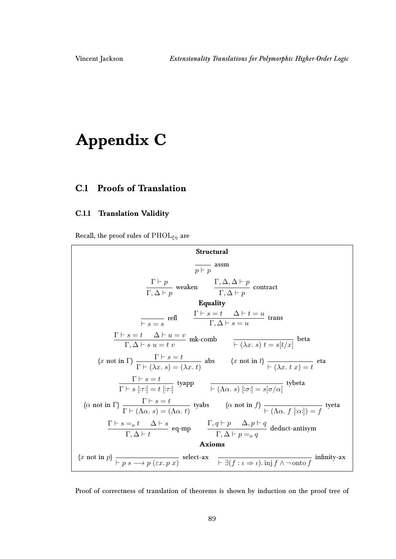# **Appendix C**

### **C.1 Proofs of Translation**

#### **C.1.1 Translation Validity**

Recall, the proof rules of PHOL*ξη* are

**Structural** assm *p ⊢ p* Γ *⊢ p* weaken Γ*,* ∆ *⊢ p* Γ*,* ∆*,* ∆ *⊢ p* contract Γ*,* ∆ *⊢ p* **Equality** refl *⊢ s* = *s*  $\frac{\Gamma\vdash s=t}{\Gamma\vdash t}$   $\Delta\vdash t=u$  trans  $Γ, Δ ⊢ s = u$  $\frac{\Gamma \vdash s = t}{\Gamma \vdash t} \frac{\Delta \vdash u = v}{\Gamma \vdash t}$  mk-comb  $Γ, Δ ⊢ s u = t v$ beta  $\vdash (\lambda x. s) t = s[t/x]$  $(x \text{ not in } \Gamma) \xrightarrow[\text{S}]{} \frac{\Gamma \vdash s = t}{\Gamma \vdash s \land s}$  abs  $\Gamma \vdash (\lambda x. s) = (\lambda x. t)$  $(x \text{ not in } t)$  eta *⊢* (*λx. t x*) = *t*  $\frac{\Gamma \vdash s = t}{\Gamma \vdash s}$  tyapp  $\Gamma \vdash s$   $[:\tau:]=t$   $[:\tau:]$ tybeta *⊦*  $(\Lambda \alpha. s)$   $[:\sigma$ : $] = s[\sigma/\alpha]$  $(\alpha \text{ not in } \Gamma) \xrightarrow{\Gamma \vdash s = t} \text{tyabs}$  $Γ ⊢ (Λα. s) = (Λα. t)$  $(\alpha \text{ not in } f)$  tyeta *⊦* ( $\Lambda \alpha$ . *f* [: $\alpha$ :]) = *f*  $\frac{\Gamma \vdash s =_o t \quad \Delta \vdash s}{\Gamma \cdot \Delta \vdash t}$  eq-mp Γ*,* ∆ *⊢ t*  $\Gamma, q \vdash p \quad \Delta, p \vdash q$ deduct-antisym  $Γ, Δ ⊢ p =<sub>o</sub> q$ **Axioms**  $(x \text{ not in } p)$  select-ax *⊢ p s −→ p* (*εx. p x*) infinity-ax *⊢ ∃*(*f* : *ι ⇒ ι*)*.* inj *f ∧ ¬* onto *f*

Proof of correctness of translation of theorems is shown by induction on the proof tree of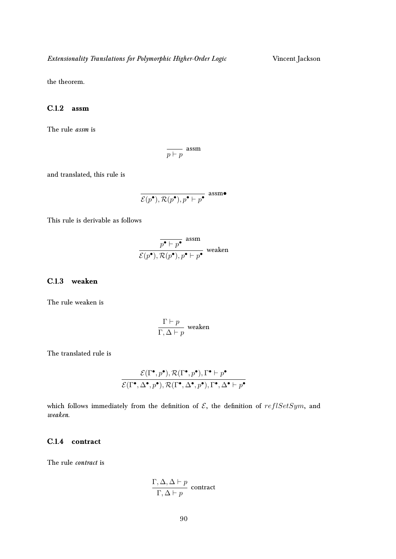the theorem.

# **C.1.2 assm**

The rule *assm* is

$$
\overline{p\vdash p}\;\;{\rm assm}
$$

and translated, this rule is

$$
\overline{\mathcal{E}(p^{\bullet}), \mathcal{R}(p^{\bullet}), p^{\bullet} \vdash p^{\bullet}} \text{ assume}
$$

This rule is derivable as follows

$$
\frac{\overline{p^{\bullet} \vdash p^{\bullet}} \text{ assm}}{\mathcal{E}(p^{\bullet}), \mathcal{R}(p^{\bullet}), p^{\bullet} \vdash p^{\bullet}} \text{ weaken}
$$

#### **C.1.3 weaken**

The rule weaken is

$$
\frac{\Gamma \vdash p}{\Gamma, \Delta \vdash p}
$$
 weaken

The translated rule is

$$
\frac{\mathcal{E}(\Gamma^{\bullet}, p^{\bullet}), \mathcal{R}(\Gamma^{\bullet}, p^{\bullet}), \Gamma^{\bullet} \vdash p^{\bullet}}{\mathcal{E}(\Gamma^{\bullet}, \Delta^{\bullet}, p^{\bullet}), \mathcal{R}(\Gamma^{\bullet}, \Delta^{\bullet}, p^{\bullet}), \Gamma^{\bullet}, \Delta^{\bullet} \vdash p^{\bullet}}
$$

which follows immediately from the definition of  $\mathcal{E}$ , the definition of  $reflSetSym$ , and *weaken*.

### **C.1.4 contract**

The rule *contract* is

$$
\frac{\Gamma, \Delta, \Delta \vdash p}{\Gamma, \Delta \vdash p}
$$
 contract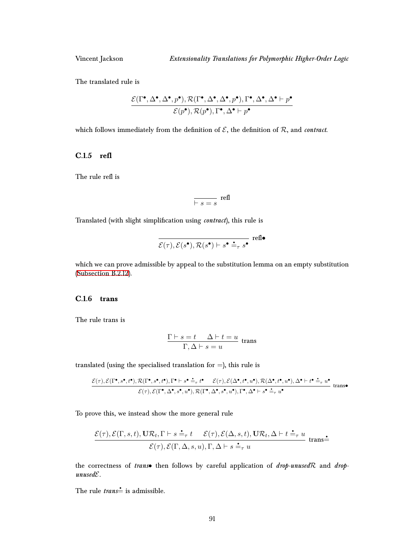The translated rule is

$$
\frac{\mathcal{E}(\Gamma^{\bullet}, \Delta^{\bullet}, \Delta^{\bullet}, p^{\bullet}), \mathcal{R}(\Gamma^{\bullet}, \Delta^{\bullet}, \Delta^{\bullet}, p^{\bullet}), \Gamma^{\bullet}, \Delta^{\bullet}, \Delta^{\bullet} \vdash p^{\bullet}}{\mathcal{E}(p^{\bullet}), \mathcal{R}(p^{\bullet}), \Gamma^{\bullet}, \Delta^{\bullet} \vdash p^{\bullet}}
$$

which follows immediately from the definition of *E*, the definition of *R*, and *contract*.

#### **C.1.5 refl**

The rule refl is

$$
\frac{}{\vdash s=s} \text{ refl}
$$

Translated (with slight simplification using *contract*), this rule is

$$
\overline{\mathcal{E}(\tau), \mathcal{E}(s^{\bullet}), \mathcal{R}(s^{\bullet}) \vdash s^{\bullet} \xrightarrow{\star} s^{\bullet}}
$$
refl $\bullet$ 

which we can prove admissible by appeal to the substitution lemma on an empty substitution (Subsection B.2.12).

#### **C.1.6 trans**

The rule trans is

$$
\frac{\Gamma \vdash s = t \quad \Delta \vdash t = u}{\Gamma, \Delta \vdash s = u} \text{ trans}
$$

translated (using the specialised translation for  $=$ ), this rule is

$$
\frac{\mathcal{E}(\tau), \mathcal{E}(\Gamma^{\bullet}, s^{\bullet}, t^{\bullet}), \mathcal{R}(\Gamma^{\bullet}, s^{\bullet}, t^{\bullet}), \Gamma^{\bullet} \vdash s^{\bullet} \xrightarrow{\star} t^{\bullet} \quad \mathcal{E}(\tau), \mathcal{E}(\Delta^{\bullet}, t^{\bullet}, u^{\bullet}), \mathcal{R}(\Delta^{\bullet}, t^{\bullet}, u^{\bullet}), \Delta^{\bullet} \vdash t^{\bullet} \xrightarrow{\star} u^{\bullet}}{\mathcal{E}(\tau), \mathcal{E}(\Gamma^{\bullet}, \Delta^{\bullet}, s^{\bullet}, u^{\bullet}), \mathcal{R}(\Gamma^{\bullet}, \Delta^{\bullet}, s^{\bullet}, u^{\bullet}), \Gamma^{\bullet}, \Delta^{\bullet} \vdash s^{\bullet} \xrightarrow{\star} u^{\bullet}} \text{trans}^{\bullet}
$$

To prove this, we instead show the more general rule

$$
\frac{\mathcal{E}(\tau), \mathcal{E}(\Gamma, s, t), \mathbf{U}\mathcal{R}_t, \Gamma \vdash s \triangleq_\tau t \quad \mathcal{E}(\tau), \mathcal{E}(\Delta, s, t), \mathbf{U}\mathcal{R}_t, \Delta \vdash t \triangleq_\tau u}{\mathcal{E}(\tau), \mathcal{E}(\Gamma, \Delta, s, u), \Gamma, \Delta \vdash s \triangleq_\tau u} \text{ trans.}
$$

the correctness of *trans•* then follows by careful application of *drop-unusedR* and *dropunusedE*.

The rule *trans*<sup> $\div$ </sup> is admissible.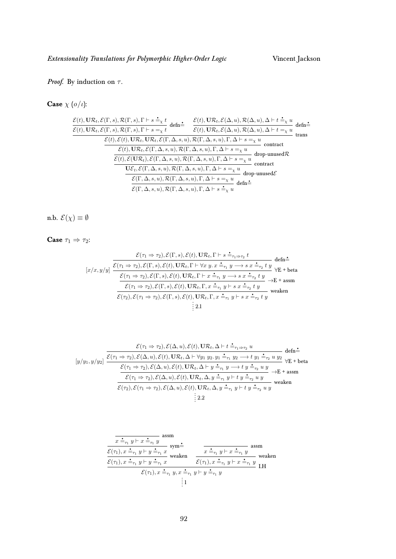# *Proof.* By induction on *τ*.

# **Case** *χ* (*o/ι*):

$$
\frac{\mathcal{E}(t),\mathbf{U}\mathcal{R}_t,\mathcal{E}(\Gamma,s),\mathcal{R}(\Gamma,s),\Gamma\vdash s\overset{\mathbf{i}}{=} \chi\; t}{\mathcal{E}(t),\mathbf{U}\mathcal{R}_t,\mathcal{E}(\Delta,u),\mathcal{R}(\Delta,u),\Delta\vdash t\overset{\mathbf{i}}{=} \chi\; u}{\mathcal{E}(t),\mathbf{U}\mathcal{R}_t,\mathcal{E}(\Gamma,s),\mathcal{R}(\Gamma,s),\Gamma\vdash s=_{\chi} t} \text{ defn}\overset{\mathbf{i}}{=} \frac{\mathcal{E}(t),\mathbf{U}\mathcal{R}_t,\mathcal{E}(\Delta,u),\mathcal{R}(\Delta,u),\Delta\vdash t=_{\chi} u}{\mathcal{E}(t),\mathcal{E}(t),\mathbf{U}\mathcal{R}_t,\mathcal{R}(\Gamma,\Delta,s,u),\mathcal{R}(\Gamma,\Delta,s,u),\Gamma,\Delta\vdash s=_{\chi} u} \text{ trans}
$$
\n
$$
\frac{\mathcal{E}(t),\mathbf{U}\mathcal{R}_t,\mathcal{E}(\Gamma,\Delta,s,u),\mathcal{R}(\Gamma,\Delta,s,u),\Gamma,\Delta\vdash s=_{\chi} u}{\mathcal{E}(t),\mathcal{E}(\mathbf{U}\mathcal{R}_t),\mathcal{E}(\Gamma,\Delta,s,u),\mathcal{R}(\Gamma,\Delta,s,u),\Gamma,\Delta\vdash s=_{\chi} u} \text{ drop-unused}\mathcal{R}
$$
\n
$$
\frac{\mathbf{U}\mathcal{E}_t,\mathcal{E}(\Gamma,\Delta,s,u),\mathcal{R}(\Gamma,\Delta,s,u),\Gamma,\Delta\vdash s=_{\chi} u}{\mathcal{E}(\Gamma,\Delta,s,u),\mathcal{R}(\Gamma,\Delta,s,u),\Gamma,\Delta\vdash s=_{\chi} u} \text{ drop-unused}\mathcal{E}
$$
\n
$$
\frac{\mathcal{E}(\Gamma,\Delta,s,u),\mathcal{R}(\Gamma,\Delta,s,u),\Gamma,\Delta\vdash s=_{\chi} u}{\mathcal{E}(\Gamma,\Delta,s,u),\mathcal{R}(\Gamma,\Delta,s,u),\Gamma,\Delta\vdash s=_{\chi} u} \text{ defn}\overset{\mathbf{i}}{=} \frac{\mathcal{E}(\Gamma,\Delta,s,u),\mathcal{R}(\Gamma,\Delta,s,u),\Gamma,\Delta\vdash s=_{\chi} u}{\mathcal{E}(\Gamma,\Delta,s,u),\mathcal{R}(\
$$

n.b.  $\mathcal{E}(\chi) \equiv \emptyset$ 

**Case**  $\tau_1 \Rightarrow \tau_2$ :

$$
\frac{\mathcal{E}(\tau_1 \Rightarrow \tau_2), \mathcal{E}(\Gamma, s), \mathcal{E}(t), \mathbf{U}\mathcal{R}_t, \Gamma \vdash s \stackrel{\mathbf{1}}{=} \tau_1 \Rightarrow \tau_2 \ t}{\mathcal{E}(\tau_1 \Rightarrow \tau_2), \mathcal{E}(\Gamma, s), \mathcal{E}(t), \mathbf{U}\mathcal{R}_t, \Gamma \vdash \forall x \ y. x \stackrel{\mathbf{1}}{=} \tau_1 \ y \longrightarrow s \ x \stackrel{\mathbf{1}}{=} \tau_2 \ t \ y} \ \text{defn} \stackrel{\mathbf{1}}{=} \mathcal{E}(\tau_1 \Rightarrow \tau_2), \mathcal{E}(\Gamma, s), \mathcal{E}(t), \mathbf{U}\mathcal{R}_t, \Gamma \vdash x \stackrel{\mathbf{1}}{=} \tau_1 \ y \longrightarrow s \ x \stackrel{\mathbf{1}}{=} \tau_2 \ t \ y} \rightarrow E + \text{besta}
$$
\n
$$
\frac{\mathcal{E}(\tau_1 \Rightarrow \tau_2), \mathcal{E}(\Gamma, s), \mathcal{E}(t), \mathbf{U}\mathcal{R}_t, \Gamma, x \stackrel{\mathbf{1}}{=} \tau_1 \ y \longmapsto s \ x \stackrel{\mathbf{1}}{=} \tau_2 \ t \ y}{\mathcal{E}(\tau_2), \mathcal{E}(\tau_1 \Rightarrow \tau_2), \mathcal{E}(\Gamma, s), \mathcal{E}(t), \mathbf{U}\mathcal{R}_t, \Gamma, x \stackrel{\mathbf{1}}{=} \tau_1 \ y \vdash s \ x \stackrel{\mathbf{1}}{=} \tau_2 \ t \ y} \ \text{weaken}
$$
\n
$$
\vdots 2.1
$$

$$
[y/y_1, y/y_2] \frac{\mathcal{E}(\tau_1 \Rightarrow \tau_2), \mathcal{E}(\Delta, u), \mathcal{E}(t), \mathbf{U}\mathcal{R}_t, \Delta \vdash t \triangleq_{\tau_1 \Rightarrow \tau_2} u}{\mathcal{E}(\tau_1 \Rightarrow \tau_2), \mathcal{E}(\Delta, u), \mathcal{E}(t), \mathbf{U}\mathcal{R}_t, \Delta \vdash \forall y_1 \ y_2, y_1 \triangleq_{\tau_1} y_2 \longrightarrow t y_1 \triangleq_{\tau_2} u y_2} \text{ defn- $\frac{\mathcal{E}(\tau_1 \Rightarrow \tau_2), \mathcal{E}(\Delta, u), \mathcal{E}(t), \mathbf{U}\mathcal{R}_t, \Delta \vdash y \triangleq_{\tau_1} y \longrightarrow t y \triangleq_{\tau_2} u y}{\mathcal{E}(\tau_1 \Rightarrow \tau_2), \mathcal{E}(\Delta, u), \mathcal{E}(t), \mathbf{U}\mathcal{R}_t, \Delta, y \triangleq_{\tau_1} y \vdash t y \triangleq_{\tau_2} u y} \rightarrow E + \text{assm}$ \n
$$
\frac{\mathcal{E}(\tau_1 \Rightarrow \tau_2), \mathcal{E}(\Delta, u), \mathcal{E}(t), \mathbf{U}\mathcal{R}_t, \Delta, y \triangleq_{\tau_1} y \vdash t y \triangleq_{\tau_2} u y}{\mathcal{E}(\tau_2), \mathcal{E}(\tau_1 \Rightarrow \tau_2), \mathcal{E}(\Delta, u), \mathcal{E}(t), \mathbf{U}\mathcal{R}_t, \Delta, y \triangleq_{\tau_1} y \vdash t y \triangleq_{\tau_2} u y}
$$
\nweaken  
\n
$$
\vdots 2.2
$$
$$

$$
\frac{\overline{x} \doteq_{\tau_1} y \vdash x \doteq_{\tau_1} y}{\mathcal{E}(\tau_1), x \doteq_{\tau_1} y \vdash y \doteq_{\tau_1} x} \text{sym}^{\perp} \qquad \qquad \frac{\overline{x} \doteq_{\tau_1} y \vdash x \doteq_{\tau_1} y}{\mathcal{E}(\tau_1), x \doteq_{\tau_1} y \vdash y \doteq_{\tau_1} x} \text{weaken} \qquad \qquad \frac{\overline{x} \doteq_{\tau_1} y \vdash x \doteq_{\tau_1} y}{\mathcal{E}(\tau_1), x \doteq_{\tau_1} y \vdash y \doteq_{\tau_1} y} \text{weaken} \qquad \qquad \frac{\mathcal{E}(\tau_1), x \doteq_{\tau_1} y}{\mathcal{E}(\tau_1), x \doteq_{\tau_1} y \vdash y \doteq_{\tau_1} y} \text{LH}
$$
\n
$$
\vdots 1
$$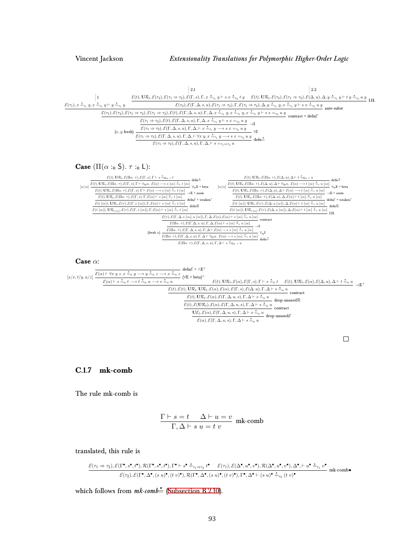

**Case** ( $\Pi(\alpha :_{R} S)$ *.*  $\tau :_{R} L$ ):

| $\mathcal{E}(t)$ , $\mathbf{U}\mathcal{R}_t$ , $\mathcal{E}(\Pi\alpha, \tau)$ , $\mathcal{E}(\Gamma, s)$ , $\Gamma \vdash s =_{\Pi\alpha, \tau} t$                                                                                                                                                                                                                                                                                                                                                                                                                                                                                                                                                                                                                                                                                                                                              | $\mathcal{E}(t)$ , $\mathbf{U}\mathcal{R}_t$ , $\mathcal{E}(\Pi\alpha, \tau)$ , $\mathcal{E}(\Delta, u)$ , $\Delta \vdash t =_{\Pi\alpha, \tau} u$                                                                                                                                                                                                                                                                                                                                      |
|-------------------------------------------------------------------------------------------------------------------------------------------------------------------------------------------------------------------------------------------------------------------------------------------------------------------------------------------------------------------------------------------------------------------------------------------------------------------------------------------------------------------------------------------------------------------------------------------------------------------------------------------------------------------------------------------------------------------------------------------------------------------------------------------------------------------------------------------------------------------------------------------------|-----------------------------------------------------------------------------------------------------------------------------------------------------------------------------------------------------------------------------------------------------------------------------------------------------------------------------------------------------------------------------------------------------------------------------------------------------------------------------------------|
| $defn =$                                                                                                                                                                                                                                                                                                                                                                                                                                                                                                                                                                                                                                                                                                                                                                                                                                                                                        | $defn-$                                                                                                                                                                                                                                                                                                                                                                                                                                                                                 |
| $\begin{split} &\mathcal{E}(t),\text{U}\mathcal{R}_t,\mathcal{E}(\Pi\alpha,\,\tau),\mathcal{E}(\Gamma,s),\Gamma\vdash\forall_{\text{ty}}\alpha,\;\mathcal{E}(\alpha)\longrightarrow s\;[\alpha]\doteqdot_\tau t\;[\alpha]\\ &\frac{\mathcal{E}(t),\text{U}\mathcal{R}_t,\mathcal{E}(\Pi\alpha,\,\tau),\mathcal{E}(\Gamma,s),\Gamma\vdash\mathcal{E}(\alpha)\longrightarrow s\;[\alpha]\doteq_\tau t\;[\alpha]}{\longrightarrow}t\end{split}$                                                                                                                                                                                                                                                                                                                                                                                                                                                    | $\begin{split} &\mathcal{E}(t),\text{U}\mathcal{R}_t,\mathcal{E}(\Pi\alpha.\ \tau),\mathcal{E}(\Delta,u),\Delta\vdash \forall_{\text{ty}}\alpha.\ \mathcal{E}(\alpha)\longrightarrow t\;[\alpha]\doteq_{\tau} u\;[\alpha]\\ &\frac{\mathcal{E}(t),\text{U}\mathcal{R}_t,\mathcal{E}(\Pi\alpha.\ \tau),\mathcal{E}(\Delta,u),\Delta\vdash \mathcal{E}(\alpha)\longrightarrow t\;[\alpha]\doteq_{\tau} u\;[\alpha]}{\cdot} \rightarrow t\;[\alpha]\otimes \mathcal{E}(\alpha)\end{split}$ |
| $\forall_{\mathsf{tv}} E$ + beta                                                                                                                                                                                                                                                                                                                                                                                                                                                                                                                                                                                                                                                                                                                                                                                                                                                                | $\lceil \alpha/\alpha \rceil$                                                                                                                                                                                                                                                                                                                                                                                                                                                           |
| $\lceil \alpha/\alpha \rceil$                                                                                                                                                                                                                                                                                                                                                                                                                                                                                                                                                                                                                                                                                                                                                                                                                                                                   | $\forall_{\text{tv}} E + \text{beta}$                                                                                                                                                                                                                                                                                                                                                                                                                                                   |
| $\rightarrow E$ + assm                                                                                                                                                                                                                                                                                                                                                                                                                                                                                                                                                                                                                                                                                                                                                                                                                                                                          | $\rightarrow$ E + assm                                                                                                                                                                                                                                                                                                                                                                                                                                                                  |
| $\mathcal{E}(t),\mathbf{U}\mathcal{R}_t,\mathcal{E}(\Pi\alpha.\ \tau),\mathcal{E}(\Gamma,s),\Gamma,\mathcal{E}(\alpha)\vdash s\ [:\!\alpha\!:\!\big] \doteq_{\tau} t\ [:\!\alpha\!:\!\big]$                                                                                                                                                                                                                                                                                                                                                                                                                                                                                                                                                                                                                                                                                                     | $\mathcal{E}(t),\mathbf{U}\mathcal{R}_t,\mathcal{E}(\Pi\alpha.\ \tau),\mathcal{E}(\Delta,u),\Delta,\mathcal{E}(\alpha)\vdash t\ [:\alpha]\doteq_{\tau}u\ [:\alpha]$                                                                                                                                                                                                                                                                                                                     |
| $\text{defn}\mathcal{E}$ + weaken <sup>*</sup>                                                                                                                                                                                                                                                                                                                                                                                                                                                                                                                                                                                                                                                                                                                                                                                                                                                  | $\text{defn}\mathcal{E}$ + weaken <sup>*</sup>                                                                                                                                                                                                                                                                                                                                                                                                                                          |
| $\mathcal{E}(t~[{\alpha}]),\mathbf{U}\mathcal{R}_t,\mathcal{E}(\tau),\mathcal{E}(\Gamma,s~[{\alpha}]),\Gamma,\mathcal{E}(\alpha)\vdash s~[{\alpha}]=_{\tau}t~[{\alpha}]$                                                                                                                                                                                                                                                                                                                                                                                                                                                                                                                                                                                                                                                                                                                        | $\mathcal{E}(t~[\alpha$ ]), $\mathbf{U}\mathcal{R}_t, \mathcal{E}(\tau), \mathcal{E}(\Delta, u~[\alpha]), \Delta, \mathcal{E}(\alpha) \vdash t~[\alpha] =_{\tau} u~[\alpha]$                                                                                                                                                                                                                                                                                                            |
| $\mathrm{defn}\mathcal{R}$                                                                                                                                                                                                                                                                                                                                                                                                                                                                                                                                                                                                                                                                                                                                                                                                                                                                      | $\text{defn}\mathcal{R}$                                                                                                                                                                                                                                                                                                                                                                                                                                                                |
| $\mathcal{E}(t~[{\alpha}]),\mathbf{U}\mathcal{R}_{t~[{\alpha}]} ,\mathcal{E}(\tau),\mathcal{E}(\Gamma,s~[{\alpha}]),\Gamma,\mathcal{E}({\alpha})\vdash s~[{\alpha}]=_{\tau} t~[{\alpha} ]$                                                                                                                                                                                                                                                                                                                                                                                                                                                                                                                                                                                                                                                                                                      | $\mathcal{E}(t \; [\alpha \mathord{:}]), \mathbf{U} \mathcal{R}_{t \; [\alpha \mathord{:}]}, \mathcal{E}(\tau), \mathcal{E}(\Delta, u \; [\alpha \mathord{:}]), \Delta, \mathcal{E}(\alpha) \vdash t \; [\alpha \mathord{:}] \doteq_{\tau} u \; [\alpha \mathord{:}]$                                                                                                                                                                                                                   |
| $\underline{\mathcal{E}(\tau), \mathcal{E}(\Gamma, \Delta, s\; [\alpha], u\; [\alpha]), \Gamma, \Delta, \mathcal{E}(\alpha), \mathcal{E}(\alpha) \vdash s\; [\alpha] \doteq_{\tau} u\; [\alpha]}$<br>$\mathcal{E}(\Pi\alpha.\ \tau), \mathcal{E}(\Gamma,\Delta,s,u), \Gamma,\Delta,\mathcal{E}(\alpha) \vdash s \; [\alpha] \doteq_\tau u \; [\alpha]$<br>$\mathcal{E}(\Pi\alpha.\ \tau), \mathcal{E}(\Gamma, \Delta, s, u), \Gamma, \Delta \vdash \mathcal{E}(\alpha) \longrightarrow s \; [\cdot\alpha\cdot] \doteq_\tau u \; [\cdot\alpha\cdot]$<br>(fresh $\alpha$ )<br>$\mathcal{E}(\Pi\alpha.\ \tau), \mathcal{E}(\Gamma,\Delta,s,u), \Gamma,\Delta \vdash \forall_{\mathsf{ty}}\alpha.\ \mathcal{E}(\alpha) \longrightarrow s \ [\alpha] \doteq_{\tau} u \ [\alpha]$<br>$\mathcal{E}(\Pi\alpha, \tau), \mathcal{E}(\Gamma, \Delta, s, u), \Gamma, \Delta \vdash s =_{\Pi\alpha, \tau} u$ | I.H.<br>contract<br>$\forall_{\mathsf{tv}}$<br>$defn =$                                                                                                                                                                                                                                                                                                                                                                                                                                 |

**Case** *α*:

$$
\frac{\mathcal{E}(\alpha) \vdash \forall x \ y \ z. \ x =_{\alpha} y \longrightarrow y =_{\alpha} z \longrightarrow x =_{\alpha} z}{\mathcal{E}(\alpha) \vdash s =_{\alpha} t \longrightarrow t =_{\alpha} u \longrightarrow s =_{\alpha} u} \qquad \mathcal{E}(t) \cdot \mathbf{U}\mathcal{R}_t, \mathcal{E}(\alpha), \mathcal{E}(\Gamma, s), \Gamma \vdash s =_{\alpha} t \quad \mathcal{E}(t), \mathbf{U}\mathcal{R}_t, \mathcal{E}(\alpha), \mathcal{E}(\Delta, u), \Delta \vdash t =_{\alpha} u \longrightarrow \mathbf{E} + \frac{\mathcal{E}(t) \cdot \mathcal{E}(\alpha) \cdot \mathcal{E}(\alpha) \cdot \mathcal{E}(\alpha) \cdot \mathcal{E}(\alpha) \cdot \mathcal{E}(\alpha) \cdot \mathcal{E}(\alpha) \cdot \mathcal{E}(\Delta, u), \Gamma, \Delta \vdash s =_{\alpha} u}{\mathcal{E}(t), \mathbf{U}\mathcal{R}_t, \mathcal{E}(\alpha), \mathcal{E}(\alpha), \mathcal{E}(\alpha), \mathcal{E}(\alpha), \mathcal{E}(\Gamma, s), \Gamma, \Delta \vdash s =_{\alpha} u} \qquad \text{contract} \qquad \frac{\mathcal{E}(t) \cdot \mathbf{U}\mathcal{R}_t, \mathcal{E}(\alpha) \cdot \mathcal{E}(\Gamma, \Delta, u, s), \Gamma, \Delta \vdash s =_{\alpha} u}{\mathcal{E}(t), \mathcal{E}(\mathbf{U}\mathcal{R}_t), \mathcal{E}(\alpha), \mathcal{E}(\Gamma, \Delta, u, s), \Gamma, \Delta \vdash s =_{\alpha} u} \qquad \text{contract} \qquad \frac{\mathbf{U}\mathcal{E}_t, \mathcal{E}(\alpha) \cdot \mathcal{E}(\Gamma, \Delta, u, s), \Gamma, \Delta \vdash s =_{\alpha} u}{\mathcal{E}(\alpha), \mathcal{E}(\Gamma, \Delta, u, s), \Gamma, \Delta \vdash s =_{\alpha} u} \qquad \text{correct}
$$

 $\Box$ 

#### **C.1.7 mk-comb**

The rule mk-comb is

$$
\frac{\Gamma \vdash s = t \quad \Delta \vdash u = v}{\Gamma, \Delta \vdash s \ u = t \ v}
$$
mk-comb

translated, this rule is

$$
\frac{\mathcal{E}(\tau_1 \Rightarrow \tau_2), \mathcal{E}(\Gamma^{\bullet}, s^{\bullet}, t^{\bullet}), \mathcal{R}(\Gamma^{\bullet}, s^{\bullet}, t^{\bullet}), \Gamma^{\bullet} \vdash s^{\bullet} \doteq_{\tau_1 \Rightarrow \tau_2} t^{\bullet} \qquad \mathcal{E}(\tau_1), \mathcal{E}(\Delta^{\bullet}, u^{\bullet}, v^{\bullet}), \mathcal{R}(\Delta^{\bullet}, u^{\bullet}, v^{\bullet}), \Delta^{\bullet}, \vdash u^{\bullet} \doteq_{\tau_1} v^{\bullet}}{\mathcal{E}(\tau_2), \mathcal{E}(\Gamma^{\bullet}, \Delta^{\bullet}, (s \ u)^{\bullet}, (t \ v)^{\bullet}), \mathcal{R}(\Gamma^{\bullet}, \Delta^{\bullet}, (s \ u)^{\bullet}, (t \ v)^{\bullet}), \Gamma^{\bullet}, \Delta^{\bullet} \vdash (s \ u)^{\bullet} \doteq_{\tau_2} (t \ v)^{\bullet}} \text{mk-combø}
$$

which follows from  $mk\text{-}comb\text{-}$  (Subsection B.2.10).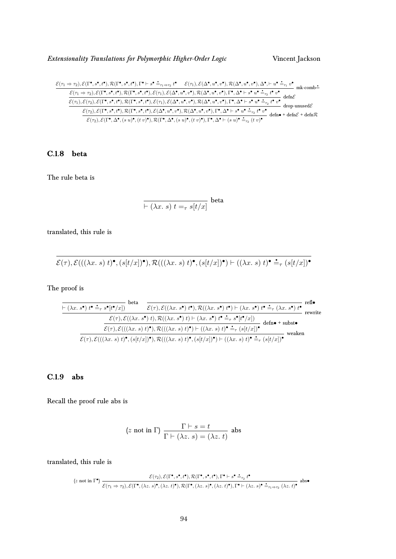$\frac{\mathcal{E}(\tau_1 \Rightarrow \tau_2), \mathcal{E}(\Gamma^\bullet,s^\bullet,t^\bullet), \mathcal{R}(\Gamma^\bullet,s^\bullet,t^\bullet), \Gamma^\bullet \vdash s^\bullet \doteq_{\tau_1 \Rightarrow \tau_2} t^\bullet \quad \mathcal{E}(\tau_1), \mathcal{E}(\Delta^\bullet,u^\bullet,v^\bullet), \mathcal{R}(\Delta^\bullet,u^\bullet,v^\bullet), \Delta^\bullet \vdash u^\bullet \doteq_{\tau_1} v^\bullet \\ \frac{\mathcal{E}(\tau_1 \Rightarrow \tau_2), \mathcal{E}(\Gamma^\bullet,s^\bullet,t^\bullet), \mathcal{R}(\Gamma^\bullet,s^\bullet,t^\bullet), \mathcal{E}(\tau_1), \mathcal$ 

# **C.1.8 beta**

The rule beta is

$$
\frac{}{\vdash (\lambda x.\;s)\;t=_\tau s[t/x]}\;\text{beta}\;
$$

translated, this rule is

$$
\mathcal{E}(\tau), \mathcal{E}(((\lambda x. s)\ t)^{\bullet}, (s[t/x])^{\bullet}), \mathcal{R}(((\lambda x. s)\ t)^{\bullet}, (s[t/x])^{\bullet}) \vdash ((\lambda x. s)\ t)^{\bullet} \xrightarrow{e} (s[t/x])^{\bullet}
$$

The proof is

$$
\frac{\overline{\mathbb{E}(\lambda x. s^{\bullet}) t^{\bullet} \doteq_{\tau} s^{\bullet}[t^{\bullet}/x])}}{\mathbb{E}(\tau), \mathcal{E}((\lambda x. s^{\bullet}) t^{\bullet}), \mathcal{R}((\lambda x. s^{\bullet}) t^{\bullet}) \vdash (\lambda x. s^{\bullet}) t^{\bullet} \doteq_{\tau} (\lambda x. s^{\bullet}) t^{\bullet}} \text{reflø}} \text{rewrite}
$$
\n
$$
\frac{\mathcal{E}(\tau), \mathcal{E}((\lambda x. s^{\bullet}) t), \mathcal{R}((\lambda x. s^{\bullet}) t) \vdash (\lambda x. s^{\bullet}) t^{\bullet} \doteq_{\tau} s^{\bullet}[t^{\bullet}/x])}{\mathcal{E}(\tau), \mathcal{E}(((\lambda x. s) t)^{\bullet}), \mathcal{R}(((\lambda x. s) t)^{\bullet}) \vdash ((\lambda x. s) t)^{\bullet} \doteq_{\tau} (s[t/x])^{\bullet}} \text{define} + \text{subset}
$$
\n
$$
\frac{\mathcal{E}(\tau), \mathcal{E}(((\lambda x. s) t)^{\bullet}), \mathcal{R}(((\lambda x. s) t)^{\bullet}) \vdash ((\lambda x. s) t)^{\bullet} \doteq_{\tau} (s[t/x])^{\bullet})}{\mathcal{E}(\tau), \mathcal{E}(((\lambda x. s) t)^{\bullet}, (s[t/x])^{\bullet}), \mathcal{R}(((\lambda x. s) t)^{\bullet}, (s[t/x])^{\bullet}) \vdash ((\lambda x. s) t)^{\bullet} \doteq_{\tau} (s[t/x])^{\bullet}} \text{weaken}
$$

#### **C.1.9 abs**

Recall the proof rule abs is

$$
(z \text{ not in } \Gamma) \frac{\Gamma \vdash s = t}{\Gamma \vdash (\lambda z. s) = (\lambda z. t)} \text{ abs}
$$

translated, this rule is

$$
(z \text{ not in } \Gamma^{\bullet}) \xrightarrow{\mathcal{E}(\tau_2), \mathcal{E}(\Gamma^{\bullet}, s^{\bullet}, t^{\bullet}), \mathcal{R}(\Gamma^{\bullet}, s^{\bullet}, t^{\bullet}), \Gamma^{\bullet} \vdash s^{\bullet} \doteq_{\tau_2} t^{\bullet}} \mathcal{E}(\tau_1 \Rightarrow \tau_2), \mathcal{E}(\Gamma^{\bullet}, (\lambda z. s)^{\bullet}, (\lambda z. t)^{\bullet}), \mathcal{R}(\Gamma^{\bullet}, (\lambda z. s)^{\bullet}, (\lambda z. t)^{\bullet}), \Gamma^{\bullet} \vdash (\lambda z. s)^{\bullet} \doteq_{\tau_1 \Rightarrow \tau_2} (\lambda z. t)^{\bullet}
$$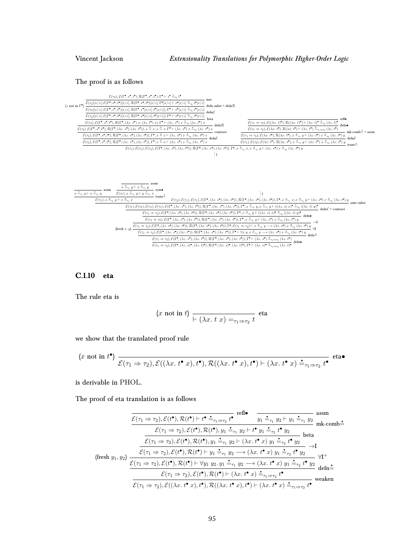#### The proof is as follows



#### **C.1.10 eta**

The rule eta is

$$
(x \text{ not in } t) \xrightarrow[\leftarrow(\lambda x. t x) =_{\tau_1 \Rightarrow \tau_2} t \text{ eta}
$$

we show that the translated proof rule

$$
(x \text{ not in } t^{\bullet})
$$
  $\frac{\partial}{\partial \mathcal{E}(\tau_1 \Rightarrow \tau_2), \mathcal{E}((\lambda x. t^{\bullet} x), t^{\bullet}), \mathcal{R}((\lambda x. t^{\bullet} x), t^{\bullet}) \vdash (\lambda x. t^{\bullet} x) \stackrel{\bullet}{\Rightarrow}_{\tau_1 \Rightarrow \tau_2} t^{\bullet}}$ eta

is derivable in PHOL.

The proof of eta translation is as follows

$$
\frac{\overline{\mathcal{E}(\tau_1 \Rightarrow \tau_2), \mathcal{E}(t^{\bullet}), \mathcal{R}(t^{\bullet}) \vdash t^{\bullet} \stackrel{\text{+}}{=} \tau_1 \Rightarrow \tau_2 t^{\bullet}} \text{refl} \bullet \frac{\overline{\tau_1 \Rightarrow \tau_1 y_2 \vdash y_1 \stackrel{\text{+}}{=} \tau_1 y_2}}{y_1 \stackrel{\text{+}}{=} \tau_1 y_2 \text{ m} \cdot \text{comb}}}{\text{dist} \cdot \frac{\overline{\mathcal{E}(\tau_1 \Rightarrow \tau_2), \mathcal{E}(t^{\bullet}), \mathcal{R}(t^{\bullet}), y_1 \stackrel{\text{+}}{=} \tau_1 y_2 \vdash t^{\bullet} y_1 \stackrel{\text{+}}{=} \tau_2 t^{\bullet} y_2}}{\mathcal{E}(\tau_1 \Rightarrow \tau_2), \mathcal{E}(t^{\bullet}), \mathcal{R}(t^{\bullet}) \vdash y_1 \stackrel{\text{+}}{=} \tau_1 y_2 \vdash (\lambda x. t^{\bullet} x) y_1 \stackrel{\text{+}}{=} \tau_2 t^{\bullet} y_2} \rightarrow \text{I}} \text{dist}
$$
\n
$$
\frac{\overline{\mathcal{E}(\tau_1 \Rightarrow \tau_2), \mathcal{E}(t^{\bullet}), \mathcal{R}(t^{\bullet}) \vdash y_1 \stackrel{\text{+}}{=} \tau_1 y_2 \longrightarrow (\lambda x. t^{\bullet} x) y_1 \stackrel{\text{+}}{=} \tau_2 t^{\bullet} y_2}{\mathcal{E}(\tau_1 \Rightarrow \tau_2), \mathcal{E}(t^{\bullet}), \mathcal{R}(t^{\bullet}) \vdash \forall y_1 y_2 \dots y_1 \stackrel{\text{+}}{=} \tau_1 y_2 \longrightarrow (\lambda x. t^{\bullet} x) y_1 \stackrel{\text{+}}{=} \tau_2 t^{\bullet} y_2} \text{defn-
$$
\frac{\mathcal{E}(\tau_1 \Rightarrow \tau_2), \mathcal{E}(t^{\bullet}), \mathcal{R}(t^{\bullet}) \vdash (\lambda x. t^{\bullet} x) \stackrel{\text{+}}{=} \tau_1 \Rightarrow t^{\bullet} y_2}{\mathcal{E}(\tau_1 \Rightarrow \tau_2), \mathcal{E}((\lambda x. t^{\bullet} x), t^{\bullet}), \mathcal{R}((\lambda x. t^{\bullet} x), t^{\bullet}) \
$$
$$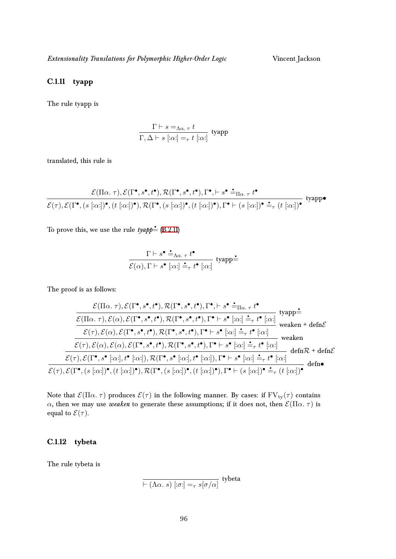# **C.1.11 tyapp**

The rule tyapp is

$$
\frac{\Gamma \vdash s =_{\Lambda \alpha. \tau} t}{\Gamma, \Delta \vdash s [:\alpha:] =_{\tau} t [:\alpha:]} \text{typp}
$$

translated, this rule is

$$
\frac{\mathcal{E}(\Pi\alpha.\ \tau),\mathcal{E}(\Gamma^\bullet,s^\bullet,t^\bullet),\mathcal{R}(\Gamma^\bullet,s^\bullet,t^\bullet),\Gamma^\bullet,\vdash s^\bullet \doteq_{\Pi\alpha.\ \tau} t^\bullet}{\mathcal{E}(\tau),\mathcal{E}(\Gamma^\bullet,(s~[\alpha:])^\bullet,(t~[\alpha:])^\bullet),\mathcal{R}(\Gamma^\bullet,(s~[\alpha:])^\bullet,(t~[\alpha:])^\bullet),(t~[\alpha:])^\bullet),\Gamma^\bullet\vdash (s~[\alpha:])^\bullet \doteq_{\tau} (t~[\alpha:])^\bullet} \text{ tvapp-}
$$

To prove this, we use the rule  $\mathit{typp}$ <sup>\*</sup> (B.2.11)

$$
\frac{\Gamma \vdash s^\bullet \doteq_{\Lambda \alpha . \tau } t^\bullet}{\mathcal{E}(\alpha) , \Gamma \vdash s^\bullet \; [:\alpha :] \doteq_{\tau} t^\bullet \; [:\alpha :]} \; \text{typp} \dot{=}
$$

The proof is as follows:

$$
\frac{\mathcal{E}(\Pi\alpha.\tau),\mathcal{E}(\Gamma^{\bullet},s^{\bullet},t^{\bullet}),\mathcal{R}(\Gamma^{\bullet},s^{\bullet},t^{\bullet}),\Gamma^{\bullet},\vdash s^{\bullet} \stackrel{\mathbf{\dot{=}}}{=_{\Pi\alpha.\tau}t^{\bullet}}{\mathcal{E}(\Pi\alpha.\tau),\mathcal{E}(\alpha),\mathcal{E}(\Gamma^{\bullet},s^{\bullet},t^{\bullet}),\mathcal{R}(\Gamma^{\bullet},s^{\bullet},t^{\bullet}),\Gamma^{\bullet}\vdash s^{\bullet}~[\alpha:]\stackrel{\mathbf{\dot{=}}}{=_{\tau}t^{\bullet}~[\alpha:]} \text{waken }+\text{defn}\mathcal{E}}{\mathcal{E}(\tau),\mathcal{E}(\alpha),\mathcal{E}(\Gamma^{\bullet},s^{\bullet},t^{\bullet}),\mathcal{R}(\Gamma^{\bullet},s^{\bullet},t^{\bullet}),\Gamma^{\bullet}\vdash s^{\bullet}~[\alpha:]\stackrel{\mathbf{\dot{=}}}{=_{\tau}t^{\bullet}~[\alpha:]} \text{waken }+\text{defn}\mathcal{E}}{\mathcal{E}(\tau),\mathcal{E}(\alpha),\mathcal{E}(\alpha),\mathcal{E}(\Gamma^{\bullet},s^{\bullet},t^{\bullet}),\mathcal{R}(\Gamma^{\bullet},s^{\bullet},t^{\bullet}),\Gamma^{\bullet}\vdash s^{\bullet}~[\alpha:]\stackrel{\mathbf{\dot{=}}}{=_{\tau}t^{\bullet}~[\alpha:]} \text{waken }}} \text{weaken } \frac{\mathcal{E}(\tau),\mathcal{E}(\alpha),\mathcal{E}(\alpha),\mathcal{E}(\alpha),\mathcal{E}(\Gamma^{\bullet},s^{\bullet},t^{\bullet}),\mathcal{R}(\Gamma^{\bullet},s^{\bullet},t^{\bullet}),\Gamma^{\bullet}\vdash s^{\bullet}~[\alpha:]\stackrel{\mathbf{\dot{=}}}{=_{\tau}t^{\bullet}~[\alpha:]} \text{defn}\mathcal{R}^{\bullet}+\text{defn}\mathcal{E}}{\mathcal{E}(\tau),\mathcal{E}(\Gamma^{\bullet},(s~[\alpha:])^{\bullet},(t~[\alpha:])^{\bullet}),\mathcal{R}(\Gamma^{\bullet},(s~[\alpha:])^{\bullet},(t~[\alpha:])^{\bullet}),\Gamma^{\bullet}\vdash(s~[\alpha:])^{\bullet}\stackrel{\mathbf{\dot{=}}}{=_{\tau}t^{\bullet}~[\alpha:])^{\bullet}} \text{defn}\
$$

Note that  $\mathcal{E}(\Pi\alpha, \tau)$  produces  $\mathcal{E}(\tau)$  in the following manner. By cases: if  $FV_{ty}(\tau)$  contains *α*, then we may use *weaken* to generate these assumptions; if it does not, then  $\mathcal{E}(\Pi\alpha \cdot \tau)$  is equal to  $\mathcal{E}(\tau)$ .

#### **C.1.12 tybeta**

The rule tybeta is

$$
\overline{\vdash (\Lambda \alpha. s) [\sigma]} =_{\tau} s[\sigma/\alpha]
$$
tybeta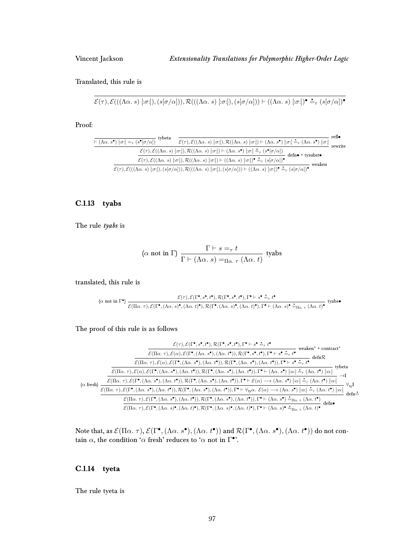Translated, this rule is

$$
\mathcal{E}(\tau),\mathcal{E}(((\Lambda\alpha.s)\;[\cdot\sigma\cdot]),(s[\sigma/\alpha])),\mathcal{R}(((\Lambda\alpha.s)\;[\cdot\sigma\cdot]),(s[\sigma/\alpha]))\vdash((\Lambda\alpha.s)\;[\cdot\sigma\cdot])\text{\textendash}^{\bullet} \xrightarrow{=}_{\tau} (s[\sigma/\alpha])\text{\textendash}^{\bullet}
$$

Proof:

| tybeta                                                                                                      |                                                                                                                                                                                                                                                                                                                                                                                                | reflo   |
|-------------------------------------------------------------------------------------------------------------|------------------------------------------------------------------------------------------------------------------------------------------------------------------------------------------------------------------------------------------------------------------------------------------------------------------------------------------------------------------------------------------------|---------|
| $\overline{\vdash (\Lambda \alpha. s^{\bullet}) [:\sigma]} =_{\tau} (s^{\bullet} [\sigma / \alpha])^{\tau}$ | $\mathcal{E}(\tau),\mathcal{E}((\Lambda\alpha.s)\;[\cdot\sigma\cdot]),\mathcal{R}((\Lambda\alpha.s)\;[\cdot\sigma\cdot])\vdash (\Lambda\alpha.s^\bullet)\;[\cdot\sigma\cdot]\doteq_{\tau}(\Lambda\alpha.s^\bullet)\;[\cdot\sigma\cdot]$                                                                                                                                                        | rewrite |
|                                                                                                             | $\frac{a_{1}}{a_{2}}$ defno + tysubsto                                                                                                                                                                                                                                                                                                                                                         |         |
|                                                                                                             | $\frac{\mathcal{E}(\tau),\mathcal{E}((\Lambda\alpha.s)\;[\sigma]),\mathcal{R}((\Lambda\alpha.s)\;[\sigma])\vdash (\Lambda\alpha.s^\bullet)\;[\sigma]\doteq_\tau (s^\bullet[\sigma/\alpha])}{\mathcal{E}(\tau),\mathcal{E}((\Lambda\alpha.s)\;[\sigma]),\mathcal{R}((\Lambda\alpha.s)\;[\sigma])\vdash ((\Lambda\alpha.s)\;[\sigma])^\bullet \doteq_\tau (s[\sigma/\alpha])^\bullet}$<br>weaken |         |
|                                                                                                             | $\mathcal{E}(\tau),\mathcal{E}(((\Lambda\alpha.s)\;[\sigma]),(s[\sigma/\alpha])),\mathcal{R}(((\Lambda\alpha.s)\;[\sigma]),(s[\sigma/\alpha]))\vdash ((\Lambda\alpha.s)\;[\sigma])^\bullet\circeq_\tau (s[\sigma/\alpha])^\bullet$                                                                                                                                                             |         |

#### **C.1.13 tyabs**

The rule *tyabs* is

$$
(\alpha \text{ not in } \Gamma) \frac{\Gamma \vdash s =_\tau t}{\Gamma \vdash (\Lambda \alpha. s) =_{\Pi \alpha. \tau} (\Lambda \alpha. t)}
$$
 *ty*abs

translated, this rule is

$$
(\alpha \text{ not in } \Gamma^{\bullet}) \xrightarrow[\mathcal{E}(\Pi\alpha.\ \tau),\mathcal{E}(\Gamma^{\bullet},(\Lambda\alpha.s)^{\bullet},(\Lambda\alpha.t)^{\bullet}),\mathcal{R}(\Gamma^{\bullet},s^{\bullet},t^{\bullet}),\Gamma^{\bullet}\vdash s^{\bullet} \xrightarrow{+} t^{\bullet} \mathcal{E}(\Pi\alpha.\ \tau),\mathcal{E}(\Gamma^{\bullet},(\Lambda\alpha.s)^{\bullet},(\Lambda\alpha.t)^{\bullet}),\mathcal{R}(\Gamma^{\bullet},(\Lambda\alpha.s)^{\bullet},(\Lambda\alpha.t)^{\bullet}),\Gamma^{\bullet}\vdash(\Lambda\alpha.s)^{\bullet} \xrightarrow{+} \Pi\alpha.\ \tau (\Lambda\alpha.t)^{\bullet} \text{ (by } \Gamma^{\bullet},(\Lambda\alpha.t)^{\bullet})
$$

#### The proof of this rule is as follows

|                   | $\mathcal{E}(\tau), \mathcal{E}(\Gamma^{\bullet}, s^{\bullet}, t^{\bullet}), \mathcal{R}(\Gamma^{\bullet}, s^{\bullet}, t^{\bullet}), \Gamma^{\bullet} \vdash s^{\bullet} \stackrel{\star}{=}{}_{\tau}^{\bullet} t^{\bullet}$<br>$-$ weaken <sup>*</sup> + contract <sup>*</sup>                                                                                                                                                                                                                                                                                                          |
|-------------------|-------------------------------------------------------------------------------------------------------------------------------------------------------------------------------------------------------------------------------------------------------------------------------------------------------------------------------------------------------------------------------------------------------------------------------------------------------------------------------------------------------------------------------------------------------------------------------------------|
|                   | $\mathcal{E}(\Pi\alpha.\ \tau),\mathcal{E}(\alpha),\mathcal{E}(\Gamma^\bullet,(\Lambda\alpha.s^\bullet),(\Lambda\alpha.t^\bullet)),\mathcal{R}(\Gamma^\bullet,s^\bullet,t^\bullet),\Gamma^\bullet\vdash s^\bullet\eqqcolon t^\bullet$<br>$-$ defn ${\cal R}$                                                                                                                                                                                                                                                                                                                              |
|                   | $\overline{\mathcal{E}(\Pi\alpha.\ \tau),\mathcal{E}(\alpha),\mathcal{E}(\Gamma^\bullet,(\Lambda\alpha.\ s^\bullet),(\Lambda\alpha.\ t^\bullet)),\mathcal{R}(\Gamma^\bullet,(\Lambda\alpha.\ s^\bullet),(\Lambda\alpha.\ t^\bullet)),\Gamma^\bullet\vdash s^\bullet\doteq_{\tau} t^\bullet}$<br>tybeta                                                                                                                                                                                                                                                                                    |
|                   |                                                                                                                                                                                                                                                                                                                                                                                                                                                                                                                                                                                           |
| ( $\alpha$ fresh) |                                                                                                                                                                                                                                                                                                                                                                                                                                                                                                                                                                                           |
|                   | $\frac{\overline{\mathcal{E}(\Pi\alpha.\ \tau),\mathcal{E}(\alpha),\mathcal{E}(\Gamma^{\bullet},(\Lambda\alpha.\ s^{\bullet}),(\Lambda\alpha.\ t^{\bullet})),\mathcal{R}(\Gamma^{\bullet},(\Lambda\alpha.\ s^{\bullet}),(\Lambda\alpha.\ t^{\bullet})),\Gamma^{\bullet} \vdash (\Lambda\alpha.\ s^{\bullet})~[\alpha:]=\tau~(\Lambda\alpha.\ t^{\bullet})~[\alpha:]=\tau~(\Lambda\alpha.\ t^{\bullet})~[\alpha:]=\tau~(\Lambda\alpha.\ t^{\bullet})~[\alpha:]=\tau~(\Lambda\alpha.\ t^{\bullet})~[\alpha:]=\tau~(\Lambda\alpha.\ t^{\bullet})~[\alpha:]=\tau~(\Lambda\alpha.\ t^{\bullet$ |
|                   |                                                                                                                                                                                                                                                                                                                                                                                                                                                                                                                                                                                           |
|                   |                                                                                                                                                                                                                                                                                                                                                                                                                                                                                                                                                                                           |

Note that, as  $\mathcal{E}(\Pi\alpha.\ \tau), \mathcal{E}(\Gamma^\bullet,(\Lambda\alpha.\ s^\bullet),(\Lambda\alpha.\ t^\bullet))$  and  $\mathcal{R}(\Gamma^\bullet,(\Lambda\alpha.\ s^\bullet),(\Lambda\alpha.\ t^\bullet))$  do not contain  $\alpha$ , the condition ' $\alpha$  fresh' reduces to ' $\alpha$  not in  $\Gamma^{\bullet}$ '.

# **C.1.14 tyeta**

The rule tyeta is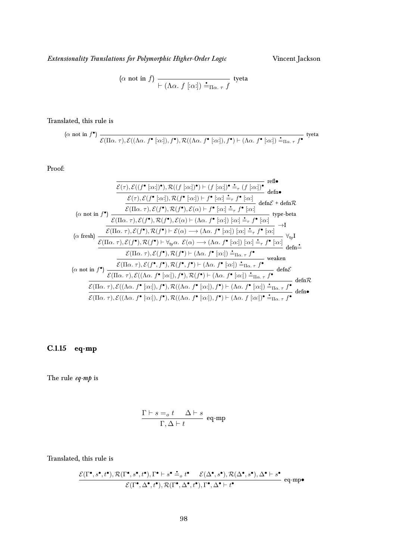*Extensionality Translations for Polymorphic Higher-Order Logic* Vincent Jackson

$$
(\alpha \text{ not in } f)
$$
 $\xrightarrow{\vdash} (\Lambda \alpha. f [\alpha]) \triangleq_{\Pi \alpha. \tau} f$ tyeta

## Translated, this rule is

$$
(\alpha \text{ not in } f^{\bullet}) \xrightarrow[\mathcal{E}(\Pi \alpha. \tau), \mathcal{E}((\Lambda \alpha. f^{\bullet}[\alpha]), f^{\bullet}), \mathcal{R}((\Lambda \alpha. f^{\bullet}[\alpha]), f^{\bullet}) \vdash (\Lambda \alpha. f^{\bullet}[\alpha]) \xrightarrow{\star} \Pi \alpha. \tau f^{\bullet}]} \text{tyeta}
$$

Proof:

$$
\frac{\overline{\mathcal{E}(\tau), \mathcal{E}((f^{\bullet}[\cdot \alpha])^{\bullet}), \mathcal{R}((f [\cdot \alpha])^{\bullet}) \vdash (f [\cdot \alpha])^{\bullet} \stackrel{\cdot}{=} _{\tau} (f [\cdot \alpha])^{\bullet}}{\mathcal{E}(\Pi \alpha, \tau), \mathcal{E}(f^{\bullet}[\cdot \alpha]) , \mathcal{R}(f^{\bullet}[\cdot \alpha]) \vdash f^{\bullet}[\cdot \alpha] \stackrel{\cdot}{=} _{\tau} f^{\bullet}[\cdot \alpha]} \text{ define}
$$
\n
$$
(\alpha \text{ not in } f^{\bullet}) \frac{\overline{\mathcal{E}(\Pi \alpha, \tau), \mathcal{E}(f^{\bullet}), \mathcal{R}(f^{\bullet}) , \mathcal{E}(\alpha) \vdash f^{\bullet}[\cdot \alpha] \stackrel{\cdot}{=} _{\tau} f^{\bullet}[\cdot \alpha]}{\mathcal{E}(\Pi \alpha, \tau), \mathcal{E}(f^{\bullet}), \mathcal{R}(f^{\bullet}) \vdash \mathcal{E}(\alpha) \vdash (\Lambda \alpha, f^{\bullet}[\cdot \alpha]) [\cdot \alpha] \stackrel{\cdot}{=} _{\tau} f^{\bullet}[\cdot \alpha]} \text{ type-beta}
$$
\n
$$
(\alpha \text{ fresh}) \frac{\overline{\mathcal{E}(\Pi \alpha, \tau), \mathcal{E}(f^{\bullet}), \mathcal{R}(f^{\bullet}) \vdash \mathcal{E}(\alpha) \rightarrow (\Lambda \alpha, f^{\bullet}[\cdot \alpha]) [\cdot \alpha] \stackrel{\cdot}{=} _{\tau} f^{\bullet}[\cdot \alpha]}{\mathcal{E}(\Pi \alpha, \tau), \mathcal{E}(f^{\bullet}), \mathcal{R}(f^{\bullet}) \vdash \mathcal{V}_{\text{ty}} \alpha, \mathcal{E}(\alpha) \rightarrow (\Lambda \alpha, f^{\bullet}[\cdot \alpha]) [\cdot \alpha] \stackrel{\cdot}{=} _{\tau} f^{\bullet}[\cdot \alpha]} \text{ define} \frac{\mathcal{E}(\Pi \alpha, \tau), \mathcal{E}(f^{\bullet}), \mathcal{R}(f^{\bullet}) \vdash \mathcal{V}_{\text{ty}} \alpha, \mathcal{E}(\alpha) \rightarrow (\Lambda \alpha, f^{\bullet}[\cdot \alpha]) [\cdot \alpha] \stackrel{\cdot}{=} _{\tau} f^{\bullet}[\cdot \alpha]}{\mathcal{E}(\Pi \alpha, \tau), \mathcal{E}(f^{\bullet}, f^{\bullet}) , \mathcal{R}(f^{\bullet}) \vdash (\Lambda \alpha, f^
$$

# **C.1.15 eq-mp**

The rule *eq-mp* is

$$
\frac{\Gamma\vdash s=_o t\quad \Delta\vdash s}{\Gamma,\Delta\vdash t}\text{ eq-mp}
$$

Translated, this rule is

$$
\frac{\mathcal{E}(\Gamma^{\bullet},s^{\bullet},t^{\bullet}),\mathcal{R}(\Gamma^{\bullet},s^{\bullet},t^{\bullet}),\Gamma^{\bullet}\vdash s^{\bullet} \doteq_{o} t^{\bullet}}{\mathcal{E}(\Gamma^{\bullet},\Delta^{\bullet},t^{\bullet}),\mathcal{R}(\Gamma^{\bullet},\Delta^{\bullet},t^{\bullet}),\Gamma^{\bullet},\Delta^{\bullet}\vdash t^{\bullet}} \text{ eq-mpe}
$$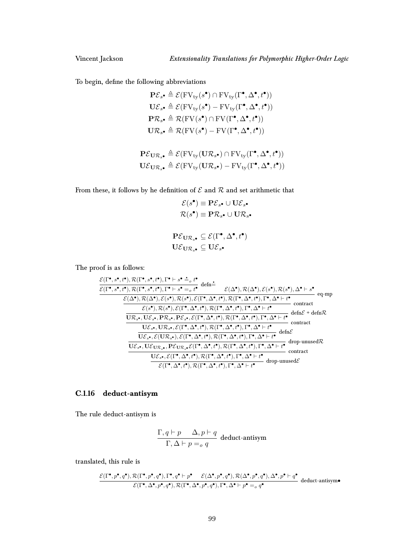To begin, define the following abbreviations

$$
\mathbf{P}\mathcal{E}_{s^{\bullet}} \triangleq \mathcal{E}(\text{FV}_{\text{ty}}(s^{\bullet}) \cap \text{FV}_{\text{ty}}(\Gamma^{\bullet}, \Delta^{\bullet}, t^{\bullet}))
$$
  

$$
\mathbf{U}\mathcal{E}_{s^{\bullet}} \triangleq \mathcal{E}(\text{FV}_{\text{ty}}(s^{\bullet}) - \text{FV}_{\text{ty}}(\Gamma^{\bullet}, \Delta^{\bullet}, t^{\bullet}))
$$
  

$$
\mathbf{P}\mathcal{R}_{s^{\bullet}} \triangleq \mathcal{R}(\text{FV}(s^{\bullet}) \cap \text{FV}(\Gamma^{\bullet}, \Delta^{\bullet}, t^{\bullet}))
$$
  

$$
\mathbf{U}\mathcal{R}_{s^{\bullet}} \triangleq \mathcal{R}(\text{FV}(s^{\bullet}) - \text{FV}(\Gamma^{\bullet}, \Delta^{\bullet}, t^{\bullet}))
$$

$$
\begin{aligned} &\mathbf{P}\mathcal{E}_{\mathbf{U}\mathcal{R}_{s^{\bullet}}}\triangleq\mathcal{E}(\mathrm{F}\mathrm{V}_{\mathsf{ty}}(\mathbf{U}\mathcal{R}_{s^{\bullet}})\cap\mathrm{F}\mathrm{V}_{\mathsf{ty}}(\Gamma^{\bullet},\Delta^{\bullet},t^{\bullet}))\\ &\mathbf{U}\mathcal{E}_{\mathbf{U}\mathcal{R}_{s^{\bullet}}}\triangleq\mathcal{E}(\mathrm{F}\mathrm{V}_{\mathsf{ty}}(\mathbf{U}\mathcal{R}_{s^{\bullet}})-\mathrm{F}\mathrm{V}_{\mathsf{ty}}(\Gamma^{\bullet},\Delta^{\bullet},t^{\bullet}))\end{aligned}
$$

From these, it follows by he definition of  ${\mathcal E}$  and  ${\mathcal R}$  and set arithmetic that

$$
\mathcal{E}(s^{\bullet}) \equiv \mathbf{P}\mathcal{E}_{s^{\bullet}} \cup \mathbf{U}\mathcal{E}_{s^{\bullet}}
$$

$$
\mathcal{R}(s^{\bullet}) \equiv \mathbf{P}\mathcal{R}_{s^{\bullet}} \cup \mathbf{U}\mathcal{R}_{s^{\bullet}}
$$

$$
\mathbf{P}\mathcal{E}_{\mathbf{U}\mathcal{R}_{s^{\bullet}}} \subseteq \mathcal{E}(\Gamma^{\bullet}, \Delta^{\bullet}, t^{\bullet})
$$

$$
\mathbf{U}\mathcal{E}_{\mathbf{U}\mathcal{R}_{s^{\bullet}}} \subseteq \mathbf{U}\mathcal{E}_{s^{\bullet}}
$$

The proof is as follows:

$$
\frac{\mathcal{E}(\Gamma^{\bullet}, s^{\bullet}, t^{\bullet}), \mathcal{R}(\Gamma^{\bullet}, s^{\bullet}, t^{\bullet}), \Gamma^{\bullet} \vdash s^{\bullet} \doteq_{o} t^{\bullet}}{\mathcal{E}(\Gamma^{\bullet}, s^{\bullet}, t^{\bullet}), \mathcal{R}(\Gamma^{\bullet}, s^{\bullet}, t^{\bullet}), \Gamma^{\bullet} \vdash s^{\bullet} \doteq_{o} t^{\bullet}} \quad \mathcal{E}(\Delta^{\bullet}), \mathcal{R}(\Delta^{\bullet}), \mathcal{E}(s^{\bullet}), \mathcal{R}(s^{\bullet}), \Delta^{\bullet} \vdash s^{\bullet} \text{ eq-mp}
$$
\n
$$
\frac{\mathcal{E}(\Delta^{\bullet}), \mathcal{R}(\Delta^{\bullet}), \mathcal{E}(s^{\bullet}), \mathcal{R}(s^{\bullet}), \mathcal{E}(\Gamma^{\bullet}, \Delta^{\bullet}, t^{\bullet}), \mathcal{R}(\Gamma^{\bullet}, \Delta^{\bullet}, t^{\bullet}), \Gamma^{\bullet}, \Delta^{\bullet} \vdash t^{\bullet}}{\mathcal{E}(s^{\bullet}), \mathcal{R}(s^{\bullet}), \mathcal{E}(\Gamma^{\bullet}, \Delta^{\bullet}, t^{\bullet}), \mathcal{R}(\Gamma^{\bullet}, \Delta^{\bullet}, t^{\bullet}), \Gamma^{\bullet}, \Delta^{\bullet} \vdash t^{\bullet}} \text{ contract}
$$
\n
$$
\frac{\mathbf{U}\mathcal{R}_{s^{\bullet}}, \mathbf{U}\mathcal{E}_{s^{\bullet}}, \mathbf{P}\mathcal{R}_{s^{\bullet}}, \mathbf{P}\mathcal{E}_{s^{\bullet}}, \mathcal{E}(\Gamma^{\bullet}, \Delta^{\bullet}, t^{\bullet}), \mathcal{R}(\Gamma^{\bullet}, \Delta^{\bullet}, t^{\bullet}), \Gamma^{\bullet}, \Delta^{\bullet} \vdash t^{\bullet}}{\mathbf{U}\mathcal{E}_{s^{\bullet}}, \mathcal{E}(\mathbf{U}\mathcal{R}_{s^{\bullet}}, \mathcal{E}(\Gamma^{\bullet}, \Delta^{\bullet}, t^{\bullet}), \mathcal{R}(\Gamma^{\bullet}, \Delta^{\bullet}, t^{\bullet}), \Gamma^{\bullet}, \Delta^{\bullet} \vdash t^{\bullet}} \text{ contract}
$$
\n
$$
\frac{\mathbf{U}\mathcal{E}_{s^{\bullet}}, \mathcal{E}(\mathbf{U}\mathcal{R}_{s^{\bullet}}, \mathcal{E}(\Gamma^{\bullet}, \Delta^{\bullet}, t^{\bullet}), \mathcal{R}(\Gamma^{\bullet}, \Delta
$$

#### **C.1.16 deduct-antisym**

The rule deduct-antisym is

$$
\frac{\Gamma, q \vdash p \quad \Delta, p \vdash q}{\Gamma, \Delta \vdash p =_o q} \text{ deduct-antisym}
$$

translated, this rule is

$$
\frac{\mathcal{E}(\Gamma^{\bullet},p^{\bullet},q^{\bullet}), \mathcal{R}(\Gamma^{\bullet},p^{\bullet},q^{\bullet}), \Gamma^{\bullet},q^{\bullet} \vdash p^{\bullet} - \mathcal{E}(\Delta^{\bullet},p^{\bullet},q^{\bullet}), \mathcal{R}(\Delta^{\bullet},p^{\bullet},q^{\bullet}), \Delta^{\bullet},p^{\bullet} \vdash q^{\bullet}}{\mathcal{E}(\Gamma^{\bullet},\Delta^{\bullet},p^{\bullet},q^{\bullet}), \mathcal{R}(\Gamma^{\bullet},\Delta^{\bullet},p^{\bullet},q^{\bullet}), \Gamma^{\bullet}, \Delta^{\bullet} \vdash p^{\bullet} =_{o} q^{\bullet}} \text{ deduct-antisym-}
$$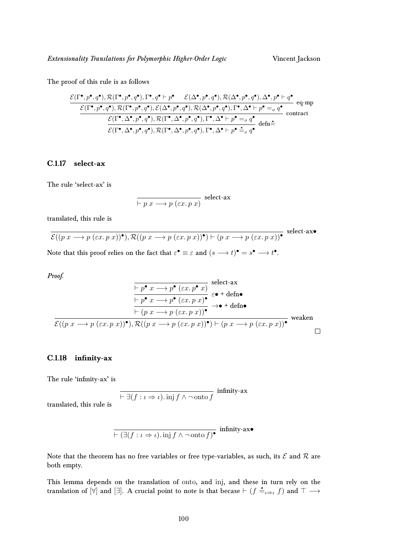The proof of this rule is as follows

$$
\frac{\mathcal{E}(\Gamma^{\bullet}, p^{\bullet}, q^{\bullet}), \mathcal{R}(\Gamma^{\bullet}, p^{\bullet}, q^{\bullet}), \Gamma^{\bullet}, q^{\bullet} \vdash p^{\bullet} \quad \mathcal{E}(\Delta^{\bullet}, p^{\bullet}, q^{\bullet}), \mathcal{R}(\Delta^{\bullet}, p^{\bullet}, q^{\bullet}), \Delta^{\bullet}, p^{\bullet} \vdash q^{\bullet}}{\mathcal{E}(\Gamma^{\bullet}, p^{\bullet}, q^{\bullet}), \mathcal{R}(\Gamma^{\bullet}, p^{\bullet}, q^{\bullet}), \mathcal{E}(\Delta^{\bullet}, p^{\bullet}, q^{\bullet}), \mathcal{R}(\Delta^{\bullet}, p^{\bullet}, q^{\bullet}), \Gamma^{\bullet}, \Delta^{\bullet} \vdash p^{\bullet} =_o q^{\bullet}} \text{ contract } \frac{\mathcal{E}(\Gamma^{\bullet}, \Delta^{\bullet}, p^{\bullet}, q^{\bullet}), \mathcal{R}(\Gamma^{\bullet}, \Delta^{\bullet}, p^{\bullet}, q^{\bullet}), \Gamma^{\bullet}, \Delta^{\bullet} \vdash p^{\bullet} =_o q^{\bullet}}{\mathcal{E}(\Gamma^{\bullet}, \Delta^{\bullet}, p^{\bullet}, q^{\bullet}), \mathcal{R}(\Gamma^{\bullet}, \Delta^{\bullet}, p^{\bullet}, q^{\bullet}), \Gamma^{\bullet}, \Delta^{\bullet} \vdash p^{\bullet} =_o q^{\bullet}} \text{ defn=}
$$

#### **C.1.17 select-ax**

The rule 'select-ax' is

$$
\overline{\vdash p \ x \longrightarrow p \ (\varepsilon x.\, p \ x)}
$$
 select-ax

translated, this rule is

$$
\overline{\mathcal{E}((p\ x \longrightarrow p\ (\varepsilon x.\ p\ x))^{\bullet}), \mathcal{R}((p\ x \longrightarrow p\ (\varepsilon x.\ p\ x))^{\bullet}) \vdash (p\ x \longrightarrow p\ (\varepsilon x.\ p\ x))^{\bullet}} \text{ select-ax-}
$$

Note that this proof relies on the fact that  $\varepsilon^{\bullet} \equiv \varepsilon$  and  $(s \longrightarrow t)^{\bullet} = s^{\bullet} \longrightarrow t^{\bullet}$ .

*Proof.*

$$
\frac{\overline{p} \cdot p^{\bullet} x \longrightarrow p^{\bullet} (\varepsilon x. p^{\bullet} x)}{\overline{p} \cdot p^{\bullet} x \longrightarrow p^{\bullet} (\varepsilon x. p x)^{\bullet}} \varepsilon^{\bullet + \text{defn}\bullet}
$$
\n
$$
\frac{\overline{p} \cdot p^{\bullet} x \longrightarrow p^{\bullet} (\varepsilon x. p x)^{\bullet}}{\overline{p} \cdot (p x \longrightarrow p (\varepsilon x. p x))^{\bullet}} \longrightarrow \text{defn}\bullet
$$
\n
$$
\overline{\mathcal{E}((p x \longrightarrow p (\varepsilon x. p x))^{\bullet}), \mathcal{R}((p x \longrightarrow p (\varepsilon x. p x))^{\bullet}) \vdash (p x \longrightarrow p (\varepsilon x. p x))^{\bullet}} \text{ weaken}
$$

#### **C.1.18 infinity-ax**

The rule 'infinity-ax' is

$$
\overline{\vdash \exists (f: \iota \Rightarrow \iota). \text{ inj } f \land \neg \text{ onto } f} \text{ infinity-ax}
$$

translated, this rule is

$$
\overline{\vdash (\exists (f: \iota \Rightarrow \iota).\operatorname{inj} f \land \neg \operatorname{onto} f)}\quad \text{infinity-ax} \bullet
$$

Note that the theorem has no free variables or free type-variables, as such, its  $\mathcal E$  and  $\mathcal R$  are both empty.

This lemma depends on the translation of onto, and inj, and these in turn rely on the translation of  $[\forall]$  and  $[\exists]$ . A crucial point to note is that becase  $\vdash (f \doteq_{\iota \Rightarrow \iota} f)$  and  $\top \longrightarrow$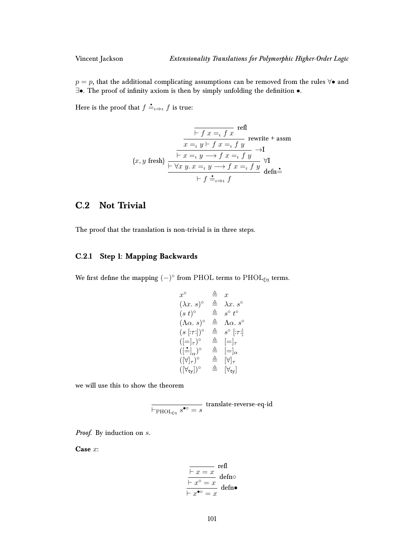*p* = *p*, that the additional complicating assumptions can be removed from the rules *∀•* and *∃•*. The proof of infinity axiom is then by simply unfolding the definition *•*.

Here is the proof that  $f \stackrel{\bullet}{=} \iota \Rightarrow \iota f$  is true:

$$
\frac{\overline{\smash{\vdash}\fbox{$x =_t f$ $x$}}} {\overline{\smash{\vdash}\fbox{$x =_t f$ $y$}}} \text{ rewrite + assim}
$$
\n
$$
(x, y \text{ fresh}) \xrightarrow{\overline{\smash{\vdash}\xspace x =_t y \rightarrow f \text{ $x =_t f$ $y$}}} \overline{\smash{\vdash}\xspace y \rightarrow I}
$$
\n
$$
\frac{\overline{\smash{\vdash}\xspace x =_t y \rightarrow f \text{ $x =_t f$ $y$}} \text{ } \forall I \text{ } \overline{\smash{\vdash}\xspace \uparrow x \text{ $y \mathcal{.} x =_t g \rightarrow f \text{ $x =_t f$ $y$}}}}{\overline{\smash{\vdash}\xspace f \mathcal{.}\xspace} \overline{\smash{\vdash}\xspace f \mathcal{.}\xspace}} \text{ define}^{\perp}
$$

# **C.2 Not Trivial**

The proof that the translation is non-trivial is in three steps.

# **C.2.1 Step 1: Mapping Backwards**

We first define the mapping (*−*) *◦* from PHOL terms to PHOL*ξη* terms.

$$
x^{\circ} \triangleq x
$$
  
\n
$$
( \lambda x. s)^{\circ} \triangleq \lambda x. s^{\circ}
$$
  
\n
$$
(s t)^{\circ} \triangleq s^{\circ} t^{\circ}
$$
  
\n
$$
( \Lambda \alpha. s)^{\circ} \triangleq \Lambda \alpha. s^{\circ}
$$
  
\n
$$
(s [:\tau:])^{\circ} \triangleq s^{\circ} [\cdot \tau:]
$$
  
\n
$$
([=]_{\tau})^{\circ} \triangleq [=]_{\tau}
$$
  
\n
$$
([\forall]_{\tau})^{\circ} \triangleq [ \forall]_{\tau}
$$
  
\n
$$
([\forall]_{\tau})^{\circ} \triangleq [\forall_{\tau}]
$$

we will use this to show the theorem

$$
\frac{}{\vdash_{\mathsf{PHOL}_{\xi\eta}} s^{\bullet\circ} = s} \text{ translate-reverse-eq-id}
$$

*Proof.* By induction on *s*.

**Case** *x*:

$$
\frac{\overline{\mathsf{F} \ x = x}}{\mathsf{F} \ x^{\circ} = x} \text{ define}
$$
\n
$$
\frac{\overline{\mathsf{F} \ x^{\circ} = x}}{\mathsf{F} \ x^{\bullet \circ} = x} \text{ define}
$$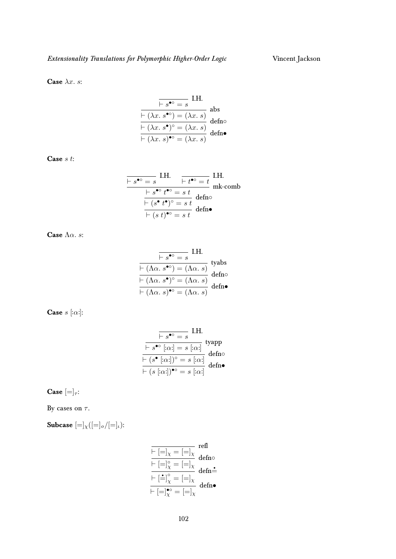# **Case** *λx. s*:

$$
\frac{\overline{\phantom{0}}\vdash s^{\bullet \circ} = s}{\vdash (\lambda x. s^{\bullet \circ}) = (\lambda x. s)} \text{ abs}
$$
\n
$$
\frac{\vdash (\lambda x. s^{\bullet \circ}) = (\lambda x. s)}{\vdash (\lambda x. s)^{\bullet \circ} = (\lambda x. s)} \text{ define}
$$
\n
$$
\frac{\vdash (\lambda x. s)^{\bullet \circ} = (\lambda x. s)}{\vdash (\lambda x. s)^{\bullet \circ} = (\lambda x. s)}
$$

**Case** *s t*:

$$
\frac{\overline{\phantom{0}}\vdash s^{\bullet \circ} = s \quad \text{I.H.}}{\overline{\phantom{0}}\vdash s^{\bullet \circ} t^{\bullet \circ} = s \ t \quad \text{mk-comb}} \n\frac{\overline{\phantom{0}}\vdash s^{\bullet \circ} t^{\bullet \circ} = s \ t}{\overline{\phantom{0}}\vdash (s^{\bullet} t^{\bullet})^{\circ} = s \ t \quad \text{defno}} \n\frac{\overline{\phantom{0}}\vdash (s^{\bullet} t^{\bullet})^{\circ} = s \ t}{\overline{\phantom{0}}\vdash (s \ t)^{\bullet \circ} = s \ t \quad \text{defno}}
$$

**Case** Λ*α. s*:

$$
\frac{\overline{\phantom{0}}\vdash s^{\bullet \circ} = s}{\vdash (\Lambda \alpha. s^{\bullet \circ}) = (\Lambda \alpha. s)} \text{ tyabs}
$$
\n
$$
\frac{\vdash (\Lambda \alpha. s^{\bullet}) = (\Lambda \alpha. s)}{\vdash (\Lambda \alpha. s)^{\bullet \circ} = (\Lambda \alpha. s)} \text{ define}
$$
\n
$$
\frac{\vdash (\Lambda \alpha. s)^{\bullet \circ} = (\Lambda \alpha. s)}{\vdash (\Lambda \alpha. s)^{\bullet \circ} = (\Lambda \alpha. s)}
$$

**Case** *s* [:*α*:]:

$$
\frac{\overline{\phantom{a}}\vdash s^{\bullet \circ} = s \quad \text{I.H.}}{\overline{\phantom{a}}\vdash s^{\bullet \circ} [:\alpha:] = s \; [:\alpha:]} \quad \text{trapp} \\
\frac{\overline{\phantom{a}}\vdash (s^{\bullet} [:\alpha:])^{\circ} = s \; [:\alpha:]}{\overline{\phantom{a}}\vdash (s \; [:\alpha:])^{\bullet \circ} = s \; [:\alpha:]} \quad \text{define} \\
\frac{\overline{\phantom{a}}\vdash (s \; [:\alpha:])^{\bullet \circ} = s \; [:\alpha:]}{\overline{\phantom{a}}}\n\end{cases}
$$

 $Case [ = ]_7$ :

By cases on *τ*.

 $\textbf{Subcase} \; [\equiv]_{\chi}([=]_o/[\equiv]_l)$ :

$$
\frac{\overline{\vdash [=]_x = [=]_x}}{\overline{\vdash [=]_x^{\circ} = [=]_x}} \text{ define}
$$
\n
$$
\frac{\overline{\vdash [=]_x^{\circ} = [=]_x}}{\overline{\vdash [=]_x^{\circ} = [=]_x}} \text{ define}
$$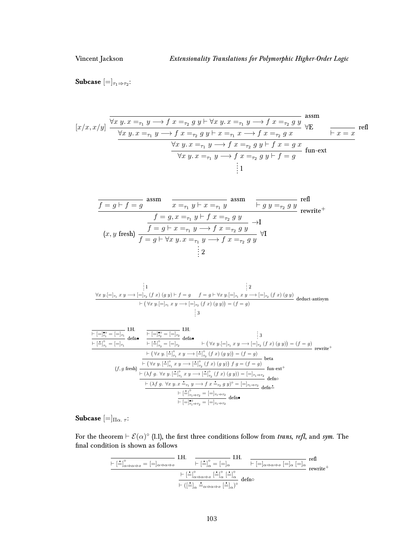$\textbf{Subcase} \; [\equiv]_{\tau_1 \Rightarrow \tau_2}$ :

$$
[x/x, x/y] \xrightarrow{\forall x \ y. x =_{\tau_1} y \longrightarrow f x =_{\tau_2} g y \vdash \forall x \ y. x =_{\tau_1} y \longrightarrow f x =_{\tau_2} g y} \forall E
$$
\n
$$
\xrightarrow{\forall x \ y. x =_{\tau_1} y \longrightarrow f x =_{\tau_2} g y \vdash x =_{\tau_1} x \longrightarrow f x =_{\tau_2} g x} \forall E
$$
\n
$$
\xrightarrow{\forall x \ y. x =_{\tau_1} y \longrightarrow f x =_{\tau_2} g y \vdash f x = g x} \text{fun-ext}
$$
\n
$$
\xrightarrow{\forall x \ y. x =_{\tau_1} y \longrightarrow f x =_{\tau_2} g y \vdash f = g} \text{fun-ext}
$$
\n
$$
\vdots 1
$$

$$
\frac{f = g \vdash f = g \quad \text{assm} \quad \frac{x =_{\tau_1} y \vdash x =_{\tau_1} y}{x =_{\tau_1} y \vdash f x =_{\tau_2} g y \quad \text{Feyn} \quad \text{rewrite}} + \frac{f = g, x =_{\tau_1} y \vdash f x =_{\tau_2} g y}{f = g \vdash x =_{\tau_1} y \longrightarrow f x =_{\tau_2} g y \quad \text{or} \quad \text{Feyn} \quad \text{Feyn} \quad \text{Feyn} \quad \text{Feyn} \quad \text{Feyn} \quad \text{Feyn} \quad \text{Feyn} \quad \text{Feyn} \quad \text{Feyn} \quad \text{Feyn} \quad \text{Feyn} \quad \text{Feyn} \quad \text{Feyn} \quad \text{Feyn} \quad \text{Feyn} \quad \text{Feyn} \quad \text{Feyn} \quad \text{Feyn} \quad \text{Feyn} \quad \text{Feyn} \quad \text{Feyn} \quad \text{Feyn} \quad \text{Feyn} \quad \text{Feyn} \quad \text{Feyn} \quad \text{Feyn} \quad \text{Feyn} \quad \text{Feyn} \quad \text{Feyn} \quad \text{Feyn} \quad \text{Feyn} \quad \text{Feyn} \quad \text{Feyn} \quad \text{Feyn} \quad \text{Feyn} \quad \text{Feyn} \quad \text{Feyn} \quad \text{Feyn} \quad \text{Feyn} \quad \text{Feyn} \quad \text{Feyn} \quad \text{Feyn} \quad \text{Feyn} \quad \text{Feyn} \quad \text{Feyn} \quad \text{Feyn} \quad \text{Feyn} \quad \text{Feyn} \quad \text{Feyn} \quad \text{Feyn} \quad \text{Feyn} \quad \text{Feyn} \quad \text{Feyn} \quad \text{Feyn} \quad \text{Feyn} \quad \text{Feyn} \quad \text{Feyn} \quad \text{Feyn} \quad \text{Feyn} \quad \text{Feyn} \quad \text{Feyn} \quad \text{Feyn} \quad \text{Feyn} \quad \text{Feyn} \quad \text{Feyn} \quad \text{Feyn} \quad \text{Feyn} \quad \text
$$

$$
\frac{\begin{array}{c}\n\vdots \\
\forall x \ y. \left[\right]=\right]_{\tau_1} x \ y \longrightarrow \left[\right]=\right]_{\tau_2} (f \ x) \ (g \ y) \vdash f = g \quad \quad f = g \vdash \forall x \ y. \left[\right]=\right]_{\tau_1} x \ y \longrightarrow \left[\right]=\right]_{\tau_2} (f \ x) \ (g \ y) \\
\vdots \\
\uparrow (\forall x \ y. \left[\right]=\right]_{\tau_1} x \ y \longrightarrow \left[\right]=\right]_{\tau_2} (f \ x) \ (g \ y)) = (f = g)\n\end{array} \text{deduct-antisym}
$$
\n
$$
\vdots \ 3
$$

$$
\frac{\mathbf{F}[\mathbf{=}]\mathbf{r}_{0}^{\bullet}=[\mathbf{r}]_{\tau_{1}}}{\mathbf{F}[\mathbf{=}]\mathbf{r}_{1}^{\bullet}=[\mathbf{r}]_{\tau_{1}}}
$$
l.H. 
$$
\frac{\mathbf{F}[\mathbf{=}]\mathbf{r}_{2}^{\bullet}=[\mathbf{r}]_{\tau_{2}}}{\mathbf{F}[\mathbf{=}]\mathbf{r}_{2}^{\bullet}=[\mathbf{r}]_{\tau_{2}}}=[\mathbf{r}]_{\tau_{2}} \qquad \mathbf{F}(\forall x \ y, [\mathbf{r}]_{\tau_{1}} \ x \ y \rightarrow [\mathbf{r}]_{\tau_{2}} \ (f \ x) \ (g \ y))=(f = g)
$$
rewrite
$$
\frac{\mathbf{F}(\forall x \ y, [\mathbf{r}]_{\tau_{1}}^{\circ} \ x \ y \rightarrow [\mathbf{r}]_{\tau_{2}}^{\circ} (f \ x) \ (g \ y))=(f = g)}{\mathbf{F}(\forall x \ y, [\mathbf{r}]_{\tau_{1}}^{\circ} \ x \ y \rightarrow [\mathbf{r}]_{\tau_{2}}^{\circ} (f \ x) \ (g \ y)) \ f \ g=(f = g)}
$$
beta  
(f, g fresh)
$$
\frac{\mathbf{F}(\forall x \ y, [\mathbf{r}]_{\tau_{1}}^{\circ} \ x \ y \rightarrow [\mathbf{r}]_{\tau_{2}}^{\circ} (f \ x) \ (g \ y)) \ f \ g=(f = g)}{\mathbf{F}(\forall x \ y, [\mathbf{r}]_{\tau_{1}}^{\circ} \ x \ y \rightarrow [\mathbf{r}]_{\tau_{2}}^{\circ} (f \ x) \ (g \ y)) = [\mathbf{r}]_{\tau_{1} \Rightarrow \tau_{2}} \ \text{then}
$$
4cm-ext<sup>+</sup>
$$
\frac{\mathbf{F}(\mathbf{r})_{\tau_{1}}^{\circ} \ (\mathbf{r}) \ (\mathbf{r}) \ (g \ y) \ (\mathbf{r}) = [\mathbf{r}]_{\tau_{1} \Rightarrow \tau_{2}}^{\circ} \ \text{then}}
$$

**Subcase**  $[=]_{\Pi\alpha.\ \tau}$ :

For the theorem  $\vdash \mathcal{E}(\alpha)^\circ$  (1.1), the first three conditions follow from *trans, refl*, and *sym*. The final condition is shown as follows

$$
\frac{\overline{\hspace{0.5cm}|\hspace{0.5cm}-\hspace{0.5cm}|_{\alpha \Rightarrow \alpha \Rightarrow \mathit{o}} = [=]_{\alpha \Rightarrow \alpha \Rightarrow \mathit{o}}}{\hspace{0.5cm}|\hspace{0.5cm} -\hspace{0.5cm}|\hspace{0.5cm}|_{\alpha \Rightarrow \alpha \Rightarrow \mathit{o}} = [=]_{\alpha}} \frac{\hspace{0.5cm}|\hspace{0.5cm} \text{I.H.} \hspace{0.2cm} \hspace{0.2cm} \overline{\hspace{0.5cm}|\hspace{0.5cm}-\hspace{0.5cm}|_{\alpha \Rightarrow \alpha \Rightarrow \mathit{o}} \hspace{0.2cm} \overline{ \hspace{0.5cm}|\hspace{0.5cm} -\hspace{0.5cm}|\hspace{0.5cm} \alpha}} \hspace{0.2cm}\text{refl}\hspace{0.2cm} \text{neff} } \frac{\hspace{0.5cm}|\hspace{0.5cm} \text{I.H.} \hspace{0.2cm} \hspace{0.2cm} \overline{\hspace{0.5cm}|\hspace{0.5cm}-\hspace{0.5cm}|_{\alpha \Rightarrow \alpha \Rightarrow \mathit{o}} \hspace{0.2cm} \overline{ \hspace{0.5cm}|\hspace{0.5cm} -\hspace{0.5cm}|\hspace{0.5cm} \alpha}} \hspace{0.2cm}\text{refl}\hspace{0.2cm} \text{neff} } \frac{\hspace{0.2cm}|\hspace{0.5cm} \text{I.H.} \hspace{0.2cm} \overline{\hspace{0.5cm}|\hspace{0.5cm}-\hspace{0.5cm}|_{\alpha \Rightarrow \alpha \Rightarrow \mathit{o}} \hspace{0.2cm} \overline{ \hspace{0.5cm}|\hspace{0.5cm} -\hspace{0.5cm}|\hspace{0.5cm} \alpha}} \hspace{0.2cm}\text{neff}} \hspace{0.2cm} \text{neff} \hspace{0.2cm} \text{neff} \hspace{0.2cm} \text{neff} \hspace{0.2cm} \text{neff} \hspace{0.2cm} \text{neff} \hspace{0.2cm} \text{neff} \hspace{0.2cm} \text{neff} \hspace{0.2cm} \text{neff} \hspace{0.2cm} \text{neff} \hspace{0.2cm} \text{
$$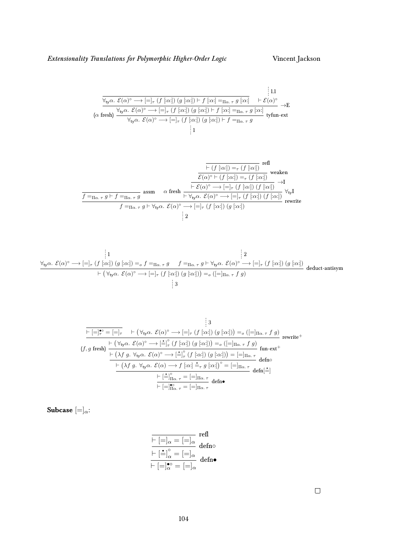$$
\frac{\forall_{\text{ty}}\alpha.\ \mathcal{E}(\alpha)^{\circ}\longrightarrow[\mathbf{=}]_{\tau}(f[\alpha])\ (g[\alpha])\vdash f[\alpha] =_{\Pi\alpha.\tau}g[\alpha]\qquad \qquad \mathbf{E}(\alpha)^{\circ}\qquad \mathbf{E}(\alpha)^{\circ}\qquad \mathbf{E}(\alpha)^{\circ}\qquad \mathbf{E}(\alpha)^{\circ}\qquad \mathbf{E}(\alpha)^{\circ}\qquad \mathbf{E}(\alpha)^{\circ}\qquad \qquad \mathbf{E}(\alpha)^{\circ}\qquad \mathbf{E}(\alpha)^{\circ}\qquad \mathbf{E}(\alpha)^{\circ}\qquad \mathbf{E}(\alpha)^{\circ}\qquad \mathbf{E}(\alpha)^{\circ}\qquad \mathbf{E}(\alpha)^{\circ}\qquad \mathbf{E}(\alpha)^{\circ}\qquad \mathbf{E}(\alpha)^{\circ}\qquad \mathbf{E}(\alpha)^{\circ}\qquad \mathbf{E}(\alpha)^{\circ}\qquad \mathbf{E}(\alpha)^{\circ}\qquad \mathbf{E}(\alpha)^{\circ}\qquad \mathbf{E}(\alpha)^{\circ}\qquad \mathbf{E}(\alpha)^{\circ}\qquad \mathbf{E}(\alpha)^{\circ}\qquad \mathbf{E}(\alpha)^{\circ}\qquad \mathbf{E}(\alpha)^{\circ}\qquad \mathbf{E}(\alpha)^{\circ}\qquad \mathbf{E}(\alpha)^{\circ}\qquad \mathbf{E}(\alpha)^{\circ}\qquad \mathbf{E}(\alpha)^{\circ}\qquad \mathbf{E}(\alpha)^{\circ}\qquad \mathbf{E}(\alpha)^{\circ}\qquad \mathbf{E}(\alpha)^{\circ}\qquad \mathbf{E}(\alpha)^{\circ}\qquad \mathbf{E}(\alpha)^{\circ}\qquad \mathbf{E}(\alpha)^{\circ}\qquad \mathbf{E}(\alpha)^{\circ}\qquad \mathbf{E}(\alpha)^{\circ}\qquad \mathbf{E}(\alpha)^{\circ}\qquad \mathbf{E}(\alpha)^{\circ}\qquad \mathbf{E}(\alpha)^{\circ}\qquad \mathbf{E}(\alpha)^{\circ}\qquad \mathbf{E}(\alpha)^{\circ}\qquad \mathbf{E}(\alpha)^{\circ}\qquad \mathbf{E}(\alpha)^{\circ}\qquad \mathbf{E}(\alpha)^{\circ}\qquad \mathbf{E}(\alpha)^{\circ}\qquad \mathbf{E}(\alpha)^{\circ}\qquad \mathbf{E}(\alpha)^{\circ}\qquad \mathbf{E}(\alpha)^{\circ}\qquad \mathbf{E}(\alpha)^{\circ}\qquad \mathbf{E}(\alpha)^{\circ}\qquad
$$

$$
\frac{\overline{\mathcal{F}(f[\alpha:])} =_{\tau} (f[\alpha:])}{\mathcal{E}(\alpha)^{\circ} + (f[\alpha:])} =_{\tau} (f[\alpha:])
$$
weaken  
\n
$$
\frac{\overline{\mathcal{E}(\alpha)^{\circ} + (f[\alpha:])} =_{\tau} (f[\alpha:]) \text{ weaken}}{\mathcal{F} =_{\Pi\alpha.\tau} g \vdash f =_{\Pi\alpha.\tau} g} \text{assm} \quad \alpha \text{ fresh} \xrightarrow[\text{by}\alpha. \mathcal{E}(\alpha)^{\circ} \rightarrow ]=]_{\tau} (f[\alpha:]) (f[\alpha:])
$$
\n
$$
f =_{\Pi\alpha.\tau} g \vdash \forall_{\text{ty}} \alpha. \mathcal{E}(\alpha)^{\circ} \rightarrow ]=]_{\tau} (f[\alpha:]) (g[\alpha:])
$$
\n
$$
\vdots 2
$$

$$
\frac{\begin{array}{c}\n\vdots \\
\forall_{\mathsf{ty}}\alpha.\ \mathcal{E}(\alpha)^{\circ}\longrightarrow\left[\begin{array}{c}\n\vdots \\
\vdots\n\end{array}\right] \quad\quad (g \ [\alpha])\ (g \ [\alpha]) =_{o} f =_{\Pi\alpha.\ \tau} g \quad f =_{\Pi\alpha.\ \tau} g \vdash \forall_{\mathsf{ty}}\alpha.\ \mathcal{E}(\alpha)^{\circ} \longrightarrow\left[\begin{array}{c}\n\vdots \\
\vdots\n\end{array}\right] \quad\quad (g \ [\alpha])\ (g \ [\alpha]) \\
\vdots\n\end{array} \text{deduct-antisym}
$$
\n
$$
\begin{array}{c}\n\vdots \\
\forall_{\mathsf{ty}}\alpha.\ \mathcal{E}(\alpha)^{\circ} \longrightarrow\left[\begin{array}{c}\n\vdots \\
\vdots\n\end{array}\right] \quad\quad (g \ [\alpha])\ (g \ [\alpha])\n\end{array} \text{deduct-antisym}
$$
\n
$$
\begin{array}{c}\n\vdots \\
\vdots\n\end{array}
$$

$$
\begin{array}{c}\n\vdots \\
\frac{\vdash[-]_{\tau}^{\bullet\circ}=[=]_{\tau}}{\vdash[-]_{\tau}}\quad\vdash(\forall_{\mathsf{ty}}\alpha.\ \mathcal{E}(\alpha)^{\circ}\longrightarrow[=]_{\tau}\ (f\ [\alpha\cdot])\ (g\ [\alpha\cdot])\ )=_{o}\ ([=]_{\Pi\alpha.\ \tau}\ f\ g) \\
\frac{\vdash(\forall_{\mathsf{ty}}\alpha.\ \mathcal{E}(\alpha)^{\circ}\longrightarrow[\stackrel{=}{\neg}]_{\tau}^{\circ}\ (f\ [\alpha\cdot])\ (g\ [\alpha\cdot])\ )=_{o}\ ([=]_{\Pi\alpha.\ \tau}\ f\ g)}{\vdash(\lambda f\ g.\ \forall_{\mathsf{ty}}\alpha.\ \mathcal{E}(\alpha)^{\circ}\longrightarrow[\stackrel{=}{\neg}]_{\tau}^{\circ}\ (f\ [\alpha\cdot])\ (g\ [\alpha\cdot])\ )=[=]_{\Pi\alpha.\ \tau}\ n\mathrm{thenext}^{+} \\
\frac{\vdash(\lambda f\ g.\ \forall_{\mathsf{ty}}\alpha.\ \mathcal{E}(\alpha)\longrightarrow f\ [\alpha\cdot]\stackrel{=}{\neg}\ g\ [\alpha\cdot])^{\circ}=[=]_{\Pi\alpha.\ \tau}}{\vdash[\stackrel{=}{\neg}\Pi\alpha.\ \tau}\ \mathrm{def}\mathrm{ne} \\
\frac{\vdash[\stackrel{=}{\neg}\Pi\alpha.\ \tau}=[=]_{\Pi\alpha.\ \tau}\ \mathrm{def}\mathrm{ne} \\
\frac{\vdash[\stackrel{=}{\neg}\Pi\alpha.\ \tau}=[=]_{\Pi\alpha.\ \tau}\ \mathrm{def}\mathrm{ne} \\
\end{array}
$$

Subcase  $[=]_{\alpha}$ :

$$
\frac{\overline{\vdash [=]_{\alpha} = [=]_{\alpha}} \text{refl}}{\overline{\vdash [=]^{\circ}_{\alpha} = [=]_{\alpha}} \text{defno}} \text{defno}
$$
\n
$$
\frac{\overline{\vdash [=]^{\circ}_{\alpha} = [=]_{\alpha}}}{\overline{\vdash [=]^{\circ}_{\alpha} = [=]_{\alpha}} \text{defno}}
$$

 $\Box$